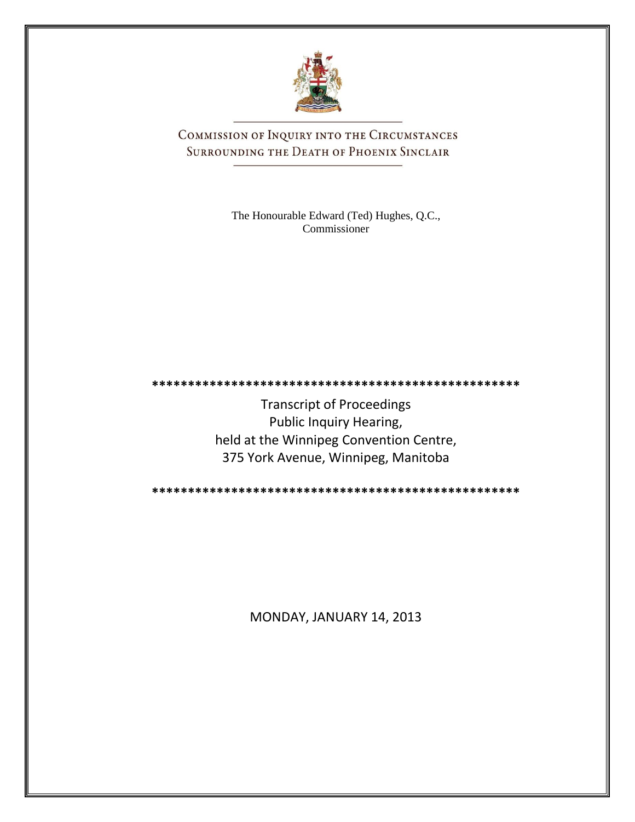

COMMISSION OF INQUIRY INTO THE CIRCUMSTANCES SURROUNDING THE DEATH OF PHOENIX SINCLAIR

> The Honourable Edward (Ted) Hughes, Q.C., Commissioner

Transcript of Proceedings Public Inquiry Hearing, held at the Winnipeg Convention Centre, 375 York Avenue, Winnipeg, Manitoba

**\*\*\*\*\*\*\*\*\*\*\*\*\*\*\*\*\*\*\*\*\*\*\*\*\*\*\*\*\*\*\*\*\*\*\*\*\*\*\*\*\*\*\*\*\*\*\*\*\*\*\***

**\*\*\*\*\*\*\*\*\*\*\*\*\*\*\*\*\*\*\*\*\*\*\*\*\*\*\*\*\*\*\*\*\*\*\*\*\*\*\*\*\*\*\*\*\*\*\*\*\*\*\***

MONDAY, JANUARY 14, 2013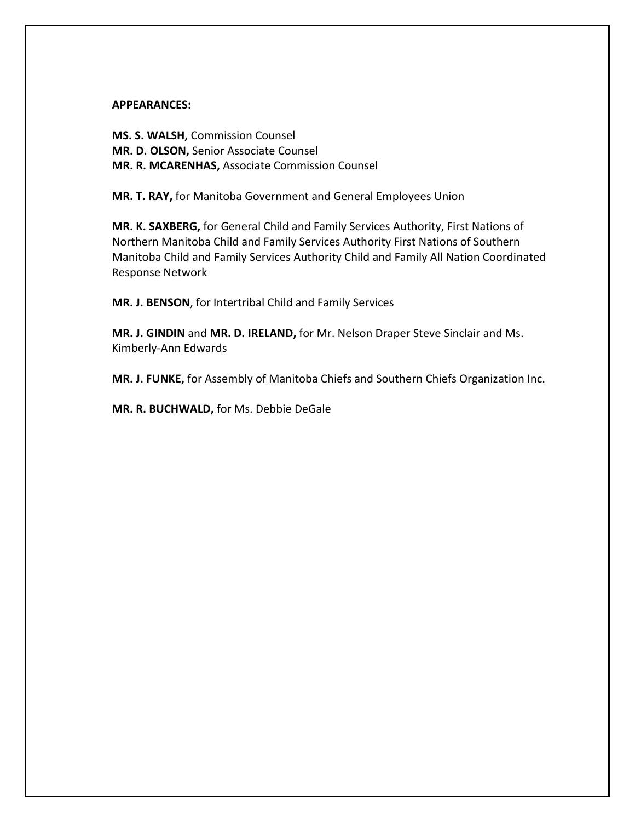## **APPEARANCES:**

**MS. S. WALSH,** Commission Counsel **MR. D. OLSON,** Senior Associate Counsel **MR. R. MCARENHAS,** Associate Commission Counsel

**MR. T. RAY,** for Manitoba Government and General Employees Union

**MR. K. SAXBERG,** for General Child and Family Services Authority, First Nations of Northern Manitoba Child and Family Services Authority First Nations of Southern Manitoba Child and Family Services Authority Child and Family All Nation Coordinated Response Network

**MR. J. BENSON**, for Intertribal Child and Family Services

**MR. J. GINDIN** and **MR. D. IRELAND,** for Mr. Nelson Draper Steve Sinclair and Ms. Kimberly-Ann Edwards

**MR. J. FUNKE,** for Assembly of Manitoba Chiefs and Southern Chiefs Organization Inc.

**MR. R. BUCHWALD,** for Ms. Debbie DeGale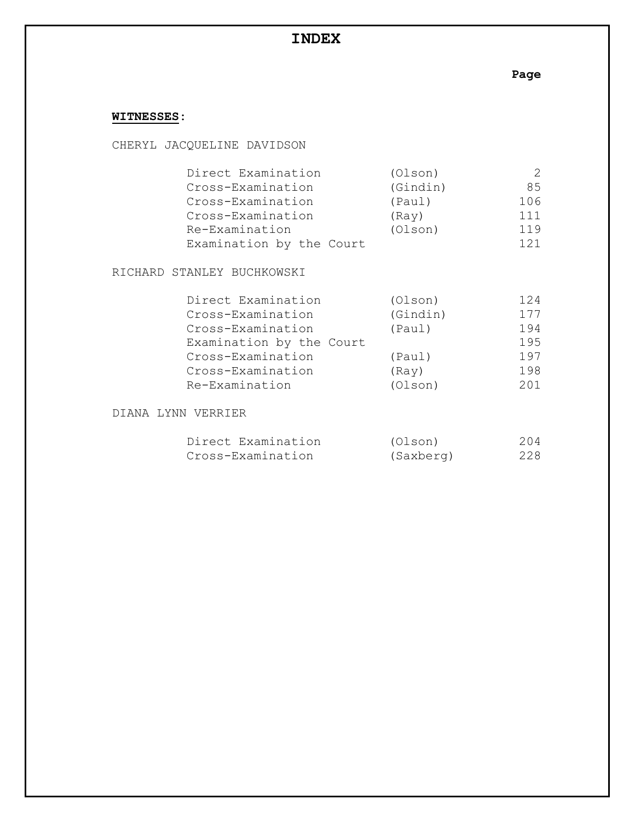# **INDEX**

**Page**

## **WITNESSES:**

CHERYL JACQUELINE DAVIDSON

| Direct Examination       | (Olson)  |     |
|--------------------------|----------|-----|
| Cross-Examination        | (Gindin) | 85  |
| Cross-Examination        | (Paul)   | 106 |
| Cross-Examination        | (Ray)    | 111 |
| Re-Examination           | (Olson)  | 119 |
| Examination by the Court |          | 121 |

RICHARD STANLEY BUCHKOWSKI

| Direct Examination       | (Olson)  | 124 |
|--------------------------|----------|-----|
| Cross-Examination        | (Gindin) | 177 |
| Cross-Examination        | (Paul)   | 194 |
| Examination by the Court |          | 195 |
| Cross-Examination        | (Paul)   | 197 |
| Cross-Examination        | (Ray)    | 198 |
| Re-Examination           | (OIson)  | 201 |

DIANA LYNN VERRIER

| Direct Examination | (Olson)   | 204 |
|--------------------|-----------|-----|
| Cross-Examination  | (Saxberg) | 228 |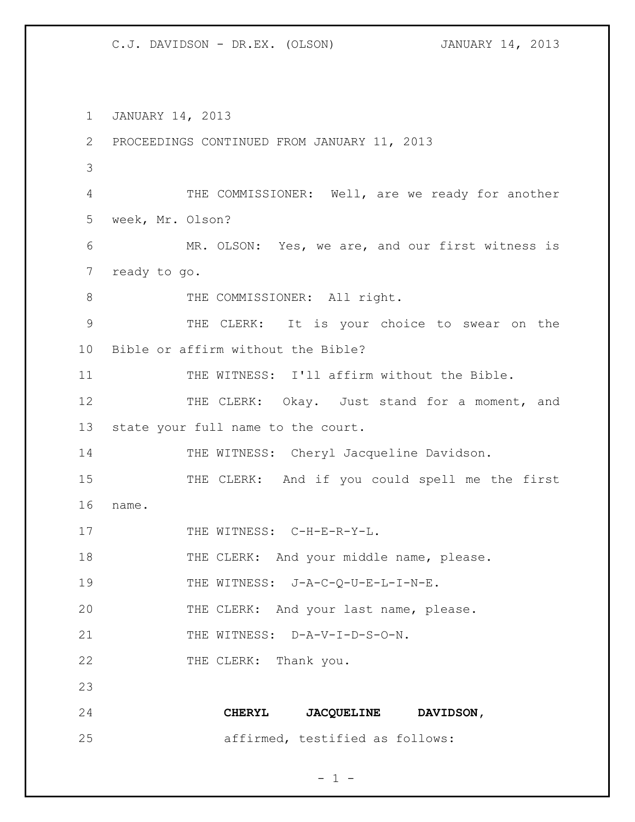1 JANUARY 14, 2013 2 PROCEEDINGS CONTINUED FROM JANUARY 11, 2013 3 4 THE COMMISSIONER: Well, are we ready for another 5 week, Mr. Olson? 6 MR. OLSON: Yes, we are, and our first witness is 7 ready to go. 8 THE COMMISSIONER: All right. 9 THE CLERK: It is your choice to swear on the 10 Bible or affirm without the Bible? 11 THE WITNESS: I'll affirm without the Bible. 12 THE CLERK: Okay. Just stand for a moment, and 13 state your full name to the court. 14 THE WITNESS: Cheryl Jacqueline Davidson. 15 THE CLERK: And if you could spell me the first 16 name. 17 THE WITNESS: C-H-E-R-Y-L. 18 THE CLERK: And your middle name, please. 19 THE WITNESS: J-A-C-Q-U-E-L-I-N-E. 20 THE CLERK: And your last name, please. 21 THE WITNESS: D-A-V-I-D-S-O-N. 22 THE CLERK: Thank you. 23 24 **CHERYL JACQUELINE DAVIDSON,**  25 affirmed, testified as follows: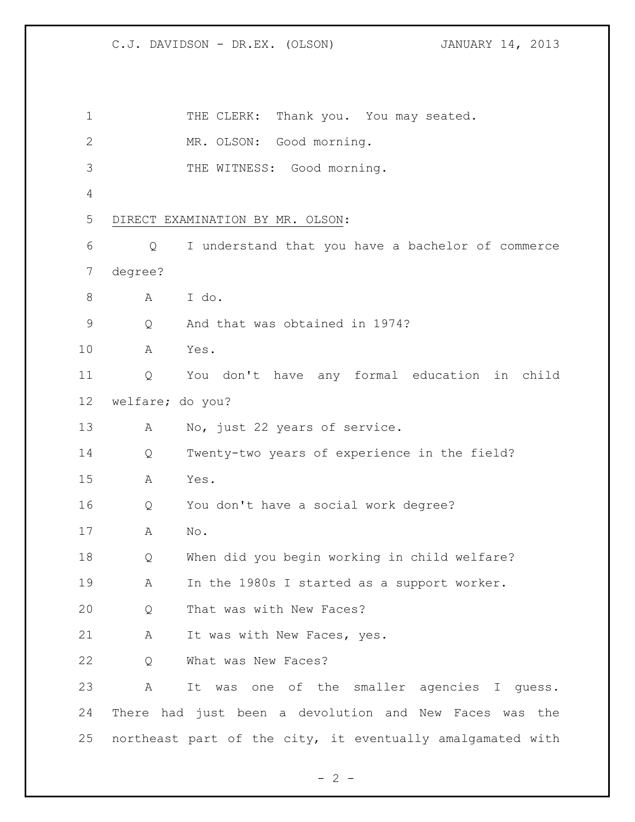| $\mathbf 1$   |                  | THE CLERK:<br>Thank you. You may seated.                   |
|---------------|------------------|------------------------------------------------------------|
| 2             |                  | MR. OLSON: Good morning.                                   |
| 3             |                  | THE WITNESS: Good morning.                                 |
| 4             |                  |                                                            |
| 5             |                  | DIRECT EXAMINATION BY MR. OLSON:                           |
| 6             | Q                | I understand that you have a bachelor of commerce          |
| 7             | degree?          |                                                            |
| 8             | A                | I do.                                                      |
| $\mathcal{G}$ | Q                | And that was obtained in 1974?                             |
| 10            | Α                | Yes.                                                       |
| 11            | Q                | You don't have any formal education in child               |
| 12            | welfare; do you? |                                                            |
| 13            | A                | No, just 22 years of service.                              |
| 14            | Q                | Twenty-two years of experience in the field?               |
| 15            | Α                | Yes.                                                       |
| 16            | Q                | You don't have a social work degree?                       |
| 17            | Α                | No.                                                        |
| 18            | Q                | When did you begin working in child welfare?               |
| 19            | A                | In the 1980s I started as a support worker.                |
| 20            | Q                | That was with New Faces?                                   |
| 21            | Α                | It was with New Faces, yes.                                |
| 22            | Q                | What was New Faces?                                        |
| 23            | Α                | It was one of the smaller agencies I quess.                |
| 24            |                  | There had just been a devolution and New Faces was the     |
| 25            |                  | northeast part of the city, it eventually amalgamated with |

 $- 2 -$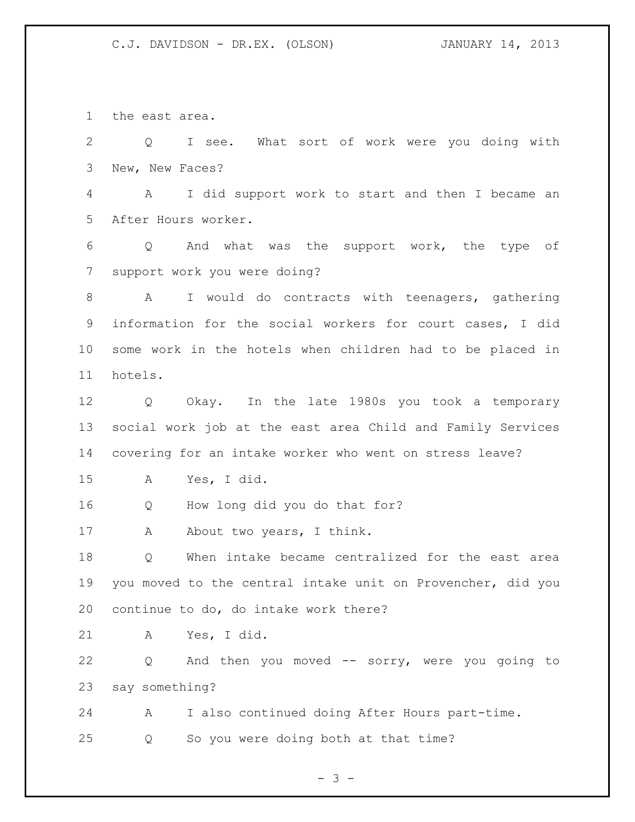the east area.

 Q I see. What sort of work were you doing with New, New Faces? A I did support work to start and then I became an After Hours worker. Q And what was the support work, the type of support work you were doing? A I would do contracts with teenagers, gathering information for the social workers for court cases, I did some work in the hotels when children had to be placed in hotels. Q Okay. In the late 1980s you took a temporary social work job at the east area Child and Family Services covering for an intake worker who went on stress leave? A Yes, I did. Q How long did you do that for? 17 A About two years, I think. Q When intake became centralized for the east area you moved to the central intake unit on Provencher, did you continue to do, do intake work there? A Yes, I did. Q And then you moved -- sorry, were you going to say something? A I also continued doing After Hours part-time. Q So you were doing both at that time?

- 3 -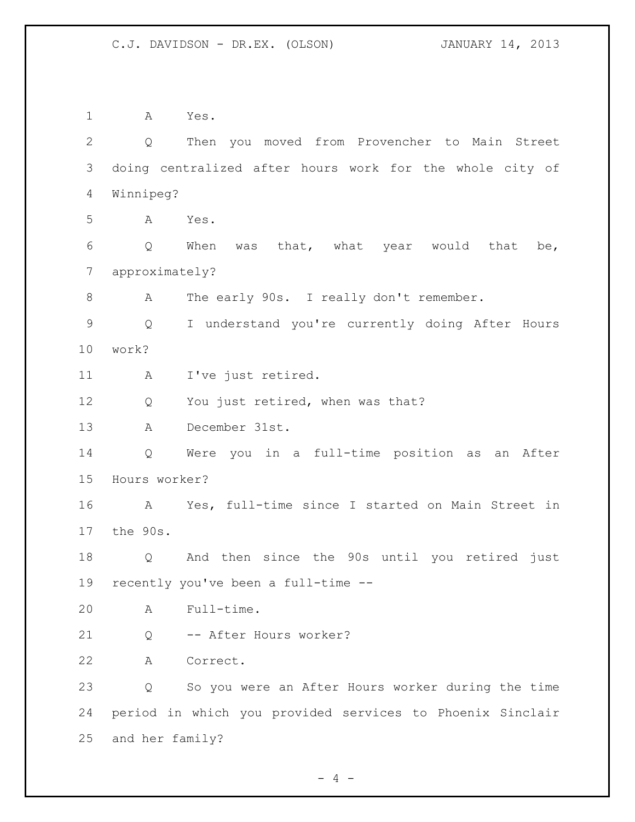A Yes. Q Then you moved from Provencher to Main Street doing centralized after hours work for the whole city of Winnipeg? A Yes. Q When was that, what year would that be, approximately? A The early 90s. I really don't remember. Q I understand you're currently doing After Hours work? A I've just retired. 12 Q You just retired, when was that? A December 31st. Q Were you in a full-time position as an After Hours worker? A Yes, full-time since I started on Main Street in the 90s. Q And then since the 90s until you retired just recently you've been a full-time -- A Full-time. Q -- After Hours worker? A Correct. Q So you were an After Hours worker during the time period in which you provided services to Phoenix Sinclair and her family?

 $- 4 -$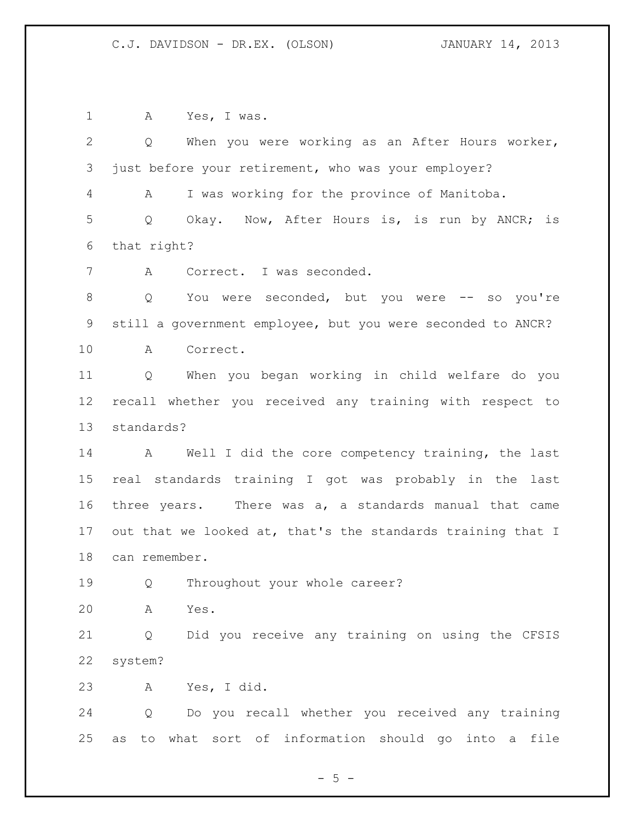A Yes, I was. Q When you were working as an After Hours worker, just before your retirement, who was your employer? A I was working for the province of Manitoba. Q Okay. Now, After Hours is, is run by ANCR; is that right? A Correct. I was seconded. 8 Q You were seconded, but you were -- so you're still a government employee, but you were seconded to ANCR? A Correct. Q When you began working in child welfare do you recall whether you received any training with respect to standards? A Well I did the core competency training, the last real standards training I got was probably in the last three years. There was a, a standards manual that came out that we looked at, that's the standards training that I can remember. Q Throughout your whole career? A Yes. Q Did you receive any training on using the CFSIS system? A Yes, I did. Q Do you recall whether you received any training as to what sort of information should go into a file

 $-5 -$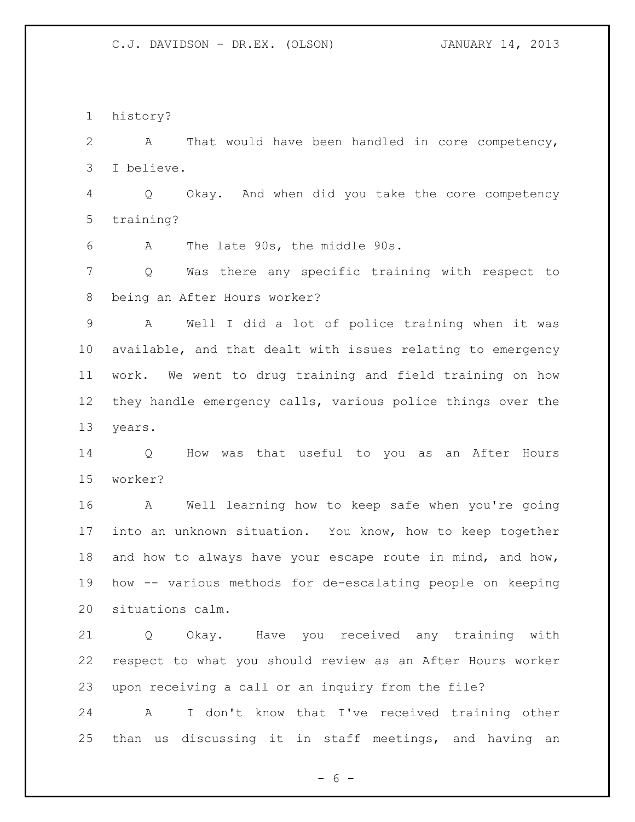history?

 A That would have been handled in core competency, I believe.

 Q Okay. And when did you take the core competency training?

A The late 90s, the middle 90s.

 Q Was there any specific training with respect to being an After Hours worker?

 A Well I did a lot of police training when it was available, and that dealt with issues relating to emergency work. We went to drug training and field training on how they handle emergency calls, various police things over the years.

 Q How was that useful to you as an After Hours worker?

 A Well learning how to keep safe when you're going into an unknown situation. You know, how to keep together 18 and how to always have your escape route in mind, and how, how -- various methods for de-escalating people on keeping situations calm.

 Q Okay. Have you received any training with respect to what you should review as an After Hours worker upon receiving a call or an inquiry from the file?

 A I don't know that I've received training other than us discussing it in staff meetings, and having an

 $- 6 -$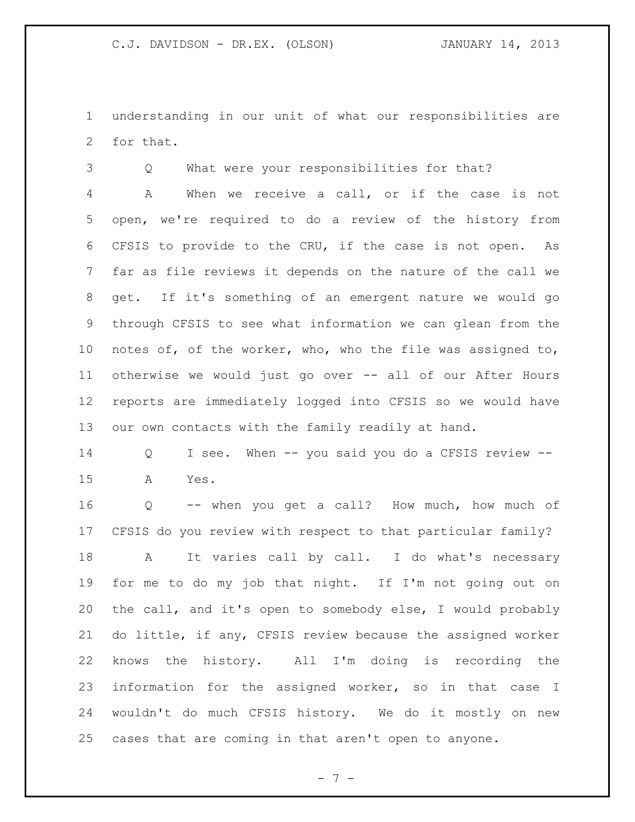understanding in our unit of what our responsibilities are for that.

Q What were your responsibilities for that?

 A When we receive a call, or if the case is not open, we're required to do a review of the history from CFSIS to provide to the CRU, if the case is not open. As far as file reviews it depends on the nature of the call we get. If it's something of an emergent nature we would go through CFSIS to see what information we can glean from the notes of, of the worker, who, who the file was assigned to, otherwise we would just go over -- all of our After Hours reports are immediately logged into CFSIS so we would have our own contacts with the family readily at hand.

 Q I see. When -- you said you do a CFSIS review -- A Yes.

 Q -- when you get a call? How much, how much of CFSIS do you review with respect to that particular family? 18 A It varies call by call. I do what's necessary for me to do my job that night. If I'm not going out on the call, and it's open to somebody else, I would probably do little, if any, CFSIS review because the assigned worker knows the history. All I'm doing is recording the information for the assigned worker, so in that case I wouldn't do much CFSIS history. We do it mostly on new cases that are coming in that aren't open to anyone.

 $- 7 -$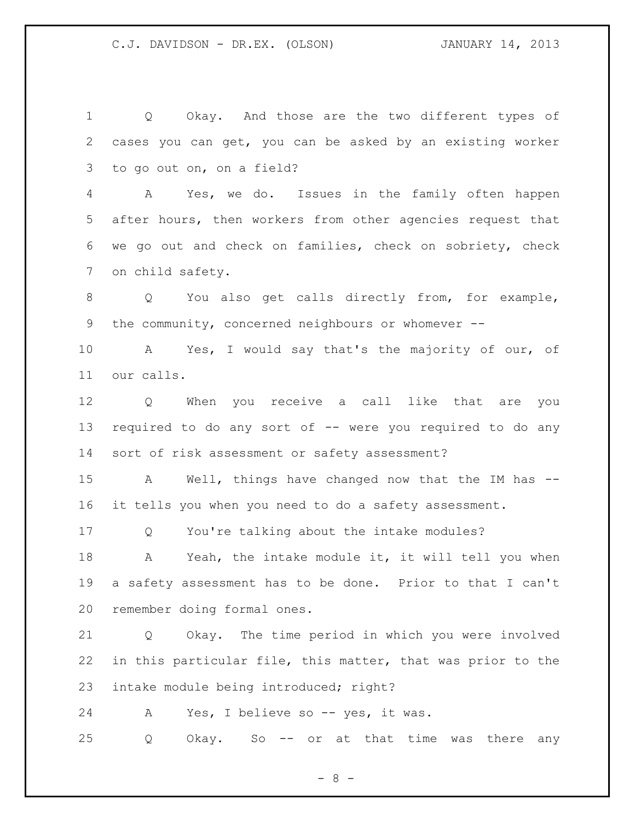Q Okay. And those are the two different types of cases you can get, you can be asked by an existing worker to go out on, on a field?

 A Yes, we do. Issues in the family often happen after hours, then workers from other agencies request that we go out and check on families, check on sobriety, check on child safety.

8 O You also get calls directly from, for example, the community, concerned neighbours or whomever --

 A Yes, I would say that's the majority of our, of our calls.

 Q When you receive a call like that are you 13 required to do any sort of -- were you required to do any sort of risk assessment or safety assessment?

 A Well, things have changed now that the IM has -- it tells you when you need to do a safety assessment.

Q You're talking about the intake modules?

18 A Yeah, the intake module it, it will tell you when a safety assessment has to be done. Prior to that I can't remember doing formal ones.

 Q Okay. The time period in which you were involved in this particular file, this matter, that was prior to the intake module being introduced; right?

24 A Yes, I believe so -- yes, it was.

Q Okay. So -- or at that time was there any

 $- 8 -$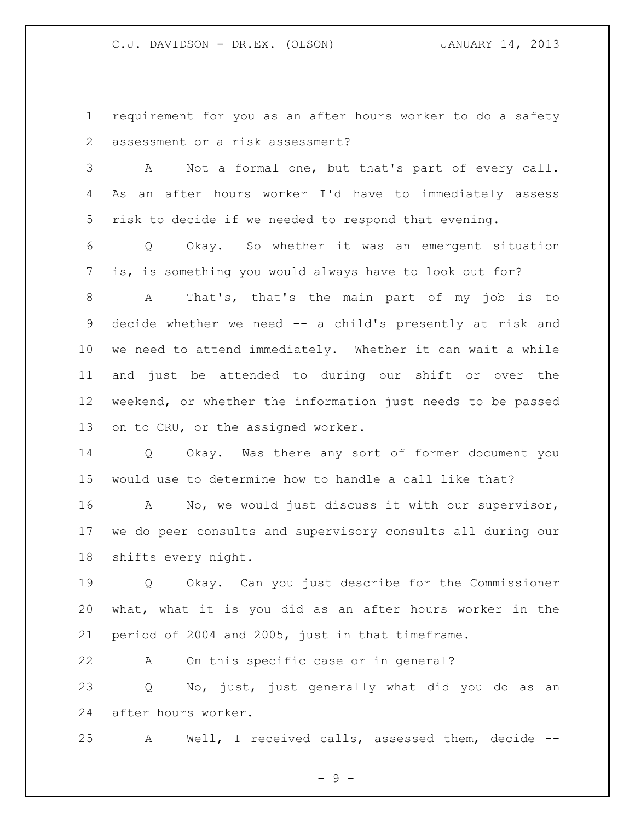requirement for you as an after hours worker to do a safety assessment or a risk assessment?

 A Not a formal one, but that's part of every call. As an after hours worker I'd have to immediately assess risk to decide if we needed to respond that evening.

 Q Okay. So whether it was an emergent situation is, is something you would always have to look out for?

 A That's, that's the main part of my job is to decide whether we need -- a child's presently at risk and we need to attend immediately. Whether it can wait a while and just be attended to during our shift or over the weekend, or whether the information just needs to be passed on to CRU, or the assigned worker.

 Q Okay. Was there any sort of former document you would use to determine how to handle a call like that?

 A No, we would just discuss it with our supervisor, we do peer consults and supervisory consults all during our shifts every night.

 Q Okay. Can you just describe for the Commissioner what, what it is you did as an after hours worker in the period of 2004 and 2005, just in that timeframe.

A On this specific case or in general?

 Q No, just, just generally what did you do as an after hours worker.

A Well, I received calls, assessed them, decide --

- 9 -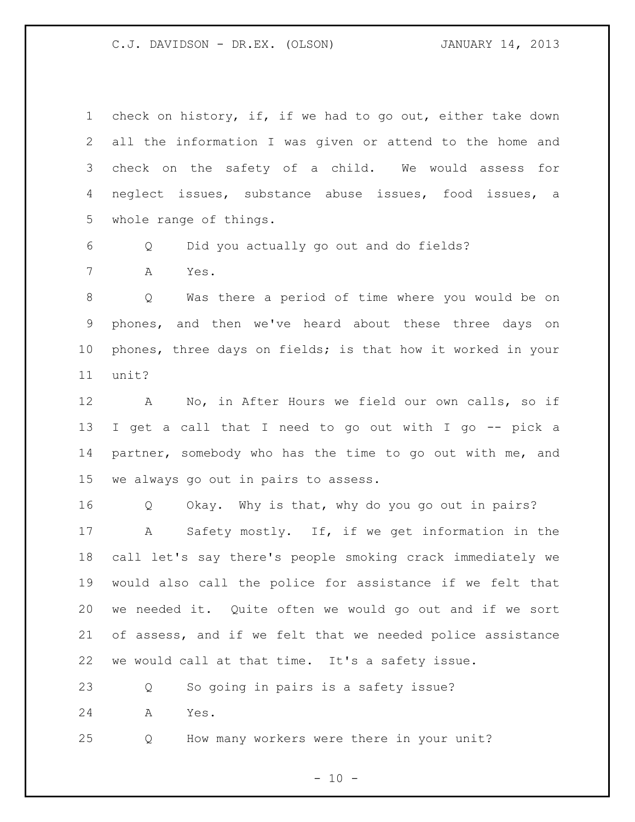check on history, if, if we had to go out, either take down all the information I was given or attend to the home and check on the safety of a child. We would assess for neglect issues, substance abuse issues, food issues, a whole range of things.

Q Did you actually go out and do fields?

A Yes.

 Q Was there a period of time where you would be on phones, and then we've heard about these three days on phones, three days on fields; is that how it worked in your unit?

 A No, in After Hours we field our own calls, so if I get a call that I need to go out with I go -- pick a partner, somebody who has the time to go out with me, and we always go out in pairs to assess.

 Q Okay. Why is that, why do you go out in pairs? A Safety mostly. If, if we get information in the call let's say there's people smoking crack immediately we would also call the police for assistance if we felt that we needed it. Quite often we would go out and if we sort of assess, and if we felt that we needed police assistance we would call at that time. It's a safety issue.

Q So going in pairs is a safety issue?

A Yes.

Q How many workers were there in your unit?

 $- 10 -$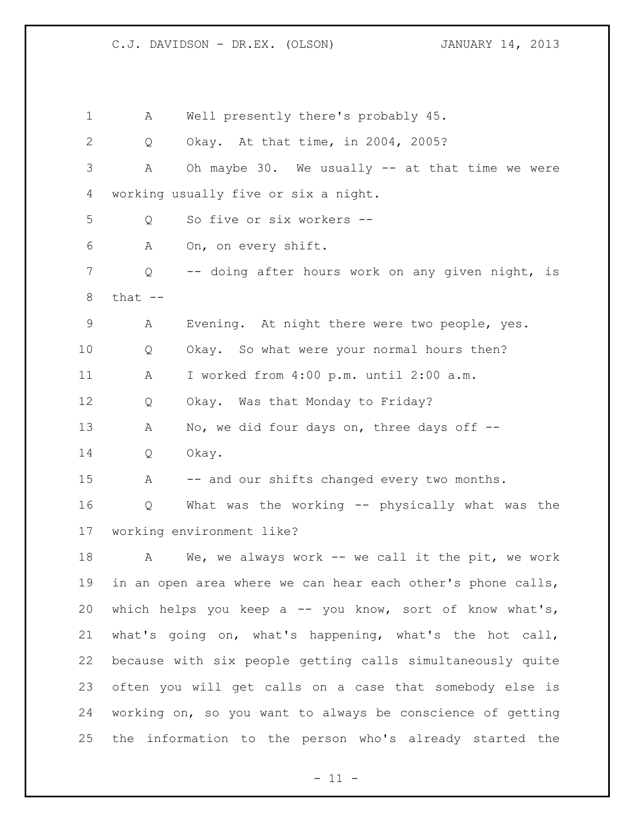A Well presently there's probably 45. Q Okay. At that time, in 2004, 2005? A Oh maybe 30. We usually -- at that time we were working usually five or six a night. Q So five or six workers -- A On, on every shift. Q -- doing after hours work on any given night, is that  $--$  A Evening. At night there were two people, yes. Q Okay. So what were your normal hours then? A I worked from 4:00 p.m. until 2:00 a.m. Q Okay. Was that Monday to Friday? 13 A No, we did four days on, three days off -- Q Okay. 15 A -- and our shifts changed every two months. Q What was the working -- physically what was the working environment like? A We, we always work -- we call it the pit, we work in an open area where we can hear each other's phone calls, which helps you keep a -- you know, sort of know what's, what's going on, what's happening, what's the hot call, because with six people getting calls simultaneously quite often you will get calls on a case that somebody else is working on, so you want to always be conscience of getting the information to the person who's already started the

 $-11 -$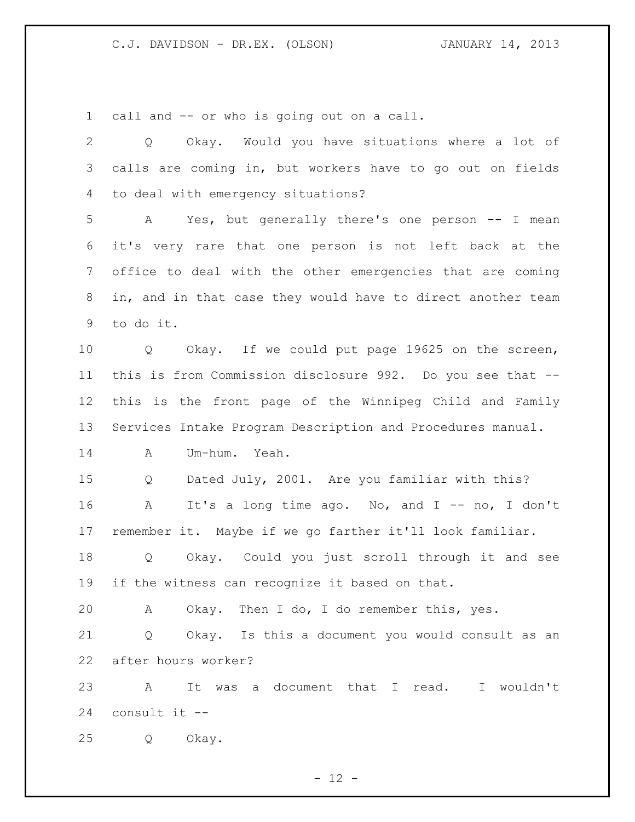call and -- or who is going out on a call.

 Q Okay. Would you have situations where a lot of calls are coming in, but workers have to go out on fields to deal with emergency situations? A Yes, but generally there's one person -- I mean it's very rare that one person is not left back at the office to deal with the other emergencies that are coming in, and in that case they would have to direct another team to do it. Q Okay. If we could put page 19625 on the screen, this is from Commission disclosure 992. Do you see that -- this is the front page of the Winnipeg Child and Family Services Intake Program Description and Procedures manual. A Um-hum. Yeah. Q Dated July, 2001. Are you familiar with this? 16 A It's a long time ago. No, and I -- no, I don't remember it. Maybe if we go farther it'll look familiar. Q Okay. Could you just scroll through it and see if the witness can recognize it based on that. A Okay. Then I do, I do remember this, yes. Q Okay. Is this a document you would consult as an after hours worker? A It was a document that I read. I wouldn't consult it -- Q Okay.

 $- 12 -$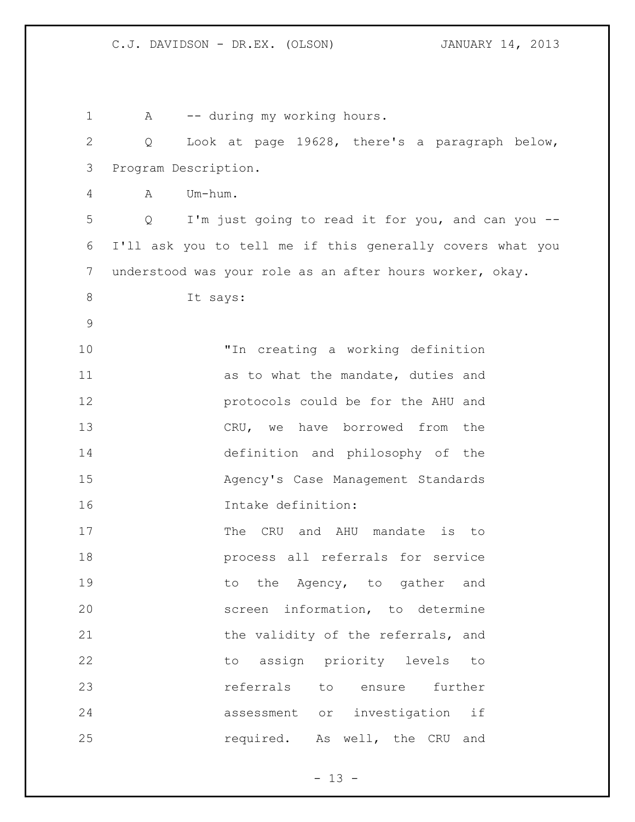| $\mathbf 1$    | -- during my working hours.<br>A                          |  |
|----------------|-----------------------------------------------------------|--|
| $\overline{2}$ | Look at page 19628, there's a paragraph below,<br>Q       |  |
| 3              | Program Description.                                      |  |
| 4              | Um-hum.<br>A                                              |  |
| 5              | Q I'm just going to read it for you, and can you --       |  |
| 6              | I'll ask you to tell me if this generally covers what you |  |
| 7              | understood was your role as an after hours worker, okay.  |  |
| $8\,$          | It says:                                                  |  |
| 9              |                                                           |  |
| 10             | "In creating a working definition                         |  |
| 11             | as to what the mandate, duties and                        |  |
| 12             | protocols could be for the AHU and                        |  |
| 13             | CRU, we have borrowed from the                            |  |
| 14             | definition and philosophy of the                          |  |
| 15             | Agency's Case Management Standards                        |  |
| 16             | Intake definition:                                        |  |
| 17             | The CRU and AHU mandate is to                             |  |
| 18             | process all referrals for service                         |  |
| 19             | the Agency, to gather and<br>to                           |  |
| 20             | screen information, to determine                          |  |
| 21             | the validity of the referrals, and                        |  |
| 22             | assign priority levels<br>to<br>to                        |  |
| 23             | referrals<br>ensure<br>further<br>to                      |  |
| 24             | assessment or investigation if                            |  |
| 25             | required. As well, the CRU and                            |  |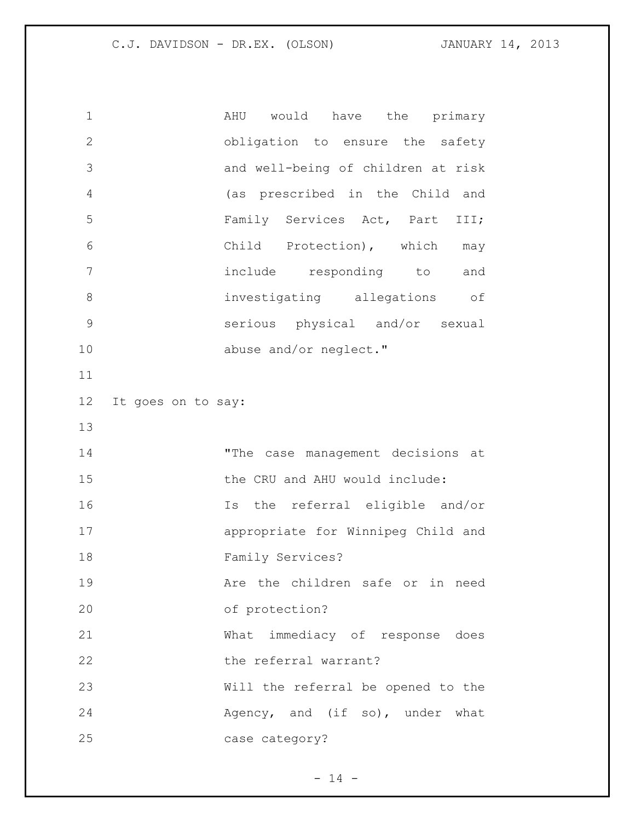| $\mathbf 1$  |                    | AHU would have the primary         |
|--------------|--------------------|------------------------------------|
| $\mathbf{2}$ |                    | obligation to ensure the safety    |
| 3            |                    | and well-being of children at risk |
| 4            |                    | (as prescribed in the Child and    |
| 5            |                    | Family Services Act, Part III;     |
| 6            |                    | Child Protection), which may       |
| 7            |                    | include responding to and          |
| 8            |                    | investigating allegations of       |
| $\mathsf 9$  |                    | serious physical and/or sexual     |
| 10           |                    | abuse and/or neglect."             |
| 11           |                    |                                    |
| 12           | It goes on to say: |                                    |
| 13           |                    |                                    |
|              |                    |                                    |
| 14           |                    | "The case management decisions at  |
| 15           |                    | the CRU and AHU would include:     |
| 16           |                    | Is the referral eligible and/or    |
| 17           |                    | appropriate for Winnipeg Child and |
| 18           |                    | Family Services?                   |
| 19           |                    | Are the children safe or in need   |
| 20           |                    | of protection?                     |
| 21           |                    | What immediacy of response does    |
| 22           |                    | the referral warrant?              |
| 23           |                    | Will the referral be opened to the |
| 24           |                    | Agency, and (if so), under what    |

- 14 -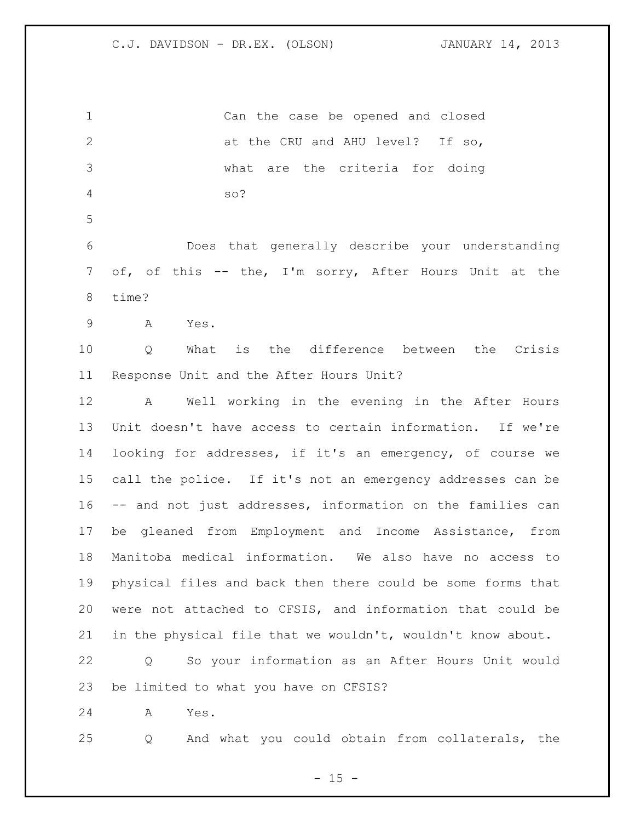Can the case be opened and closed 2 at the CRU and AHU level? If so, what are the criteria for doing so? Does that generally describe your understanding of, of this -- the, I'm sorry, After Hours Unit at the time? A Yes. Q What is the difference between the Crisis Response Unit and the After Hours Unit? A Well working in the evening in the After Hours Unit doesn't have access to certain information. If we're looking for addresses, if it's an emergency, of course we call the police. If it's not an emergency addresses can be -- and not just addresses, information on the families can be gleaned from Employment and Income Assistance, from Manitoba medical information. We also have no access to physical files and back then there could be some forms that were not attached to CFSIS, and information that could be in the physical file that we wouldn't, wouldn't know about. Q So your information as an After Hours Unit would be limited to what you have on CFSIS? A Yes. Q And what you could obtain from collaterals, the

 $- 15 -$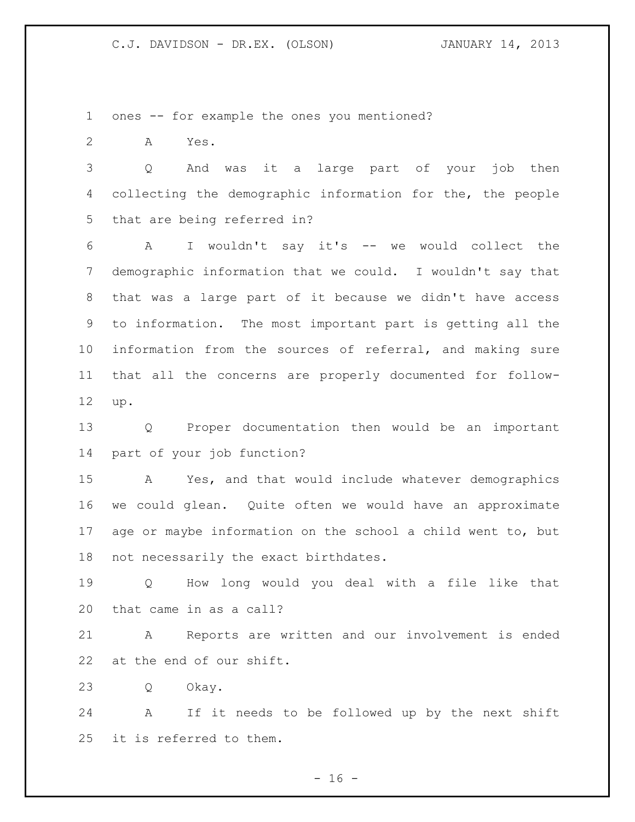ones -- for example the ones you mentioned?

A Yes.

 Q And was it a large part of your job then collecting the demographic information for the, the people that are being referred in?

 A I wouldn't say it's -- we would collect the demographic information that we could. I wouldn't say that that was a large part of it because we didn't have access to information. The most important part is getting all the information from the sources of referral, and making sure that all the concerns are properly documented for follow-up.

 Q Proper documentation then would be an important part of your job function?

 A Yes, and that would include whatever demographics we could glean. Quite often we would have an approximate age or maybe information on the school a child went to, but not necessarily the exact birthdates.

 Q How long would you deal with a file like that that came in as a call?

 A Reports are written and our involvement is ended at the end of our shift.

Q Okay.

 A If it needs to be followed up by the next shift it is referred to them.

 $- 16 -$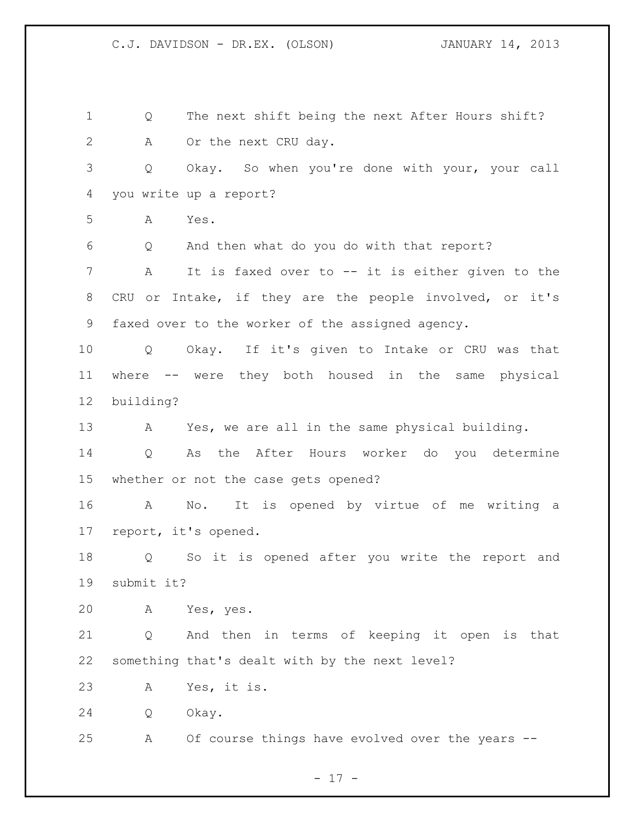Q The next shift being the next After Hours shift? A Or the next CRU day. Q Okay. So when you're done with your, your call you write up a report? A Yes. Q And then what do you do with that report? A It is faxed over to -- it is either given to the CRU or Intake, if they are the people involved, or it's faxed over to the worker of the assigned agency. Q Okay. If it's given to Intake or CRU was that where -- were they both housed in the same physical building? A Yes, we are all in the same physical building. Q As the After Hours worker do you determine whether or not the case gets opened? A No. It is opened by virtue of me writing a report, it's opened. Q So it is opened after you write the report and submit it? A Yes, yes. Q And then in terms of keeping it open is that something that's dealt with by the next level? A Yes, it is. Q Okay. A Of course things have evolved over the years --

 $- 17 -$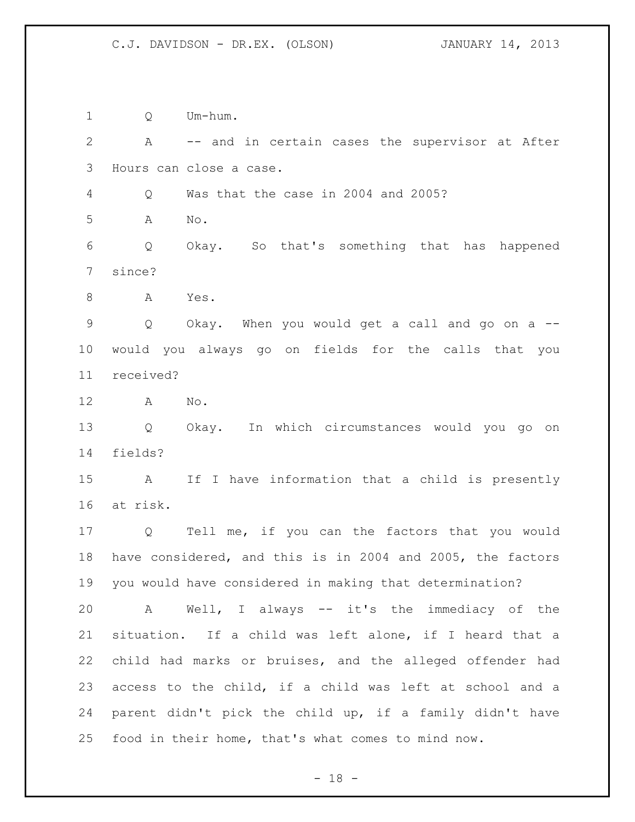Q Um-hum.

 A -- and in certain cases the supervisor at After Hours can close a case. Q Was that the case in 2004 and 2005? A No. Q Okay. So that's something that has happened since? 8 A Yes. Q Okay. When you would get a call and go on a -- would you always go on fields for the calls that you received? A No. Q Okay. In which circumstances would you go on fields? A If I have information that a child is presently at risk. Q Tell me, if you can the factors that you would have considered, and this is in 2004 and 2005, the factors you would have considered in making that determination? A Well, I always -- it's the immediacy of the situation. If a child was left alone, if I heard that a child had marks or bruises, and the alleged offender had access to the child, if a child was left at school and a parent didn't pick the child up, if a family didn't have food in their home, that's what comes to mind now.

 $- 18 -$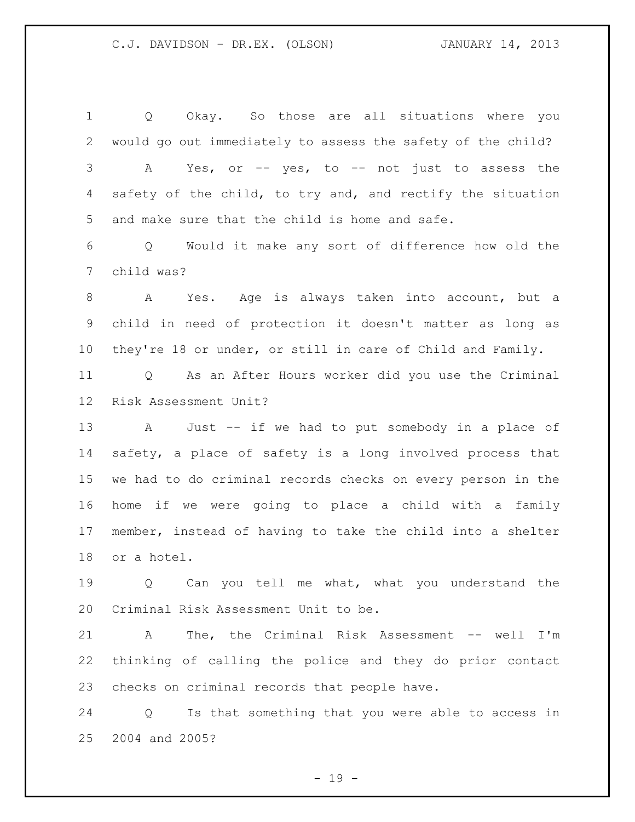Q Okay. So those are all situations where you would go out immediately to assess the safety of the child? A Yes, or -- yes, to -- not just to assess the 4 safety of the child, to try and, and rectify the situation and make sure that the child is home and safe. Q Would it make any sort of difference how old the child was? A Yes. Age is always taken into account, but a child in need of protection it doesn't matter as long as they're 18 or under, or still in care of Child and Family. Q As an After Hours worker did you use the Criminal Risk Assessment Unit? A Just -- if we had to put somebody in a place of safety, a place of safety is a long involved process that we had to do criminal records checks on every person in the home if we were going to place a child with a family member, instead of having to take the child into a shelter or a hotel.

 Q Can you tell me what, what you understand the Criminal Risk Assessment Unit to be.

 A The, the Criminal Risk Assessment -- well I'm thinking of calling the police and they do prior contact checks on criminal records that people have.

 Q Is that something that you were able to access in 2004 and 2005?

 $- 19 -$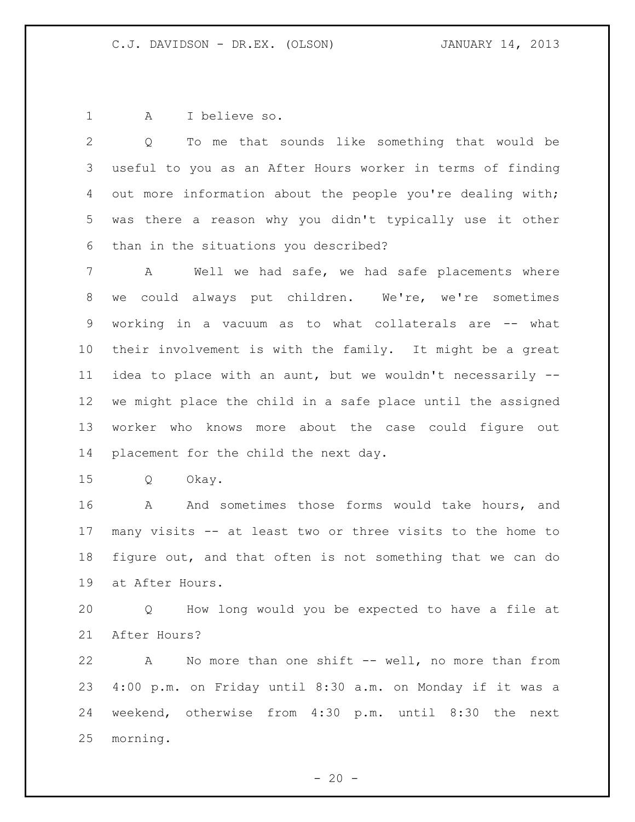A I believe so.

 Q To me that sounds like something that would be useful to you as an After Hours worker in terms of finding 4 out more information about the people you're dealing with; was there a reason why you didn't typically use it other than in the situations you described?

 A Well we had safe, we had safe placements where we could always put children. We're, we're sometimes 9 working in a vacuum as to what collaterals are -- what their involvement is with the family. It might be a great idea to place with an aunt, but we wouldn't necessarily -- we might place the child in a safe place until the assigned worker who knows more about the case could figure out placement for the child the next day.

Q Okay.

16 A And sometimes those forms would take hours, and many visits -- at least two or three visits to the home to figure out, and that often is not something that we can do at After Hours.

 Q How long would you be expected to have a file at After Hours?

 A No more than one shift -- well, no more than from 4:00 p.m. on Friday until 8:30 a.m. on Monday if it was a weekend, otherwise from 4:30 p.m. until 8:30 the next morning.

 $- 20 -$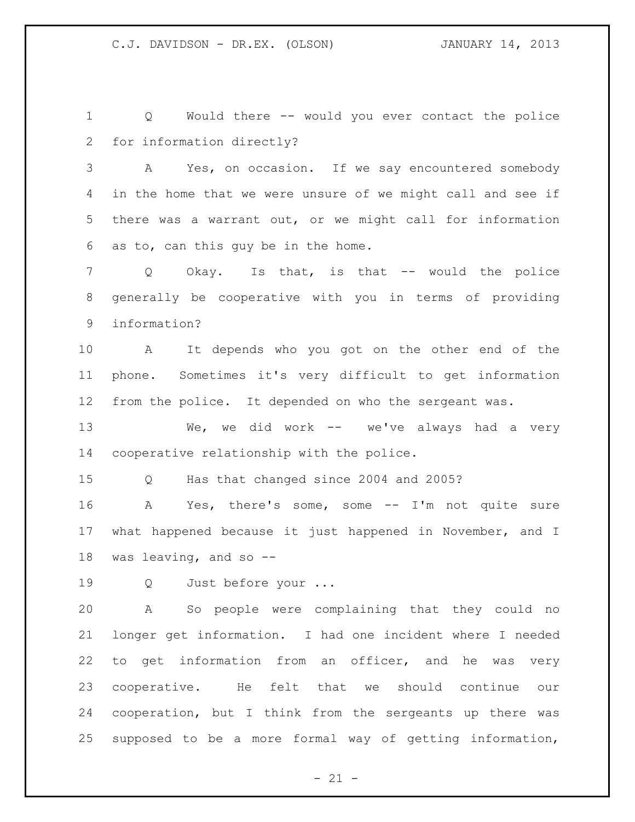Q Would there -- would you ever contact the police for information directly?

 A Yes, on occasion. If we say encountered somebody in the home that we were unsure of we might call and see if there was a warrant out, or we might call for information as to, can this guy be in the home.

 Q Okay. Is that, is that -- would the police generally be cooperative with you in terms of providing information?

 A It depends who you got on the other end of the phone. Sometimes it's very difficult to get information from the police. It depended on who the sergeant was.

 We, we did work -- we've always had a very cooperative relationship with the police.

Q Has that changed since 2004 and 2005?

 A Yes, there's some, some -- I'm not quite sure what happened because it just happened in November, and I was leaving, and so --

Q Just before your ...

 A So people were complaining that they could no longer get information. I had one incident where I needed to get information from an officer, and he was very cooperative. He felt that we should continue our cooperation, but I think from the sergeants up there was supposed to be a more formal way of getting information,

 $- 21 -$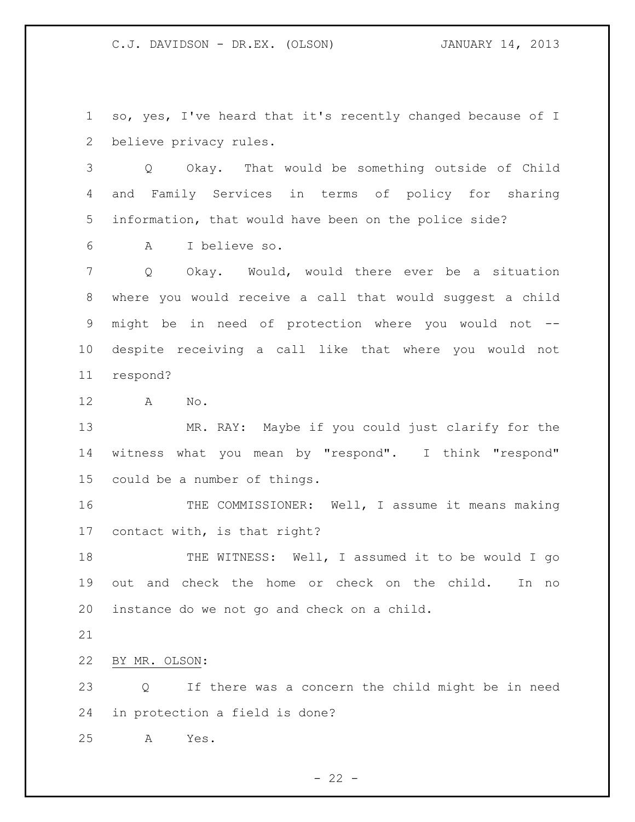so, yes, I've heard that it's recently changed because of I believe privacy rules.

 Q Okay. That would be something outside of Child and Family Services in terms of policy for sharing information, that would have been on the police side?

A I believe so.

 Q Okay. Would, would there ever be a situation where you would receive a call that would suggest a child might be in need of protection where you would not -- despite receiving a call like that where you would not respond?

A No.

 MR. RAY: Maybe if you could just clarify for the witness what you mean by "respond". I think "respond" could be a number of things.

16 THE COMMISSIONER: Well, I assume it means making contact with, is that right?

18 THE WITNESS: Well, I assumed it to be would I go out and check the home or check on the child. In no instance do we not go and check on a child.

BY MR. OLSON:

23 Q If there was a concern the child might be in need in protection a field is done?

A Yes.

 $- 22 -$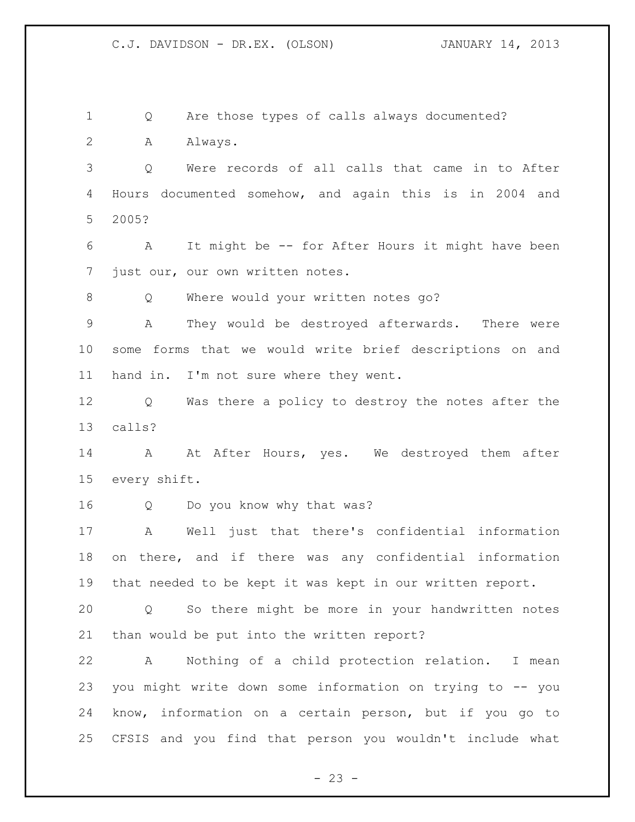Q Are those types of calls always documented? A Always. Q Were records of all calls that came in to After Hours documented somehow, and again this is in 2004 and 2005? A It might be -- for After Hours it might have been just our, our own written notes. 8 O Where would your written notes go? A They would be destroyed afterwards. There were some forms that we would write brief descriptions on and hand in. I'm not sure where they went. Q Was there a policy to destroy the notes after the calls? 14 A At After Hours, yes. We destroyed them after every shift. Q Do you know why that was? A Well just that there's confidential information on there, and if there was any confidential information that needed to be kept it was kept in our written report. Q So there might be more in your handwritten notes than would be put into the written report? A Nothing of a child protection relation. I mean you might write down some information on trying to -- you know, information on a certain person, but if you go to CFSIS and you find that person you wouldn't include what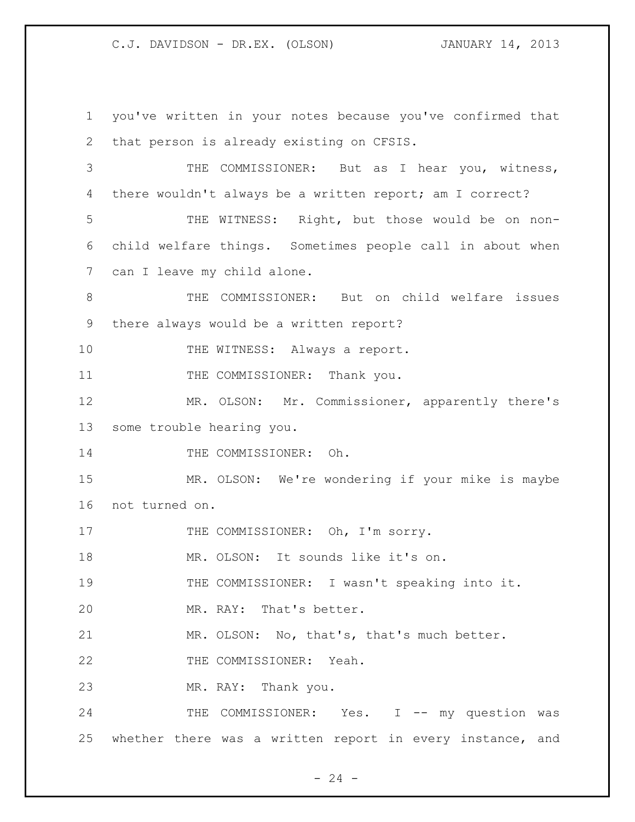you've written in your notes because you've confirmed that that person is already existing on CFSIS. THE COMMISSIONER: But as I hear you, witness, there wouldn't always be a written report; am I correct? THE WITNESS: Right, but those would be on non- child welfare things. Sometimes people call in about when can I leave my child alone. THE COMMISSIONER: But on child welfare issues there always would be a written report? 10 THE WITNESS: Always a report. 11 THE COMMISSIONER: Thank you. MR. OLSON: Mr. Commissioner, apparently there's some trouble hearing you. 14 THE COMMISSIONER: Oh. MR. OLSON: We're wondering if your mike is maybe not turned on. 17 THE COMMISSIONER: Oh, I'm sorry. 18 MR. OLSON: It sounds like it's on. THE COMMISSIONER: I wasn't speaking into it. MR. RAY: That's better. MR. OLSON: No, that's, that's much better. THE COMMISSIONER: Yeah. MR. RAY: Thank you. 24 THE COMMISSIONER: Yes. I -- my question was whether there was a written report in every instance, and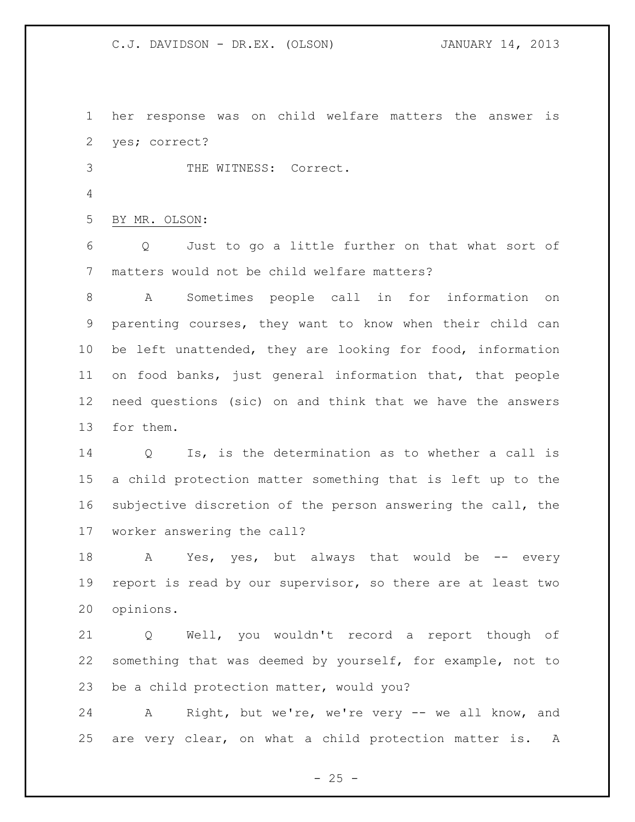her response was on child welfare matters the answer is yes; correct?

THE WITNESS: Correct.

BY MR. OLSON:

6 Q Just to go a little further on that what sort of matters would not be child welfare matters?

 A Sometimes people call in for information on parenting courses, they want to know when their child can be left unattended, they are looking for food, information on food banks, just general information that, that people need questions (sic) on and think that we have the answers for them.

 Q Is, is the determination as to whether a call is a child protection matter something that is left up to the subjective discretion of the person answering the call, the worker answering the call?

18 A Yes, yes, but always that would be -- every report is read by our supervisor, so there are at least two opinions.

 Q Well, you wouldn't record a report though of something that was deemed by yourself, for example, not to be a child protection matter, would you?

24 A Right, but we're, we're very -- we all know, and are very clear, on what a child protection matter is. A

 $- 25 -$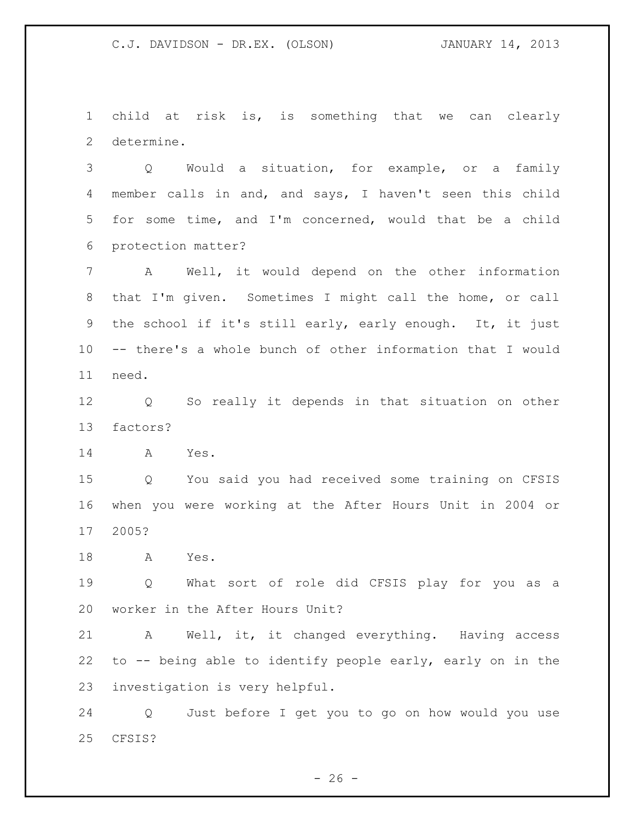child at risk is, is something that we can clearly determine.

 Q Would a situation, for example, or a family member calls in and, and says, I haven't seen this child for some time, and I'm concerned, would that be a child protection matter?

 A Well, it would depend on the other information that I'm given. Sometimes I might call the home, or call the school if it's still early, early enough. It, it just -- there's a whole bunch of other information that I would need.

 Q So really it depends in that situation on other factors?

A Yes.

 Q You said you had received some training on CFSIS when you were working at the After Hours Unit in 2004 or 2005?

A Yes.

 Q What sort of role did CFSIS play for you as a worker in the After Hours Unit?

 A Well, it, it changed everything. Having access to -- being able to identify people early, early on in the investigation is very helpful.

 Q Just before I get you to go on how would you use CFSIS?

 $- 26 -$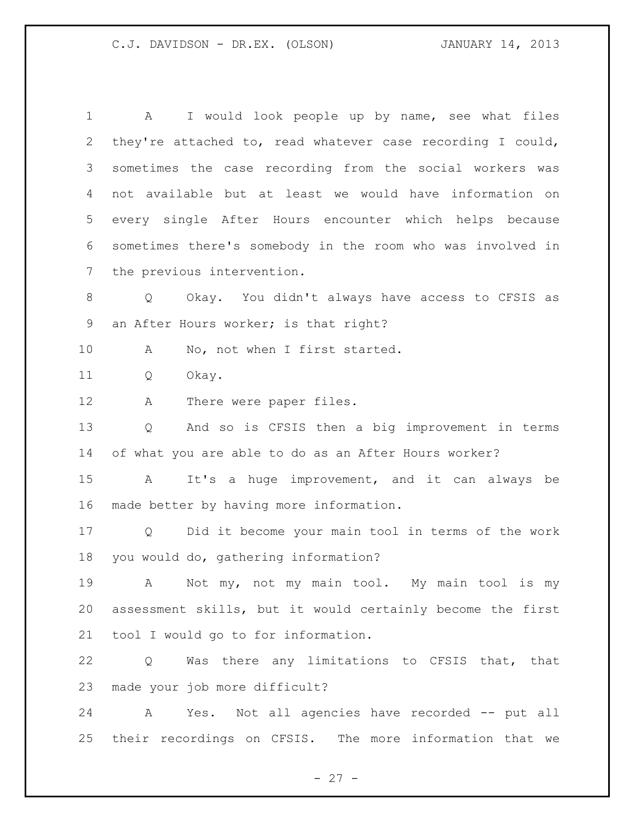A I would look people up by name, see what files they're attached to, read whatever case recording I could, sometimes the case recording from the social workers was not available but at least we would have information on every single After Hours encounter which helps because sometimes there's somebody in the room who was involved in the previous intervention. Q Okay. You didn't always have access to CFSIS as an After Hours worker; is that right? 10 A No, not when I first started. Q Okay. 12 A There were paper files. Q And so is CFSIS then a big improvement in terms of what you are able to do as an After Hours worker? A It's a huge improvement, and it can always be made better by having more information. Q Did it become your main tool in terms of the work you would do, gathering information? A Not my, not my main tool. My main tool is my assessment skills, but it would certainly become the first tool I would go to for information. Q Was there any limitations to CFSIS that, that made your job more difficult? A Yes. Not all agencies have recorded -- put all

their recordings on CFSIS. The more information that we

 $- 27 -$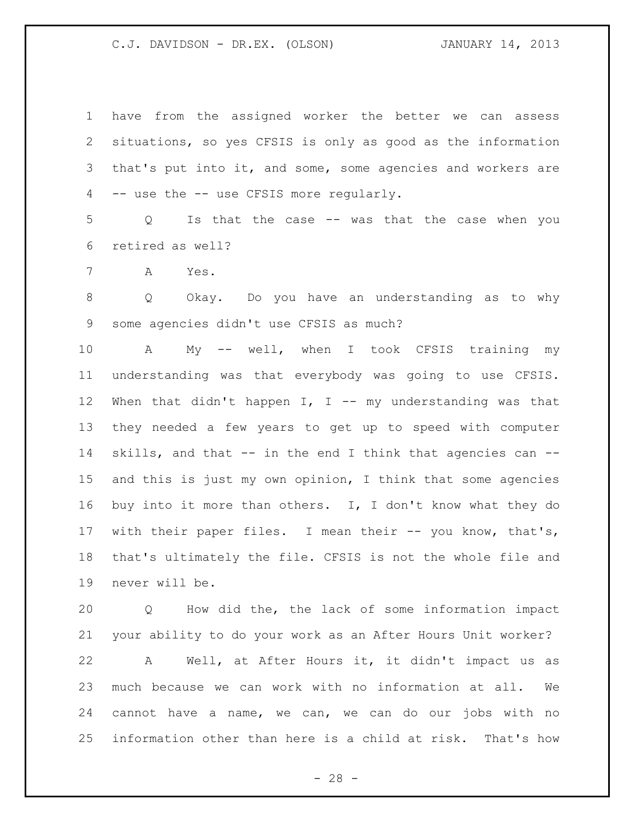have from the assigned worker the better we can assess situations, so yes CFSIS is only as good as the information that's put into it, and some, some agencies and workers are -- use the -- use CFSIS more regularly.

 Q Is that the case -- was that the case when you retired as well?

A Yes.

 Q Okay. Do you have an understanding as to why some agencies didn't use CFSIS as much?

 A My -- well, when I took CFSIS training my understanding was that everybody was going to use CFSIS. 12 When that didn't happen I, I -- my understanding was that they needed a few years to get up to speed with computer skills, and that -- in the end I think that agencies can -- and this is just my own opinion, I think that some agencies buy into it more than others. I, I don't know what they do with their paper files. I mean their -- you know, that's, that's ultimately the file. CFSIS is not the whole file and never will be.

 Q How did the, the lack of some information impact your ability to do your work as an After Hours Unit worker?

 A Well, at After Hours it, it didn't impact us as much because we can work with no information at all. We cannot have a name, we can, we can do our jobs with no information other than here is a child at risk. That's how

 $- 28 -$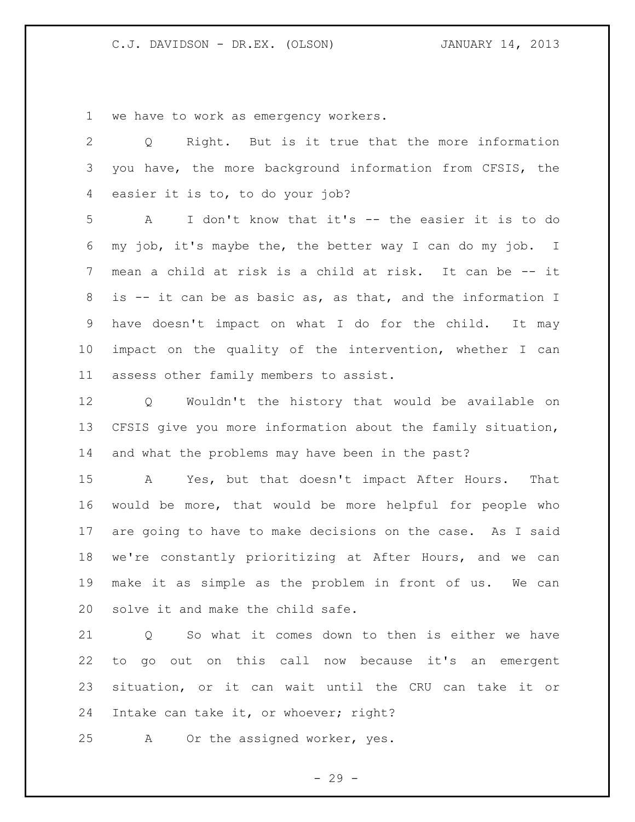we have to work as emergency workers.

 Q Right. But is it true that the more information you have, the more background information from CFSIS, the easier it is to, to do your job? A I don't know that it's -- the easier it is to do my job, it's maybe the, the better way I can do my job. I mean a child at risk is a child at risk. It can be -- it is -- it can be as basic as, as that, and the information I have doesn't impact on what I do for the child. It may impact on the quality of the intervention, whether I can assess other family members to assist. Q Wouldn't the history that would be available on CFSIS give you more information about the family situation, and what the problems may have been in the past?

 A Yes, but that doesn't impact After Hours. That would be more, that would be more helpful for people who are going to have to make decisions on the case. As I said we're constantly prioritizing at After Hours, and we can make it as simple as the problem in front of us. We can solve it and make the child safe.

 Q So what it comes down to then is either we have to go out on this call now because it's an emergent situation, or it can wait until the CRU can take it or Intake can take it, or whoever; right?

A Or the assigned worker, yes.

- 29 -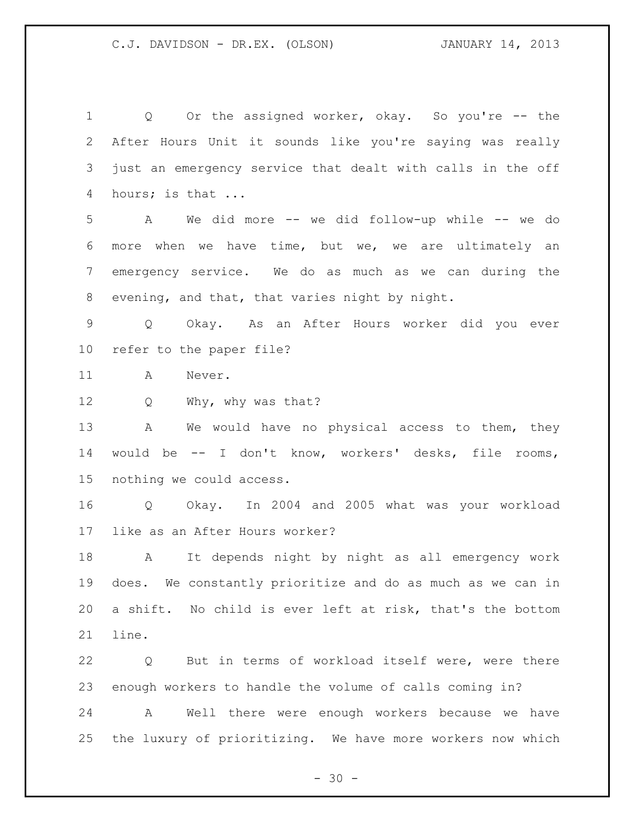1 0 Or the assigned worker, okay. So you're -- the After Hours Unit it sounds like you're saying was really just an emergency service that dealt with calls in the off hours; is that ...

 A We did more -- we did follow-up while -- we do more when we have time, but we, we are ultimately an emergency service. We do as much as we can during the evening, and that, that varies night by night.

 Q Okay. As an After Hours worker did you ever refer to the paper file?

A Never.

Q Why, why was that?

 A We would have no physical access to them, they would be -- I don't know, workers' desks, file rooms, nothing we could access.

 Q Okay. In 2004 and 2005 what was your workload like as an After Hours worker?

 A It depends night by night as all emergency work does. We constantly prioritize and do as much as we can in a shift. No child is ever left at risk, that's the bottom line.

 Q But in terms of workload itself were, were there enough workers to handle the volume of calls coming in? A Well there were enough workers because we have the luxury of prioritizing. We have more workers now which

 $- 30 -$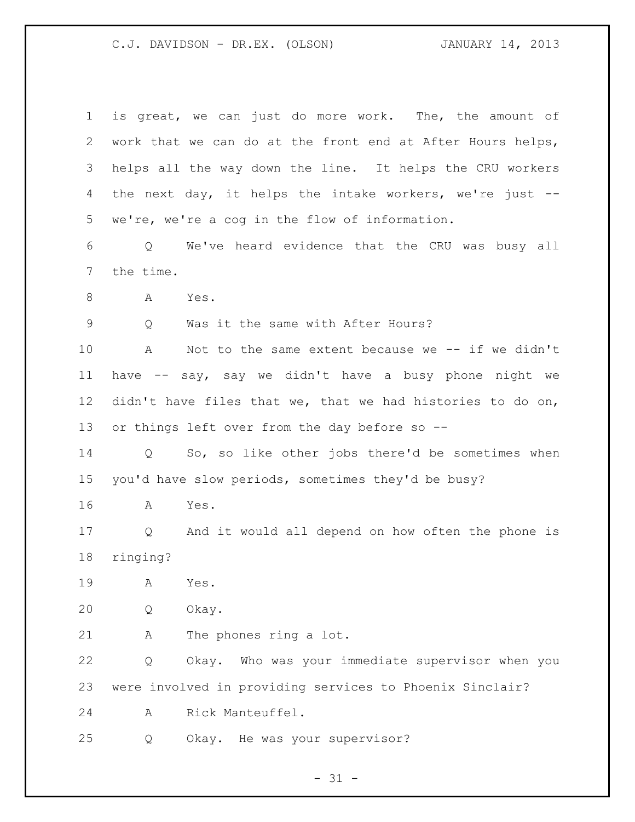| $\mathbf 1$ | is great, we can just do more work. The, the amount of                 |
|-------------|------------------------------------------------------------------------|
| 2           | work that we can do at the front end at After Hours helps,             |
| 3           | helps all the way down the line. It helps the CRU workers              |
| 4           | the next day, it helps the intake workers, we're just --               |
| 5           | we're, we're a cog in the flow of information.                         |
| 6           | We've heard evidence that the CRU was busy all<br>Q                    |
| 7           | the time.                                                              |
| 8           | A<br>Yes.                                                              |
| 9           | Was it the same with After Hours?<br>Q                                 |
| 10          | Not to the same extent because we $--$ if we didn't<br>A               |
| 11          | have -- say, say we didn't have a busy phone night we                  |
| 12          | didn't have files that we, that we had histories to do on,             |
| 13          | or things left over from the day before so --                          |
| 14          | So, so like other jobs there'd be sometimes when<br>Q                  |
| 15          | you'd have slow periods, sometimes they'd be busy?                     |
| 16          | Yes.<br>A                                                              |
| 17          | And it would all depend on how often the phone is<br>$Q \qquad \qquad$ |
| 18          | ringing?                                                               |
| 19          | Yes.<br>Α                                                              |
| 20          | Okay.<br>Q                                                             |
| 21          | The phones ring a lot.<br>Α                                            |
| 22          | Okay. Who was your immediate supervisor when you<br>Q                  |
| 23          | were involved in providing services to Phoenix Sinclair?               |
| 24          | Rick Manteuffel.<br>A                                                  |
| 25          | Okay. He was your supervisor?<br>Q                                     |
|             |                                                                        |

- 31 -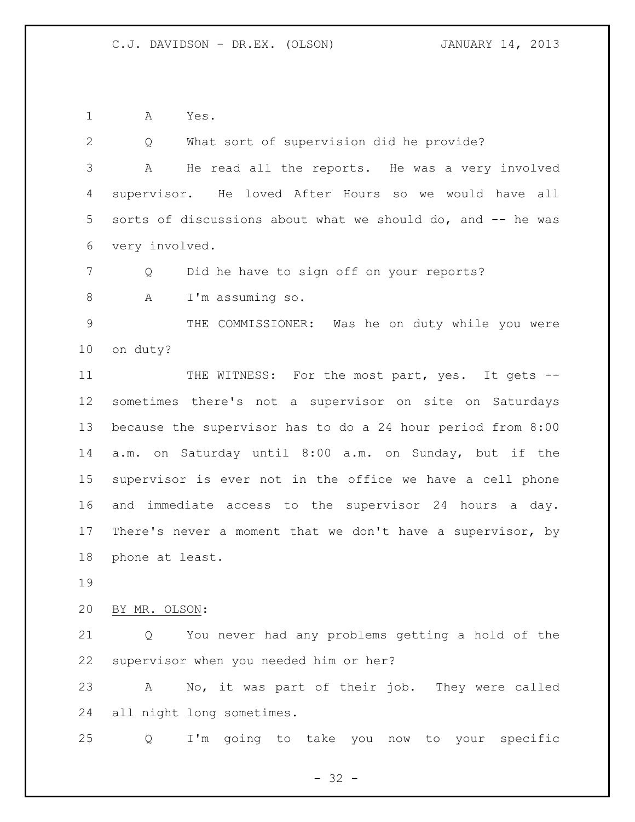A Yes.

 Q What sort of supervision did he provide? A He read all the reports. He was a very involved supervisor. He loved After Hours so we would have all sorts of discussions about what we should do, and -- he was very involved. Q Did he have to sign off on your reports? A I'm assuming so. THE COMMISSIONER: Was he on duty while you were on duty? 11 THE WITNESS: For the most part, yes. It gets -- sometimes there's not a supervisor on site on Saturdays because the supervisor has to do a 24 hour period from 8:00 a.m. on Saturday until 8:00 a.m. on Sunday, but if the supervisor is ever not in the office we have a cell phone and immediate access to the supervisor 24 hours a day. There's never a moment that we don't have a supervisor, by phone at least. BY MR. OLSON: Q You never had any problems getting a hold of the supervisor when you needed him or her? A No, it was part of their job. They were called all night long sometimes. Q I'm going to take you now to your specific

 $- 32 -$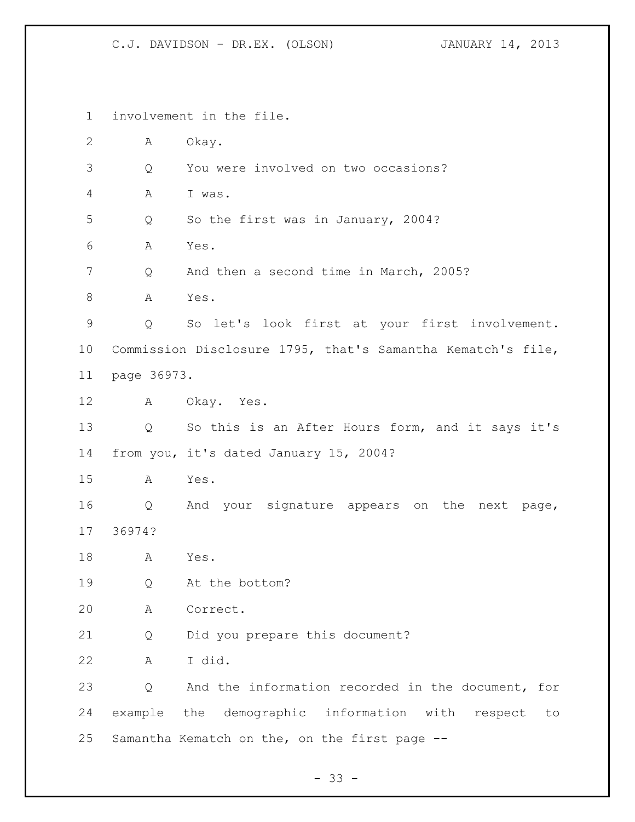involvement in the file. A Okay. Q You were involved on two occasions? A I was. Q So the first was in January, 2004? A Yes. 7 Q And then a second time in March, 2005? 8 A Yes. Q So let's look first at your first involvement. Commission Disclosure 1795, that's Samantha Kematch's file, page 36973. A Okay. Yes. Q So this is an After Hours form, and it says it's from you, it's dated January 15, 2004? A Yes. Q And your signature appears on the next page, 36974? A Yes. Q At the bottom? A Correct. Q Did you prepare this document? A I did. Q And the information recorded in the document, for example the demographic information with respect to Samantha Kematch on the, on the first page --

 $- 33 -$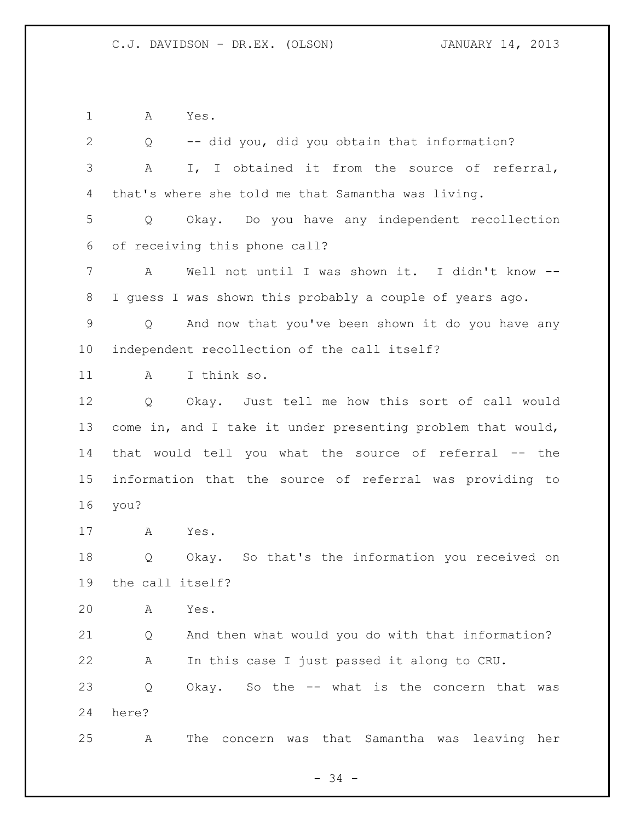A Yes.

 Q -- did you, did you obtain that information? A I, I obtained it from the source of referral, that's where she told me that Samantha was living. Q Okay. Do you have any independent recollection of receiving this phone call? A Well not until I was shown it. I didn't know -- I guess I was shown this probably a couple of years ago. Q And now that you've been shown it do you have any independent recollection of the call itself? A I think so. Q Okay. Just tell me how this sort of call would come in, and I take it under presenting problem that would, that would tell you what the source of referral -- the information that the source of referral was providing to you? A Yes. Q Okay. So that's the information you received on the call itself? A Yes. Q And then what would you do with that information? A In this case I just passed it along to CRU. Q Okay. So the -- what is the concern that was here? A The concern was that Samantha was leaving her

- 34 -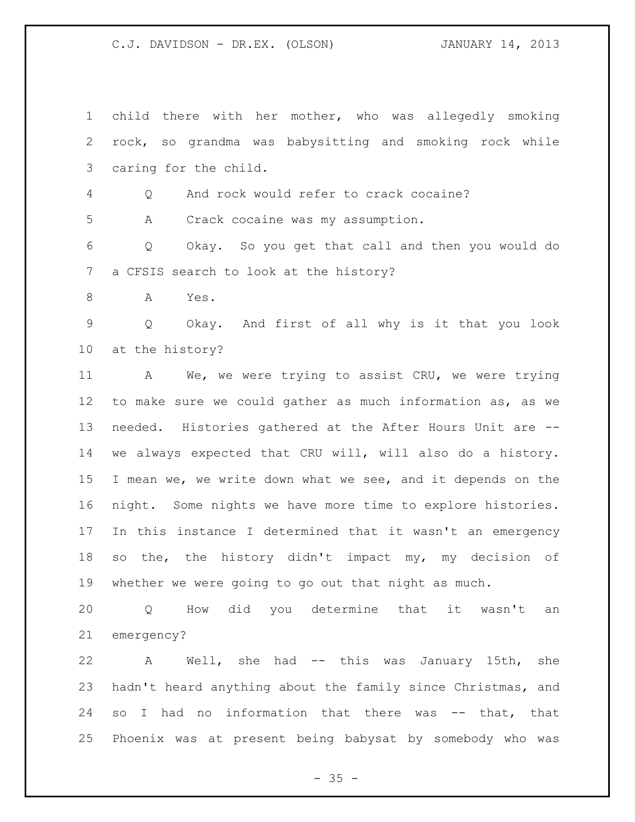child there with her mother, who was allegedly smoking rock, so grandma was babysitting and smoking rock while caring for the child.

Q And rock would refer to crack cocaine?

A Crack cocaine was my assumption.

 Q Okay. So you get that call and then you would do a CFSIS search to look at the history?

A Yes.

 Q Okay. And first of all why is it that you look at the history?

 A We, we were trying to assist CRU, we were trying to make sure we could gather as much information as, as we needed. Histories gathered at the After Hours Unit are -- we always expected that CRU will, will also do a history. I mean we, we write down what we see, and it depends on the night. Some nights we have more time to explore histories. In this instance I determined that it wasn't an emergency so the, the history didn't impact my, my decision of whether we were going to go out that night as much.

 Q How did you determine that it wasn't an emergency?

 A Well, she had -- this was January 15th, she hadn't heard anything about the family since Christmas, and so I had no information that there was -- that, that Phoenix was at present being babysat by somebody who was

 $- 35 -$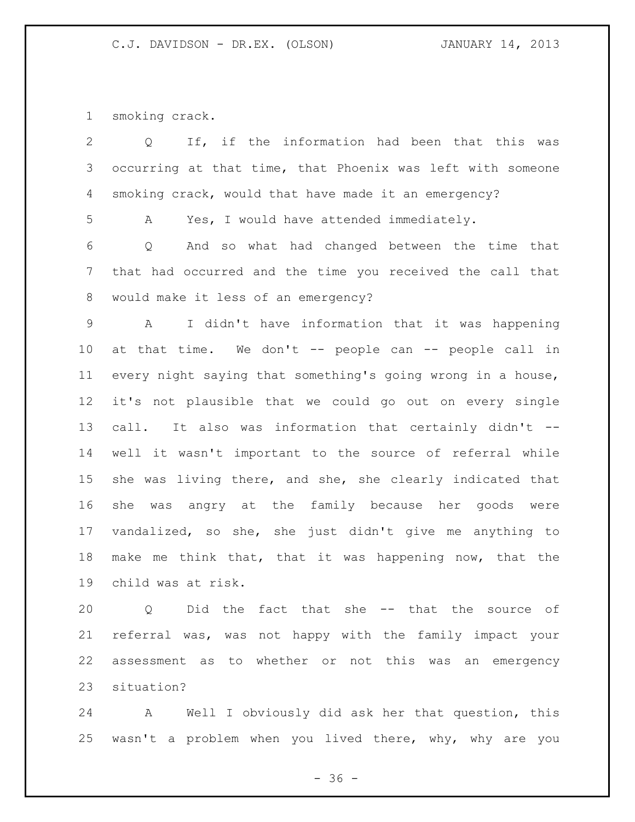smoking crack.

| 2               | If, if the information had been that this<br>$\circ$<br>was |
|-----------------|-------------------------------------------------------------|
| 3               | occurring at that time, that Phoenix was left with someone  |
| 4               | smoking crack, would that have made it an emergency?        |
| 5               | Yes, I would have attended immediately.<br>A                |
| 6               | And so what had changed between the time that<br>Q          |
| $7\phantom{.0}$ | that had occurred and the time you received the call that   |
| 8               | would make it less of an emergency?                         |
| 9               | I didn't have information that it was happening<br>A        |
| 10              | at that time. We don't -- people can -- people call in      |
| 11              | every night saying that something's going wrong in a house, |
| 12              | it's not plausible that we could go out on every single     |
| 13              | call. It also was information that certainly didn't --      |
| 14              | well it wasn't important to the source of referral while    |
| 15              | she was living there, and she, she clearly indicated that   |
| 16              | she was angry at the family because her goods were          |
| 17              | vandalized, so she, she just didn't give me anything to     |
| 18              | make me think that, that it was happening now, that the     |
| 19              | child was at risk.                                          |
| 20              | Did the fact that she<br>-- that the source<br>of<br>Q      |

 referral was, was not happy with the family impact your assessment as to whether or not this was an emergency situation?

 A Well I obviously did ask her that question, this wasn't a problem when you lived there, why, why are you

- 36 -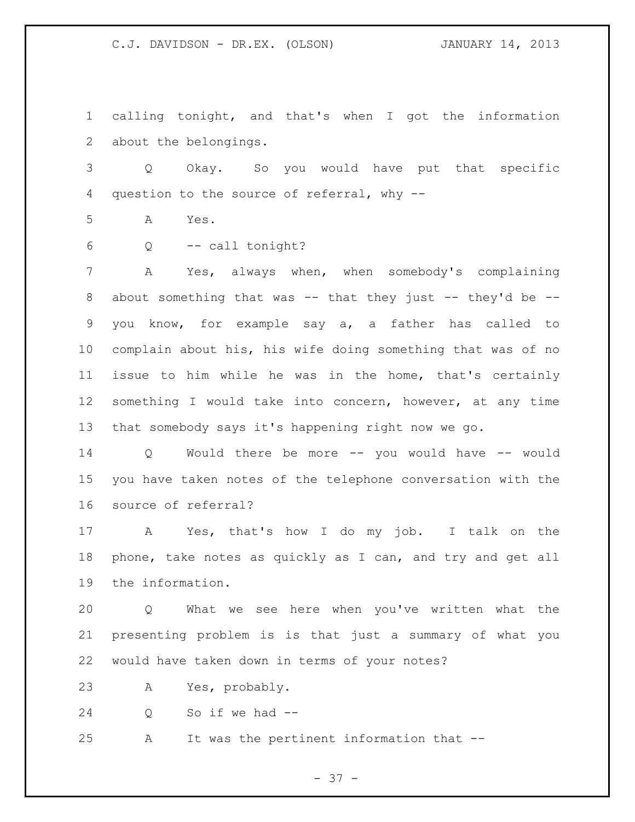calling tonight, and that's when I got the information about the belongings.

 Q Okay. So you would have put that specific question to the source of referral, why --

A Yes.

Q -- call tonight?

 A Yes, always when, when somebody's complaining 8 about something that was -- that they just -- they'd be -- you know, for example say a, a father has called to complain about his, his wife doing something that was of no issue to him while he was in the home, that's certainly something I would take into concern, however, at any time that somebody says it's happening right now we go.

 Q Would there be more -- you would have -- would you have taken notes of the telephone conversation with the source of referral?

 A Yes, that's how I do my job. I talk on the phone, take notes as quickly as I can, and try and get all the information.

 Q What we see here when you've written what the presenting problem is is that just a summary of what you would have taken down in terms of your notes?

A Yes, probably.

Q So if we had --

A It was the pertinent information that --

- 37 -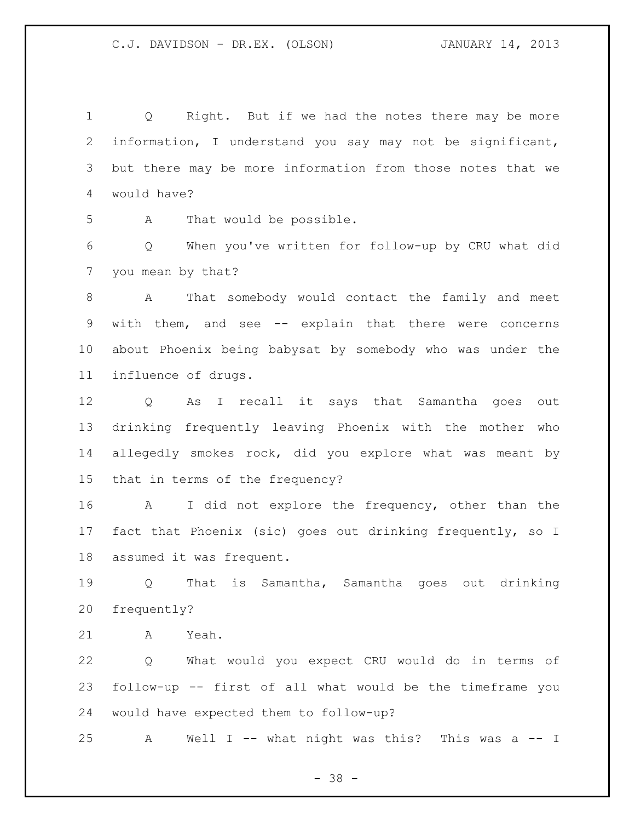Q Right. But if we had the notes there may be more information, I understand you say may not be significant, but there may be more information from those notes that we would have?

A That would be possible.

 Q When you've written for follow-up by CRU what did you mean by that?

 A That somebody would contact the family and meet with them, and see -- explain that there were concerns about Phoenix being babysat by somebody who was under the influence of drugs.

 Q As I recall it says that Samantha goes out drinking frequently leaving Phoenix with the mother who allegedly smokes rock, did you explore what was meant by that in terms of the frequency?

 A I did not explore the frequency, other than the fact that Phoenix (sic) goes out drinking frequently, so I assumed it was frequent.

 Q That is Samantha, Samantha goes out drinking frequently?

A Yeah.

 Q What would you expect CRU would do in terms of follow-up -- first of all what would be the timeframe you would have expected them to follow-up?

A Well I -- what night was this? This was a -- I

- 38 -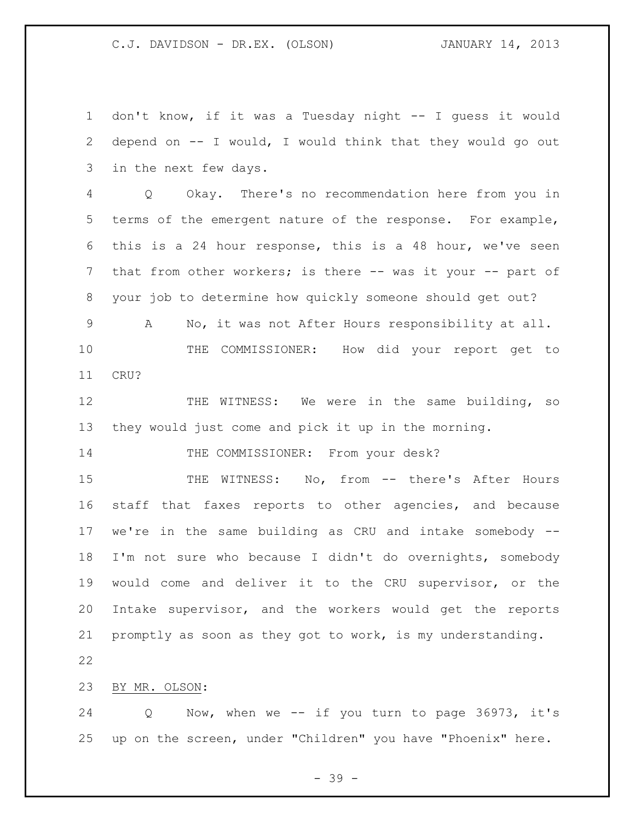don't know, if it was a Tuesday night -- I guess it would depend on -- I would, I would think that they would go out in the next few days. Q Okay. There's no recommendation here from you in terms of the emergent nature of the response. For example, this is a 24 hour response, this is a 48 hour, we've seen 7 that from other workers; is there -- was it your -- part of your job to determine how quickly someone should get out? A No, it was not After Hours responsibility at all. THE COMMISSIONER: How did your report get to CRU? THE WITNESS: We were in the same building, so they would just come and pick it up in the morning. 14 THE COMMISSIONER: From your desk? 15 THE WITNESS: No, from -- there's After Hours staff that faxes reports to other agencies, and because we're in the same building as CRU and intake somebody -- I'm not sure who because I didn't do overnights, somebody would come and deliver it to the CRU supervisor, or the Intake supervisor, and the workers would get the reports promptly as soon as they got to work, is my understanding. BY MR. OLSON:

 Q Now, when we -- if you turn to page 36973, it's up on the screen, under "Children" you have "Phoenix" here.

- 39 -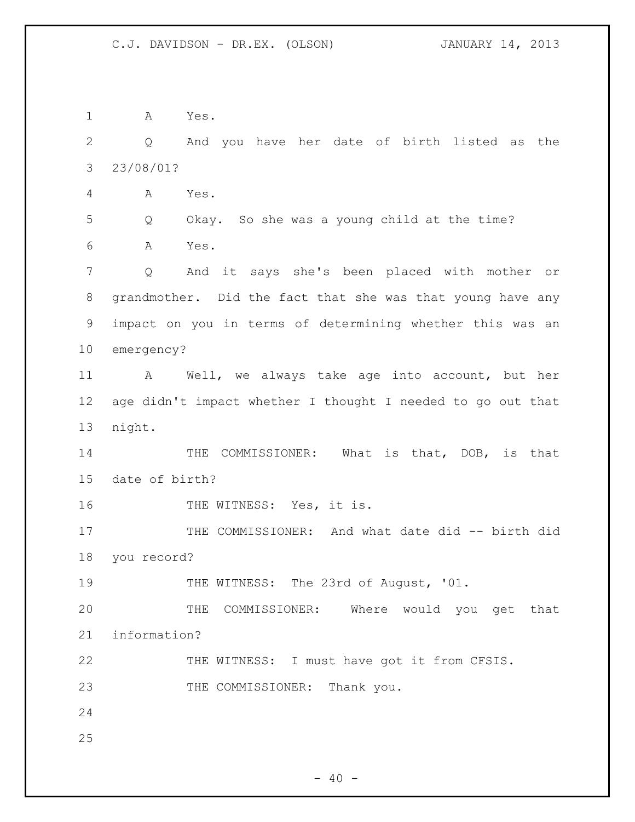A Yes. Q And you have her date of birth listed as the 23/08/01? A Yes. Q Okay. So she was a young child at the time? A Yes. Q And it says she's been placed with mother or grandmother. Did the fact that she was that young have any impact on you in terms of determining whether this was an emergency? A Well, we always take age into account, but her age didn't impact whether I thought I needed to go out that night. 14 THE COMMISSIONER: What is that, DOB, is that date of birth? 16 THE WITNESS: Yes, it is. 17 THE COMMISSIONER: And what date did -- birth did you record? 19 THE WITNESS: The 23rd of August, '01. THE COMMISSIONER: Where would you get that information? THE WITNESS: I must have got it from CFSIS. 23 THE COMMISSIONER: Thank you.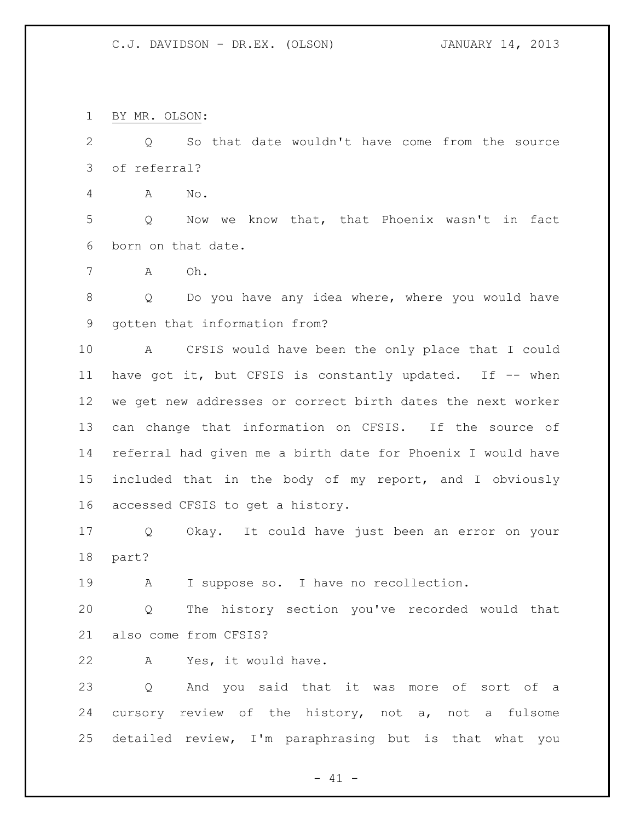BY MR. OLSON:

 Q So that date wouldn't have come from the source of referral?

A No.

 Q Now we know that, that Phoenix wasn't in fact born on that date.

A Oh.

 Q Do you have any idea where, where you would have gotten that information from?

 A CFSIS would have been the only place that I could 11 have got it, but CFSIS is constantly updated. If -- when we get new addresses or correct birth dates the next worker can change that information on CFSIS. If the source of referral had given me a birth date for Phoenix I would have included that in the body of my report, and I obviously accessed CFSIS to get a history.

 Q Okay. It could have just been an error on your part?

A I suppose so. I have no recollection.

 Q The history section you've recorded would that also come from CFSIS?

A Yes, it would have.

 Q And you said that it was more of sort of a cursory review of the history, not a, not a fulsome detailed review, I'm paraphrasing but is that what you

 $- 41 -$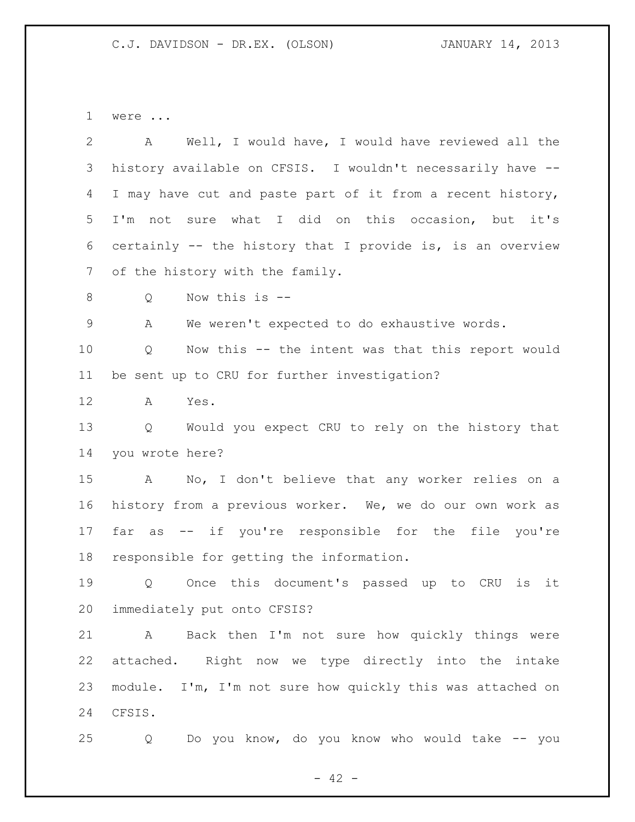were ...

 A Well, I would have, I would have reviewed all the history available on CFSIS. I wouldn't necessarily have -- I may have cut and paste part of it from a recent history, I'm not sure what I did on this occasion, but it's certainly -- the history that I provide is, is an overview 7 of the history with the family. Q Now this is -- A We weren't expected to do exhaustive words. Q Now this -- the intent was that this report would be sent up to CRU for further investigation? A Yes. Q Would you expect CRU to rely on the history that you wrote here? A No, I don't believe that any worker relies on a history from a previous worker. We, we do our own work as far as -- if you're responsible for the file you're responsible for getting the information. Q Once this document's passed up to CRU is it immediately put onto CFSIS? A Back then I'm not sure how quickly things were attached. Right now we type directly into the intake module. I'm, I'm not sure how quickly this was attached on CFSIS. Q Do you know, do you know who would take -- you

 $- 42 -$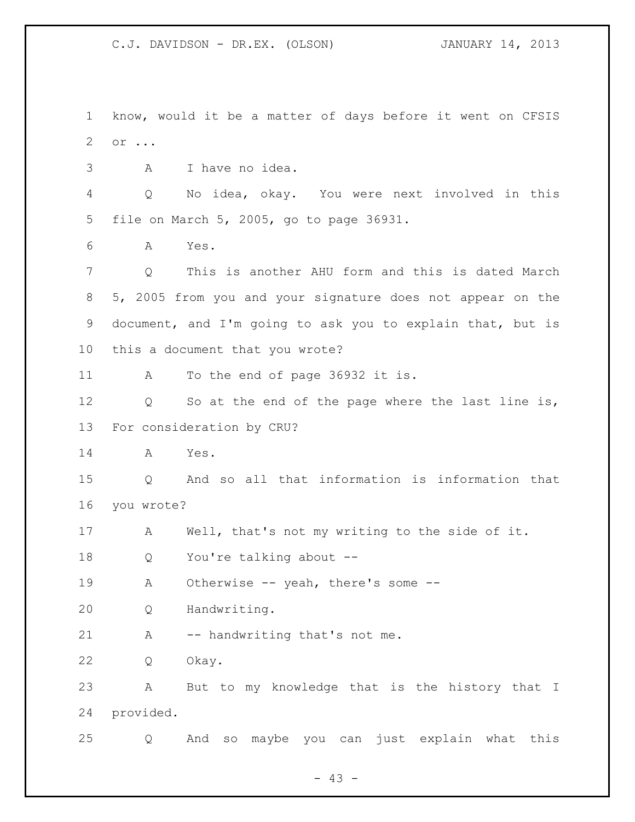know, would it be a matter of days before it went on CFSIS or ... A I have no idea. Q No idea, okay. You were next involved in this file on March 5, 2005, go to page 36931. A Yes. Q This is another AHU form and this is dated March 5, 2005 from you and your signature does not appear on the document, and I'm going to ask you to explain that, but is this a document that you wrote? A To the end of page 36932 it is. Q So at the end of the page where the last line is, For consideration by CRU? A Yes. Q And so all that information is information that you wrote? A Well, that's not my writing to the side of it. Q You're talking about -- A Otherwise -- yeah, there's some -- Q Handwriting. A -- handwriting that's not me. Q Okay. A But to my knowledge that is the history that I provided. Q And so maybe you can just explain what this

 $- 43 -$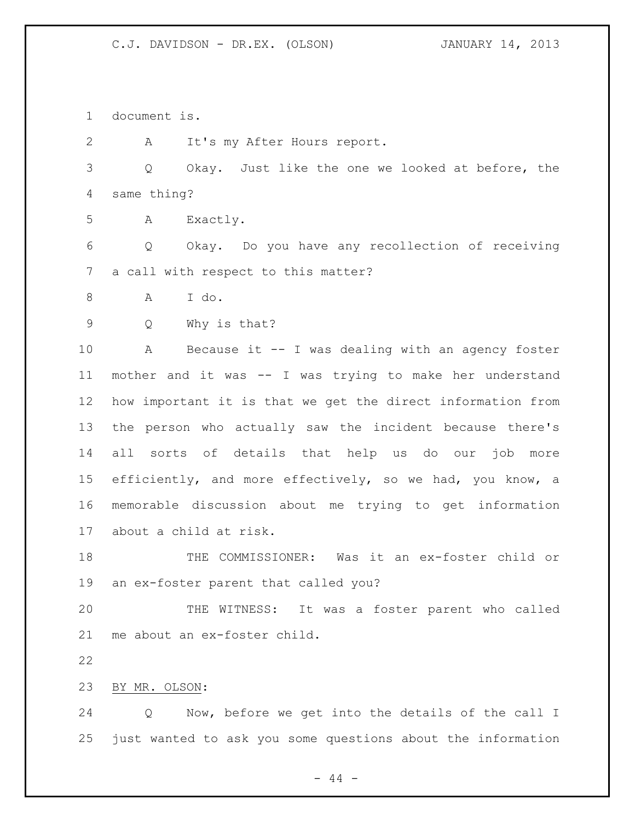document is.

A It's my After Hours report.

 Q Okay. Just like the one we looked at before, the same thing?

A Exactly.

 Q Okay. Do you have any recollection of receiving a call with respect to this matter?

A I do.

Q Why is that?

 A Because it -- I was dealing with an agency foster mother and it was -- I was trying to make her understand how important it is that we get the direct information from the person who actually saw the incident because there's all sorts of details that help us do our job more efficiently, and more effectively, so we had, you know, a memorable discussion about me trying to get information about a child at risk.

 THE COMMISSIONER: Was it an ex-foster child or an ex-foster parent that called you?

 THE WITNESS: It was a foster parent who called me about an ex-foster child.

BY MR. OLSON:

 Q Now, before we get into the details of the call I just wanted to ask you some questions about the information

 $-44 -$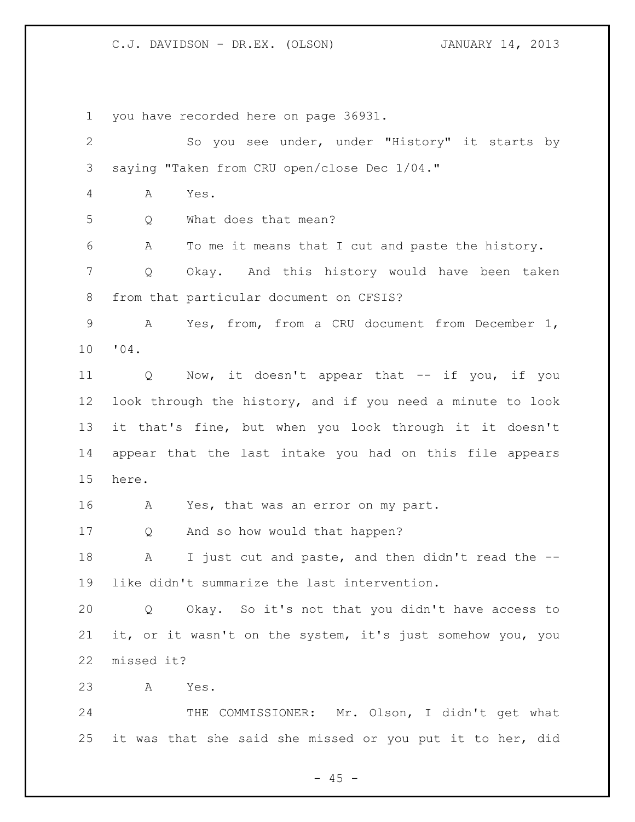you have recorded here on page 36931.

| $\mathbf{2}$    | So you see under, under "History" it starts by             |
|-----------------|------------------------------------------------------------|
| 3               | saying "Taken from CRU open/close Dec 1/04."               |
| 4               | Yes.<br>A                                                  |
| 5               | What does that mean?<br>Q                                  |
| 6               | To me it means that I cut and paste the history.<br>A      |
| 7               | Okay. And this history would have been taken<br>Q          |
| 8               | from that particular document on CFSIS?                    |
| $\mathsf 9$     | Yes, from, from a CRU document from December 1,<br>A       |
| 10              | "04.                                                       |
| 11              | Now, it doesn't appear that -- if you, if you<br>Q         |
| 12 <sup>°</sup> | look through the history, and if you need a minute to look |
| 13              | it that's fine, but when you look through it it doesn't    |
| 14              | appear that the last intake you had on this file appears   |
| 15              | here.                                                      |
| 16              | Yes, that was an error on my part.<br>Α                    |
| 17              | And so how would that happen?<br>Q                         |
| 18              | I just cut and paste, and then didn't read the --<br>А     |
| 19              | like didn't summarize the last intervention.               |
| 20              | Q Okay. So it's not that you didn't have access to         |
| 21              | it, or it wasn't on the system, it's just somehow you, you |
| 22              | missed it?                                                 |
| 23              | Yes.<br>A                                                  |
| 24              | THE COMMISSIONER: Mr. Olson, I didn't get what             |
| 25              | it was that she said she missed or you put it to her, did  |

- 45 -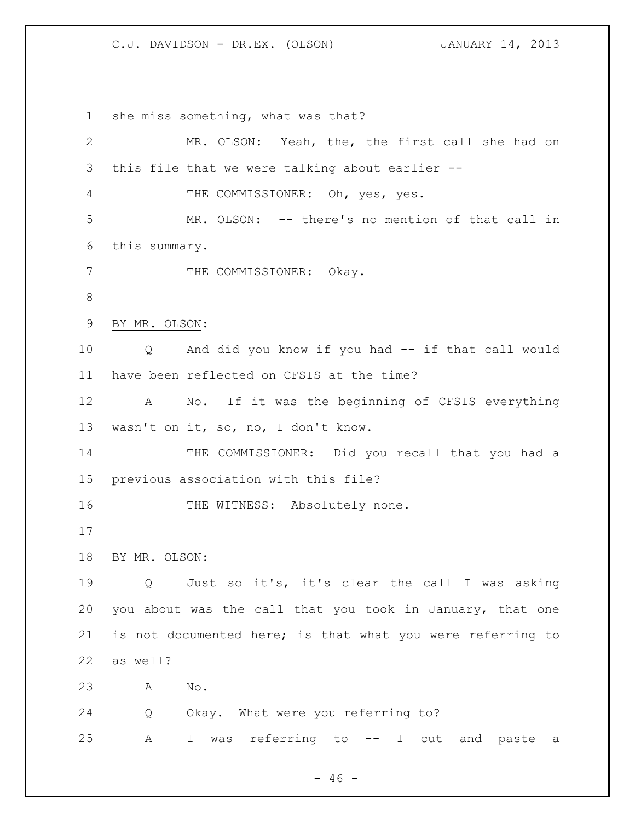she miss something, what was that? MR. OLSON: Yeah, the, the first call she had on this file that we were talking about earlier -- THE COMMISSIONER: Oh, yes, yes. MR. OLSON: -- there's no mention of that call in this summary. 7 THE COMMISSIONER: Okay. BY MR. OLSON: Q And did you know if you had -- if that call would have been reflected on CFSIS at the time? A No. If it was the beginning of CFSIS everything wasn't on it, so, no, I don't know. 14 THE COMMISSIONER: Did you recall that you had a previous association with this file? 16 THE WITNESS: Absolutely none. BY MR. OLSON: Q Just so it's, it's clear the call I was asking you about was the call that you took in January, that one is not documented here; is that what you were referring to as well? A No. Q Okay. What were you referring to? A I was referring to -- I cut and paste a

 $- 46 -$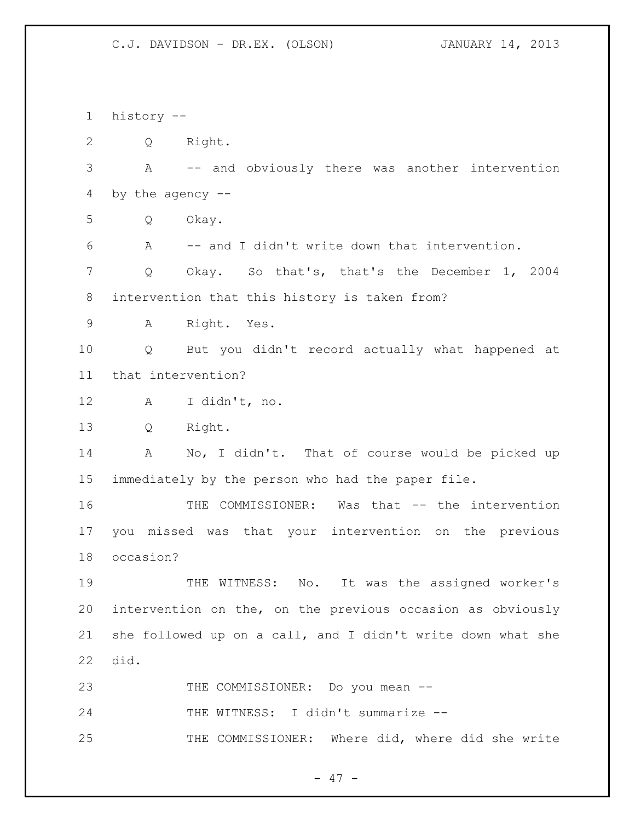history -- Q Right. A -- and obviously there was another intervention by the agency -- Q Okay. A -- and I didn't write down that intervention. Q Okay. So that's, that's the December 1, 2004 intervention that this history is taken from? A Right. Yes. Q But you didn't record actually what happened at that intervention? A I didn't, no. Q Right. A No, I didn't. That of course would be picked up immediately by the person who had the paper file. THE COMMISSIONER: Was that -- the intervention you missed was that your intervention on the previous occasion? THE WITNESS: No. It was the assigned worker's intervention on the, on the previous occasion as obviously she followed up on a call, and I didn't write down what she did. 23 THE COMMISSIONER: Do you mean --24 THE WITNESS: I didn't summarize --25 THE COMMISSIONER: Where did, where did she write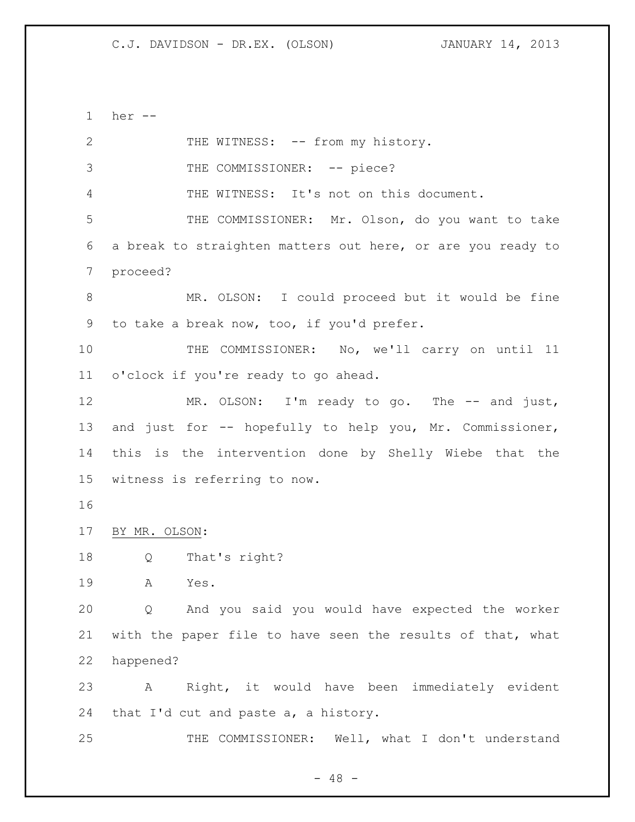her -- 2 THE WITNESS: -- from my history. 3 THE COMMISSIONER: -- piece? THE WITNESS: It's not on this document. THE COMMISSIONER: Mr. Olson, do you want to take a break to straighten matters out here, or are you ready to proceed? MR. OLSON: I could proceed but it would be fine to take a break now, too, if you'd prefer. THE COMMISSIONER: No, we'll carry on until 11 o'clock if you're ready to go ahead. 12 MR. OLSON: I'm ready to go. The -- and just, and just for -- hopefully to help you, Mr. Commissioner, this is the intervention done by Shelly Wiebe that the witness is referring to now. BY MR. OLSON: Q That's right? A Yes. Q And you said you would have expected the worker with the paper file to have seen the results of that, what happened? A Right, it would have been immediately evident that I'd cut and paste a, a history. THE COMMISSIONER: Well, what I don't understand

 $- 48 -$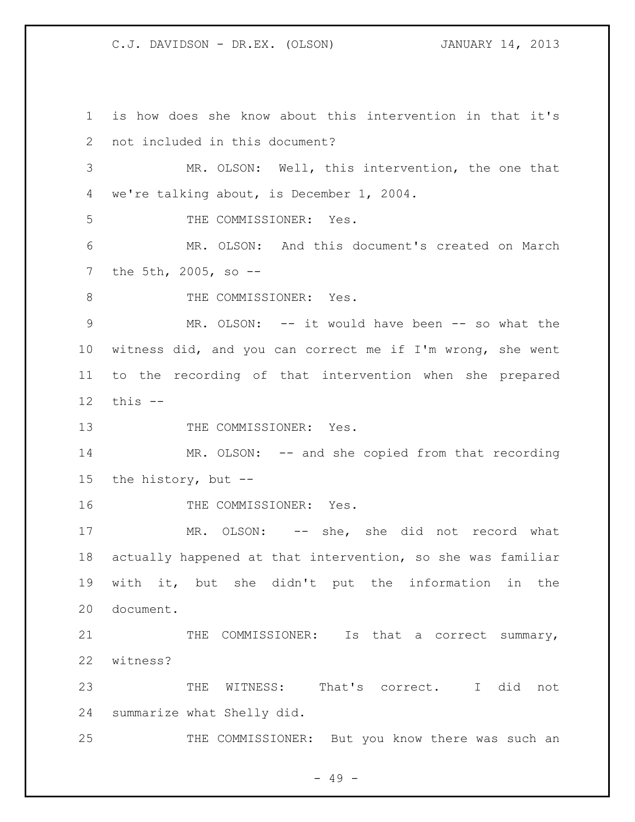is how does she know about this intervention in that it's not included in this document? MR. OLSON: Well, this intervention, the one that we're talking about, is December 1, 2004. THE COMMISSIONER: Yes. MR. OLSON: And this document's created on March the 5th, 2005, so -- 8 THE COMMISSIONER: Yes. MR. OLSON: -- it would have been -- so what the witness did, and you can correct me if I'm wrong, she went to the recording of that intervention when she prepared this -- 13 THE COMMISSIONER: Yes. MR. OLSON: -- and she copied from that recording the history, but -- 16 THE COMMISSIONER: Yes. 17 MR. OLSON: -- she, she did not record what actually happened at that intervention, so she was familiar with it, but she didn't put the information in the document. 21 THE COMMISSIONER: Is that a correct summary, witness? THE WITNESS: That's correct. I did not summarize what Shelly did. 25 THE COMMISSIONER: But you know there was such an

 $- 49 -$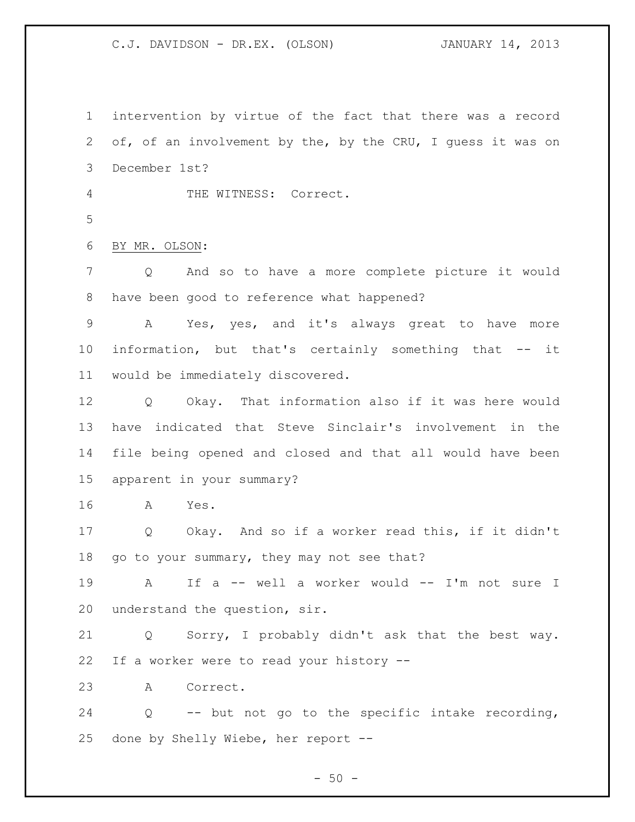intervention by virtue of the fact that there was a record of, of an involvement by the, by the CRU, I guess it was on December 1st? THE WITNESS: Correct. BY MR. OLSON: Q And so to have a more complete picture it would have been good to reference what happened? A Yes, yes, and it's always great to have more information, but that's certainly something that -- it would be immediately discovered. Q Okay. That information also if it was here would have indicated that Steve Sinclair's involvement in the file being opened and closed and that all would have been apparent in your summary? A Yes. Q Okay. And so if a worker read this, if it didn't 18 go to your summary, they may not see that? A If a -- well a worker would -- I'm not sure I understand the question, sir. Q Sorry, I probably didn't ask that the best way. If a worker were to read your history -- A Correct. Q -- but not go to the specific intake recording, done by Shelly Wiebe, her report --

 $-50 -$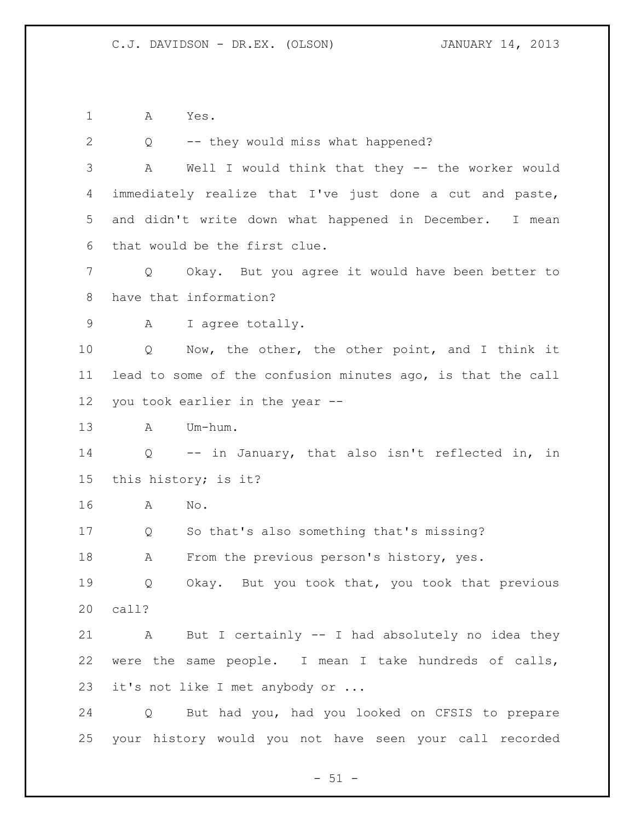A Yes.

| $\mathbf{2}$      | Q           | -- they would miss what happened?                           |
|-------------------|-------------|-------------------------------------------------------------|
| 3                 | Α           | Well I would think that they -- the worker would            |
| 4                 |             | immediately realize that I've just done a cut and paste,    |
| 5                 |             | and didn't write down what happened in December. I mean     |
| 6                 |             | that would be the first clue.                               |
| 7                 | Q           | Okay. But you agree it would have been better to            |
| 8                 |             | have that information?                                      |
| 9                 | A           | I agree totally.                                            |
| 10                | Q           | Now, the other, the other point, and I think it             |
| 11                |             | lead to some of the confusion minutes ago, is that the call |
| $12 \overline{ }$ |             | you took earlier in the year --                             |
| 13                | A           | Um-hum.                                                     |
| 14                | Q           | -- in January, that also isn't reflected in,<br>in          |
| 15                |             | this history; is it?                                        |
| 16                | A           | No.                                                         |
| 17                | Q           | So that's also something that's missing?                    |
| 18                | Α           | From the previous person's history, yes.                    |
| 19                | Q           | Okay. But you took that, you took that previous             |
| 20                | call?       |                                                             |
| 21                | $\mathbb A$ | But I certainly -- I had absolutely no idea they            |
| 22                |             | were the same people. I mean I take hundreds of calls,      |
| 23                |             | it's not like I met anybody or                              |
| 24                |             | Q But had you, had you looked on CFSIS to prepare           |
| 25                |             | your history would you not have seen your call recorded     |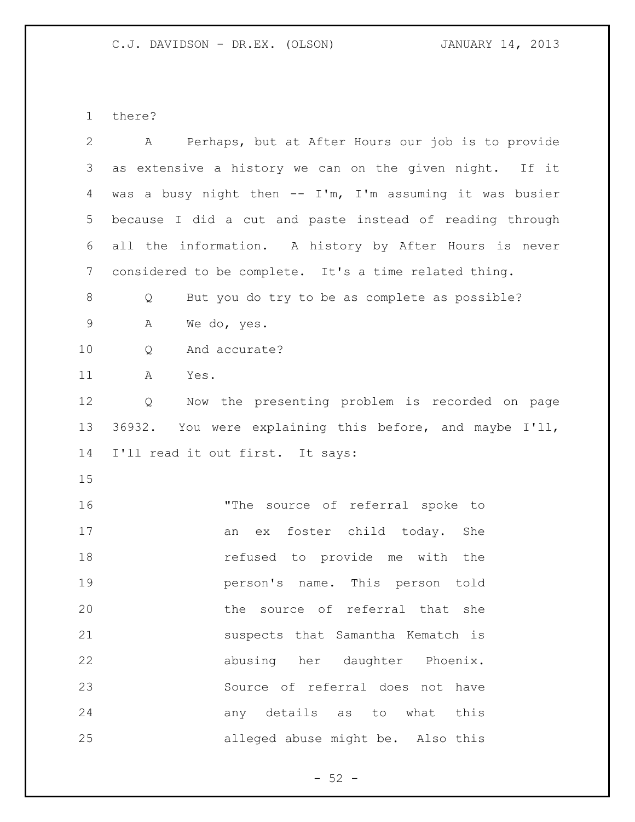there?

| $\mathbf{2}$   | A Perhaps, but at After Hours our job is to provide      |
|----------------|----------------------------------------------------------|
| $\mathcal{S}$  | as extensive a history we can on the given night. If it  |
| 4              | was a busy night then -- I'm, I'm assuming it was busier |
| 5              | because I did a cut and paste instead of reading through |
| 6              | all the information. A history by After Hours is never   |
| $\overline{7}$ | considered to be complete. It's a time related thing.    |
| 8              | But you do try to be as complete as possible?<br>Q       |
| $\mathsf 9$    | Α<br>We do, yes.                                         |
| 10             | And accurate?<br>Q                                       |
| 11             | A<br>Yes.                                                |
| 12             | Now the presenting problem is recorded on page<br>Q      |
| 13             | 36932. You were explaining this before, and maybe I'll,  |
| 14             | I'll read it out first. It says:                         |
|                |                                                          |
| 15             |                                                          |
| 16             | "The source of referral spoke to                         |
| 17             | ex foster child today. She<br>an                         |
| 18             | refused to provide me with the                           |
| 19             | person's name. This person told                          |
| 20             | the source of referral that she                          |
| 21             | suspects that Samantha Kematch is                        |
| 22             | abusing her daughter Phoenix.                            |
| 23             | Source of referral does not have                         |
| 24             | any details as to what this                              |

- 52 -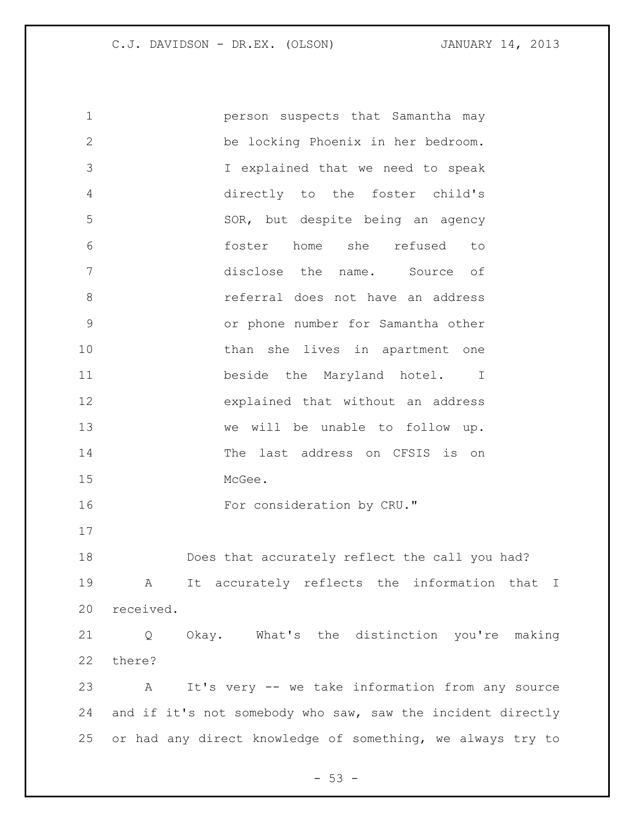person suspects that Samantha may be locking Phoenix in her bedroom. I explained that we need to speak directly to the foster child's SOR, but despite being an agency foster home she refused to disclose the name. Source of referral does not have an address or phone number for Samantha other 10 than she lives in apartment one 11 beside the Maryland hotel. I explained that without an address we will be unable to follow up. The last address on CFSIS is on McGee. 16 For consideration by CRU." Does that accurately reflect the call you had? A It accurately reflects the information that I received. Q Okay. What's the distinction you're making there? A It's very -- we take information from any source and if it's not somebody who saw, saw the incident directly or had any direct knowledge of something, we always try to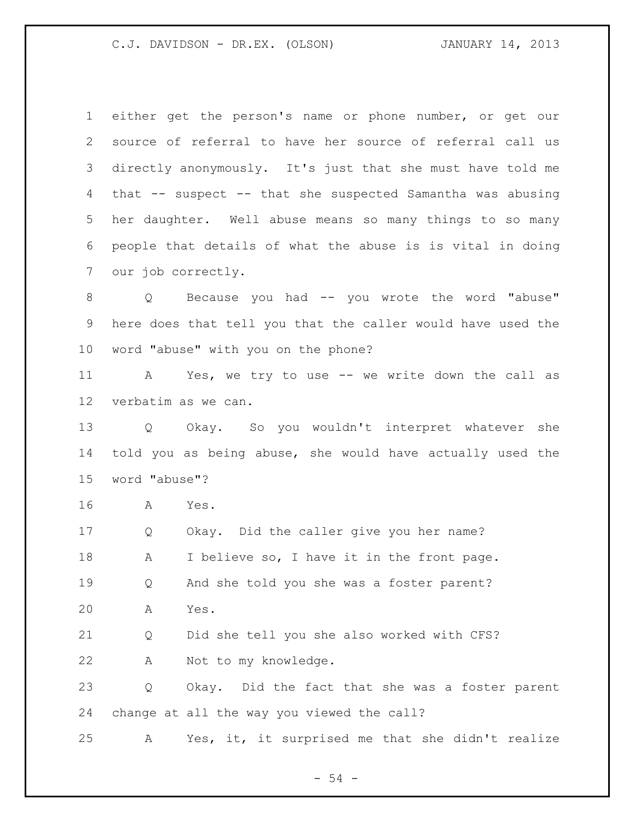either get the person's name or phone number, or get our source of referral to have her source of referral call us directly anonymously. It's just that she must have told me that -- suspect -- that she suspected Samantha was abusing her daughter. Well abuse means so many things to so many people that details of what the abuse is is vital in doing our job correctly. Q Because you had -- you wrote the word "abuse" here does that tell you that the caller would have used the word "abuse" with you on the phone? A Yes, we try to use -- we write down the call as verbatim as we can. Q Okay. So you wouldn't interpret whatever she told you as being abuse, she would have actually used the word "abuse"? A Yes. Q Okay. Did the caller give you her name? A I believe so, I have it in the front page. Q And she told you she was a foster parent? A Yes. Q Did she tell you she also worked with CFS? A Not to my knowledge. Q Okay. Did the fact that she was a foster parent change at all the way you viewed the call? A Yes, it, it surprised me that she didn't realize

- 54 -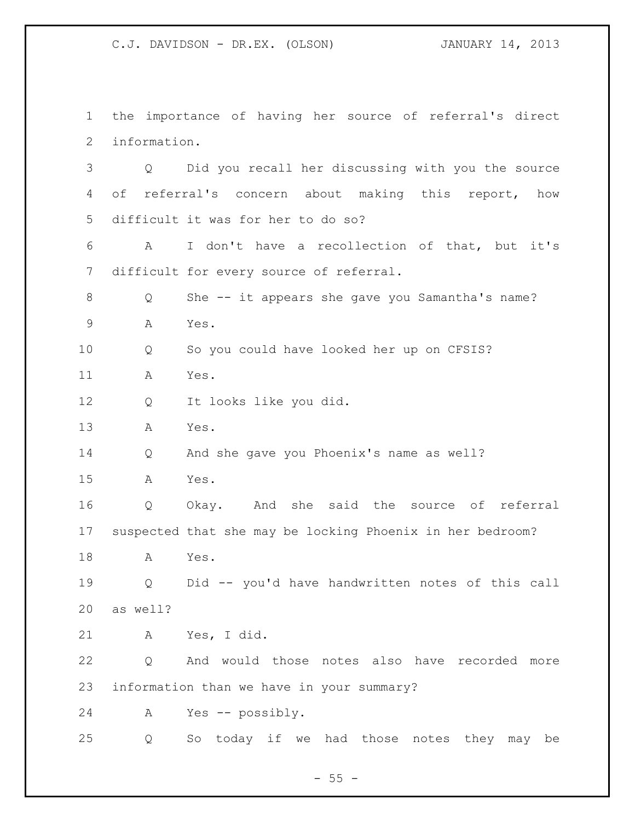the importance of having her source of referral's direct information. Q Did you recall her discussing with you the source of referral's concern about making this report, how difficult it was for her to do so? A I don't have a recollection of that, but it's difficult for every source of referral. Q She -- it appears she gave you Samantha's name? A Yes. Q So you could have looked her up on CFSIS? A Yes. Q It looks like you did. A Yes. Q And she gave you Phoenix's name as well? A Yes. Q Okay. And she said the source of referral suspected that she may be locking Phoenix in her bedroom? A Yes. Q Did -- you'd have handwritten notes of this call as well? A Yes, I did. Q And would those notes also have recorded more information than we have in your summary? A Yes -- possibly. Q So today if we had those notes they may be

 $- 55 -$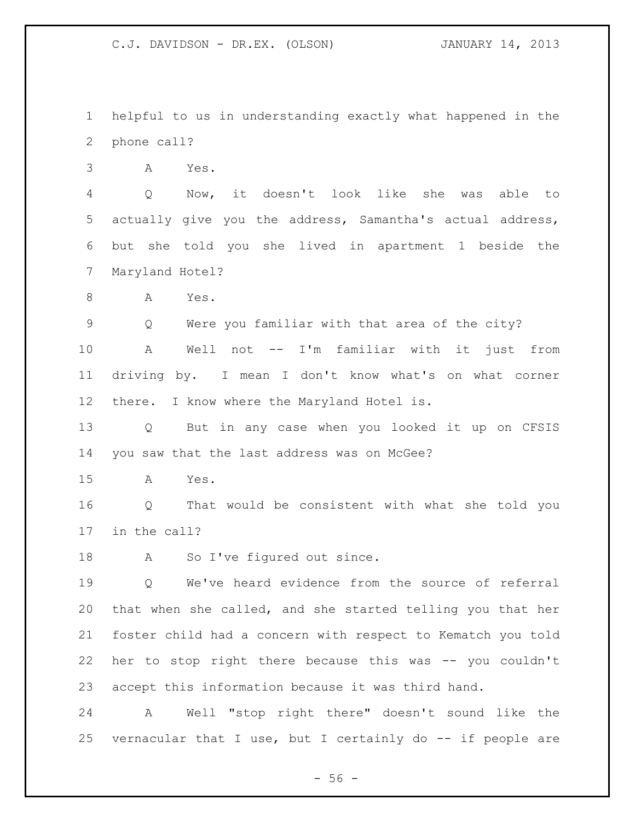helpful to us in understanding exactly what happened in the phone call?

A Yes.

 Q Now, it doesn't look like she was able to actually give you the address, Samantha's actual address, but she told you she lived in apartment 1 beside the Maryland Hotel?

A Yes.

Q Were you familiar with that area of the city?

 A Well not -- I'm familiar with it just from driving by. I mean I don't know what's on what corner there. I know where the Maryland Hotel is.

 Q But in any case when you looked it up on CFSIS you saw that the last address was on McGee?

A Yes.

 Q That would be consistent with what she told you in the call?

18 A So I've figured out since.

 Q We've heard evidence from the source of referral that when she called, and she started telling you that her foster child had a concern with respect to Kematch you told her to stop right there because this was -- you couldn't accept this information because it was third hand.

 A Well "stop right there" doesn't sound like the vernacular that I use, but I certainly do -- if people are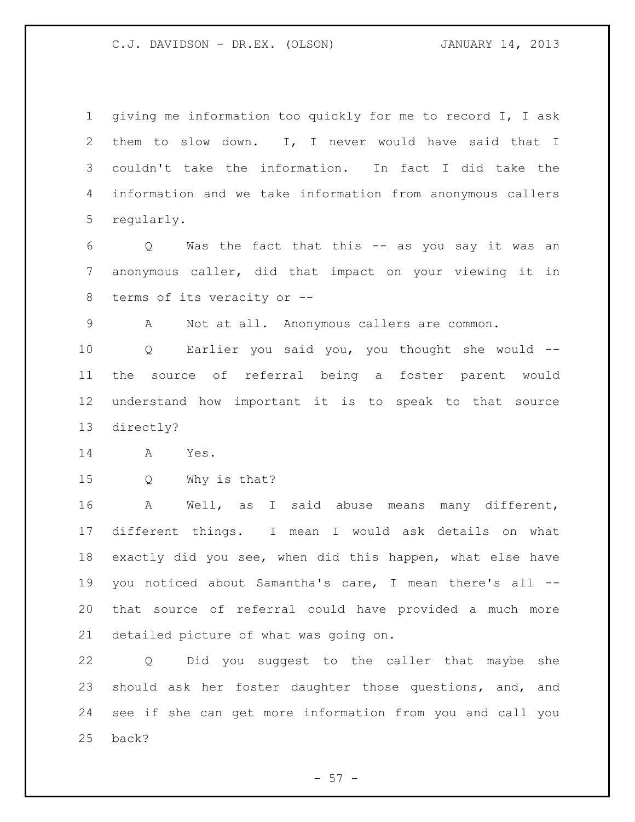giving me information too quickly for me to record I, I ask them to slow down. I, I never would have said that I couldn't take the information. In fact I did take the information and we take information from anonymous callers regularly.

 Q Was the fact that this -- as you say it was an anonymous caller, did that impact on your viewing it in terms of its veracity or --

A Not at all. Anonymous callers are common.

 Q Earlier you said you, you thought she would -- the source of referral being a foster parent would understand how important it is to speak to that source directly?

A Yes.

Q Why is that?

 A Well, as I said abuse means many different, different things. I mean I would ask details on what exactly did you see, when did this happen, what else have you noticed about Samantha's care, I mean there's all -- that source of referral could have provided a much more detailed picture of what was going on.

 Q Did you suggest to the caller that maybe she should ask her foster daughter those questions, and, and see if she can get more information from you and call you back?

 $-57 -$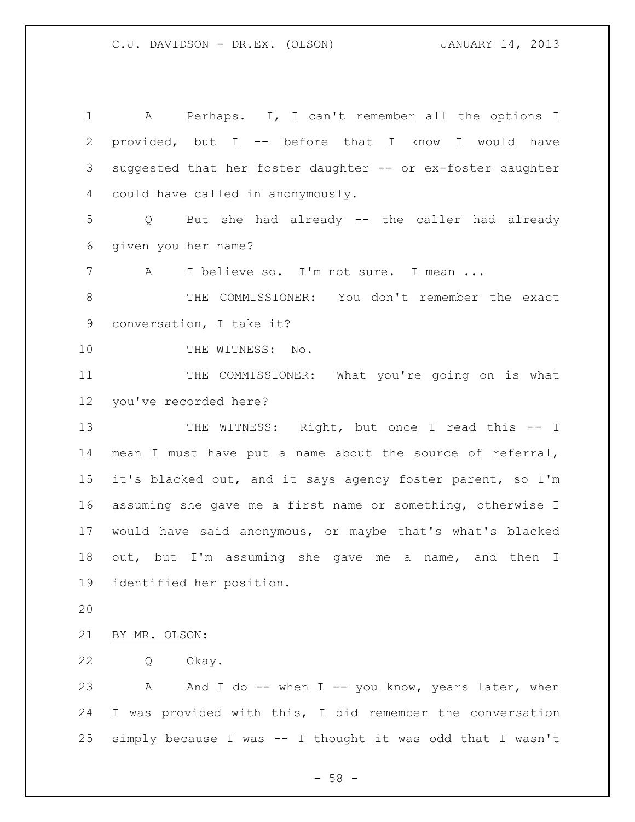A Perhaps. I, I can't remember all the options I provided, but I -- before that I know I would have suggested that her foster daughter -- or ex-foster daughter could have called in anonymously. Q But she had already -- the caller had already given you her name? A I believe so. I'm not sure. I mean ... 8 THE COMMISSIONER: You don't remember the exact conversation, I take it? 10 THE WITNESS: No. THE COMMISSIONER: What you're going on is what you've recorded here? 13 THE WITNESS: Right, but once I read this -- I mean I must have put a name about the source of referral, it's blacked out, and it says agency foster parent, so I'm assuming she gave me a first name or something, otherwise I would have said anonymous, or maybe that's what's blacked out, but I'm assuming she gave me a name, and then I identified her position. BY MR. OLSON: Q Okay. 23 A And I do -- when I -- you know, years later, when I was provided with this, I did remember the conversation simply because I was -- I thought it was odd that I wasn't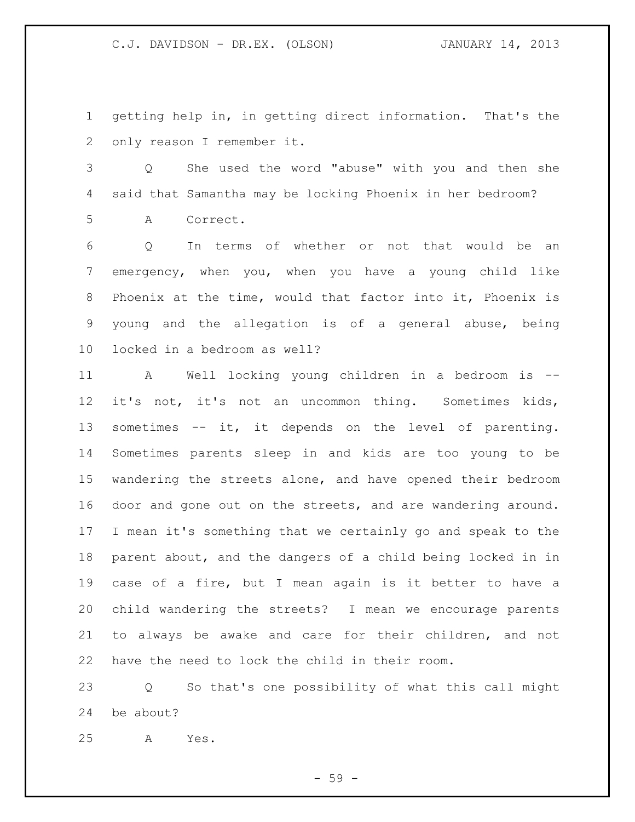getting help in, in getting direct information. That's the only reason I remember it.

 Q She used the word "abuse" with you and then she said that Samantha may be locking Phoenix in her bedroom? A Correct.

 Q In terms of whether or not that would be an emergency, when you, when you have a young child like Phoenix at the time, would that factor into it, Phoenix is young and the allegation is of a general abuse, being locked in a bedroom as well?

 A Well locking young children in a bedroom is -- it's not, it's not an uncommon thing. Sometimes kids, sometimes -- it, it depends on the level of parenting. Sometimes parents sleep in and kids are too young to be wandering the streets alone, and have opened their bedroom door and gone out on the streets, and are wandering around. I mean it's something that we certainly go and speak to the parent about, and the dangers of a child being locked in in case of a fire, but I mean again is it better to have a child wandering the streets? I mean we encourage parents to always be awake and care for their children, and not have the need to lock the child in their room.

 Q So that's one possibility of what this call might be about?

A Yes.

- 59 -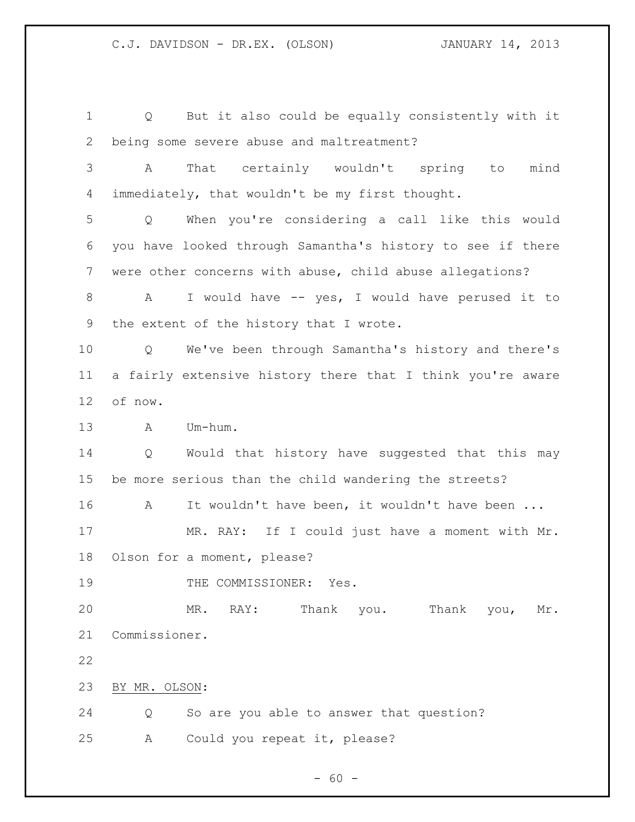Q But it also could be equally consistently with it being some severe abuse and maltreatment? A That certainly wouldn't spring to mind immediately, that wouldn't be my first thought. Q When you're considering a call like this would you have looked through Samantha's history to see if there were other concerns with abuse, child abuse allegations? 8 A I would have -- yes, I would have perused it to the extent of the history that I wrote. Q We've been through Samantha's history and there's a fairly extensive history there that I think you're aware of now. A Um-hum. Q Would that history have suggested that this may be more serious than the child wandering the streets? 16 A It wouldn't have been, it wouldn't have been ... MR. RAY: If I could just have a moment with Mr. Olson for a moment, please? 19 THE COMMISSIONER: Yes. MR. RAY: Thank you. Thank you, Mr. Commissioner. BY MR. OLSON: Q So are you able to answer that question? A Could you repeat it, please?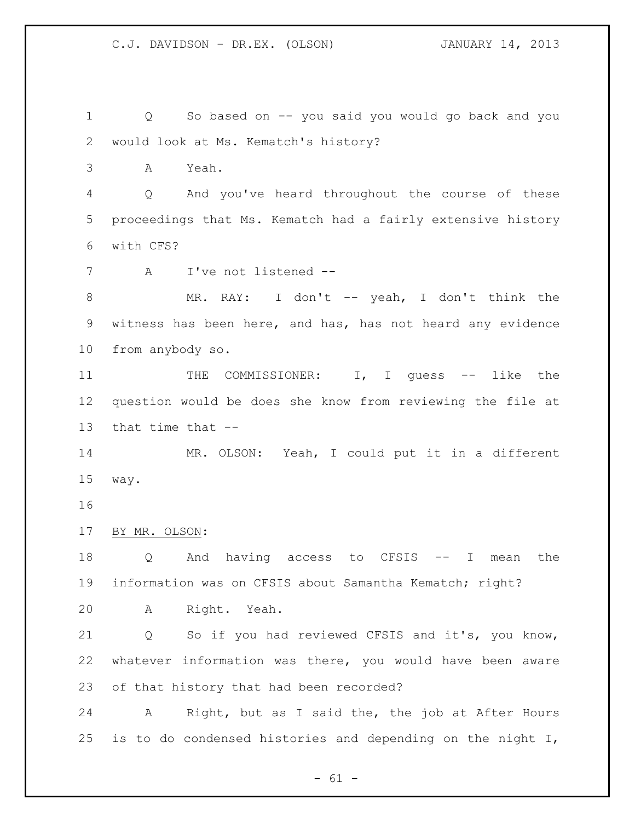Q So based on -- you said you would go back and you would look at Ms. Kematch's history? A Yeah. Q And you've heard throughout the course of these proceedings that Ms. Kematch had a fairly extensive history with CFS? A I've not listened -- MR. RAY: I don't -- yeah, I don't think the witness has been here, and has, has not heard any evidence from anybody so. 11 THE COMMISSIONER: I, I guess -- like the question would be does she know from reviewing the file at that time that -- MR. OLSON: Yeah, I could put it in a different way. BY MR. OLSON: Q And having access to CFSIS -- I mean the information was on CFSIS about Samantha Kematch; right? A Right. Yeah. Q So if you had reviewed CFSIS and it's, you know, whatever information was there, you would have been aware of that history that had been recorded? A Right, but as I said the, the job at After Hours is to do condensed histories and depending on the night I,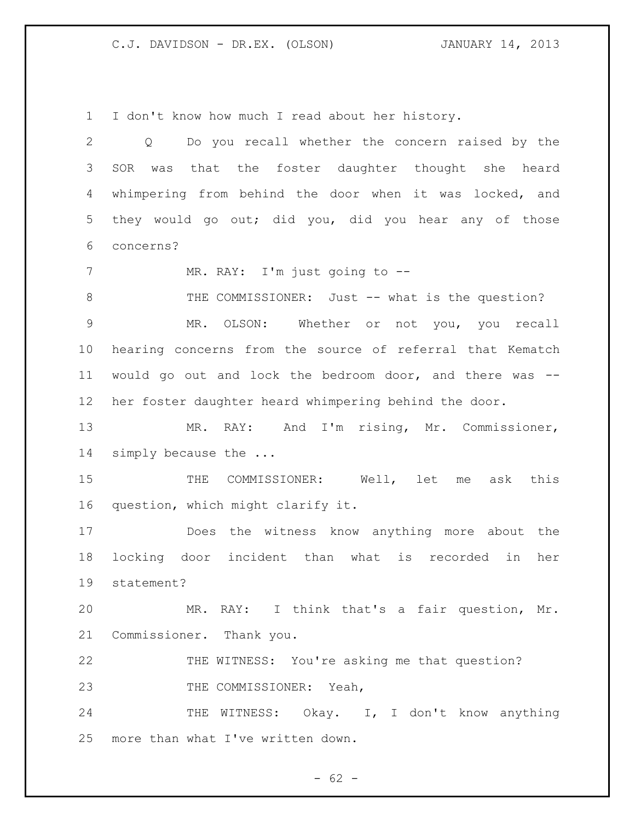I don't know how much I read about her history.

| $\overline{2}$ | Q Do you recall whether the concern raised by the         |
|----------------|-----------------------------------------------------------|
| 3              | that the foster daughter thought she heard<br>SOR<br>was  |
| 4              | whimpering from behind the door when it was locked, and   |
| 5              | they would go out; did you, did you hear any of those     |
| 6              | concerns?                                                 |
| 7              | MR. RAY: I'm just going to --                             |
| $\,8\,$        | THE COMMISSIONER: Just -- what is the question?           |
| $\mathsf 9$    | MR. OLSON: Whether or not you, you recall                 |
| 10             | hearing concerns from the source of referral that Kematch |
| 11             | would go out and lock the bedroom door, and there was --  |
| 12             | her foster daughter heard whimpering behind the door.     |
| 13             | MR. RAY: And I'm rising, Mr. Commissioner,                |
| 14             | simply because the                                        |
| 15             | THE COMMISSIONER: Well, let<br>ask this<br>me             |
| 16             | question, which might clarify it.                         |
| 17             | Does the witness know anything more about the             |
| 18             | locking door incident than what is recorded<br>in<br>her  |
| 19             | statement?                                                |
| 20             | MR. RAY: I think that's a fair question, Mr.              |
| 21             | Commissioner. Thank you.                                  |
| 22             | THE WITNESS: You're asking me that question?              |
| 23             | THE COMMISSIONER: Yeah,                                   |
| 24             | THE WITNESS: Okay. I, I don't know anything               |
| 25             | more than what I've written down.                         |

- 62 -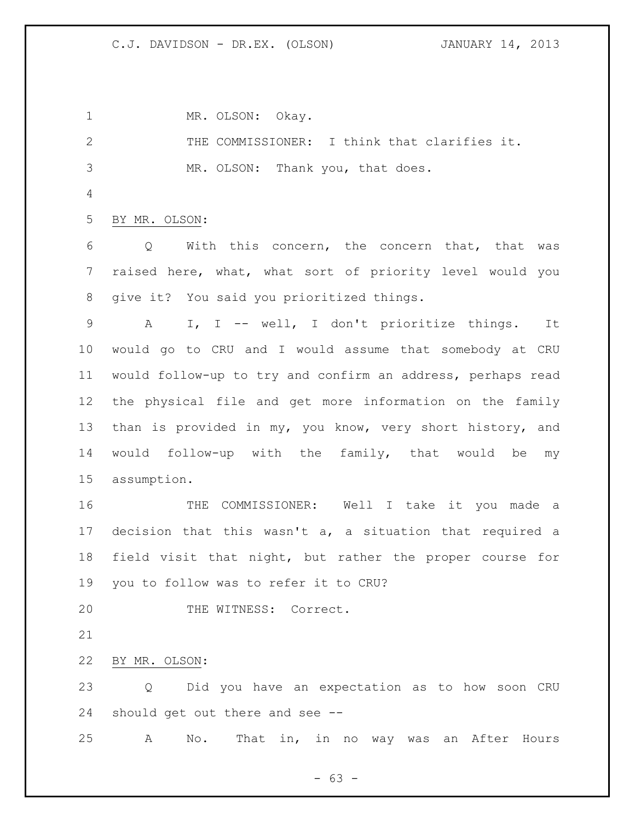1 MR. OLSON: Okay. THE COMMISSIONER: I think that clarifies it. MR. OLSON: Thank you, that does. BY MR. OLSON: Q With this concern, the concern that, that was raised here, what, what sort of priority level would you give it? You said you prioritized things. A I, I -- well, I don't prioritize things. It would go to CRU and I would assume that somebody at CRU would follow-up to try and confirm an address, perhaps read the physical file and get more information on the family than is provided in my, you know, very short history, and would follow-up with the family, that would be my assumption. THE COMMISSIONER: Well I take it you made a decision that this wasn't a, a situation that required a field visit that night, but rather the proper course for you to follow was to refer it to CRU? 20 THE WITNESS: Correct. BY MR. OLSON: Q Did you have an expectation as to how soon CRU should get out there and see -- A No. That in, in no way was an After Hours

 $- 63 -$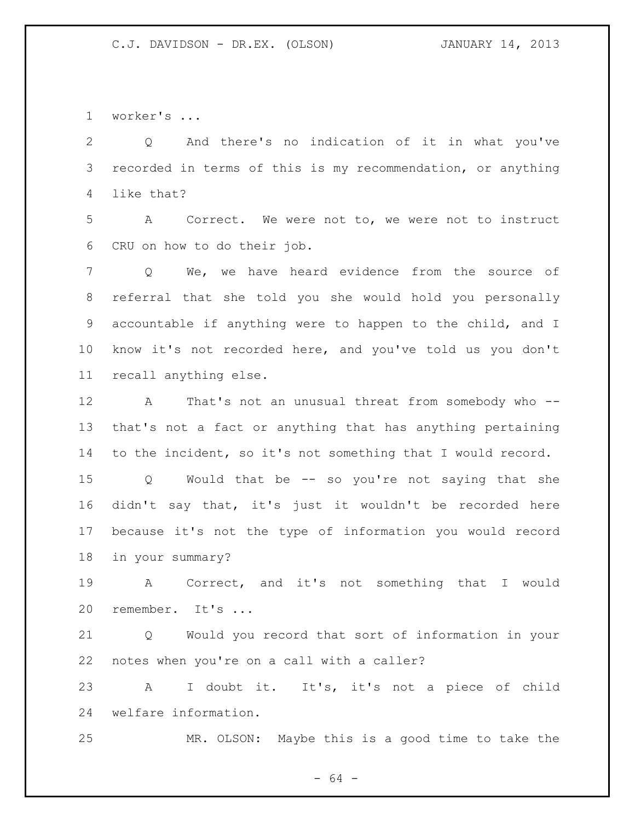worker's ...

 Q And there's no indication of it in what you've recorded in terms of this is my recommendation, or anything like that?

 A Correct. We were not to, we were not to instruct CRU on how to do their job.

 Q We, we have heard evidence from the source of referral that she told you she would hold you personally accountable if anything were to happen to the child, and I know it's not recorded here, and you've told us you don't recall anything else.

12 A That's not an unusual threat from somebody who -- that's not a fact or anything that has anything pertaining to the incident, so it's not something that I would record.

 Q Would that be -- so you're not saying that she didn't say that, it's just it wouldn't be recorded here because it's not the type of information you would record in your summary?

 A Correct, and it's not something that I would remember. It's ...

 Q Would you record that sort of information in your notes when you're on a call with a caller?

 A I doubt it. It's, it's not a piece of child welfare information.

MR. OLSON: Maybe this is a good time to take the

 $- 64 -$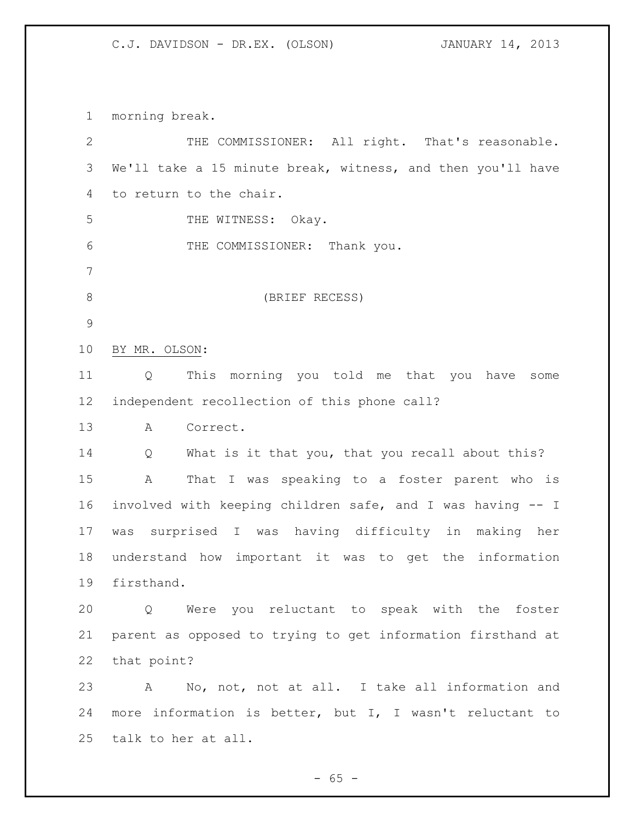morning break.

| $\mathbf{2}$  | THE COMMISSIONER: All right. That's reasonable.             |
|---------------|-------------------------------------------------------------|
| 3             | We'll take a 15 minute break, witness, and then you'll have |
| 4             | to return to the chair.                                     |
| 5             | THE WITNESS: Okay.                                          |
| 6             | THE COMMISSIONER: Thank you.                                |
| 7             |                                                             |
| 8             | (BRIEF RECESS)                                              |
| $\mathcal{G}$ |                                                             |
| 10            | BY MR. OLSON:                                               |
| 11            | This morning you told me that you<br>Q<br>have<br>some      |
| 12            | independent recollection of this phone call?                |
| 13            | Correct.<br>A                                               |
| 14            | What is it that you, that you recall about this?<br>Q       |
| 15            | Α<br>That I was speaking to a foster parent who is          |
| 16            | involved with keeping children safe, and I was having -- I  |
| 17            | surprised I was having difficulty in<br>making her<br>was   |
| 18            | understand how important it was to get the information      |
| 19            | firsthand.                                                  |
| 20            | Q Were you reluctant to speak with the foster               |
| 21            | parent as opposed to trying to get information firsthand at |
| 22            | that point?                                                 |
| 23            | No, not, not at all. I take all information and<br>A        |
| 24            | more information is better, but I, I wasn't reluctant to    |
| 25            | talk to her at all.                                         |

- 65 -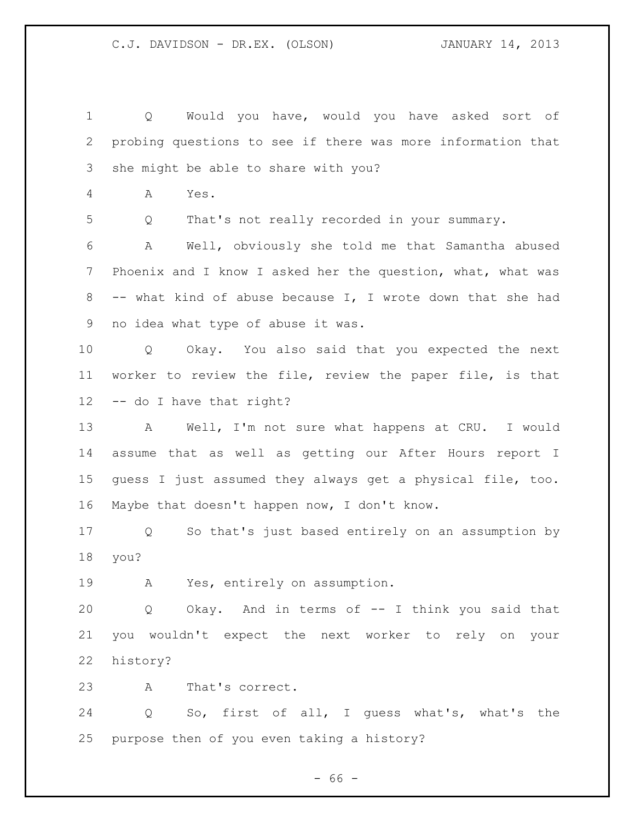Q Would you have, would you have asked sort of probing questions to see if there was more information that she might be able to share with you? A Yes. Q That's not really recorded in your summary. A Well, obviously she told me that Samantha abused 7 Phoenix and I know I asked her the question, what, what was -- what kind of abuse because I, I wrote down that she had no idea what type of abuse it was. Q Okay. You also said that you expected the next worker to review the file, review the paper file, is that -- do I have that right? A Well, I'm not sure what happens at CRU. I would assume that as well as getting our After Hours report I guess I just assumed they always get a physical file, too. Maybe that doesn't happen now, I don't know. Q So that's just based entirely on an assumption by you? A Yes, entirely on assumption. Q Okay. And in terms of -- I think you said that you wouldn't expect the next worker to rely on your history? A That's correct. Q So, first of all, I guess what's, what's the purpose then of you even taking a history?

 $- 66 -$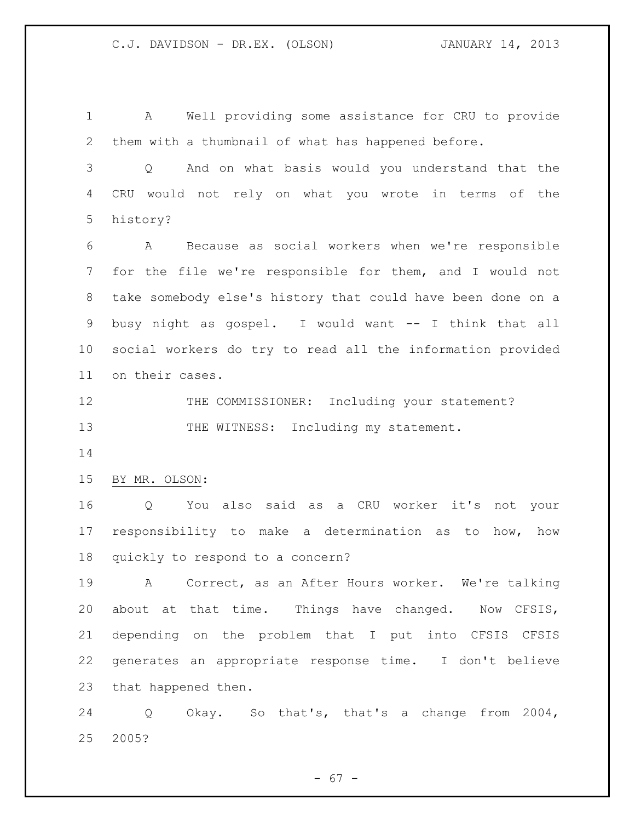A Well providing some assistance for CRU to provide them with a thumbnail of what has happened before.

 Q And on what basis would you understand that the CRU would not rely on what you wrote in terms of the history?

 A Because as social workers when we're responsible for the file we're responsible for them, and I would not take somebody else's history that could have been done on a busy night as gospel. I would want -- I think that all social workers do try to read all the information provided on their cases.

12 THE COMMISSIONER: Including your statement? 13 THE WITNESS: Including my statement.

BY MR. OLSON:

 Q You also said as a CRU worker it's not your responsibility to make a determination as to how, how quickly to respond to a concern?

 A Correct, as an After Hours worker. We're talking about at that time. Things have changed. Now CFSIS, depending on the problem that I put into CFSIS CFSIS generates an appropriate response time. I don't believe that happened then.

 Q Okay. So that's, that's a change from 2004, 2005?

- 67 -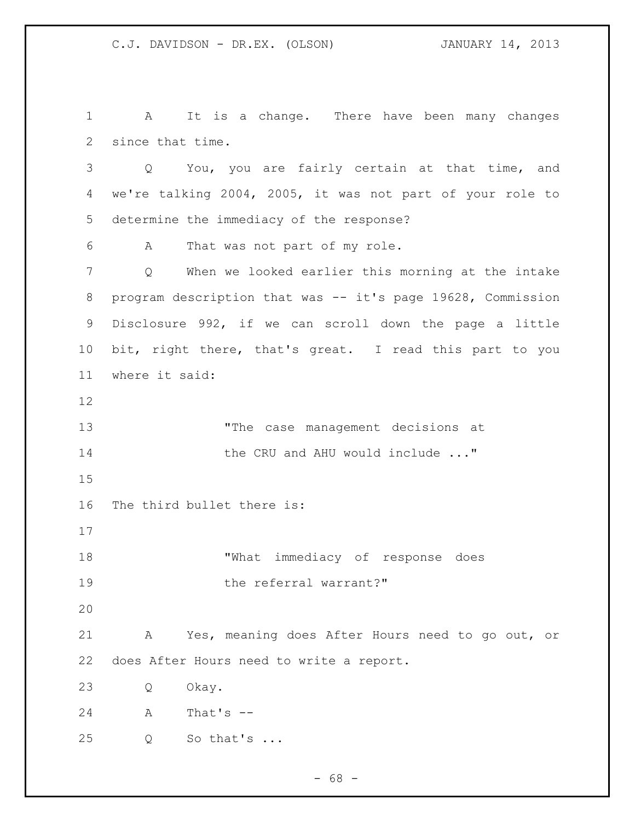A It is a change. There have been many changes since that time. Q You, you are fairly certain at that time, and we're talking 2004, 2005, it was not part of your role to determine the immediacy of the response? A That was not part of my role. Q When we looked earlier this morning at the intake 8 program description that was -- it's page 19628, Commission Disclosure 992, if we can scroll down the page a little bit, right there, that's great. I read this part to you where it said: "The case management decisions at **the CRU and AHU would include ..."**  The third bullet there is: "What immediacy of response does 19 the referral warrant?" A Yes, meaning does After Hours need to go out, or does After Hours need to write a report. Q Okay. A That's -- Q So that's ...

- 68 -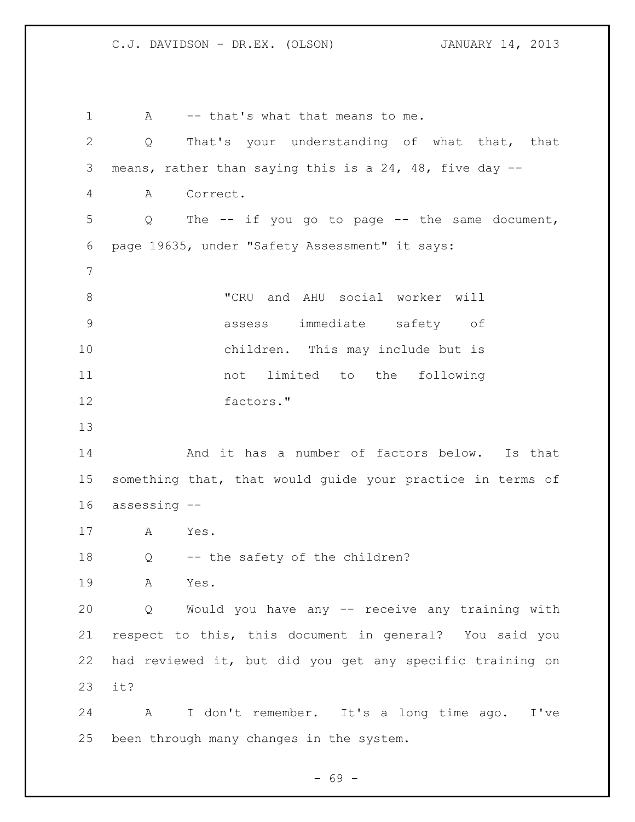1 A -- that's what that means to me. Q That's your understanding of what that, that means, rather than saying this is a 24, 48, five day -- A Correct. Q The -- if you go to page -- the same document, page 19635, under "Safety Assessment" it says: "CRU and AHU social worker will assess immediate safety of children. This may include but is not limited to the following factors." And it has a number of factors below. Is that something that, that would guide your practice in terms of assessing -- A Yes. Q -- the safety of the children? A Yes. Q Would you have any -- receive any training with respect to this, this document in general? You said you had reviewed it, but did you get any specific training on it? A I don't remember. It's a long time ago. I've been through many changes in the system.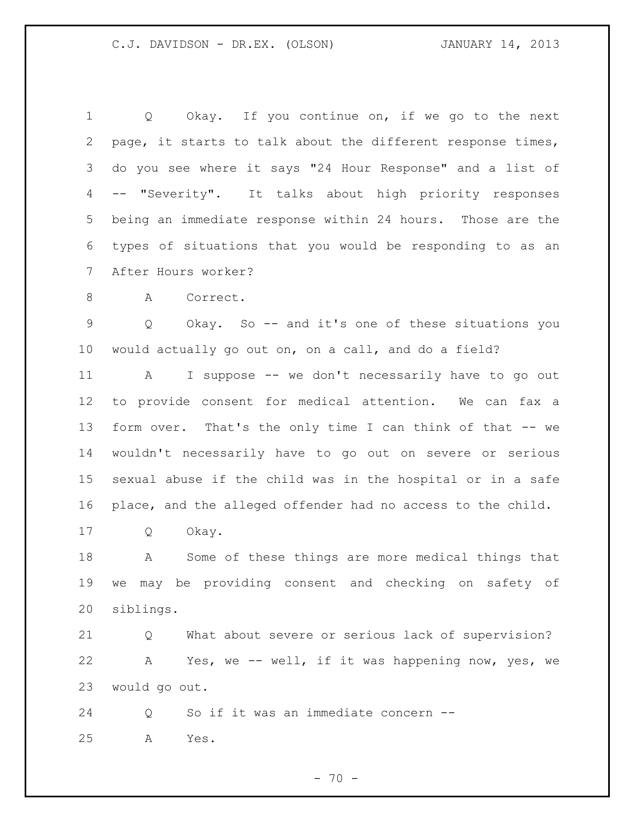1 Q Okay. If you continue on, if we go to the next page, it starts to talk about the different response times, do you see where it says "24 Hour Response" and a list of -- "Severity". It talks about high priority responses being an immediate response within 24 hours. Those are the types of situations that you would be responding to as an After Hours worker?

8 A Correct.

 Q Okay. So -- and it's one of these situations you would actually go out on, on a call, and do a field?

 A I suppose -- we don't necessarily have to go out to provide consent for medical attention. We can fax a form over. That's the only time I can think of that -- we wouldn't necessarily have to go out on severe or serious sexual abuse if the child was in the hospital or in a safe place, and the alleged offender had no access to the child.

Q Okay.

 A Some of these things are more medical things that we may be providing consent and checking on safety of siblings.

 Q What about severe or serious lack of supervision? A Yes, we -- well, if it was happening now, yes, we would go out.

 Q So if it was an immediate concern -- A Yes.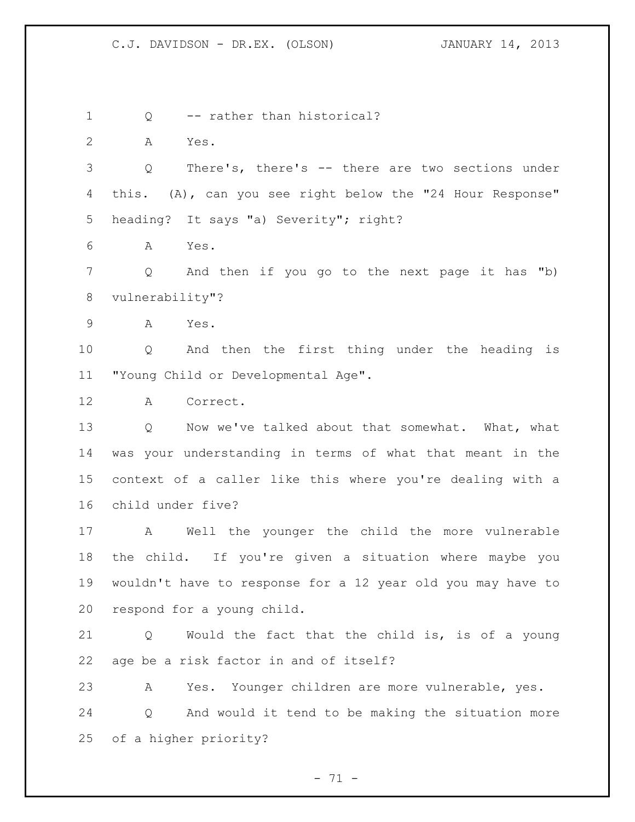1 Q -- rather than historical? A Yes. Q There's, there's -- there are two sections under this. (A), can you see right below the "24 Hour Response" heading? It says "a) Severity"; right? A Yes. Q And then if you go to the next page it has "b) vulnerability"? A Yes. Q And then the first thing under the heading is "Young Child or Developmental Age". A Correct. 13 Q Now we've talked about that somewhat. What, what was your understanding in terms of what that meant in the context of a caller like this where you're dealing with a child under five? A Well the younger the child the more vulnerable the child. If you're given a situation where maybe you wouldn't have to response for a 12 year old you may have to respond for a young child. Q Would the fact that the child is, is of a young age be a risk factor in and of itself? A Yes. Younger children are more vulnerable, yes. Q And would it tend to be making the situation more of a higher priority?

 $- 71 -$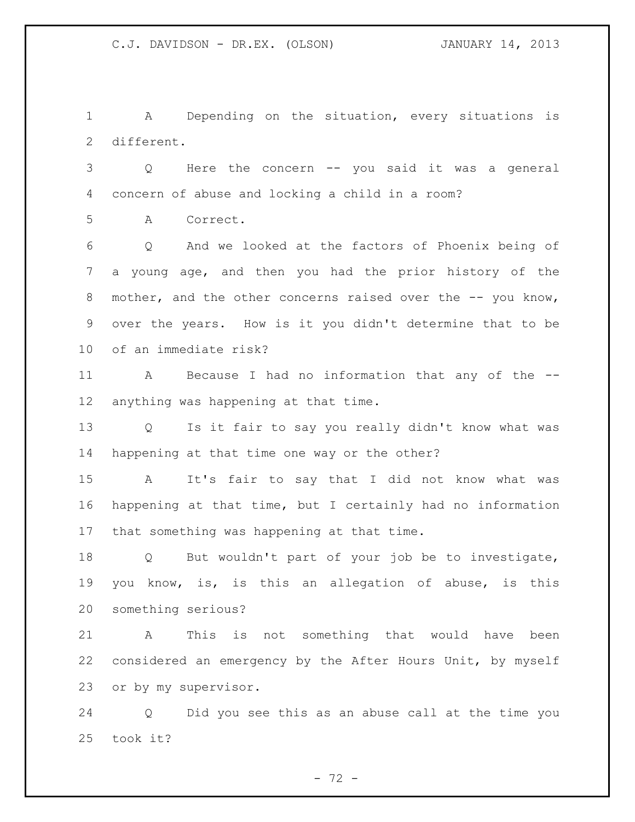A Depending on the situation, every situations is different.

 Q Here the concern -- you said it was a general concern of abuse and locking a child in a room?

A Correct.

 Q And we looked at the factors of Phoenix being of a young age, and then you had the prior history of the 8 mother, and the other concerns raised over the -- you know, over the years. How is it you didn't determine that to be of an immediate risk?

 A Because I had no information that any of the -- anything was happening at that time.

 Q Is it fair to say you really didn't know what was happening at that time one way or the other?

 A It's fair to say that I did not know what was happening at that time, but I certainly had no information that something was happening at that time.

 Q But wouldn't part of your job be to investigate, you know, is, is this an allegation of abuse, is this something serious?

 A This is not something that would have been considered an emergency by the After Hours Unit, by myself or by my supervisor.

 Q Did you see this as an abuse call at the time you took it?

- 72 -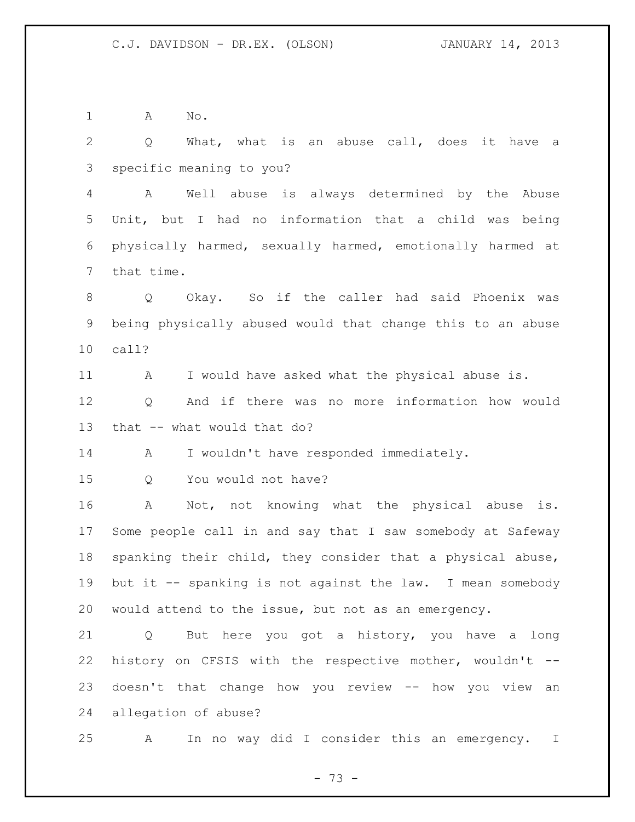A No.

 Q What, what is an abuse call, does it have a specific meaning to you? A Well abuse is always determined by the Abuse Unit, but I had no information that a child was being physically harmed, sexually harmed, emotionally harmed at that time. Q Okay. So if the caller had said Phoenix was being physically abused would that change this to an abuse call? A I would have asked what the physical abuse is. Q And if there was no more information how would that -- what would that do? 14 A I wouldn't have responded immediately. Q You would not have? A Not, not knowing what the physical abuse is. Some people call in and say that I saw somebody at Safeway spanking their child, they consider that a physical abuse, but it -- spanking is not against the law. I mean somebody would attend to the issue, but not as an emergency. Q But here you got a history, you have a long history on CFSIS with the respective mother, wouldn't -- doesn't that change how you review -- how you view an

allegation of abuse?

A In no way did I consider this an emergency. I

 $- 73 -$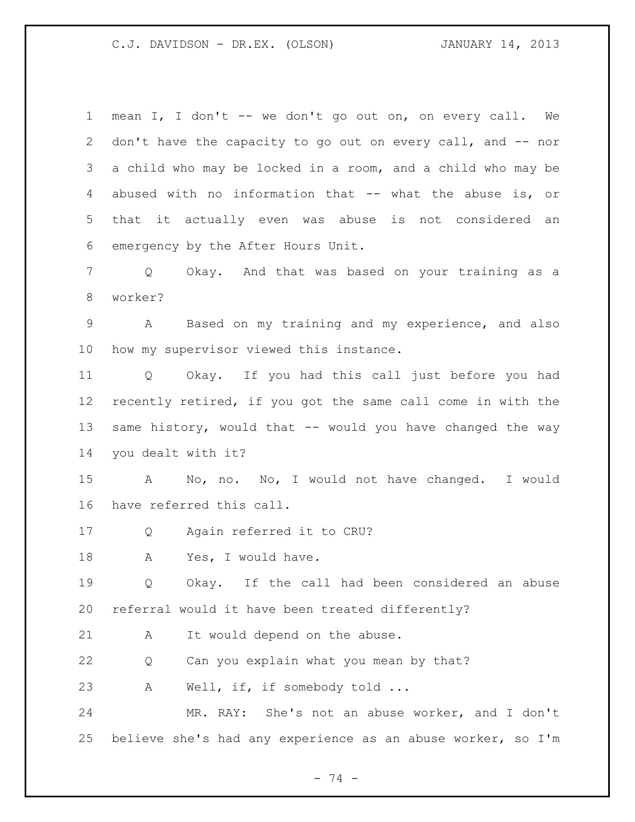mean I, I don't -- we don't go out on, on every call. We 2 don't have the capacity to go out on every call, and -- nor a child who may be locked in a room, and a child who may be abused with no information that -- what the abuse is, or that it actually even was abuse is not considered an emergency by the After Hours Unit.

 Q Okay. And that was based on your training as a worker?

 A Based on my training and my experience, and also how my supervisor viewed this instance.

 Q Okay. If you had this call just before you had recently retired, if you got the same call come in with the 13 same history, would that -- would you have changed the way you dealt with it?

 A No, no. No, I would not have changed. I would have referred this call.

Q Again referred it to CRU?

18 A Yes, I would have.

 Q Okay. If the call had been considered an abuse referral would it have been treated differently?

A It would depend on the abuse.

Q Can you explain what you mean by that?

23 A Well, if, if somebody told ...

 MR. RAY: She's not an abuse worker, and I don't believe she's had any experience as an abuse worker, so I'm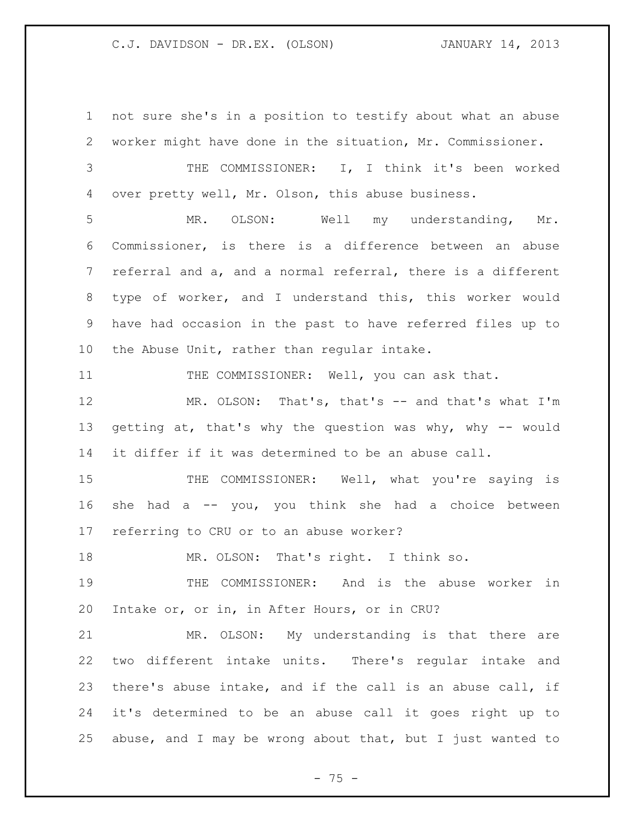not sure she's in a position to testify about what an abuse worker might have done in the situation, Mr. Commissioner.

 THE COMMISSIONER: I, I think it's been worked over pretty well, Mr. Olson, this abuse business.

 MR. OLSON: Well my understanding, Mr. Commissioner, is there is a difference between an abuse referral and a, and a normal referral, there is a different type of worker, and I understand this, this worker would have had occasion in the past to have referred files up to the Abuse Unit, rather than regular intake.

11 THE COMMISSIONER: Well, you can ask that.

 MR. OLSON: That's, that's -- and that's what I'm 13 getting at, that's why the question was why, why -- would it differ if it was determined to be an abuse call.

15 THE COMMISSIONER: Well, what you're saying is she had a -- you, you think she had a choice between referring to CRU or to an abuse worker?

18 MR. OLSON: That's right. I think so.

 THE COMMISSIONER: And is the abuse worker in Intake or, or in, in After Hours, or in CRU?

 MR. OLSON: My understanding is that there are two different intake units. There's regular intake and there's abuse intake, and if the call is an abuse call, if it's determined to be an abuse call it goes right up to abuse, and I may be wrong about that, but I just wanted to

- 75 -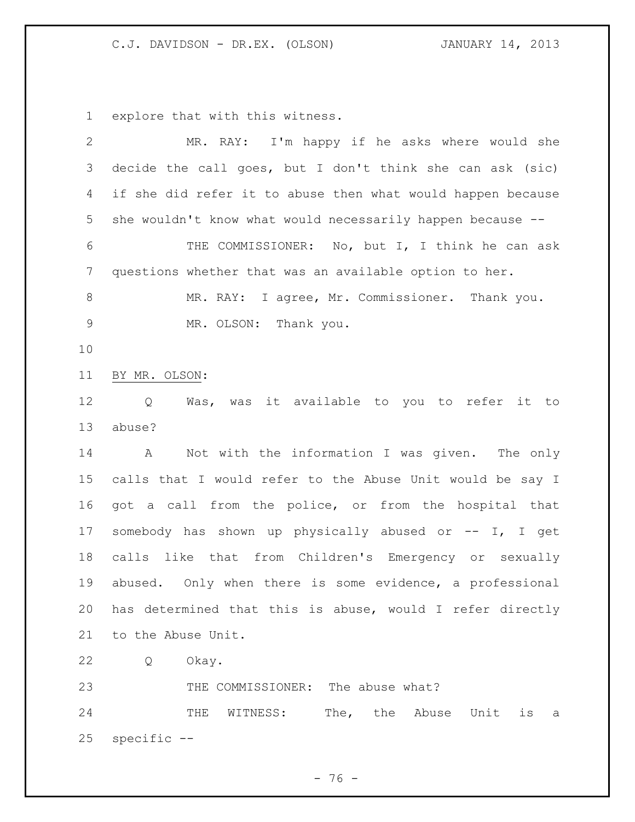explore that with this witness.

| 2           | MR. RAY: I'm happy if he asks where would she                 |
|-------------|---------------------------------------------------------------|
| 3           | decide the call goes, but I don't think she can ask (sic)     |
| 4           | if she did refer it to abuse then what would happen because   |
| 5           | she wouldn't know what would necessarily happen because --    |
| 6           | THE COMMISSIONER: No, but I, I think he can ask               |
| 7           | questions whether that was an available option to her.        |
| 8           | MR. RAY: I agree, Mr. Commissioner. Thank you.                |
| $\mathsf 9$ | MR. OLSON: Thank you.                                         |
| 10          |                                                               |
| 11          | BY MR. OLSON:                                                 |
| 12          | it available to you to refer it to<br>Q<br>Was, was           |
| 13          | abuse?                                                        |
| 14          | $\mathbb A$<br>Not with the information I was given. The only |
| 15          | calls that I would refer to the Abuse Unit would be say I     |
| 16          | got a call from the police, or from the hospital that         |
| 17          | somebody has shown up physically abused or -- I, I get        |
| 18          | calls like that from Children's Emergency or sexually         |
| 19          | abused. Only when there is some evidence, a professional      |
| 20          | has determined that this is abuse, would I refer directly     |
|             | 21 to the Abuse Unit.                                         |
| 22          | Q<br>Okay.                                                    |
| 23          | THE COMMISSIONER: The abuse what?                             |
| 24          | The, the Abuse Unit<br>WITNESS:<br>is<br>THE<br>- a           |
| 25          | specific --                                                   |
|             |                                                               |

- 76 -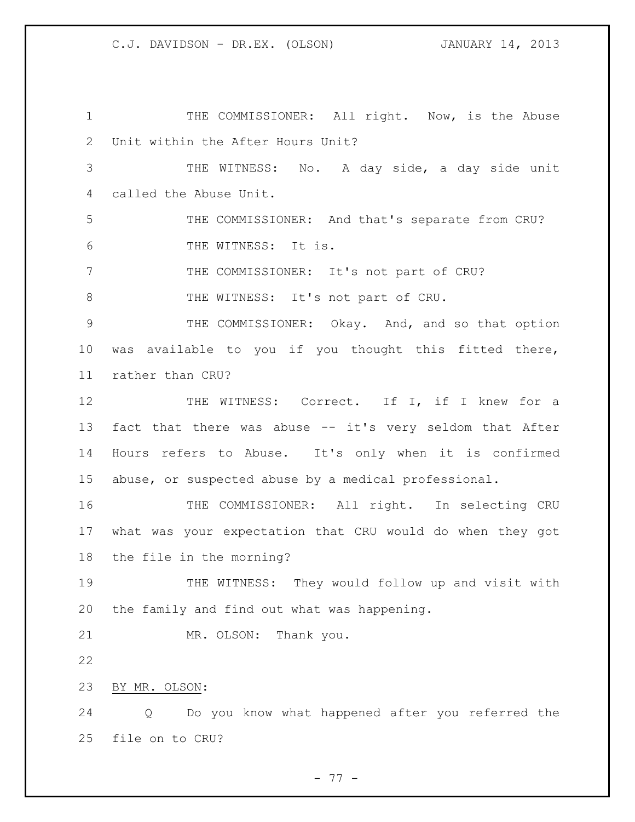1 THE COMMISSIONER: All right. Now, is the Abuse Unit within the After Hours Unit? THE WITNESS: No. A day side, a day side unit called the Abuse Unit. THE COMMISSIONER: And that's separate from CRU? THE WITNESS: It is. THE COMMISSIONER: It's not part of CRU? 8 THE WITNESS: It's not part of CRU. THE COMMISSIONER: Okay. And, and so that option was available to you if you thought this fitted there, rather than CRU? 12 THE WITNESS: Correct. If I, if I knew for a fact that there was abuse -- it's very seldom that After Hours refers to Abuse. It's only when it is confirmed abuse, or suspected abuse by a medical professional. 16 THE COMMISSIONER: All right. In selecting CRU what was your expectation that CRU would do when they got the file in the morning? THE WITNESS: They would follow up and visit with the family and find out what was happening. MR. OLSON: Thank you. BY MR. OLSON: Q Do you know what happened after you referred the file on to CRU?

- 77 -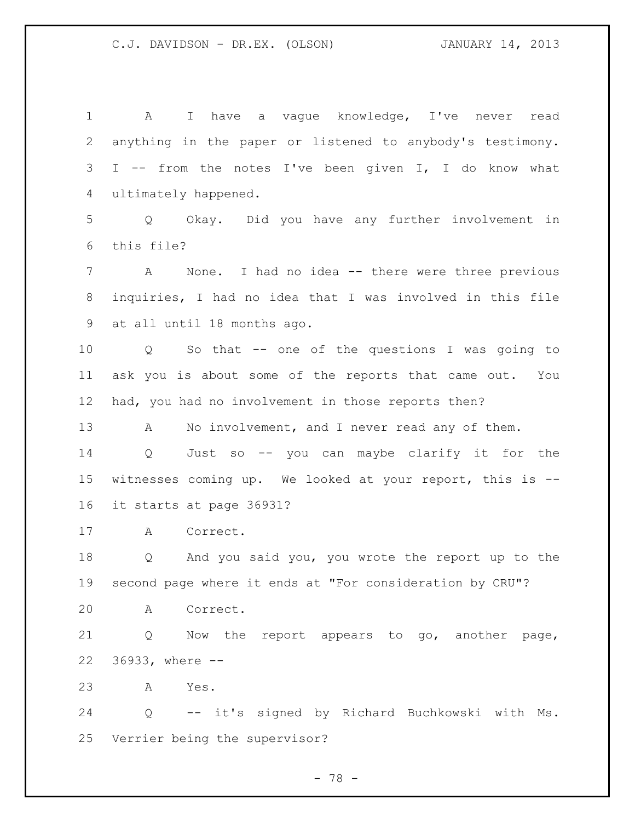A I have a vague knowledge, I've never read anything in the paper or listened to anybody's testimony. I -- from the notes I've been given I, I do know what ultimately happened. Q Okay. Did you have any further involvement in this file? A None. I had no idea -- there were three previous inquiries, I had no idea that I was involved in this file at all until 18 months ago. Q So that -- one of the questions I was going to ask you is about some of the reports that came out. You had, you had no involvement in those reports then? 13 A No involvement, and I never read any of them. Q Just so -- you can maybe clarify it for the witnesses coming up. We looked at your report, this is -- it starts at page 36931? A Correct. Q And you said you, you wrote the report up to the second page where it ends at "For consideration by CRU"? A Correct. Q Now the report appears to go, another page, 36933, where -- A Yes. Q -- it's signed by Richard Buchkowski with Ms. Verrier being the supervisor?

- 78 -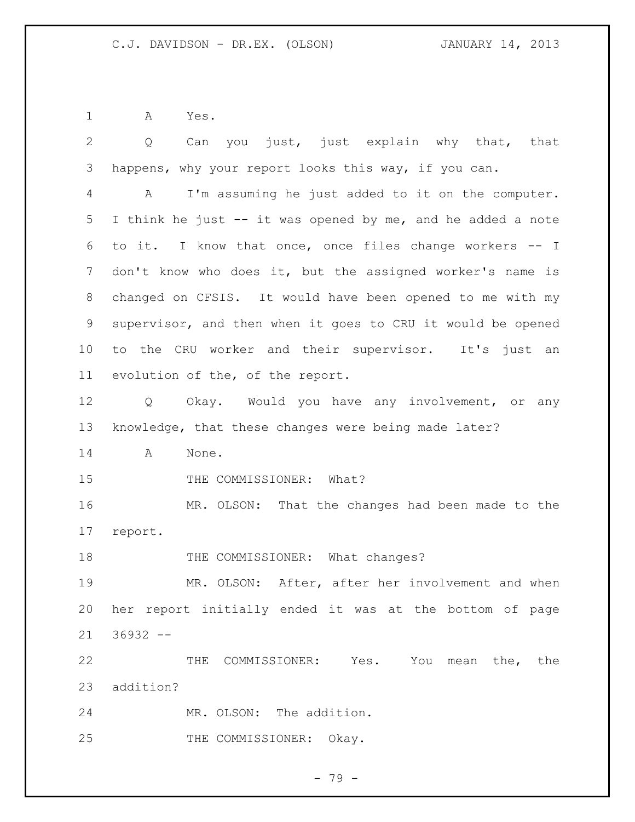A Yes.

| $\mathbf{2}$   | Can you just, just explain why that, that<br>Q                    |
|----------------|-------------------------------------------------------------------|
| 3              | happens, why your report looks this way, if you can.              |
| $\overline{4}$ | I'm assuming he just added to it on the computer.<br>A            |
| 5              | I think he just -- it was opened by me, and he added a note       |
| 6              | to it. I know that once, once files change workers -- I           |
| 7              | don't know who does it, but the assigned worker's name is         |
| 8              | changed on CFSIS. It would have been opened to me with my         |
| $\mathsf 9$    | supervisor, and then when it goes to CRU it would be opened       |
| 10             | to the CRU worker and their supervisor. It's just an              |
| 11             | evolution of the, of the report.                                  |
| 12             | Okay. Would you have any involvement, or any<br>$Q \qquad \qquad$ |
| 13             | knowledge, that these changes were being made later?              |
| 14             | A<br>None.                                                        |
| 15             | THE COMMISSIONER: What?                                           |
| 16             | MR. OLSON: That the changes had been made to the                  |
| 17             | report.                                                           |
| 18             | THE COMMISSIONER: What changes?                                   |
| 19             | MR. OLSON: After, after her involvement and when                  |
| 20             | her report initially ended it was at the bottom of page           |
| 21             | $36932 - -$                                                       |
| 22             | THE COMMISSIONER: Yes. You mean the, the                          |
| 23             | addition?                                                         |
| 24             | MR. OLSON: The addition.                                          |
| 25             | THE COMMISSIONER: Okay.                                           |

- 79 -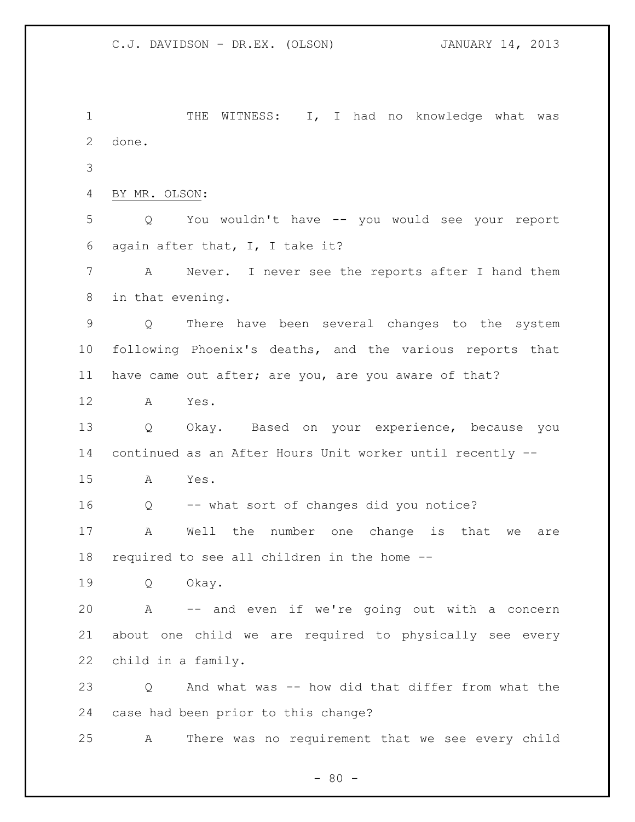1 THE WITNESS: I, I had no knowledge what was done. BY MR. OLSON: Q You wouldn't have -- you would see your report again after that, I, I take it? A Never. I never see the reports after I hand them in that evening. Q There have been several changes to the system following Phoenix's deaths, and the various reports that have came out after; are you, are you aware of that? A Yes. Q Okay. Based on your experience, because you continued as an After Hours Unit worker until recently -- A Yes. Q -- what sort of changes did you notice? A Well the number one change is that we are required to see all children in the home -- Q Okay. A -- and even if we're going out with a concern about one child we are required to physically see every child in a family. Q And what was -- how did that differ from what the case had been prior to this change? A There was no requirement that we see every child

 $- 80 -$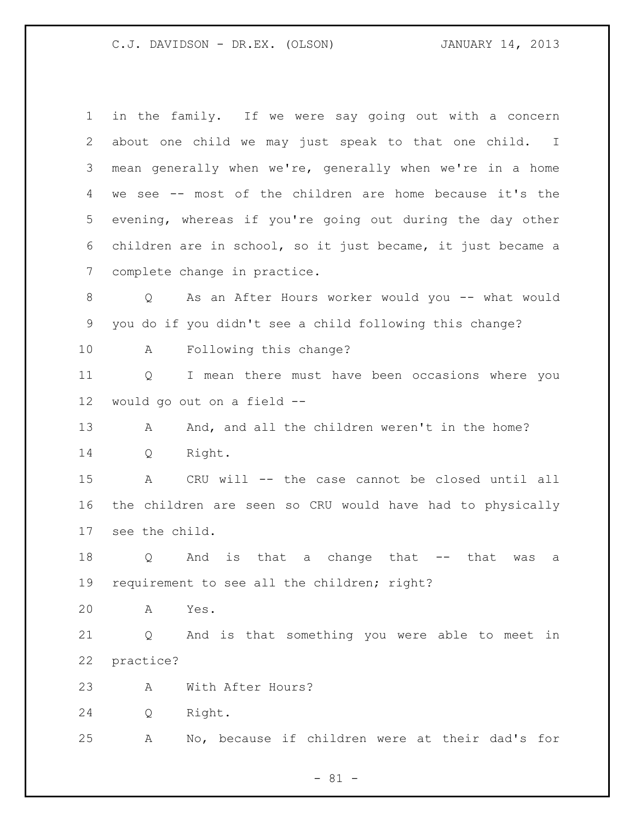| $\mathbf 1$ | in the family. If we were say going out with a concern        |
|-------------|---------------------------------------------------------------|
| 2           | about one child we may just speak to that one child. I        |
| 3           | mean generally when we're, generally when we're in a home     |
| 4           | we see -- most of the children are home because it's the      |
| 5           | evening, whereas if you're going out during the day other     |
| 6           | children are in school, so it just became, it just became a   |
| 7           | complete change in practice.                                  |
| 8           | As an After Hours worker would you -- what would<br>Q         |
| 9           | you do if you didn't see a child following this change?       |
| 10          | Following this change?<br>A                                   |
| 11          | I mean there must have been occasions where you<br>Q          |
| 12          | would go out on a field --                                    |
| 13          | And, and all the children weren't in the home?<br>A           |
| 14          | Right.<br>Q                                                   |
| 15          | CRU will -- the case cannot be closed until all<br>A          |
| 16          | the children are seen so CRU would have had to physically     |
| 17          | see the child.                                                |
| 18          | And<br>is that a change that<br>Q<br>that<br>was<br>$--$<br>а |
| 19          | requirement to see all the children; right?                   |
| 20          | Yes.<br>A                                                     |
| 21          | And is that something you were able to meet in<br>Q           |
| 22          | practice?                                                     |
| 23          | With After Hours?<br>Α                                        |
| 24          | Right.<br>Q                                                   |
| 25          | No, because if children were at their dad's for<br>Α          |
|             |                                                               |

- 81 -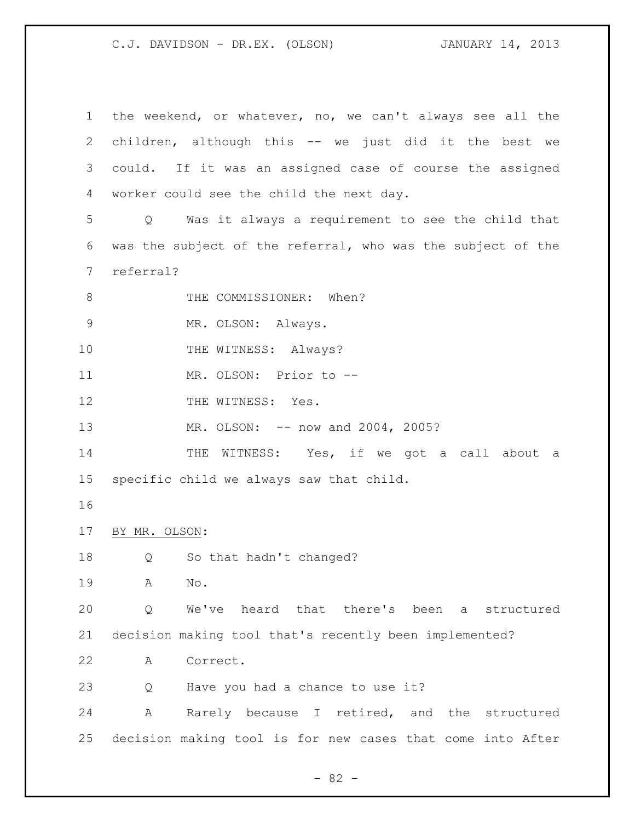the weekend, or whatever, no, we can't always see all the children, although this -- we just did it the best we could. If it was an assigned case of course the assigned worker could see the child the next day. Q Was it always a requirement to see the child that was the subject of the referral, who was the subject of the referral? 8 THE COMMISSIONER: When? 9 MR. OLSON: Always. 10 THE WITNESS: Always? MR. OLSON: Prior to -- 12 THE WITNESS: Yes. 13 MR. OLSON: -- now and 2004, 2005? 14 THE WITNESS: Yes, if we got a call about a specific child we always saw that child. BY MR. OLSON: Q So that hadn't changed? A No. Q We've heard that there's been a structured decision making tool that's recently been implemented? A Correct. 23 Q Have you had a chance to use it? A Rarely because I retired, and the structured decision making tool is for new cases that come into After

 $- 82 -$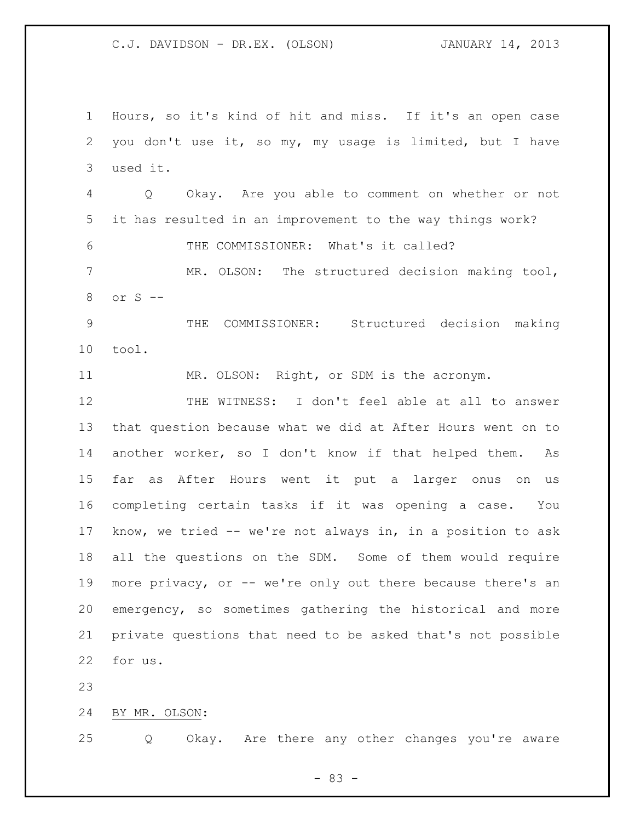Hours, so it's kind of hit and miss. If it's an open case you don't use it, so my, my usage is limited, but I have used it. Q Okay. Are you able to comment on whether or not it has resulted in an improvement to the way things work? THE COMMISSIONER: What's it called? MR. OLSON: The structured decision making tool, or S -- THE COMMISSIONER: Structured decision making tool. MR. OLSON: Right, or SDM is the acronym. THE WITNESS: I don't feel able at all to answer that question because what we did at After Hours went on to another worker, so I don't know if that helped them. As far as After Hours went it put a larger onus on us completing certain tasks if it was opening a case. You know, we tried -- we're not always in, in a position to ask all the questions on the SDM. Some of them would require more privacy, or -- we're only out there because there's an emergency, so sometimes gathering the historical and more private questions that need to be asked that's not possible for us.

BY MR. OLSON:

Q Okay. Are there any other changes you're aware

- 83 -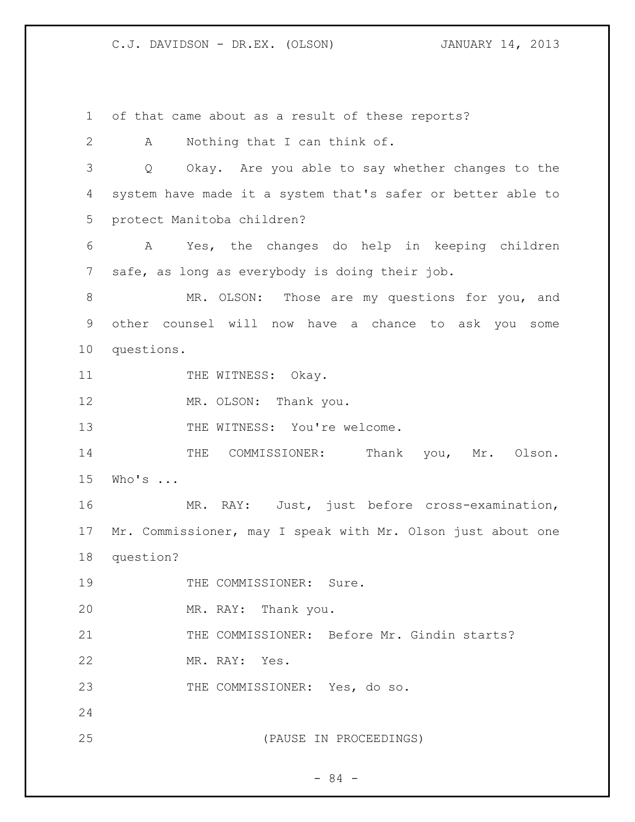of that came about as a result of these reports? A Nothing that I can think of. Q Okay. Are you able to say whether changes to the system have made it a system that's safer or better able to protect Manitoba children? A Yes, the changes do help in keeping children safe, as long as everybody is doing their job. 8 MR. OLSON: Those are my questions for you, and other counsel will now have a chance to ask you some questions. 11 THE WITNESS: Okay. 12 MR. OLSON: Thank you. 13 THE WITNESS: You're welcome. 14 THE COMMISSIONER: Thank you, Mr. Olson. Who's ... MR. RAY: Just, just before cross-examination, Mr. Commissioner, may I speak with Mr. Olson just about one question? 19 THE COMMISSIONER: Sure. MR. RAY: Thank you. THE COMMISSIONER: Before Mr. Gindin starts? MR. RAY: Yes. THE COMMISSIONER: Yes, do so. (PAUSE IN PROCEEDINGS)

- 84 -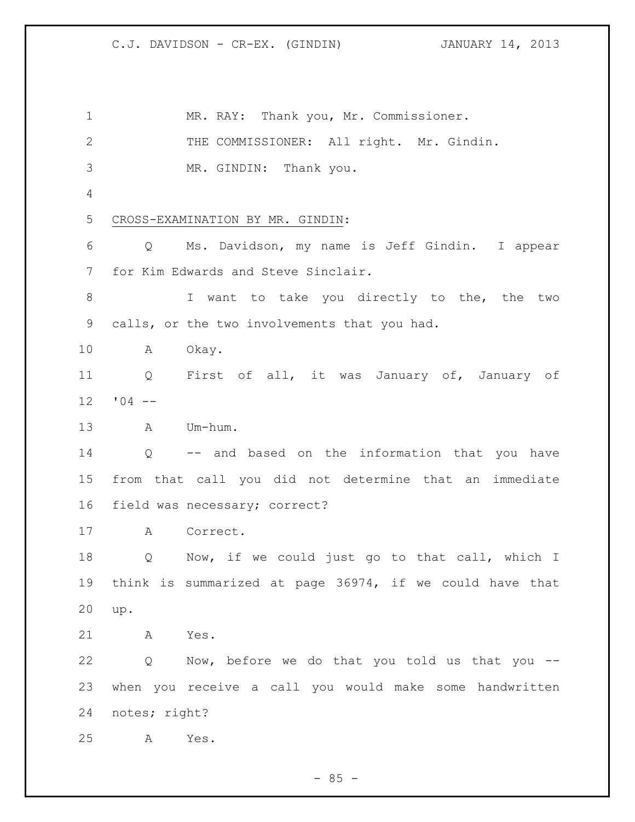1 MR. RAY: Thank you, Mr. Commissioner. 2 THE COMMISSIONER: All right. Mr. Gindin. MR. GINDIN: Thank you. CROSS-EXAMINATION BY MR. GINDIN: Q Ms. Davidson, my name is Jeff Gindin. I appear for Kim Edwards and Steve Sinclair. 8 I want to take you directly to the, the two calls, or the two involvements that you had. A Okay. Q First of all, it was January of, January of  $12 \t 04 --$  A Um-hum. Q -- and based on the information that you have from that call you did not determine that an immediate field was necessary; correct? A Correct. Q Now, if we could just go to that call, which I think is summarized at page 36974, if we could have that up. A Yes. Q Now, before we do that you told us that you -- when you receive a call you would make some handwritten notes; right? A Yes.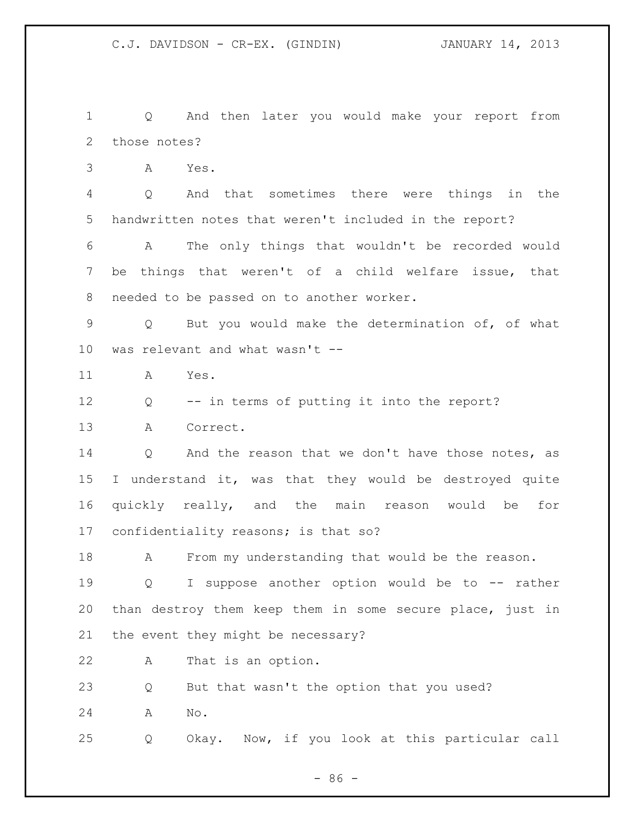Q And then later you would make your report from those notes?

A Yes.

 Q And that sometimes there were things in the handwritten notes that weren't included in the report?

 A The only things that wouldn't be recorded would be things that weren't of a child welfare issue, that needed to be passed on to another worker.

 Q But you would make the determination of, of what was relevant and what wasn't --

A Yes.

Q -- in terms of putting it into the report?

A Correct.

14 Q And the reason that we don't have those notes, as I understand it, was that they would be destroyed quite quickly really, and the main reason would be for confidentiality reasons; is that so?

18 A From my understanding that would be the reason.

 Q I suppose another option would be to -- rather than destroy them keep them in some secure place, just in the event they might be necessary?

A That is an option.

Q But that wasn't the option that you used?

A No.

Q Okay. Now, if you look at this particular call

- 86 -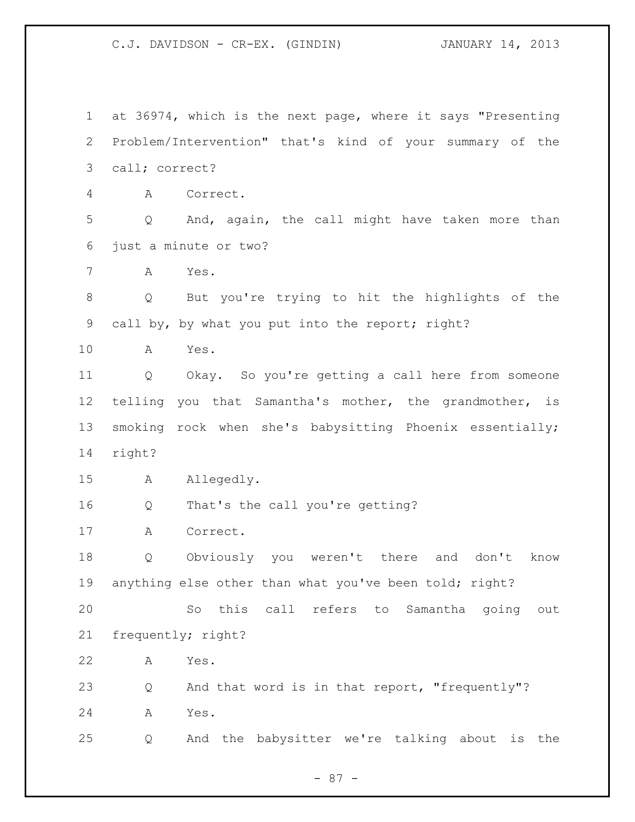at 36974, which is the next page, where it says "Presenting Problem/Intervention" that's kind of your summary of the call; correct? A Correct. Q And, again, the call might have taken more than just a minute or two? A Yes. Q But you're trying to hit the highlights of the call by, by what you put into the report; right? A Yes. Q Okay. So you're getting a call here from someone telling you that Samantha's mother, the grandmother, is smoking rock when she's babysitting Phoenix essentially; right? A Allegedly. Q That's the call you're getting? A Correct. Q Obviously you weren't there and don't know anything else other than what you've been told; right? So this call refers to Samantha going out frequently; right? A Yes. Q And that word is in that report, "frequently"? A Yes. Q And the babysitter we're talking about is the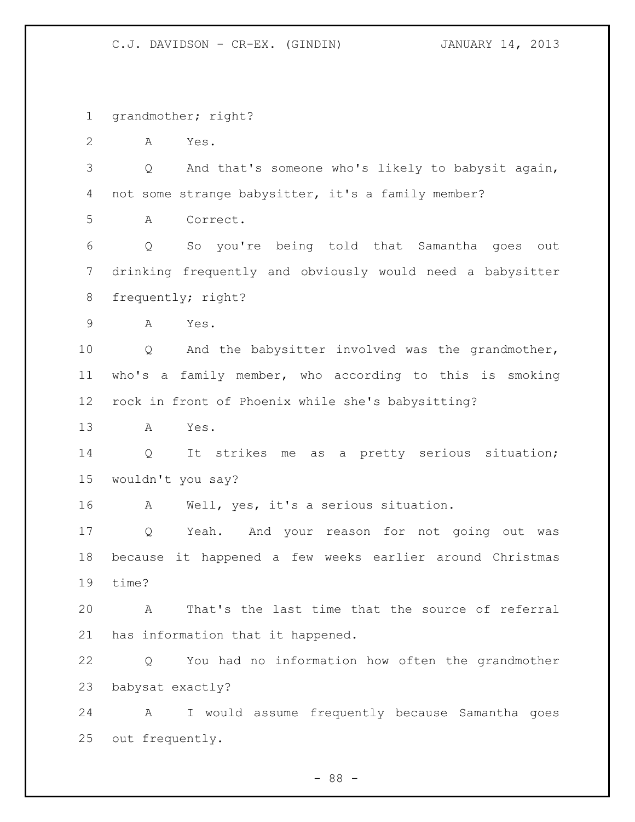grandmother; right?

A Yes.

 Q And that's someone who's likely to babysit again, not some strange babysitter, it's a family member?

A Correct.

 Q So you're being told that Samantha goes out drinking frequently and obviously would need a babysitter frequently; right?

A Yes.

 Q And the babysitter involved was the grandmother, who's a family member, who according to this is smoking rock in front of Phoenix while she's babysitting?

A Yes.

 Q It strikes me as a pretty serious situation; wouldn't you say?

A Well, yes, it's a serious situation.

 Q Yeah. And your reason for not going out was because it happened a few weeks earlier around Christmas time?

 A That's the last time that the source of referral has information that it happened.

 Q You had no information how often the grandmother babysat exactly?

 A I would assume frequently because Samantha goes out frequently.

- 88 -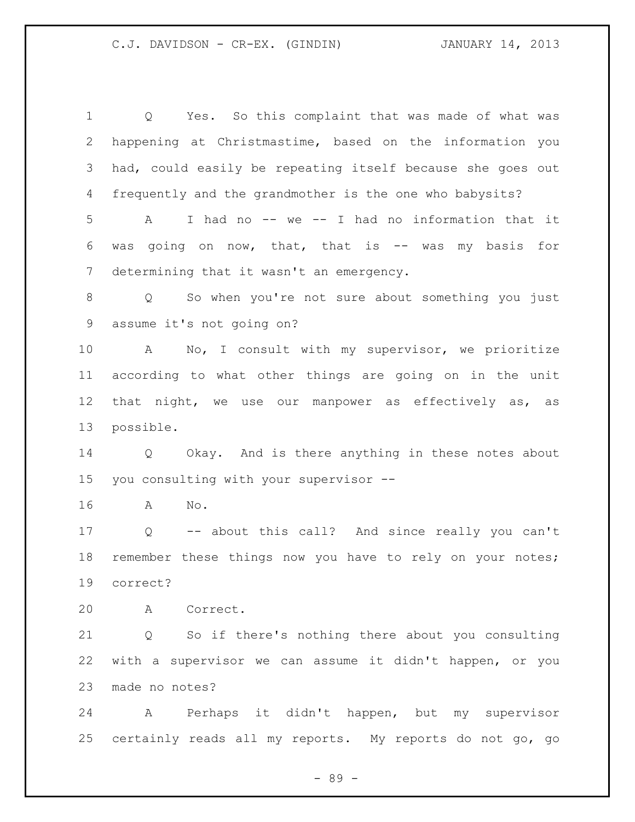Q Yes. So this complaint that was made of what was happening at Christmastime, based on the information you had, could easily be repeating itself because she goes out frequently and the grandmother is the one who babysits? A I had no -- we -- I had no information that it was going on now, that, that is -- was my basis for determining that it wasn't an emergency. Q So when you're not sure about something you just assume it's not going on? A No, I consult with my supervisor, we prioritize according to what other things are going on in the unit 12 that night, we use our manpower as effectively as, as possible. Q Okay. And is there anything in these notes about you consulting with your supervisor -- A No. Q -- about this call? And since really you can't 18 remember these things now you have to rely on your notes; correct? A Correct. Q So if there's nothing there about you consulting with a supervisor we can assume it didn't happen, or you made no notes? A Perhaps it didn't happen, but my supervisor certainly reads all my reports. My reports do not go, go

- 89 -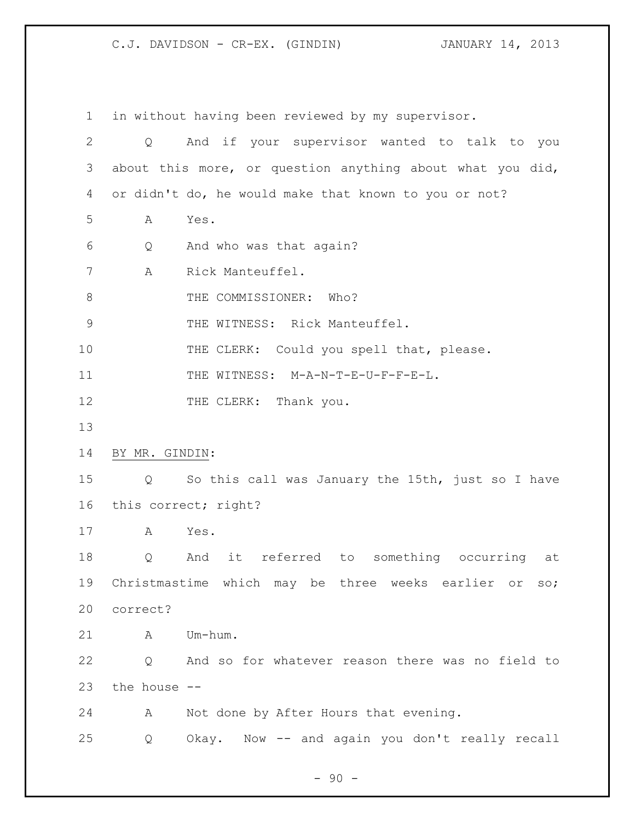in without having been reviewed by my supervisor. Q And if your supervisor wanted to talk to you about this more, or question anything about what you did, or didn't do, he would make that known to you or not? A Yes. Q And who was that again? A Rick Manteuffel. 8 THE COMMISSIONER: Who? 9 THE WITNESS: Rick Manteuffel. 10 THE CLERK: Could you spell that, please. 11 THE WITNESS: M-A-N-T-E-U-F-F-E-L. 12 THE CLERK: Thank you. BY MR. GINDIN: Q So this call was January the 15th, just so I have this correct; right? A Yes. Q And it referred to something occurring at Christmastime which may be three weeks earlier or so; correct? A Um-hum. Q And so for whatever reason there was no field to the house -- A Not done by After Hours that evening. Q Okay. Now -- and again you don't really recall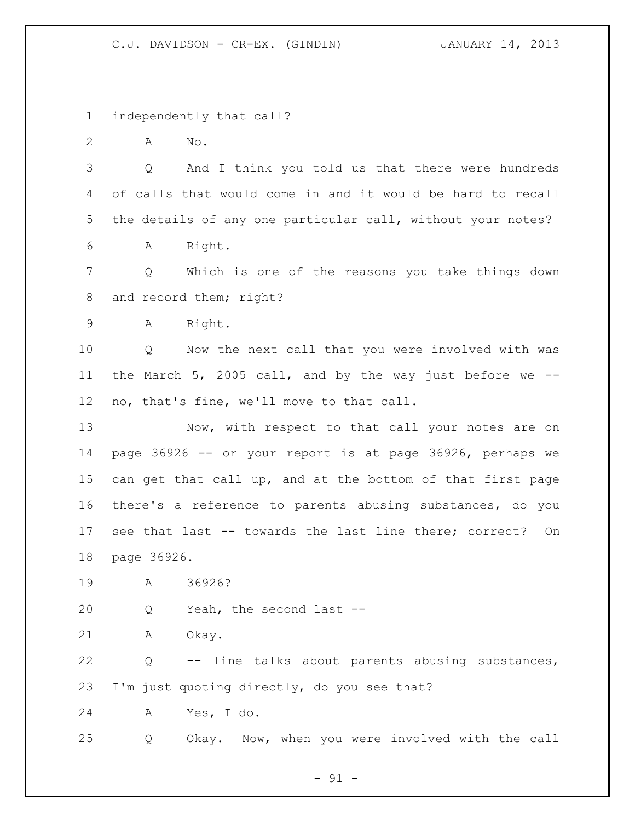independently that call?

A No.

 Q And I think you told us that there were hundreds of calls that would come in and it would be hard to recall the details of any one particular call, without your notes? A Right.

 Q Which is one of the reasons you take things down 8 and record them; right?

A Right.

 Q Now the next call that you were involved with was the March 5, 2005 call, and by the way just before we -- no, that's fine, we'll move to that call.

13 Now, with respect to that call your notes are on page 36926 -- or your report is at page 36926, perhaps we can get that call up, and at the bottom of that first page there's a reference to parents abusing substances, do you see that last -- towards the last line there; correct? On page 36926.

A 36926?

Q Yeah, the second last --

A Okay.

 Q -- line talks about parents abusing substances, I'm just quoting directly, do you see that?

A Yes, I do.

Q Okay. Now, when you were involved with the call

 $-91 -$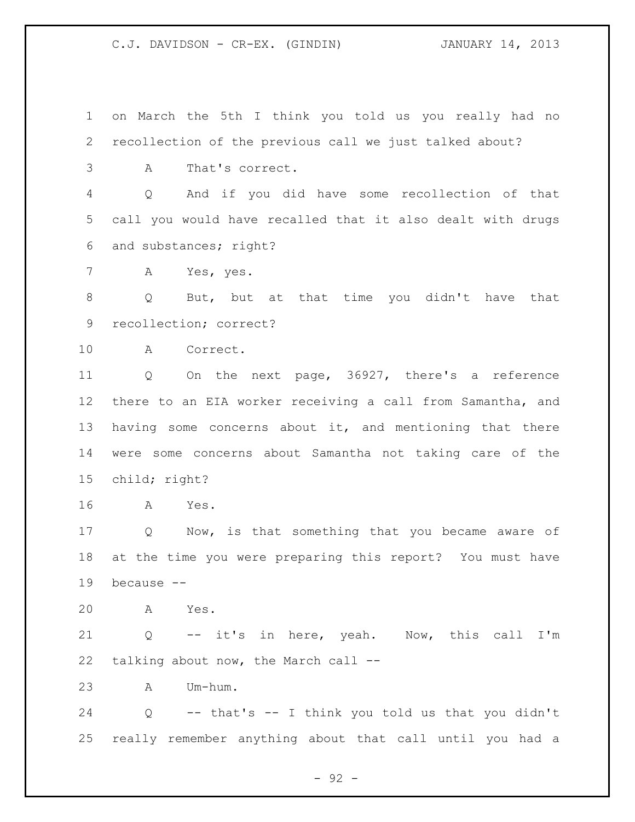on March the 5th I think you told us you really had no recollection of the previous call we just talked about? A That's correct.

 Q And if you did have some recollection of that call you would have recalled that it also dealt with drugs and substances; right?

A Yes, yes.

 Q But, but at that time you didn't have that recollection; correct?

A Correct.

 Q On the next page, 36927, there's a reference there to an EIA worker receiving a call from Samantha, and 13 having some concerns about it, and mentioning that there were some concerns about Samantha not taking care of the child; right?

A Yes.

 Q Now, is that something that you became aware of at the time you were preparing this report? You must have because --

A Yes.

 Q -- it's in here, yeah. Now, this call I'm talking about now, the March call --

A Um-hum.

 Q -- that's -- I think you told us that you didn't really remember anything about that call until you had a

- 92 -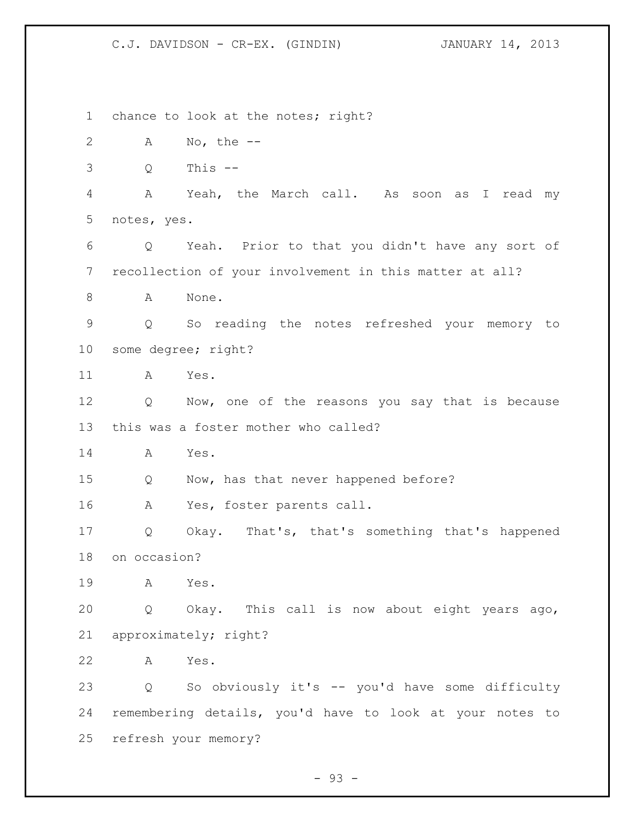1 chance to look at the notes; right? A No, the -- Q This -- A Yeah, the March call. As soon as I read my notes, yes. Q Yeah. Prior to that you didn't have any sort of recollection of your involvement in this matter at all? A None. Q So reading the notes refreshed your memory to some degree; right? A Yes. Q Now, one of the reasons you say that is because this was a foster mother who called? A Yes. Q Now, has that never happened before? A Yes, foster parents call. Q Okay. That's, that's something that's happened on occasion? A Yes. Q Okay. This call is now about eight years ago, approximately; right? A Yes. Q So obviously it's -- you'd have some difficulty remembering details, you'd have to look at your notes to refresh your memory?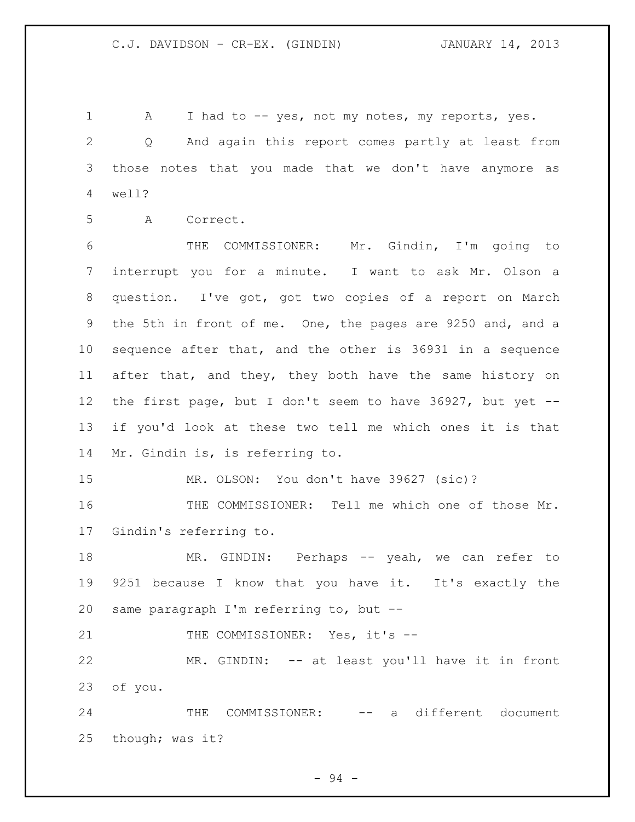1 A I had to -- yes, not my notes, my reports, yes. Q And again this report comes partly at least from those notes that you made that we don't have anymore as well? A Correct.

 THE COMMISSIONER: Mr. Gindin, I'm going to interrupt you for a minute. I want to ask Mr. Olson a question. I've got, got two copies of a report on March the 5th in front of me. One, the pages are 9250 and, and a sequence after that, and the other is 36931 in a sequence after that, and they, they both have the same history on the first page, but I don't seem to have 36927, but yet -- if you'd look at these two tell me which ones it is that Mr. Gindin is, is referring to.

MR. OLSON: You don't have 39627 (sic)?

 THE COMMISSIONER: Tell me which one of those Mr. Gindin's referring to.

 MR. GINDIN: Perhaps -- yeah, we can refer to 9251 because I know that you have it. It's exactly the same paragraph I'm referring to, but --

21 THE COMMISSIONER: Yes, it's --

 MR. GINDIN: -- at least you'll have it in front of you.

24 THE COMMISSIONER: -- a different document though; was it?

- 94 -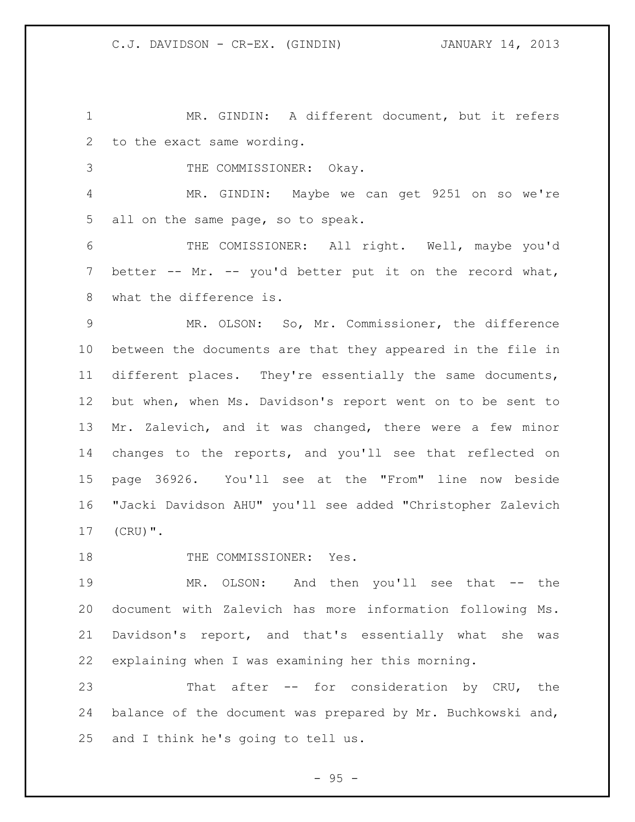MR. GINDIN: A different document, but it refers to the exact same wording.

THE COMMISSIONER: Okay.

 MR. GINDIN: Maybe we can get 9251 on so we're all on the same page, so to speak.

 THE COMISSIONER: All right. Well, maybe you'd better -- Mr. -- you'd better put it on the record what, what the difference is.

 MR. OLSON: So, Mr. Commissioner, the difference between the documents are that they appeared in the file in different places. They're essentially the same documents, but when, when Ms. Davidson's report went on to be sent to Mr. Zalevich, and it was changed, there were a few minor changes to the reports, and you'll see that reflected on page 36926. You'll see at the "From" line now beside "Jacki Davidson AHU" you'll see added "Christopher Zalevich (CRU)".

18 THE COMMISSIONER: Yes.

 MR. OLSON: And then you'll see that -- the document with Zalevich has more information following Ms. Davidson's report, and that's essentially what she was explaining when I was examining her this morning.

 That after -- for consideration by CRU, the balance of the document was prepared by Mr. Buchkowski and, and I think he's going to tell us.

 $-95 -$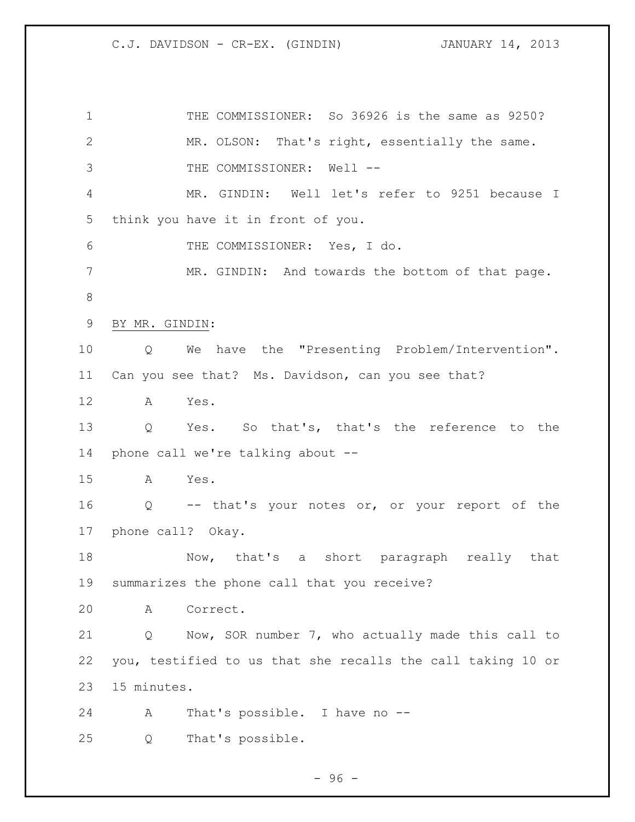THE COMMISSIONER: So 36926 is the same as 9250? MR. OLSON: That's right, essentially the same. 3 THE COMMISSIONER: Well -- MR. GINDIN: Well let's refer to 9251 because I think you have it in front of you. THE COMMISSIONER: Yes, I do. 7 MR. GINDIN: And towards the bottom of that page. BY MR. GINDIN: Q We have the "Presenting Problem/Intervention". Can you see that? Ms. Davidson, can you see that? A Yes. Q Yes. So that's, that's the reference to the phone call we're talking about -- A Yes. Q -- that's your notes or, or your report of the phone call? Okay. 18 Now, that's a short paragraph really that summarizes the phone call that you receive? A Correct. Q Now, SOR number 7, who actually made this call to you, testified to us that she recalls the call taking 10 or 15 minutes. A That's possible. I have no -- Q That's possible.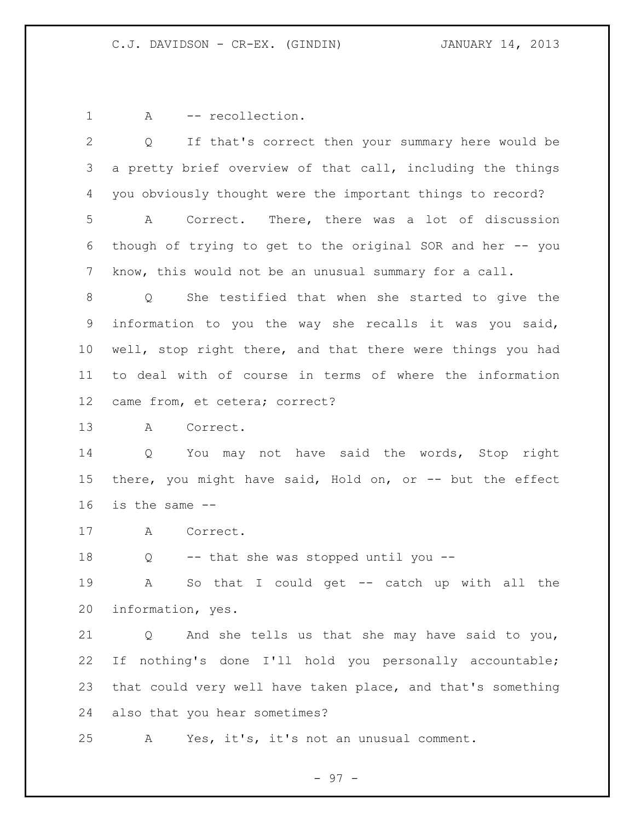1 A -- recollection.

 Q If that's correct then your summary here would be a pretty brief overview of that call, including the things you obviously thought were the important things to record? A Correct. There, there was a lot of discussion though of trying to get to the original SOR and her -- you know, this would not be an unusual summary for a call. Q She testified that when she started to give the information to you the way she recalls it was you said, well, stop right there, and that there were things you had to deal with of course in terms of where the information came from, et cetera; correct? A Correct. Q You may not have said the words, Stop right there, you might have said, Hold on, or -- but the effect is the same -- A Correct. Q -- that she was stopped until you -- A So that I could get -- catch up with all the information, yes. Q And she tells us that she may have said to you, If nothing's done I'll hold you personally accountable; that could very well have taken place, and that's something also that you hear sometimes? A Yes, it's, it's not an unusual comment.

- 97 -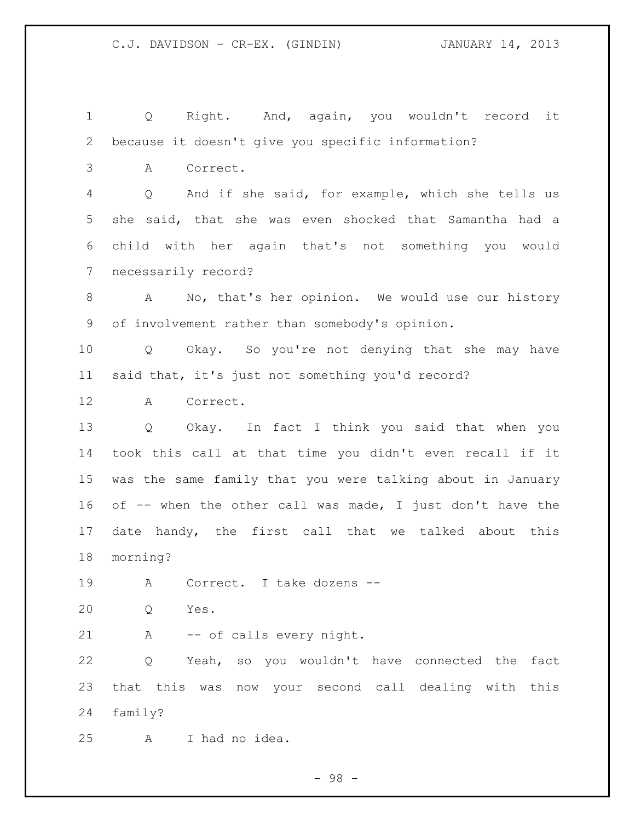Q Right. And, again, you wouldn't record it because it doesn't give you specific information?

A Correct.

 Q And if she said, for example, which she tells us she said, that she was even shocked that Samantha had a child with her again that's not something you would necessarily record?

 A No, that's her opinion. We would use our history of involvement rather than somebody's opinion.

 Q Okay. So you're not denying that she may have said that, it's just not something you'd record?

A Correct.

 Q Okay. In fact I think you said that when you took this call at that time you didn't even recall if it was the same family that you were talking about in January of -- when the other call was made, I just don't have the 17 date handy, the first call that we talked about this morning?

A Correct. I take dozens --

Q Yes.

A -- of calls every night.

 Q Yeah, so you wouldn't have connected the fact that this was now your second call dealing with this family?

A I had no idea.

- 98 -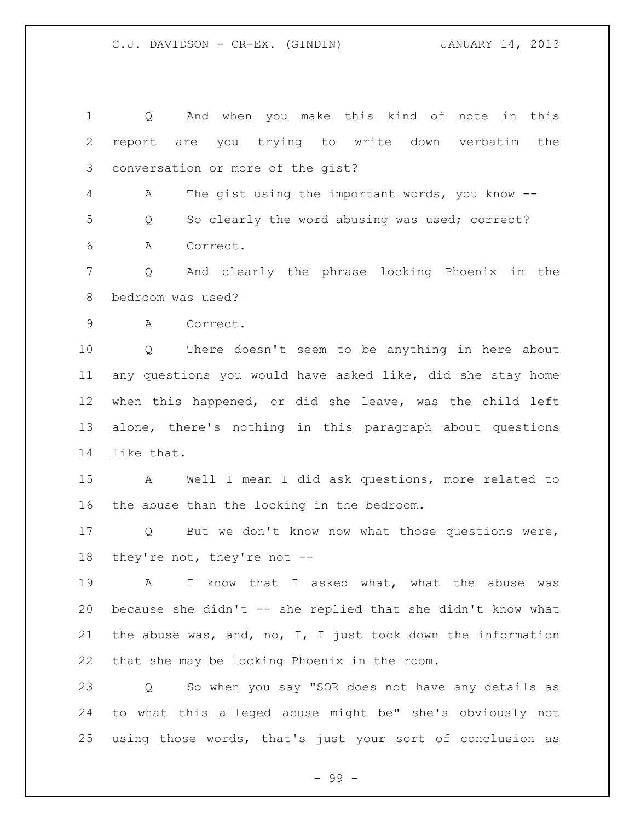Q And when you make this kind of note in this report are you trying to write down verbatim the conversation or more of the gist? A The gist using the important words, you know -- Q So clearly the word abusing was used; correct? A Correct. Q And clearly the phrase locking Phoenix in the bedroom was used? A Correct. Q There doesn't seem to be anything in here about any questions you would have asked like, did she stay home when this happened, or did she leave, was the child left alone, there's nothing in this paragraph about questions like that. A Well I mean I did ask questions, more related to the abuse than the locking in the bedroom. Q But we don't know now what those questions were, they're not, they're not -- A I know that I asked what, what the abuse was because she didn't -- she replied that she didn't know what the abuse was, and, no, I, I just took down the information that she may be locking Phoenix in the room. Q So when you say "SOR does not have any details as to what this alleged abuse might be" she's obviously not using those words, that's just your sort of conclusion as

- 99 -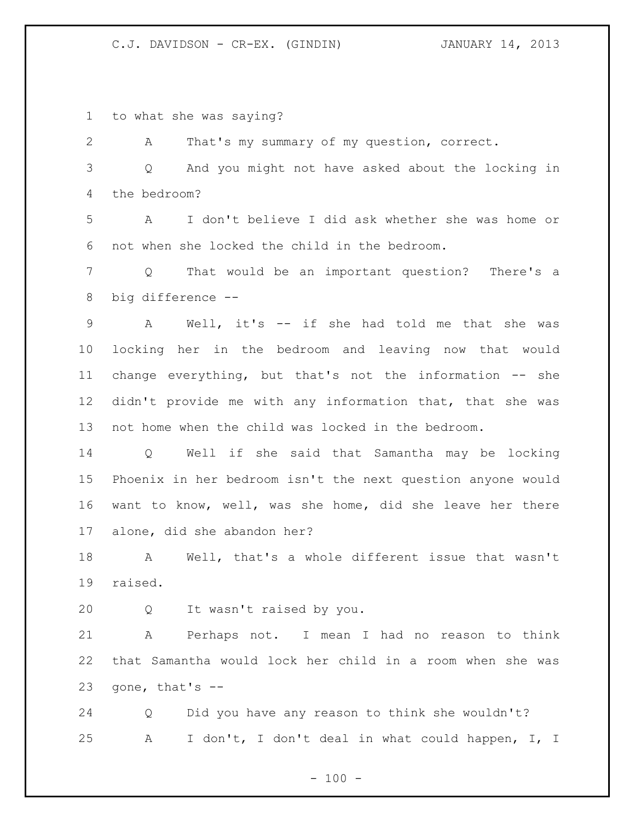to what she was saying?

 A That's my summary of my question, correct. Q And you might not have asked about the locking in the bedroom? A I don't believe I did ask whether she was home or not when she locked the child in the bedroom. Q That would be an important question? There's a big difference -- A Well, it's -- if she had told me that she was locking her in the bedroom and leaving now that would change everything, but that's not the information -- she didn't provide me with any information that, that she was not home when the child was locked in the bedroom. Q Well if she said that Samantha may be locking Phoenix in her bedroom isn't the next question anyone would

 want to know, well, was she home, did she leave her there alone, did she abandon her?

 A Well, that's a whole different issue that wasn't raised.

Q It wasn't raised by you.

 A Perhaps not. I mean I had no reason to think that Samantha would lock her child in a room when she was 23 gone, that's  $-$ 

 Q Did you have any reason to think she wouldn't? A I don't, I don't deal in what could happen, I, I

 $- 100 -$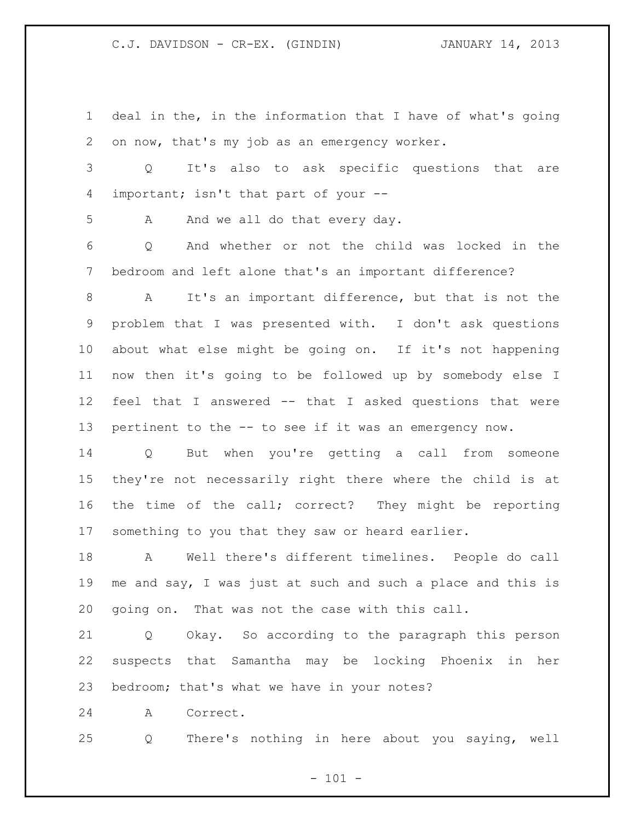deal in the, in the information that I have of what's going on now, that's my job as an emergency worker. Q It's also to ask specific questions that are important; isn't that part of your -- 5 A And we all do that every day. Q And whether or not the child was locked in the bedroom and left alone that's an important difference? A It's an important difference, but that is not the problem that I was presented with. I don't ask questions about what else might be going on. If it's not happening now then it's going to be followed up by somebody else I feel that I answered -- that I asked questions that were pertinent to the -- to see if it was an emergency now. Q But when you're getting a call from someone they're not necessarily right there where the child is at

 the time of the call; correct? They might be reporting something to you that they saw or heard earlier.

 A Well there's different timelines. People do call me and say, I was just at such and such a place and this is going on. That was not the case with this call.

 Q Okay. So according to the paragraph this person suspects that Samantha may be locking Phoenix in her bedroom; that's what we have in your notes?

A Correct.

Q There's nothing in here about you saying, well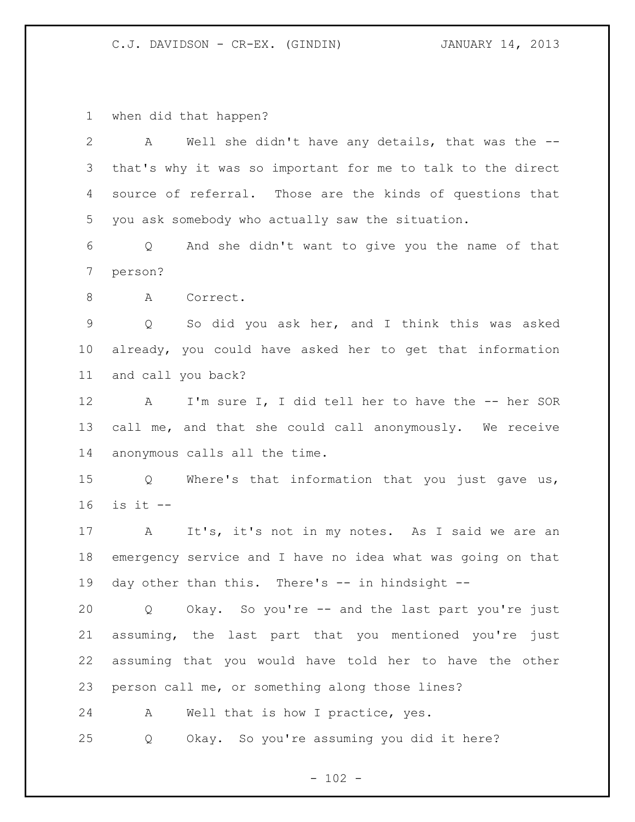when did that happen?

| $\overline{2}$ | Well she didn't have any details, that was the --<br>A                |
|----------------|-----------------------------------------------------------------------|
| 3              | that's why it was so important for me to talk to the direct           |
| 4              | source of referral. Those are the kinds of questions that             |
| 5              | you ask somebody who actually saw the situation.                      |
| 6              | And she didn't want to give you the name of that<br>$Q \qquad \qquad$ |
| $\overline{7}$ | person?                                                               |
| 8              | Correct.<br>A                                                         |
| $\mathsf 9$    | So did you ask her, and I think this was asked<br>Q                   |
| 10             | already, you could have asked her to get that information             |
| 11             | and call you back?                                                    |
| 12             | A I'm sure I, I did tell her to have the -- her SOR                   |
| 13             | call me, and that she could call anonymously. We receive              |
| 14             | anonymous calls all the time.                                         |
| 15             | Where's that information that you just gave us,<br>Q                  |
| 16             | is it $-$                                                             |
| 17             | It's, it's not in my notes. As I said we are an<br>$\mathbf{A}$       |
| 18             | emergency service and I have no idea what was going on that           |
| 19             | day other than this. There's -- in hindsight --                       |
| 20             | Okay. So you're -- and the last part you're just<br>Q                 |
| 21             | assuming, the last part that you mentioned you're just                |
| 22             | assuming that you would have told her to have the other               |
| 23             | person call me, or something along those lines?                       |
| 24             | Well that is how I practice, yes.<br>Α                                |
| 25             | Okay. So you're assuming you did it here?<br>Q                        |
|                |                                                                       |

- 102 -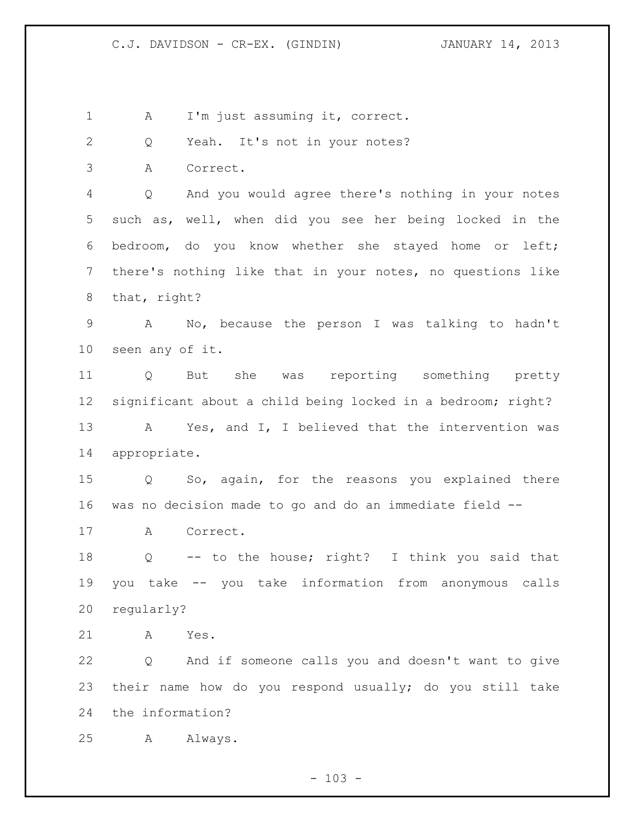A I'm just assuming it, correct.

Q Yeah. It's not in your notes?

A Correct.

 Q And you would agree there's nothing in your notes such as, well, when did you see her being locked in the bedroom, do you know whether she stayed home or left; there's nothing like that in your notes, no questions like that, right?

 A No, because the person I was talking to hadn't seen any of it.

 Q But she was reporting something pretty significant about a child being locked in a bedroom; right? A Yes, and I, I believed that the intervention was appropriate.

 Q So, again, for the reasons you explained there was no decision made to go and do an immediate field --

A Correct.

 Q -- to the house; right? I think you said that you take -- you take information from anonymous calls regularly?

A Yes.

 Q And if someone calls you and doesn't want to give their name how do you respond usually; do you still take the information?

A Always.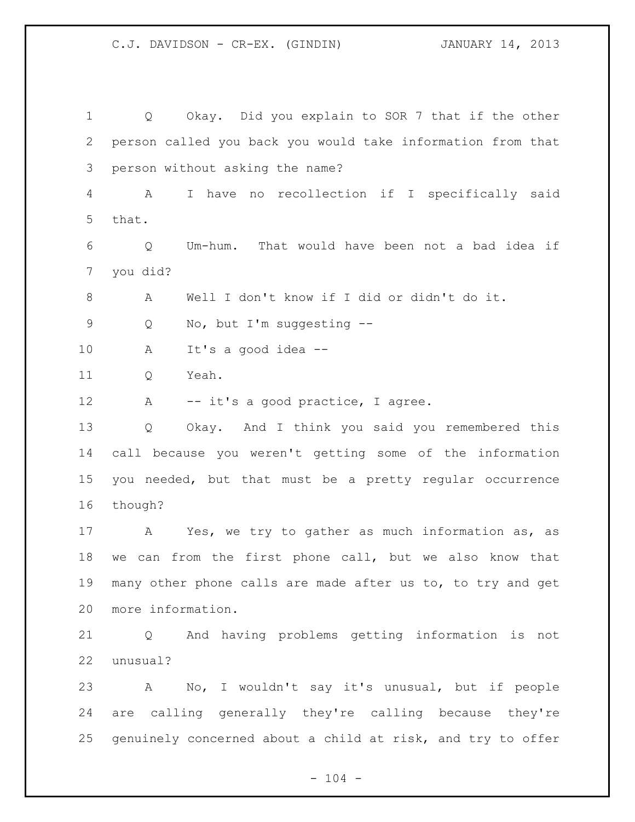Q Okay. Did you explain to SOR 7 that if the other person called you back you would take information from that person without asking the name? A I have no recollection if I specifically said that. Q Um-hum. That would have been not a bad idea if you did? A Well I don't know if I did or didn't do it. Q No, but I'm suggesting -- A It's a good idea -- Q Yeah. 12 A -- it's a good practice, I agree. Q Okay. And I think you said you remembered this call because you weren't getting some of the information you needed, but that must be a pretty regular occurrence though? A Yes, we try to gather as much information as, as we can from the first phone call, but we also know that many other phone calls are made after us to, to try and get more information. Q And having problems getting information is not unusual? A No, I wouldn't say it's unusual, but if people are calling generally they're calling because they're genuinely concerned about a child at risk, and try to offer

 $- 104 -$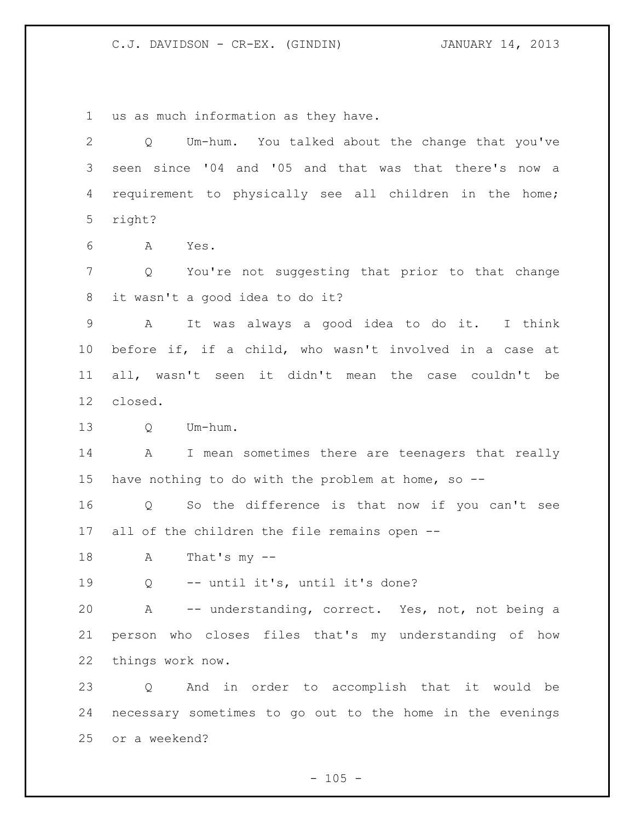us as much information as they have.

| $\overline{2}$  | Um-hum. You talked about the change that you've<br>Q             |
|-----------------|------------------------------------------------------------------|
| 3               | seen since '04 and '05 and that was that there's now a           |
| 4               | requirement to physically see all children in the home;          |
| 5               | right?                                                           |
| 6               | A<br>Yes.                                                        |
| 7               | You're not suggesting that prior to that change<br>Q             |
| 8               | it wasn't a good idea to do it?                                  |
| $\mathsf 9$     | It was always a good idea to do it. I think<br>A                 |
| 10              | before if, if a child, who wasn't involved in a case at          |
| 11              | all, wasn't seen it didn't mean the case couldn't be             |
| 12 <sup>°</sup> | closed.                                                          |
| 13              | Um-hum.<br>Q                                                     |
| 14              | I mean sometimes there are teenagers that really<br>$\mathbf{A}$ |
| 15              | have nothing to do with the problem at home, so --               |
| 16              | So the difference is that now if you can't see<br>Q              |
| 17              | all of the children the file remains open --                     |
| 18              | That's $my - -$<br>A                                             |
| 19              | -- until it's, until it's done?<br>Q                             |
| 20              | A -- understanding, correct. Yes, not, not being a               |
| 21              | person who closes files that's my understanding of how           |
| 22              | things work now.                                                 |
| 23              | And in order to accomplish that it would be<br>$\mathsf{Q}$      |
| 24              | necessary sometimes to go out to the home in the evenings        |
| 25              | or a weekend?                                                    |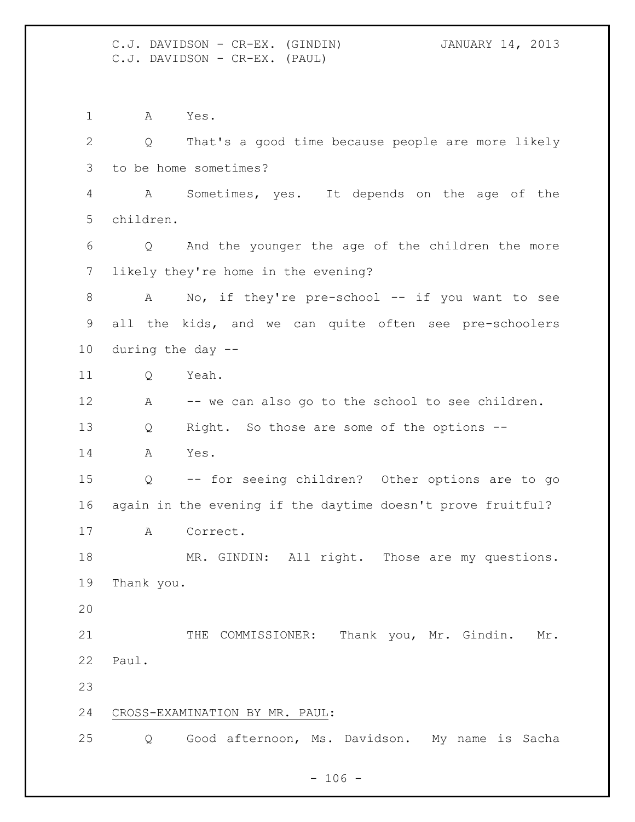C.J. DAVIDSON - CR-EX. (GINDIN) JANUARY 14, 2013 C.J. DAVIDSON - CR-EX. (PAUL)

 A Yes. Q That's a good time because people are more likely to be home sometimes? A Sometimes, yes. It depends on the age of the children. Q And the younger the age of the children the more likely they're home in the evening? 8 A No, if they're pre-school -- if you want to see all the kids, and we can quite often see pre-schoolers during the day -- Q Yeah. A -- we can also go to the school to see children. Q Right. So those are some of the options -- A Yes. Q -- for seeing children? Other options are to go again in the evening if the daytime doesn't prove fruitful? A Correct. MR. GINDIN: All right. Those are my questions. Thank you. 21 THE COMMISSIONER: Thank you, Mr. Gindin. Mr. Paul. CROSS-EXAMINATION BY MR. PAUL: Q Good afternoon, Ms. Davidson. My name is Sacha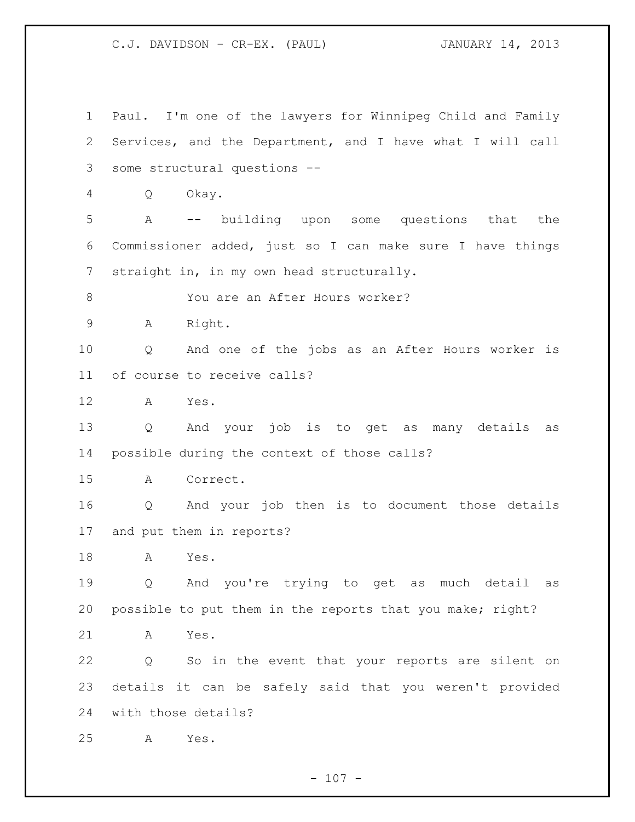Paul. I'm one of the lawyers for Winnipeg Child and Family Services, and the Department, and I have what I will call some structural questions -- Q Okay. A -- building upon some questions that the Commissioner added, just so I can make sure I have things straight in, in my own head structurally. 8 You are an After Hours worker? A Right. Q And one of the jobs as an After Hours worker is of course to receive calls? A Yes. Q And your job is to get as many details as possible during the context of those calls? A Correct. Q And your job then is to document those details and put them in reports? A Yes. Q And you're trying to get as much detail as possible to put them in the reports that you make; right? A Yes. Q So in the event that your reports are silent on details it can be safely said that you weren't provided with those details? A Yes.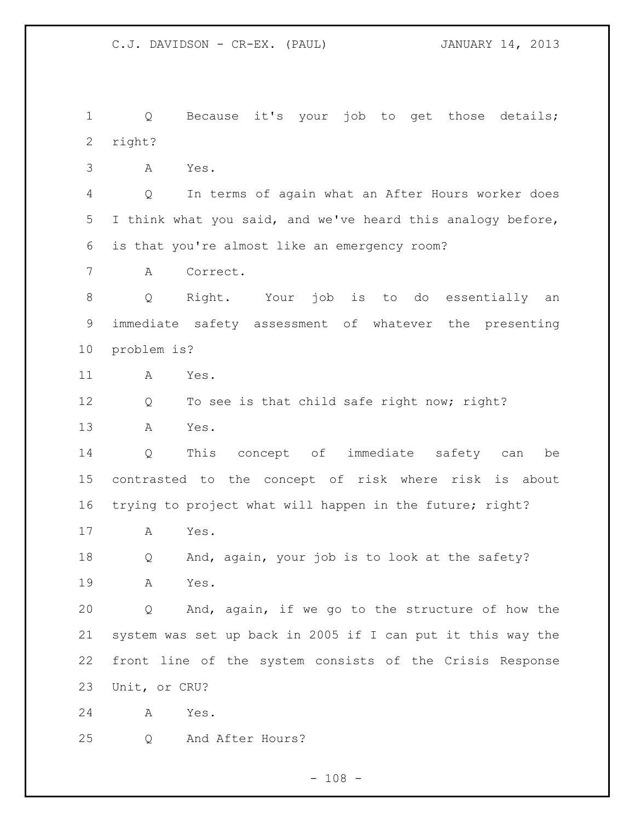Q Because it's your job to get those details; right?

A Yes.

 Q In terms of again what an After Hours worker does I think what you said, and we've heard this analogy before, is that you're almost like an emergency room?

A Correct.

 Q Right. Your job is to do essentially an immediate safety assessment of whatever the presenting problem is?

A Yes.

12 Q To see is that child safe right now; right?

A Yes.

 Q This concept of immediate safety can be contrasted to the concept of risk where risk is about trying to project what will happen in the future; right?

A Yes.

 Q And, again, your job is to look at the safety? A Yes.

 Q And, again, if we go to the structure of how the system was set up back in 2005 if I can put it this way the front line of the system consists of the Crisis Response Unit, or CRU?

A Yes.

Q And After Hours?

 $- 108 -$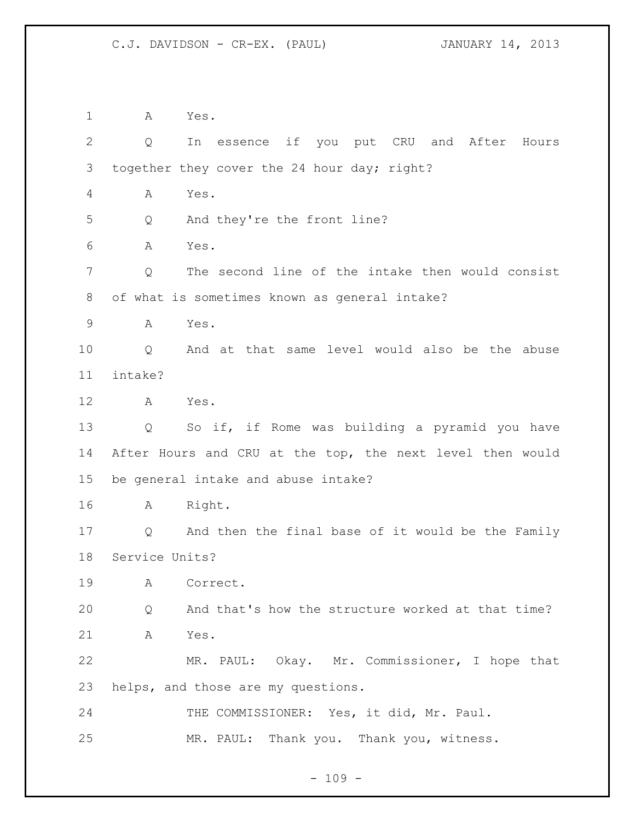A Yes. Q In essence if you put CRU and After Hours together they cover the 24 hour day; right? A Yes. Q And they're the front line? A Yes. Q The second line of the intake then would consist of what is sometimes known as general intake? A Yes. Q And at that same level would also be the abuse intake? A Yes. Q So if, if Rome was building a pyramid you have After Hours and CRU at the top, the next level then would be general intake and abuse intake? A Right. Q And then the final base of it would be the Family Service Units? A Correct. Q And that's how the structure worked at that time? A Yes. MR. PAUL: Okay. Mr. Commissioner, I hope that helps, and those are my questions. 24 THE COMMISSIONER: Yes, it did, Mr. Paul. MR. PAUL: Thank you. Thank you, witness.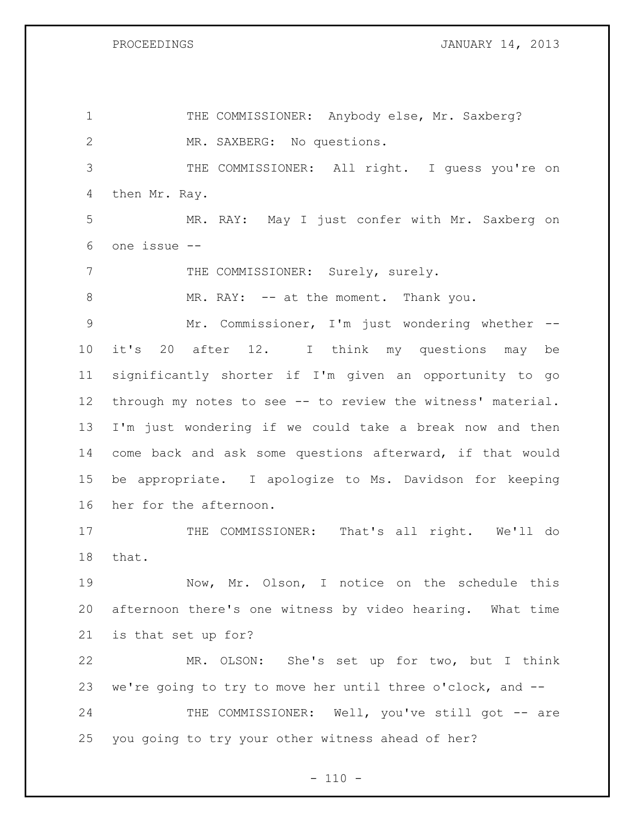PROCEEDINGS **JANUARY 14, 2013** 

1 THE COMMISSIONER: Anybody else, Mr. Saxberg? MR. SAXBERG: No questions. THE COMMISSIONER: All right. I guess you're on then Mr. Ray. MR. RAY: May I just confer with Mr. Saxberg on one issue -- 7 THE COMMISSIONER: Surely, surely. 8 MR. RAY: -- at the moment. Thank you. Mr. Commissioner, I'm just wondering whether -- it's 20 after 12. I think my questions may be significantly shorter if I'm given an opportunity to go through my notes to see -- to review the witness' material. I'm just wondering if we could take a break now and then come back and ask some questions afterward, if that would be appropriate. I apologize to Ms. Davidson for keeping her for the afternoon. 17 THE COMMISSIONER: That's all right. We'll do that. Now, Mr. Olson, I notice on the schedule this afternoon there's one witness by video hearing. What time is that set up for? MR. OLSON: She's set up for two, but I think we're going to try to move her until three o'clock, and -- 24 THE COMMISSIONER: Well, you've still got -- are you going to try your other witness ahead of her?

 $- 110 -$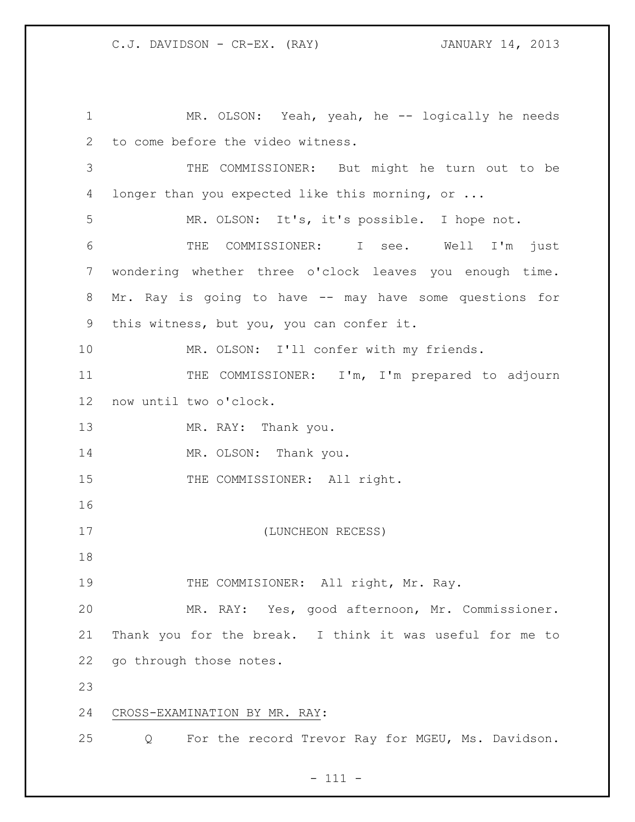1 MR. OLSON: Yeah, yeah, he -- logically he needs to come before the video witness. THE COMMISSIONER: But might he turn out to be longer than you expected like this morning, or ... MR. OLSON: It's, it's possible. I hope not. THE COMMISSIONER: I see. Well I'm just wondering whether three o'clock leaves you enough time. Mr. Ray is going to have -- may have some questions for this witness, but you, you can confer it. 10 MR. OLSON: I'll confer with my friends. 11 THE COMMISSIONER: I'm, I'm prepared to adjourn now until two o'clock. 13 MR. RAY: Thank you. 14 MR. OLSON: Thank you. 15 THE COMMISSIONER: All right. (LUNCHEON RECESS) 19 THE COMMISIONER: All right, Mr. Ray. MR. RAY: Yes, good afternoon, Mr. Commissioner. Thank you for the break. I think it was useful for me to go through those notes. CROSS-EXAMINATION BY MR. RAY: Q For the record Trevor Ray for MGEU, Ms. Davidson.

- 111 -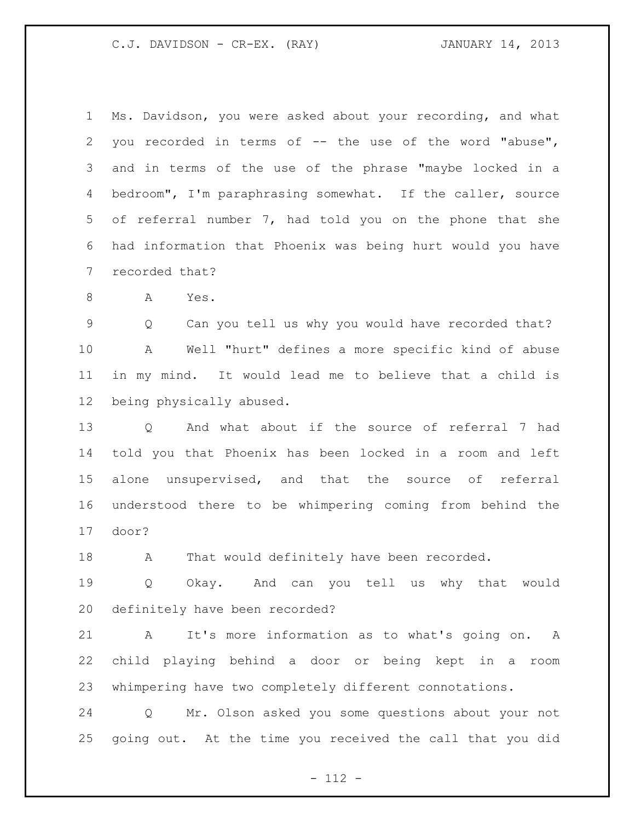| 1  | Ms. Davidson, you were asked about your recording, and what   |
|----|---------------------------------------------------------------|
| 2  | you recorded in terms of -- the use of the word "abuse",      |
| 3  | and in terms of the use of the phrase "maybe locked in a      |
| 4  | bedroom", I'm paraphrasing somewhat. If the caller, source    |
| 5  | of referral number 7, had told you on the phone that she      |
| 6  | had information that Phoenix was being hurt would you have    |
| 7  | recorded that?                                                |
| 8  | A<br>Yes.                                                     |
| 9  | Can you tell us why you would have recorded that?<br>Q        |
| 10 | Well "hurt" defines a more specific kind of abuse<br>A        |
| 11 | in my mind. It would lead me to believe that a child is       |
| 12 | being physically abused.                                      |
| 13 | And what about if the source of referral 7 had<br>Q           |
| 14 | told you that Phoenix has been locked in a room and left      |
| 15 | alone unsupervised, and that the source of referral           |
| 16 | understood there to be whimpering coming from behind the      |
| 17 | door?                                                         |
| 18 | That would definitely have been recorded.<br>A                |
| 19 | Q Okay. And can you tell us why that would                    |
| 20 | definitely have been recorded?                                |
| 21 |                                                               |
|    | $\mathbb A$<br>It's more information as to what's going on. A |

whimpering have two completely different connotations.

 Q Mr. Olson asked you some questions about your not going out. At the time you received the call that you did

- 112 -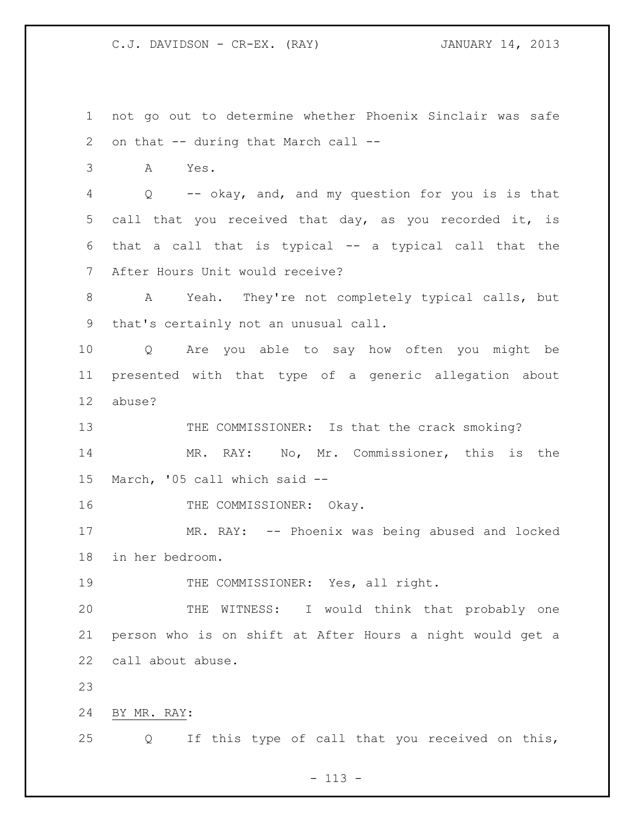not go out to determine whether Phoenix Sinclair was safe on that -- during that March call --

A Yes.

 Q -- okay, and, and my question for you is is that call that you received that day, as you recorded it, is that a call that is typical -- a typical call that the After Hours Unit would receive?

 A Yeah. They're not completely typical calls, but that's certainly not an unusual call.

 Q Are you able to say how often you might be presented with that type of a generic allegation about abuse?

13 THE COMMISSIONER: Is that the crack smoking? MR. RAY: No, Mr. Commissioner, this is the March, '05 call which said --

16 THE COMMISSIONER: Okay.

 MR. RAY: -- Phoenix was being abused and locked in her bedroom.

THE COMMISSIONER: Yes, all right.

 THE WITNESS: I would think that probably one person who is on shift at After Hours a night would get a call about abuse.

BY MR. RAY:

Q If this type of call that you received on this,

 $- 113 -$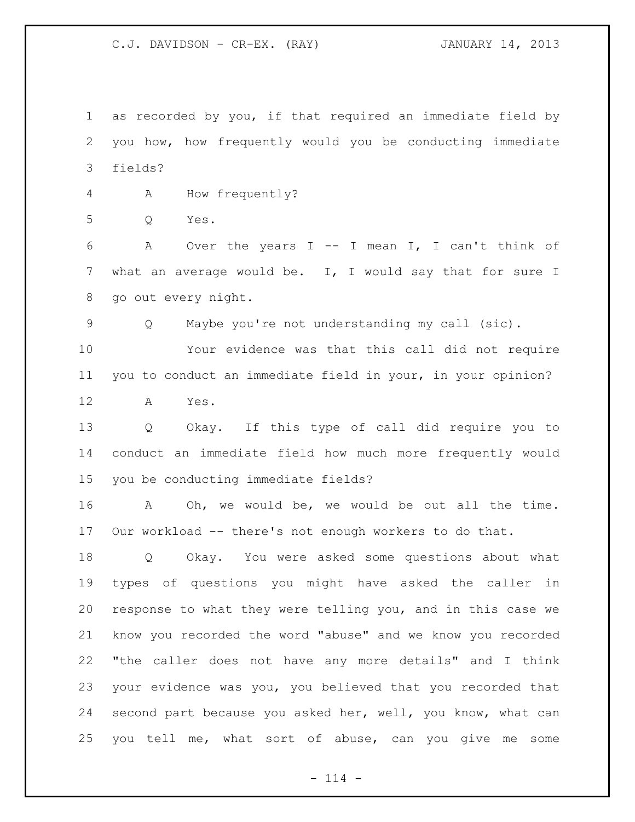as recorded by you, if that required an immediate field by you how, how frequently would you be conducting immediate fields?

A How frequently?

Q Yes.

 A Over the years I -- I mean I, I can't think of what an average would be. I, I would say that for sure I go out every night.

Q Maybe you're not understanding my call (sic).

 Your evidence was that this call did not require you to conduct an immediate field in your, in your opinion?

A Yes.

 Q Okay. If this type of call did require you to conduct an immediate field how much more frequently would you be conducting immediate fields?

 A Oh, we would be, we would be out all the time. Our workload -- there's not enough workers to do that.

 Q Okay. You were asked some questions about what types of questions you might have asked the caller in response to what they were telling you, and in this case we know you recorded the word "abuse" and we know you recorded "the caller does not have any more details" and I think your evidence was you, you believed that you recorded that second part because you asked her, well, you know, what can you tell me, what sort of abuse, can you give me some

 $- 114 -$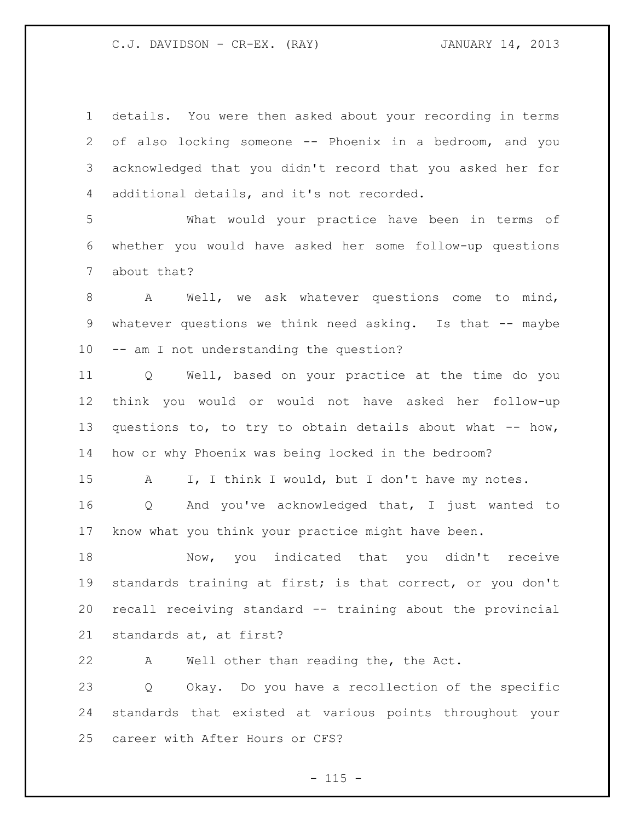details. You were then asked about your recording in terms of also locking someone -- Phoenix in a bedroom, and you acknowledged that you didn't record that you asked her for additional details, and it's not recorded.

 What would your practice have been in terms of whether you would have asked her some follow-up questions about that?

8 A Well, we ask whatever questions come to mind, whatever questions we think need asking. Is that -- maybe -- am I not understanding the question?

 Q Well, based on your practice at the time do you think you would or would not have asked her follow-up 13 questions to, to try to obtain details about what -- how, how or why Phoenix was being locked in the bedroom?

15 A I, I think I would, but I don't have my notes.

 Q And you've acknowledged that, I just wanted to know what you think your practice might have been.

 Now, you indicated that you didn't receive standards training at first; is that correct, or you don't recall receiving standard -- training about the provincial standards at, at first?

A Well other than reading the, the Act.

 Q Okay. Do you have a recollection of the specific standards that existed at various points throughout your career with After Hours or CFS?

 $- 115 -$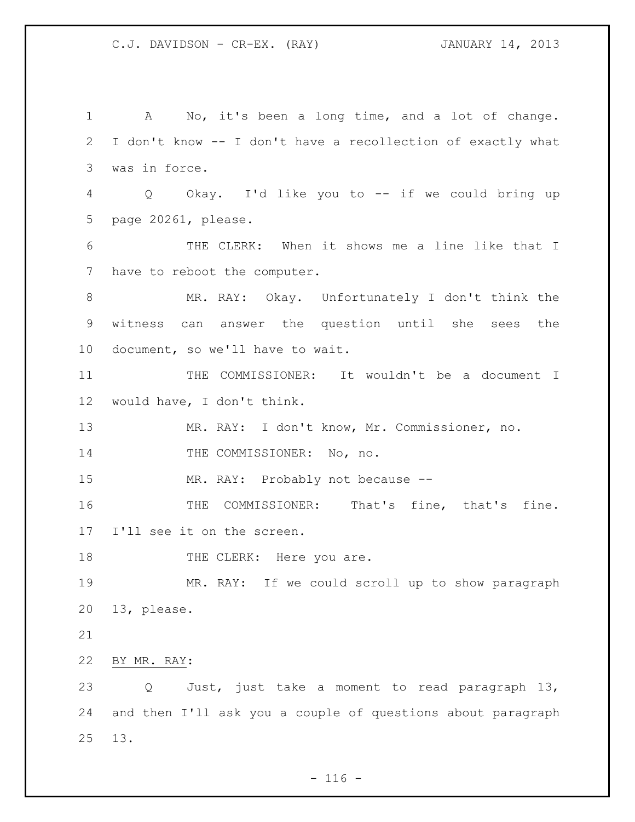A No, it's been a long time, and a lot of change. I don't know -- I don't have a recollection of exactly what was in force. Q Okay. I'd like you to -- if we could bring up page 20261, please. THE CLERK: When it shows me a line like that I have to reboot the computer. MR. RAY: Okay. Unfortunately I don't think the witness can answer the question until she sees the document, so we'll have to wait. 11 THE COMMISSIONER: It wouldn't be a document I would have, I don't think. MR. RAY: I don't know, Mr. Commissioner, no. 14 THE COMMISSIONER: No, no. MR. RAY: Probably not because -- THE COMMISSIONER: That's fine, that's fine. I'll see it on the screen. 18 THE CLERK: Here you are. MR. RAY: If we could scroll up to show paragraph 13, please. BY MR. RAY: Q Just, just take a moment to read paragraph 13, and then I'll ask you a couple of questions about paragraph 13.

 $- 116 -$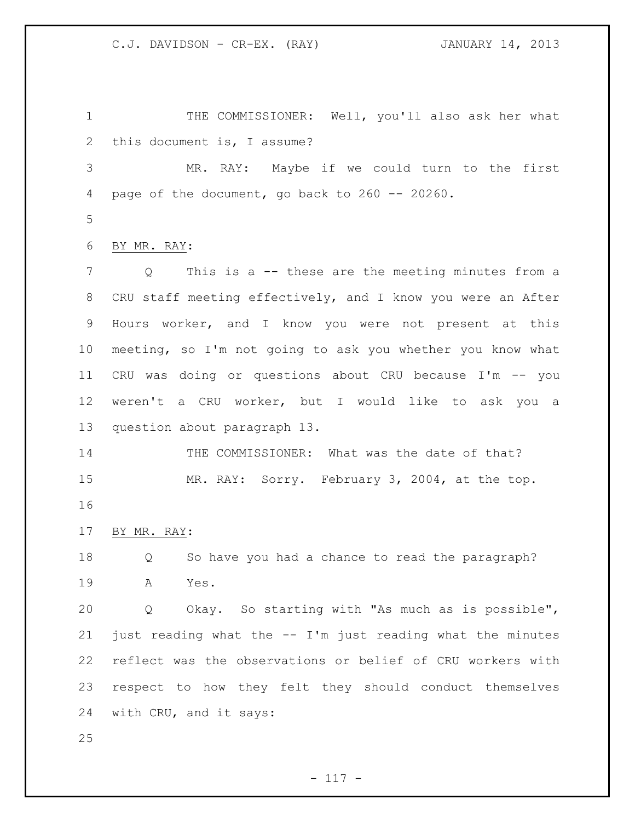1 THE COMMISSIONER: Well, you'll also ask her what this document is, I assume?

 MR. RAY: Maybe if we could turn to the first page of the document, go back to 260 -- 20260.

BY MR. RAY:

 Q This is a -- these are the meeting minutes from a CRU staff meeting effectively, and I know you were an After Hours worker, and I know you were not present at this meeting, so I'm not going to ask you whether you know what CRU was doing or questions about CRU because I'm -- you weren't a CRU worker, but I would like to ask you a question about paragraph 13.

 THE COMMISSIONER: What was the date of that? MR. RAY: Sorry. February 3, 2004, at the top. 

BY MR. RAY:

 Q So have you had a chance to read the paragraph? A Yes.

 Q Okay. So starting with "As much as is possible", just reading what the -- I'm just reading what the minutes reflect was the observations or belief of CRU workers with respect to how they felt they should conduct themselves with CRU, and it says:

- 117 -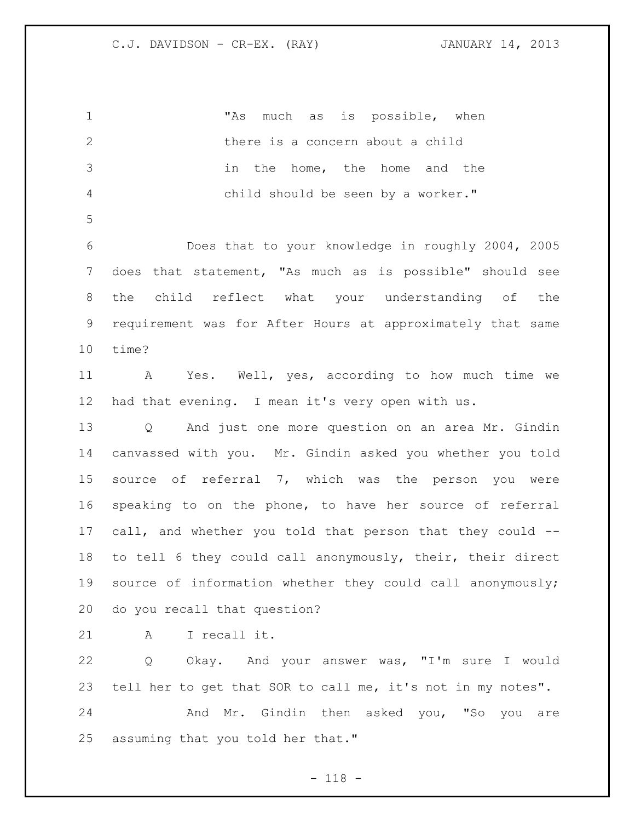"As much as is possible, when there is a concern about a child in the home, the home and the child should be seen by a worker." Does that to your knowledge in roughly 2004, 2005 does that statement, "As much as is possible" should see the child reflect what your understanding of the requirement was for After Hours at approximately that same time? A Yes. Well, yes, according to how much time we had that evening. I mean it's very open with us. Q And just one more question on an area Mr. Gindin canvassed with you. Mr. Gindin asked you whether you told source of referral 7, which was the person you were speaking to on the phone, to have her source of referral call, and whether you told that person that they could -- to tell 6 they could call anonymously, their, their direct source of information whether they could call anonymously; do you recall that question? A I recall it. Q Okay. And your answer was, "I'm sure I would tell her to get that SOR to call me, it's not in my notes". And Mr. Gindin then asked you, "So you are assuming that you told her that."

- 118 -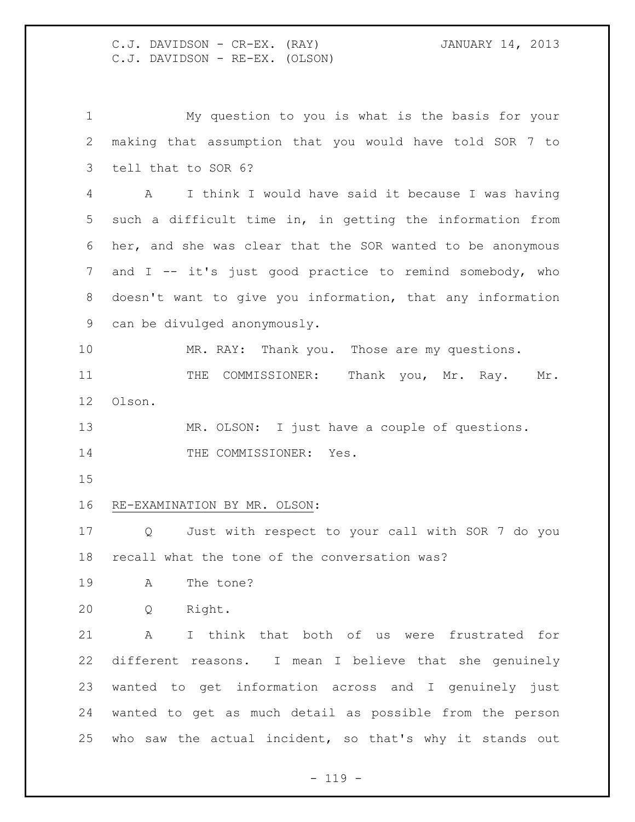C.J. DAVIDSON - CR-EX. (RAY) JANUARY 14, 2013 C.J. DAVIDSON - RE-EX. (OLSON)

 My question to you is what is the basis for your making that assumption that you would have told SOR 7 to tell that to SOR 6? A I think I would have said it because I was having such a difficult time in, in getting the information from her, and she was clear that the SOR wanted to be anonymous and I -- it's just good practice to remind somebody, who doesn't want to give you information, that any information can be divulged anonymously. MR. RAY: Thank you. Those are my questions. 11 THE COMMISSIONER: Thank you, Mr. Ray. Mr. Olson. 13 MR. OLSON: I just have a couple of questions. 14 THE COMMISSIONER: Yes. RE-EXAMINATION BY MR. OLSON: Q Just with respect to your call with SOR 7 do you recall what the tone of the conversation was? A The tone? Q Right. A I think that both of us were frustrated for different reasons. I mean I believe that she genuinely wanted to get information across and I genuinely just wanted to get as much detail as possible from the person who saw the actual incident, so that's why it stands out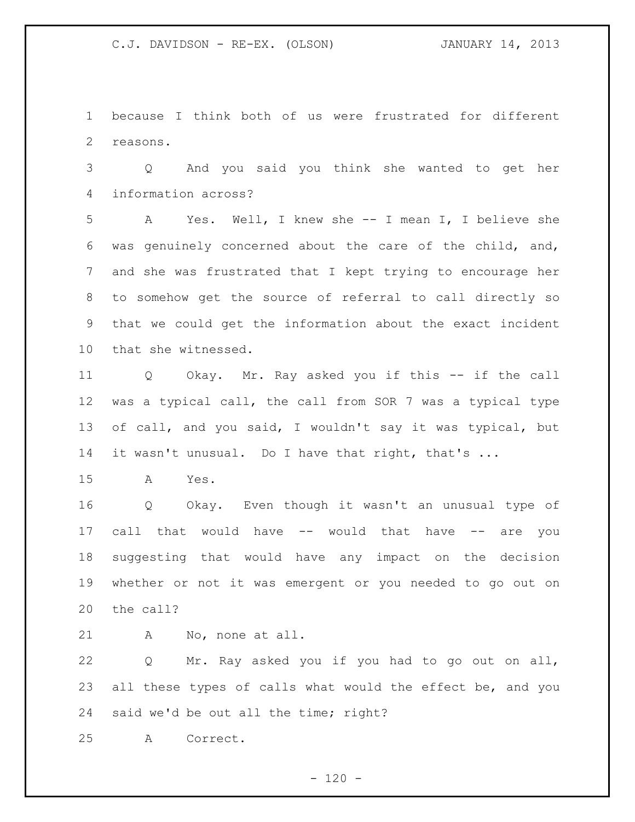because I think both of us were frustrated for different reasons.

 Q And you said you think she wanted to get her information across?

 A Yes. Well, I knew she -- I mean I, I believe she was genuinely concerned about the care of the child, and, and she was frustrated that I kept trying to encourage her to somehow get the source of referral to call directly so that we could get the information about the exact incident that she witnessed.

 Q Okay. Mr. Ray asked you if this -- if the call was a typical call, the call from SOR 7 was a typical type of call, and you said, I wouldn't say it was typical, but 14 it wasn't unusual. Do I have that right, that's ...

A Yes.

 Q Okay. Even though it wasn't an unusual type of call that would have -- would that have -- are you suggesting that would have any impact on the decision whether or not it was emergent or you needed to go out on the call?

A No, none at all.

 Q Mr. Ray asked you if you had to go out on all, 23 all these types of calls what would the effect be, and you said we'd be out all the time; right?

A Correct.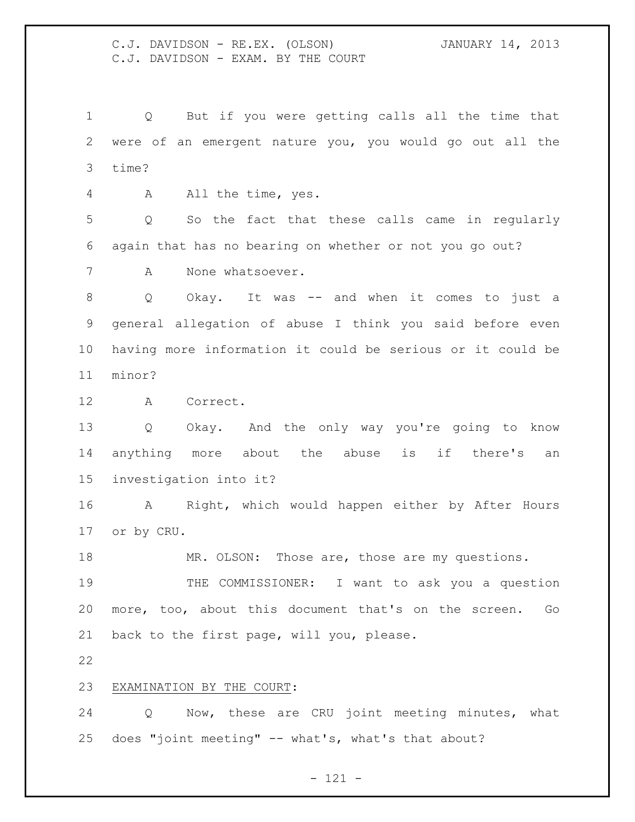C.J. DAVIDSON - RE.EX. (OLSON) JANUARY 14, 2013 C.J. DAVIDSON - EXAM. BY THE COURT

 Q But if you were getting calls all the time that were of an emergent nature you, you would go out all the time?

A All the time, yes.

 Q So the fact that these calls came in regularly again that has no bearing on whether or not you go out?

A None whatsoever.

 Q Okay. It was -- and when it comes to just a general allegation of abuse I think you said before even having more information it could be serious or it could be minor?

A Correct.

 Q Okay. And the only way you're going to know anything more about the abuse is if there's an investigation into it?

 A Right, which would happen either by After Hours or by CRU.

MR. OLSON: Those are, those are my questions.

 THE COMMISSIONER: I want to ask you a question more, too, about this document that's on the screen. Go back to the first page, will you, please.

## EXAMINATION BY THE COURT:

 Q Now, these are CRU joint meeting minutes, what does "joint meeting" -- what's, what's that about?

- 121 -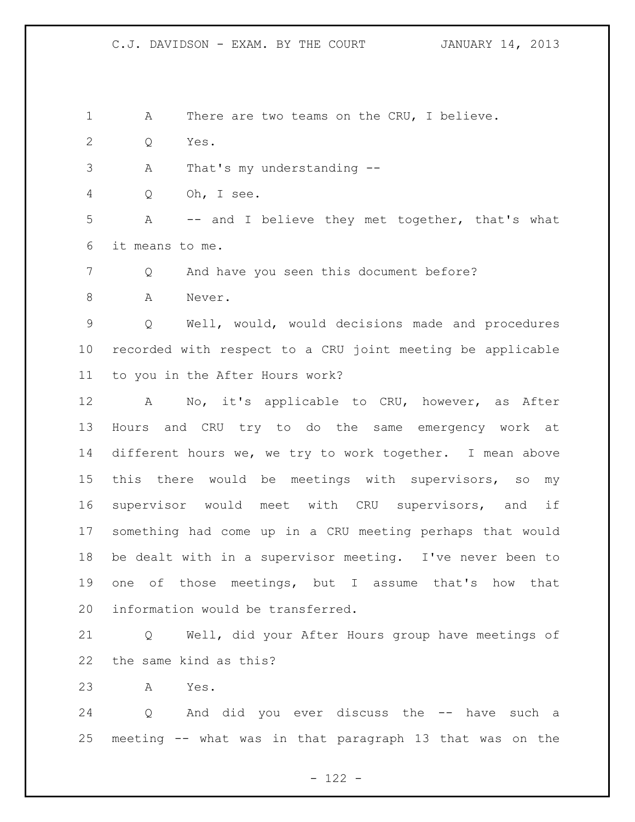- 1 A There are two teams on the CRU, I believe.
- Q Yes.
- A That's my understanding --

Q Oh, I see.

 A -- and I believe they met together, that's what it means to me.

7 Q And have you seen this document before?

8 A Never.

 Q Well, would, would decisions made and procedures recorded with respect to a CRU joint meeting be applicable to you in the After Hours work?

 A No, it's applicable to CRU, however, as After Hours and CRU try to do the same emergency work at different hours we, we try to work together. I mean above this there would be meetings with supervisors, so my supervisor would meet with CRU supervisors, and if something had come up in a CRU meeting perhaps that would be dealt with in a supervisor meeting. I've never been to one of those meetings, but I assume that's how that information would be transferred.

 Q Well, did your After Hours group have meetings of the same kind as this?

A Yes.

 Q And did you ever discuss the -- have such a meeting -- what was in that paragraph 13 that was on the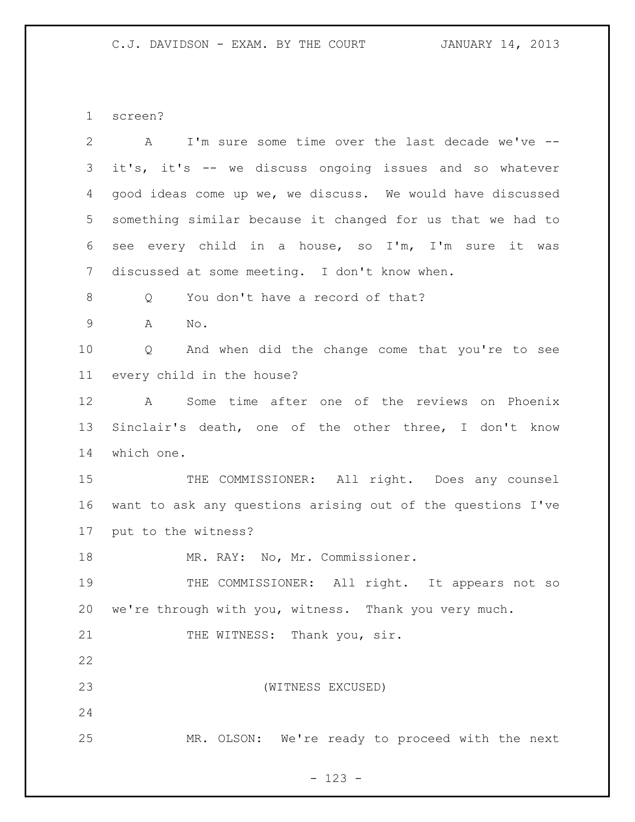screen?

| $\overline{2}$ | I'm sure some time over the last decade we've --<br>$\mathbf{A}$ |
|----------------|------------------------------------------------------------------|
| 3              | it's, it's -- we discuss ongoing issues and so whatever          |
| 4              | good ideas come up we, we discuss. We would have discussed       |
| 5              | something similar because it changed for us that we had to       |
| 6              | see every child in a house, so I'm, I'm sure<br>it was           |
| 7              | discussed at some meeting. I don't know when.                    |
| 8              | You don't have a record of that?<br>Q                            |
| $\mathsf 9$    | A<br>No.                                                         |
| 10             | And when did the change come that you're to see<br>Q             |
| 11             | every child in the house?                                        |
| 12             | Some time after one of the reviews on Phoenix<br>A               |
| 13             | Sinclair's death, one of the other three, I don't know           |
| 14             | which one.                                                       |
| 15             | THE COMMISSIONER: All right. Does any counsel                    |
| 16             | want to ask any questions arising out of the questions I've      |
| 17             | put to the witness?                                              |
| 18             | MR. RAY: No, Mr. Commissioner.                                   |
| 19             | THE COMMISSIONER: All right. It appears not so                   |
| 20             | we're through with you, witness. Thank you very much.            |
| 21             | THE WITNESS: Thank you, sir.                                     |
| 22             |                                                                  |
| 23             | (WITNESS EXCUSED)                                                |
| 24             |                                                                  |
| 25             | MR. OLSON: We're ready to proceed with the next                  |

- 123 -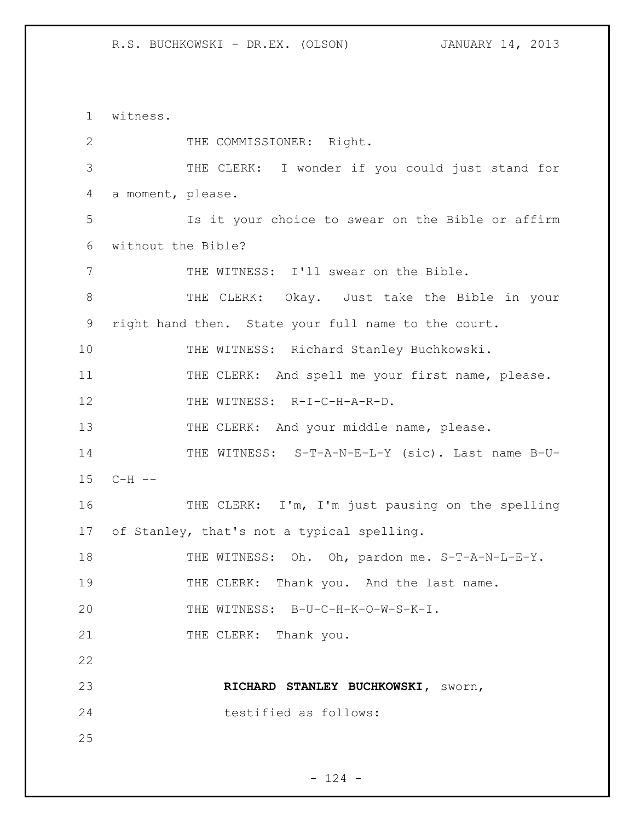1 witness. 2 THE COMMISSIONER: Right. 3 THE CLERK: I wonder if you could just stand for 4 a moment, please. 5 Is it your choice to swear on the Bible or affirm 6 without the Bible? 7 THE WITNESS: I'll swear on the Bible. 8 THE CLERK: Okay. Just take the Bible in your 9 right hand then. State your full name to the court. 10 THE WITNESS: Richard Stanley Buchkowski. 11 THE CLERK: And spell me your first name, please. 12 THE WITNESS: R-I-C-H-A-R-D. 13 THE CLERK: And your middle name, please. 14 THE WITNESS: S-T-A-N-E-L-Y (sic). Last name B-U-15 C-H -- 16 THE CLERK: I'm, I'm just pausing on the spelling 17 of Stanley, that's not a typical spelling. 18 THE WITNESS: Oh. Oh, pardon me. S-T-A-N-L-E-Y. 19 THE CLERK: Thank you. And the last name. 20 THE WITNESS: B-U-C-H-K-O-W-S-K-I. 21 THE CLERK: Thank you. 22 23 **RICHARD STANLEY BUCHKOWSKI,** sworn, 24 testified as follows: 25

 $- 124 -$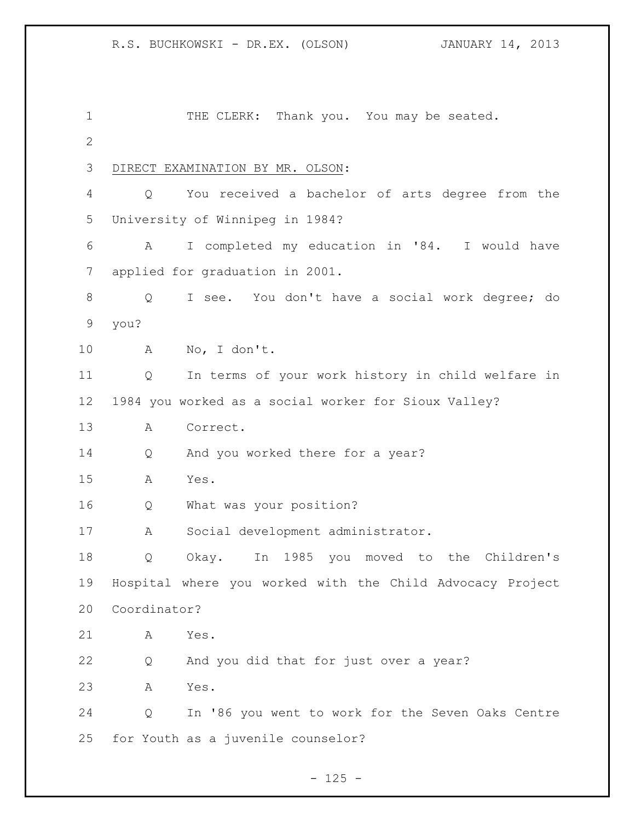1 THE CLERK: Thank you. You may be seated. DIRECT EXAMINATION BY MR. OLSON: Q You received a bachelor of arts degree from the University of Winnipeg in 1984? A I completed my education in '84. I would have applied for graduation in 2001. Q I see. You don't have a social work degree; do you? A No, I don't. Q In terms of your work history in child welfare in 1984 you worked as a social worker for Sioux Valley? A Correct. 14 Q And you worked there for a year? A Yes. Q What was your position? A Social development administrator. Q Okay. In 1985 you moved to the Children's Hospital where you worked with the Child Advocacy Project Coordinator? A Yes. Q And you did that for just over a year? A Yes. Q In '86 you went to work for the Seven Oaks Centre for Youth as a juvenile counselor?

 $- 125 -$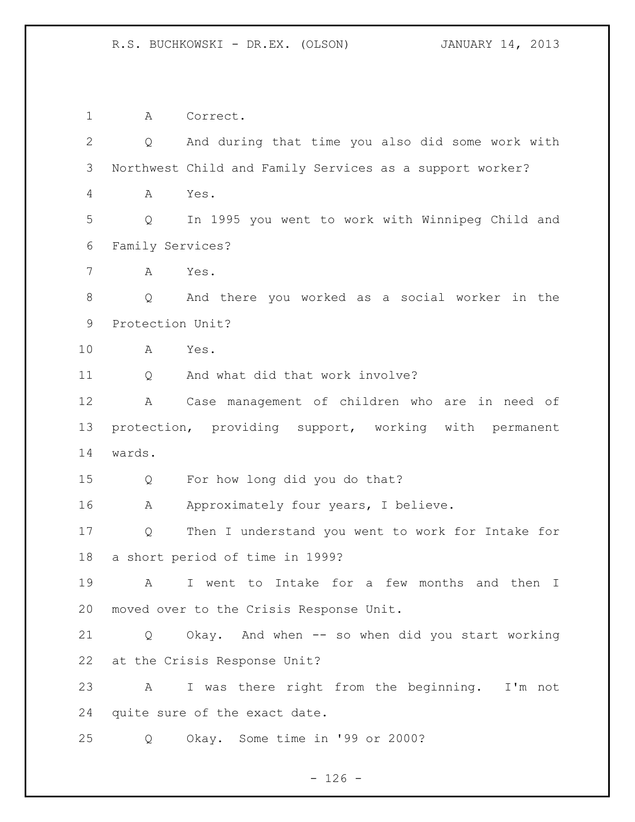A Correct. Q And during that time you also did some work with Northwest Child and Family Services as a support worker? A Yes. Q In 1995 you went to work with Winnipeg Child and Family Services? A Yes. Q And there you worked as a social worker in the Protection Unit? A Yes. 11 O And what did that work involve? A Case management of children who are in need of protection, providing support, working with permanent wards. Q For how long did you do that? 16 A Approximately four years, I believe. Q Then I understand you went to work for Intake for a short period of time in 1999? A I went to Intake for a few months and then I moved over to the Crisis Response Unit. Q Okay. And when -- so when did you start working at the Crisis Response Unit? A I was there right from the beginning. I'm not quite sure of the exact date. Q Okay. Some time in '99 or 2000?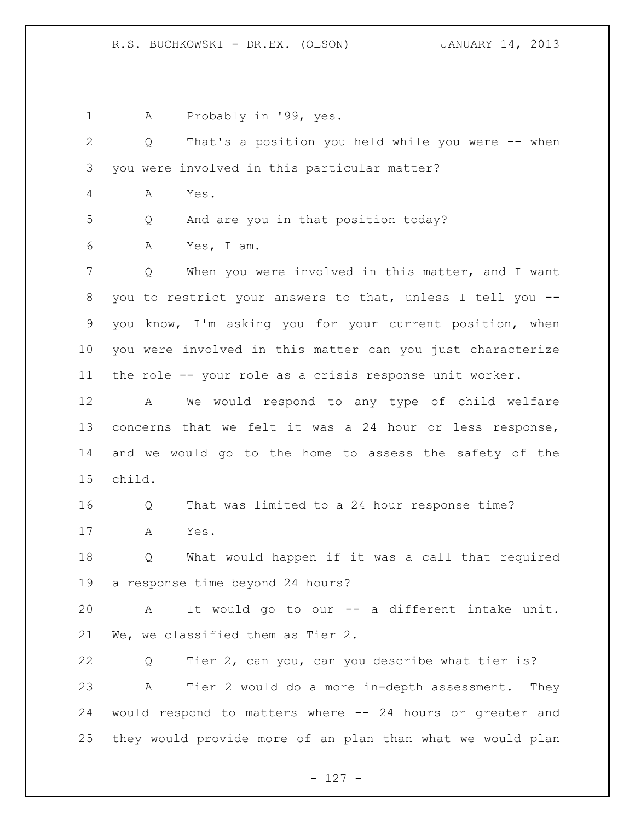1 A Probably in '99, yes. Q That's a position you held while you were -- when you were involved in this particular matter? A Yes. Q And are you in that position today? A Yes, I am. 7 Q When you were involved in this matter, and I want you to restrict your answers to that, unless I tell you -- you know, I'm asking you for your current position, when you were involved in this matter can you just characterize the role -- your role as a crisis response unit worker. A We would respond to any type of child welfare concerns that we felt it was a 24 hour or less response, and we would go to the home to assess the safety of the child. Q That was limited to a 24 hour response time? A Yes. Q What would happen if it was a call that required a response time beyond 24 hours? A It would go to our -- a different intake unit. We, we classified them as Tier 2. Q Tier 2, can you, can you describe what tier is? A Tier 2 would do a more in-depth assessment. They would respond to matters where -- 24 hours or greater and they would provide more of an plan than what we would plan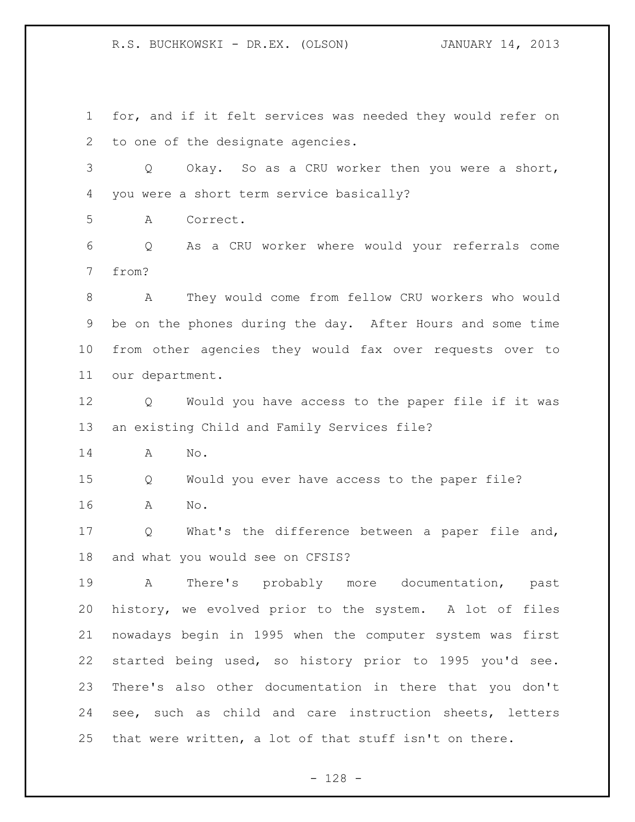R.S. BUCHKOWSKI - DR.EX. (OLSON) JANUARY 14, 2013

 for, and if it felt services was needed they would refer on to one of the designate agencies.

 Q Okay. So as a CRU worker then you were a short, you were a short term service basically?

A Correct.

 Q As a CRU worker where would your referrals come from?

 A They would come from fellow CRU workers who would be on the phones during the day. After Hours and some time from other agencies they would fax over requests over to our department.

 Q Would you have access to the paper file if it was an existing Child and Family Services file?

A No.

 Q Would you ever have access to the paper file? A No.

 Q What's the difference between a paper file and, and what you would see on CFSIS?

 A There's probably more documentation, past history, we evolved prior to the system. A lot of files nowadays begin in 1995 when the computer system was first started being used, so history prior to 1995 you'd see. There's also other documentation in there that you don't see, such as child and care instruction sheets, letters that were written, a lot of that stuff isn't on there.

- 128 -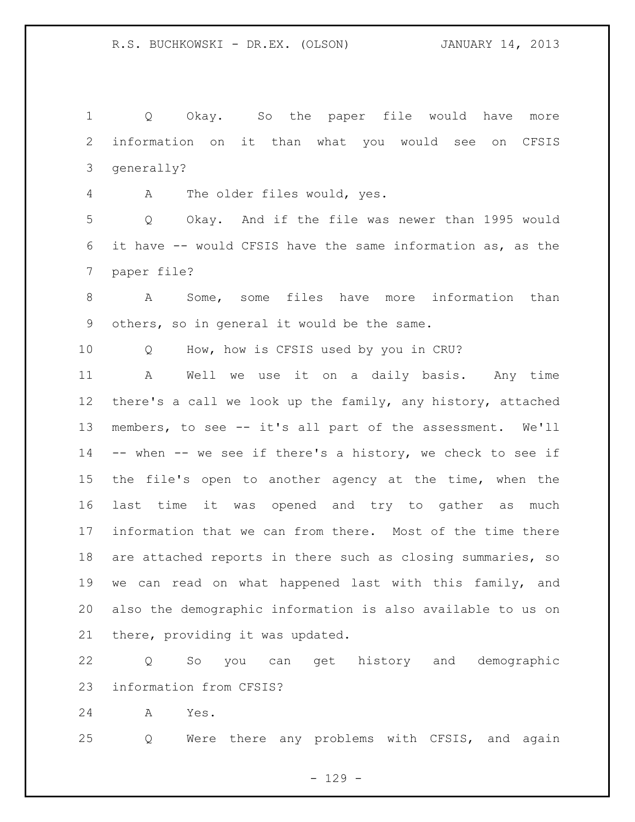Q Okay. So the paper file would have more information on it than what you would see on CFSIS generally?

A The older files would, yes.

 Q Okay. And if the file was newer than 1995 would it have -- would CFSIS have the same information as, as the paper file?

 A Some, some files have more information than others, so in general it would be the same.

Q How, how is CFSIS used by you in CRU?

 A Well we use it on a daily basis. Any time there's a call we look up the family, any history, attached members, to see -- it's all part of the assessment. We'll -- when -- we see if there's a history, we check to see if the file's open to another agency at the time, when the last time it was opened and try to gather as much information that we can from there. Most of the time there are attached reports in there such as closing summaries, so we can read on what happened last with this family, and also the demographic information is also available to us on there, providing it was updated.

 Q So you can get history and demographic information from CFSIS?

A Yes.

Q Were there any problems with CFSIS, and again

 $- 129 -$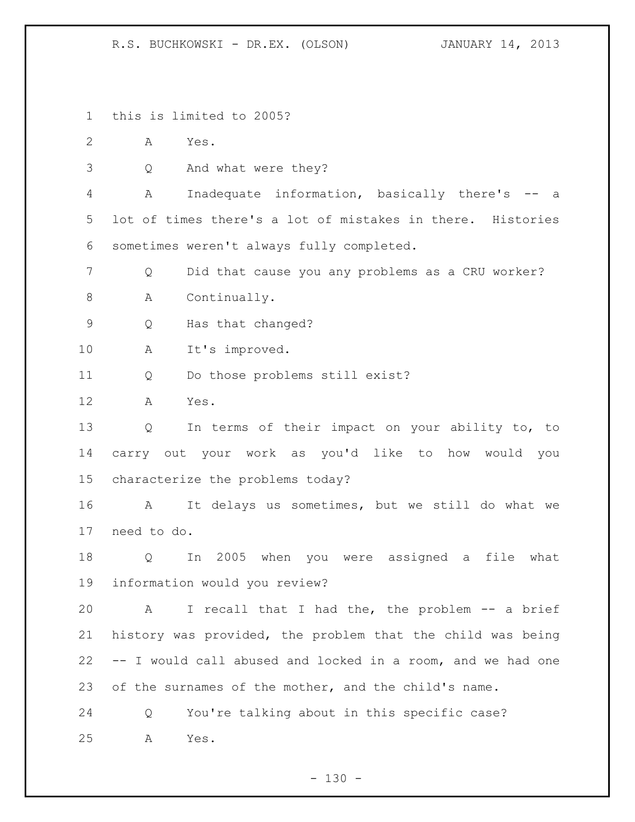R.S. BUCHKOWSKI - DR.EX. (OLSON) JANUARY 14, 2013

this is limited to 2005?

A Yes.

Q And what were they?

 A Inadequate information, basically there's -- a lot of times there's a lot of mistakes in there. Histories sometimes weren't always fully completed.

Q Did that cause you any problems as a CRU worker?

A Continually.

Q Has that changed?

A It's improved.

Q Do those problems still exist?

A Yes.

 Q In terms of their impact on your ability to, to carry out your work as you'd like to how would you characterize the problems today?

 A It delays us sometimes, but we still do what we need to do.

 Q In 2005 when you were assigned a file what information would you review?

 A I recall that I had the, the problem -- a brief history was provided, the problem that the child was being -- I would call abused and locked in a room, and we had one 23 of the surnames of the mother, and the child's name.

 Q You're talking about in this specific case? A Yes.

 $- 130 -$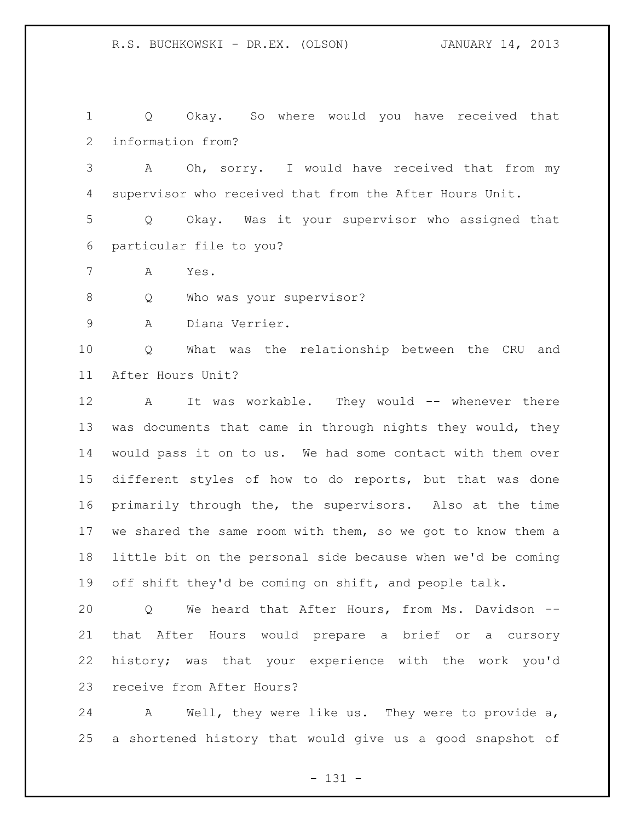Q Okay. So where would you have received that information from?

 A Oh, sorry. I would have received that from my supervisor who received that from the After Hours Unit.

 Q Okay. Was it your supervisor who assigned that particular file to you?

A Yes.

8 Q Who was your supervisor?

A Diana Verrier.

 Q What was the relationship between the CRU and After Hours Unit?

 A It was workable. They would -- whenever there 13 was documents that came in through nights they would, they would pass it on to us. We had some contact with them over different styles of how to do reports, but that was done primarily through the, the supervisors. Also at the time we shared the same room with them, so we got to know them a little bit on the personal side because when we'd be coming off shift they'd be coming on shift, and people talk.

 Q We heard that After Hours, from Ms. Davidson -- that After Hours would prepare a brief or a cursory history; was that your experience with the work you'd receive from After Hours?

 A Well, they were like us. They were to provide a, a shortened history that would give us a good snapshot of

- 131 -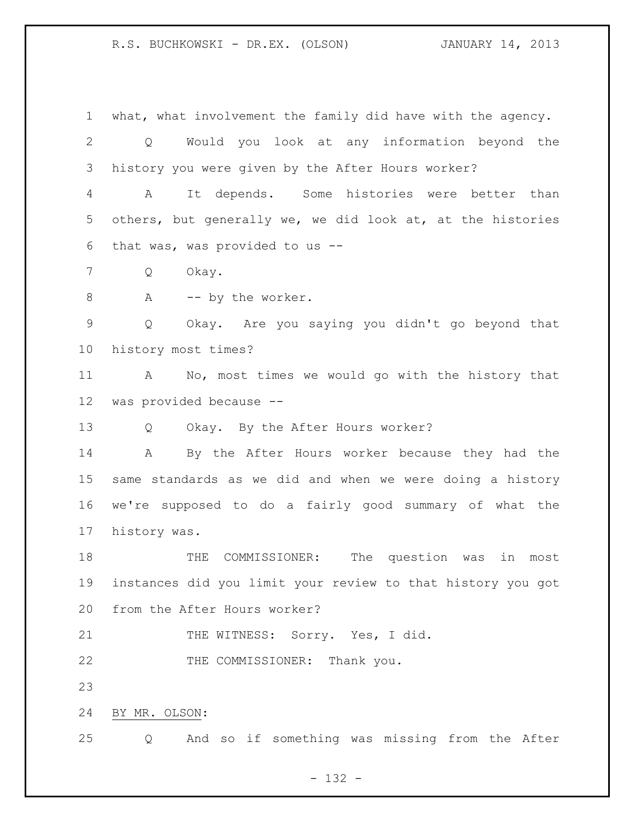R.S. BUCHKOWSKI - DR.EX. (OLSON) JANUARY 14, 2013

 what, what involvement the family did have with the agency. Q Would you look at any information beyond the history you were given by the After Hours worker? A It depends. Some histories were better than others, but generally we, we did look at, at the histories that was, was provided to us -- Q Okay. 8 A -- by the worker. Q Okay. Are you saying you didn't go beyond that history most times? A No, most times we would go with the history that was provided because -- Q Okay. By the After Hours worker? A By the After Hours worker because they had the same standards as we did and when we were doing a history we're supposed to do a fairly good summary of what the history was. THE COMMISSIONER: The question was in most instances did you limit your review to that history you got from the After Hours worker? 21 THE WITNESS: Sorry. Yes, I did. 22 THE COMMISSIONER: Thank you. BY MR. OLSON: Q And so if something was missing from the After

- 132 -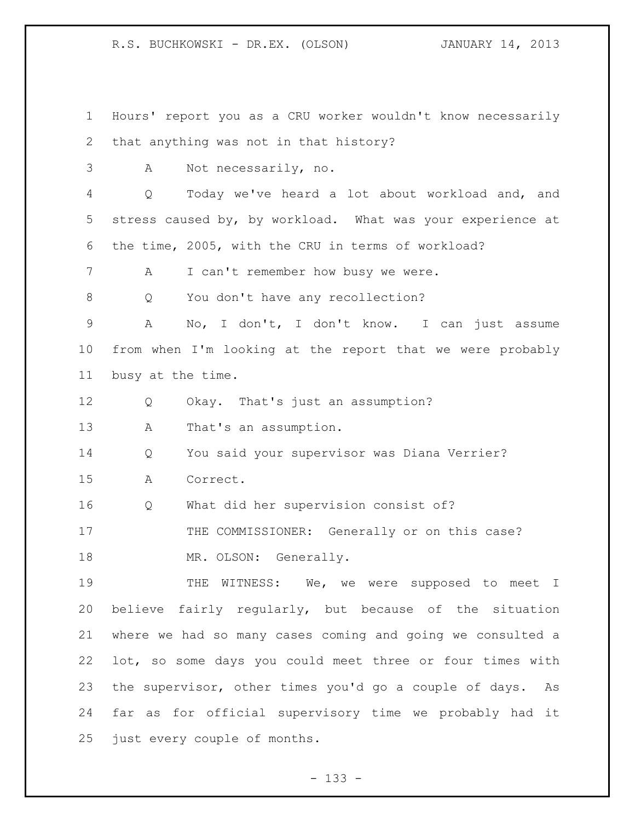R.S. BUCHKOWSKI - DR.EX. (OLSON) JANUARY 14, 2013

 Hours' report you as a CRU worker wouldn't know necessarily that anything was not in that history? A Not necessarily, no. Q Today we've heard a lot about workload and, and stress caused by, by workload. What was your experience at the time, 2005, with the CRU in terms of workload? 7 A I can't remember how busy we were. 8 Q You don't have any recollection? A No, I don't, I don't know. I can just assume from when I'm looking at the report that we were probably busy at the time. Q Okay. That's just an assumption? 13 A That's an assumption. Q You said your supervisor was Diana Verrier? A Correct. Q What did her supervision consist of? 17 THE COMMISSIONER: Generally or on this case? 18 MR. OLSON: Generally. 19 THE WITNESS: We, we were supposed to meet I believe fairly regularly, but because of the situation where we had so many cases coming and going we consulted a lot, so some days you could meet three or four times with the supervisor, other times you'd go a couple of days. As far as for official supervisory time we probably had it just every couple of months.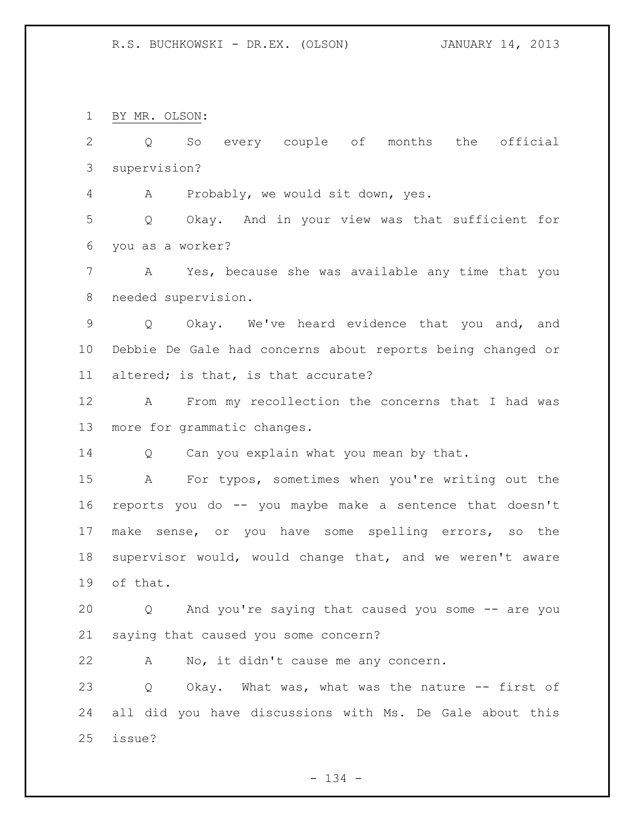BY MR. OLSON:

 Q So every couple of months the official supervision?

A Probably, we would sit down, yes.

 Q Okay. And in your view was that sufficient for you as a worker?

 A Yes, because she was available any time that you needed supervision.

 Q Okay. We've heard evidence that you and, and Debbie De Gale had concerns about reports being changed or altered; is that, is that accurate?

 A From my recollection the concerns that I had was more for grammatic changes.

14 Q Can you explain what you mean by that.

 A For typos, sometimes when you're writing out the reports you do -- you maybe make a sentence that doesn't make sense, or you have some spelling errors, so the supervisor would, would change that, and we weren't aware of that.

 Q And you're saying that caused you some -- are you saying that caused you some concern?

A No, it didn't cause me any concern.

 Q Okay. What was, what was the nature -- first of all did you have discussions with Ms. De Gale about this issue?

- 134 -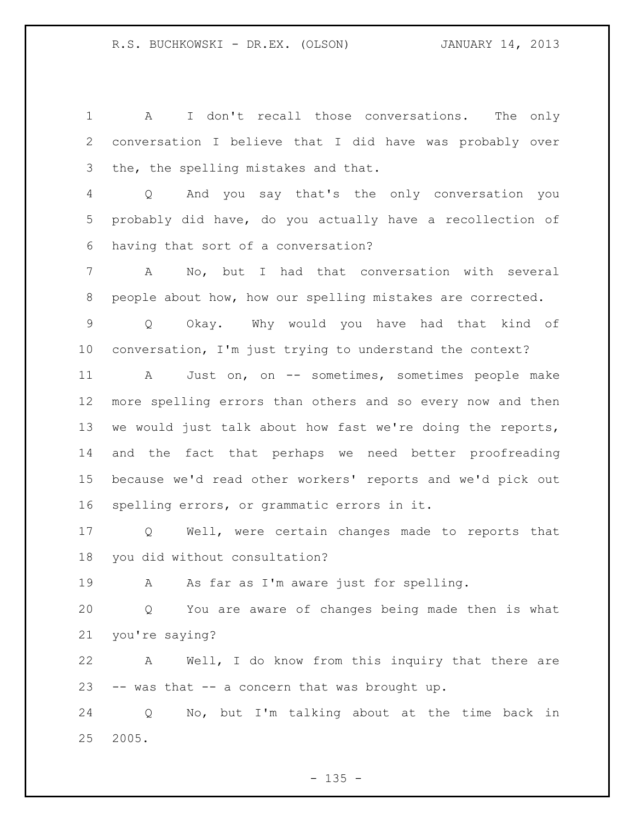A I don't recall those conversations. The only conversation I believe that I did have was probably over the, the spelling mistakes and that. Q And you say that's the only conversation you probably did have, do you actually have a recollection of having that sort of a conversation? A No, but I had that conversation with several people about how, how our spelling mistakes are corrected. Q Okay. Why would you have had that kind of conversation, I'm just trying to understand the context? A Just on, on -- sometimes, sometimes people make more spelling errors than others and so every now and then 13 we would just talk about how fast we're doing the reports, and the fact that perhaps we need better proofreading because we'd read other workers' reports and we'd pick out spelling errors, or grammatic errors in it. Q Well, were certain changes made to reports that you did without consultation? A As far as I'm aware just for spelling. Q You are aware of changes being made then is what you're saying? A Well, I do know from this inquiry that there are -- was that -- a concern that was brought up. Q No, but I'm talking about at the time back in 2005.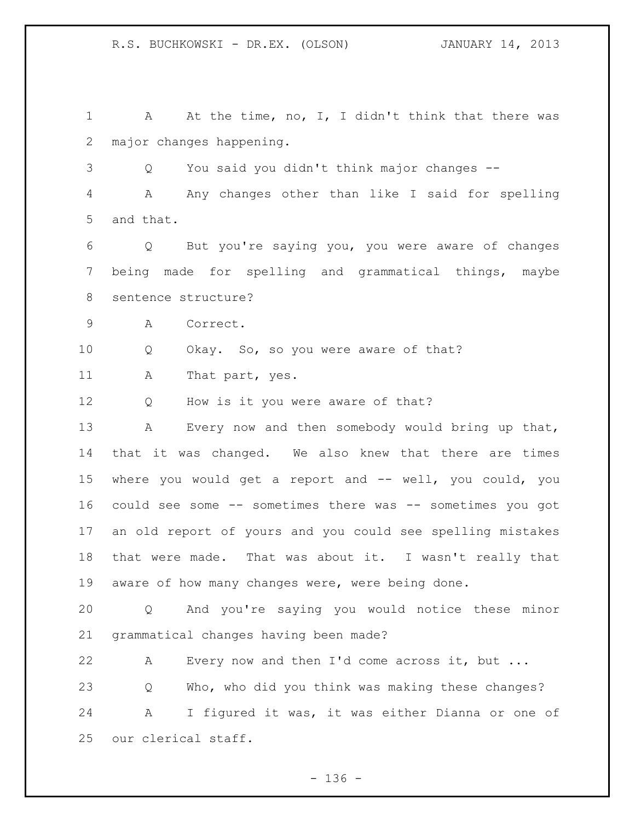R.S. BUCHKOWSKI - DR.EX. (OLSON) JANUARY 14, 2013

1 A At the time, no, I, I didn't think that there was major changes happening. Q You said you didn't think major changes -- A Any changes other than like I said for spelling and that. Q But you're saying you, you were aware of changes being made for spelling and grammatical things, maybe sentence structure? A Correct. Q Okay. So, so you were aware of that? 11 A That part, yes. 12 Q How is it you were aware of that? A Every now and then somebody would bring up that, that it was changed. We also knew that there are times where you would get a report and -- well, you could, you could see some -- sometimes there was -- sometimes you got an old report of yours and you could see spelling mistakes that were made. That was about it. I wasn't really that aware of how many changes were, were being done. Q And you're saying you would notice these minor grammatical changes having been made? A Every now and then I'd come across it, but ... Q Who, who did you think was making these changes? A I figured it was, it was either Dianna or one of our clerical staff.

- 136 -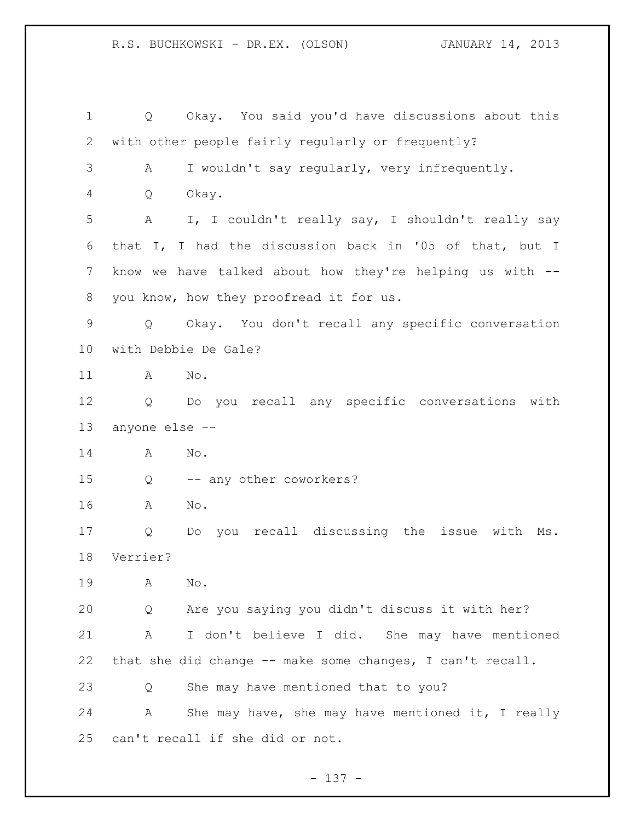Q Okay. You said you'd have discussions about this with other people fairly regularly or frequently? A I wouldn't say regularly, very infrequently. Q Okay. A I, I couldn't really say, I shouldn't really say that I, I had the discussion back in '05 of that, but I know we have talked about how they're helping us with -- you know, how they proofread it for us. Q Okay. You don't recall any specific conversation with Debbie De Gale? A No. Q Do you recall any specific conversations with anyone else -- A No. Q -- any other coworkers? A No. Q Do you recall discussing the issue with Ms. Verrier? A No. Q Are you saying you didn't discuss it with her? A I don't believe I did. She may have mentioned that she did change -- make some changes, I can't recall. Q She may have mentioned that to you? A She may have, she may have mentioned it, I really can't recall if she did or not.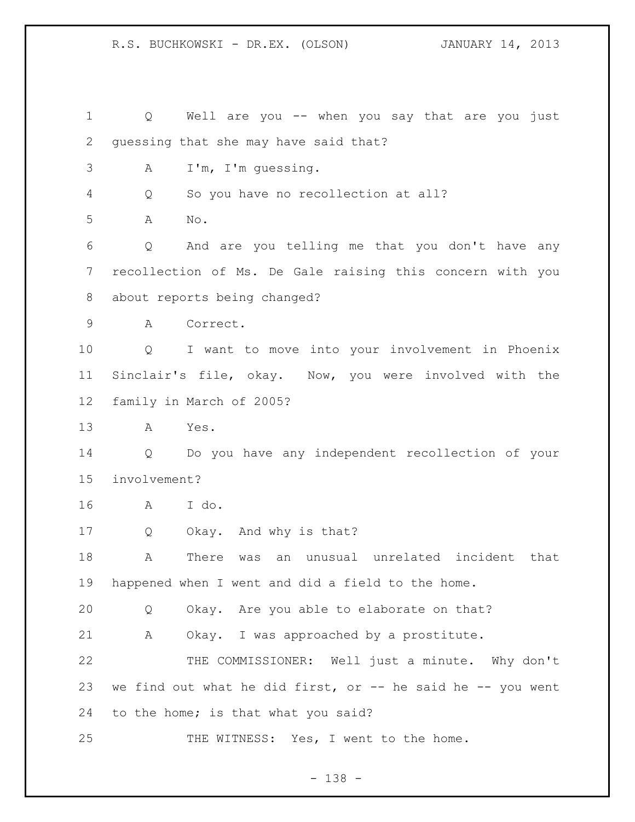R.S. BUCHKOWSKI - DR.EX. (OLSON) JANUARY 14, 2013

 Q Well are you -- when you say that are you just guessing that she may have said that? A I'm, I'm guessing. Q So you have no recollection at all? A No. Q And are you telling me that you don't have any recollection of Ms. De Gale raising this concern with you about reports being changed? A Correct. Q I want to move into your involvement in Phoenix Sinclair's file, okay. Now, you were involved with the family in March of 2005? A Yes. Q Do you have any independent recollection of your involvement? A I do. Q Okay. And why is that? A There was an unusual unrelated incident that happened when I went and did a field to the home. Q Okay. Are you able to elaborate on that? A Okay. I was approached by a prostitute. THE COMMISSIONER: Well just a minute. Why don't 23 we find out what he did first, or  $-$  he said he  $-$  you went to the home; is that what you said? 25 THE WITNESS: Yes, I went to the home.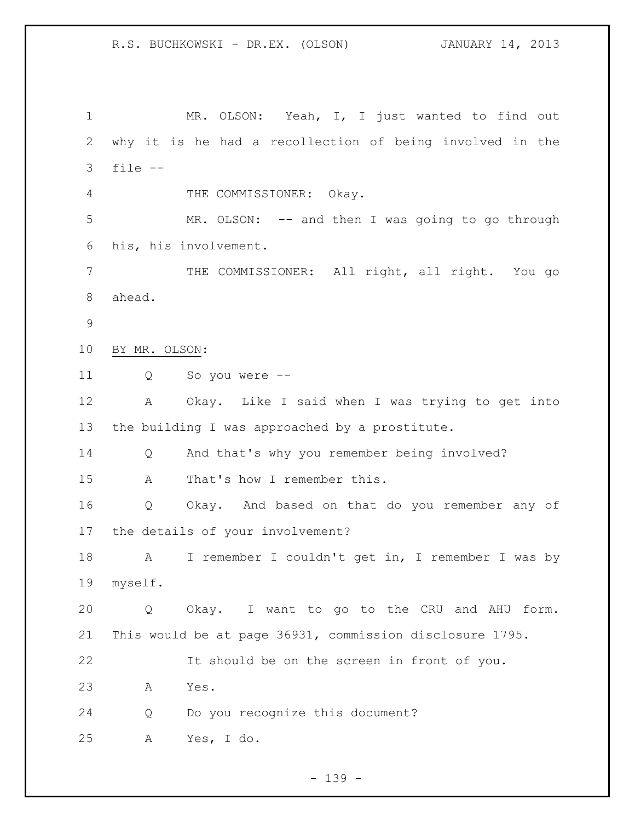MR. OLSON: Yeah, I, I just wanted to find out why it is he had a recollection of being involved in the file -- 4 THE COMMISSIONER: Okay. MR. OLSON: -- and then I was going to go through his, his involvement. THE COMMISSIONER: All right, all right. You go ahead. BY MR. OLSON: Q So you were -- A Okay. Like I said when I was trying to get into the building I was approached by a prostitute. Q And that's why you remember being involved? A That's how I remember this. Q Okay. And based on that do you remember any of the details of your involvement? A I remember I couldn't get in, I remember I was by myself. Q Okay. I want to go to the CRU and AHU form. This would be at page 36931, commission disclosure 1795. It should be on the screen in front of you. A Yes. Q Do you recognize this document? A Yes, I do.

- 139 -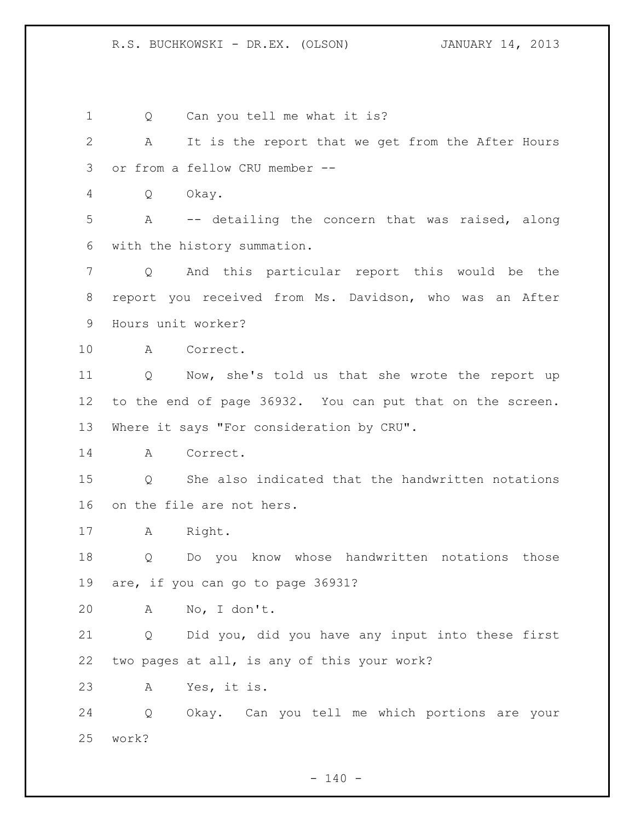1 Q Can you tell me what it is? A It is the report that we get from the After Hours or from a fellow CRU member -- Q Okay. A -- detailing the concern that was raised, along with the history summation. Q And this particular report this would be the report you received from Ms. Davidson, who was an After Hours unit worker? A Correct. Q Now, she's told us that she wrote the report up to the end of page 36932. You can put that on the screen. 13 Where it says "For consideration by CRU". A Correct. Q She also indicated that the handwritten notations on the file are not hers. A Right. Q Do you know whose handwritten notations those are, if you can go to page 36931? A No, I don't. Q Did you, did you have any input into these first two pages at all, is any of this your work? A Yes, it is. Q Okay. Can you tell me which portions are your work?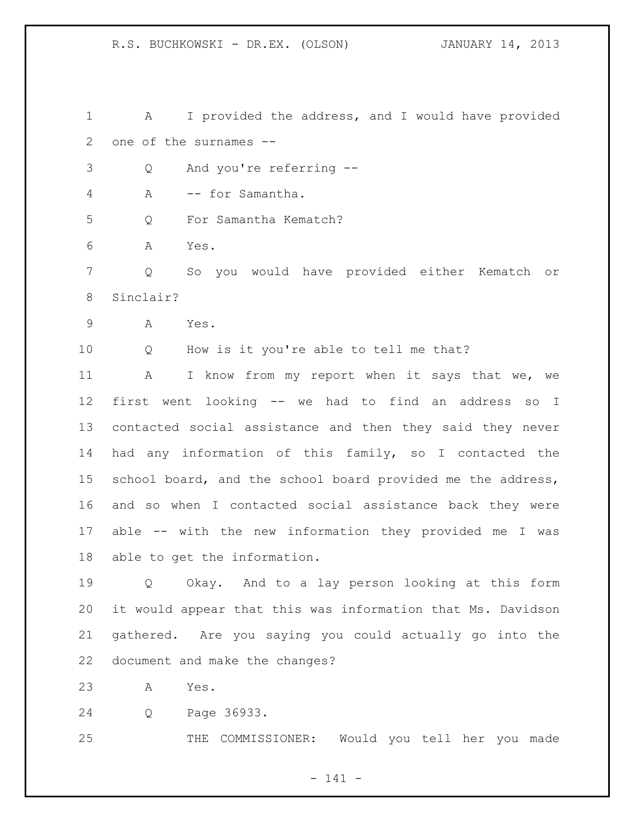R.S. BUCHKOWSKI - DR.EX. (OLSON) JANUARY 14, 2013

 A I provided the address, and I would have provided one of the surnames --

Q And you're referring --

A -- for Samantha.

Q For Samantha Kematch?

A Yes.

 Q So you would have provided either Kematch or Sinclair?

A Yes.

Q How is it you're able to tell me that?

11 A I know from my report when it says that we, we first went looking -- we had to find an address so I contacted social assistance and then they said they never had any information of this family, so I contacted the 15 school board, and the school board provided me the address, and so when I contacted social assistance back they were able -- with the new information they provided me I was able to get the information.

 Q Okay. And to a lay person looking at this form it would appear that this was information that Ms. Davidson gathered. Are you saying you could actually go into the document and make the changes?

A Yes.

Q Page 36933.

THE COMMISSIONER: Would you tell her you made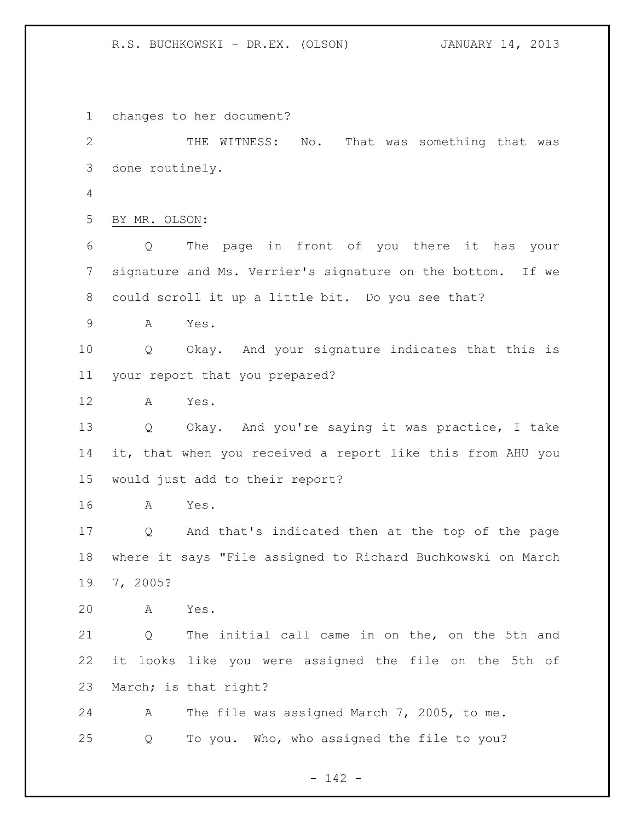changes to her document?

 THE WITNESS: No. That was something that was done routinely. BY MR. OLSON: Q The page in front of you there it has your signature and Ms. Verrier's signature on the bottom. If we could scroll it up a little bit. Do you see that? A Yes. Q Okay. And your signature indicates that this is your report that you prepared?

A Yes.

 Q Okay. And you're saying it was practice, I take it, that when you received a report like this from AHU you would just add to their report?

A Yes.

 Q And that's indicated then at the top of the page where it says "File assigned to Richard Buchkowski on March 7, 2005?

A Yes.

 Q The initial call came in on the, on the 5th and it looks like you were assigned the file on the 5th of March; is that right?

 A The file was assigned March 7, 2005, to me. Q To you. Who, who assigned the file to you?

- 142 -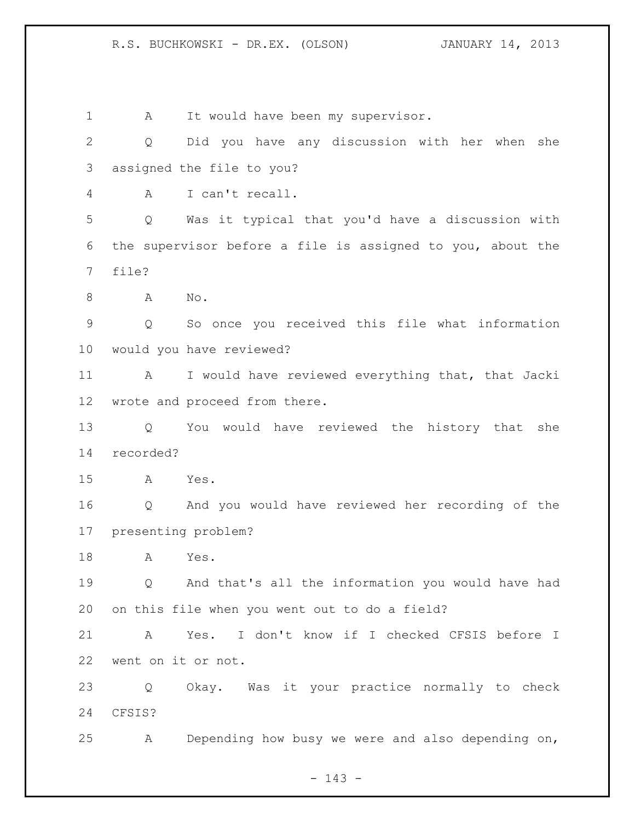1 A It would have been my supervisor. Q Did you have any discussion with her when she assigned the file to you? A I can't recall. Q Was it typical that you'd have a discussion with the supervisor before a file is assigned to you, about the file? A No. Q So once you received this file what information would you have reviewed? A I would have reviewed everything that, that Jacki wrote and proceed from there. Q You would have reviewed the history that she recorded? A Yes. Q And you would have reviewed her recording of the presenting problem? A Yes. Q And that's all the information you would have had on this file when you went out to do a field? A Yes. I don't know if I checked CFSIS before I went on it or not. Q Okay. Was it your practice normally to check CFSIS? A Depending how busy we were and also depending on,

- 143 -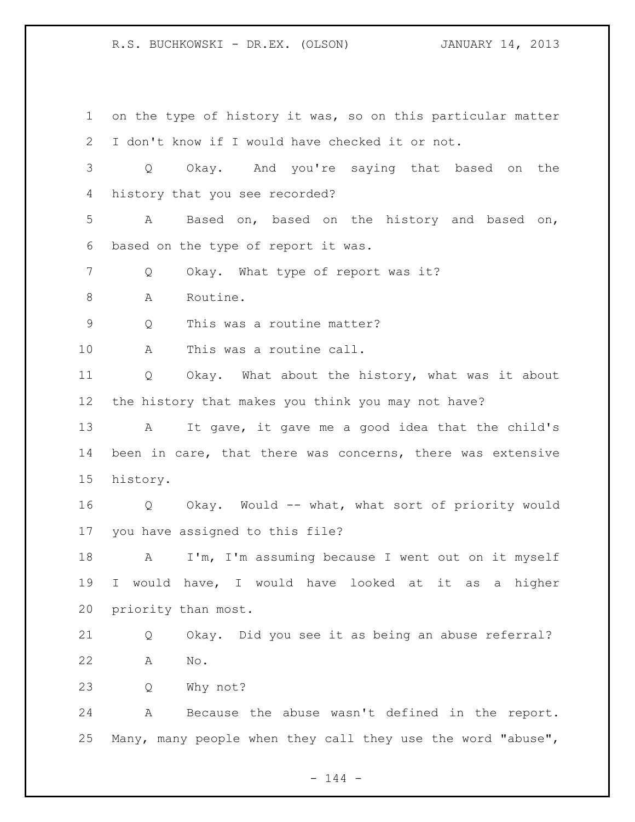on the type of history it was, so on this particular matter I don't know if I would have checked it or not. Q Okay. And you're saying that based on the history that you see recorded? A Based on, based on the history and based on, based on the type of report it was. 7 Q Okay. What type of report was it? 8 A Routine. Q This was a routine matter? A This was a routine call. Q Okay. What about the history, what was it about the history that makes you think you may not have? A It gave, it gave me a good idea that the child's been in care, that there was concerns, there was extensive history. Q Okay. Would -- what, what sort of priority would you have assigned to this file? A I'm, I'm assuming because I went out on it myself I would have, I would have looked at it as a higher priority than most. Q Okay. Did you see it as being an abuse referral? A No. Q Why not? A Because the abuse wasn't defined in the report. Many, many people when they call they use the word "abuse",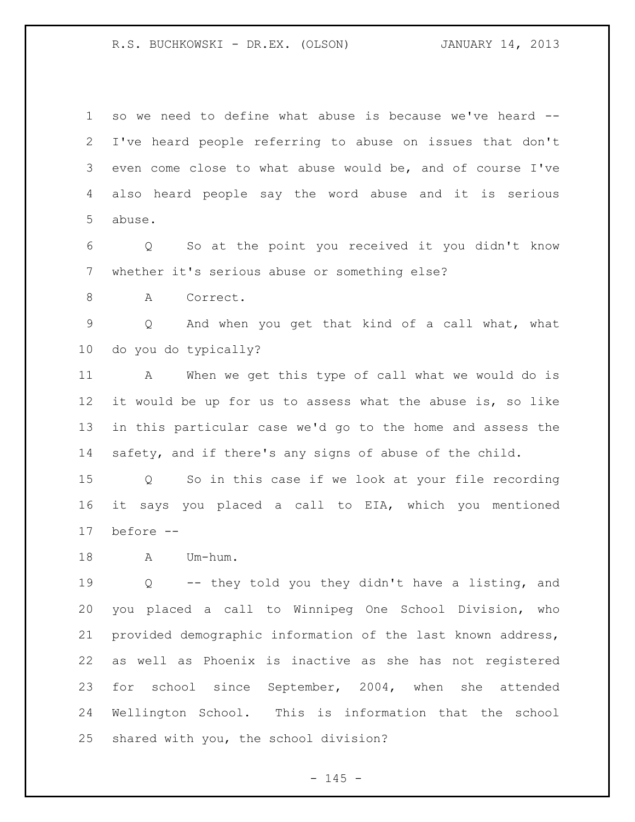so we need to define what abuse is because we've heard -- I've heard people referring to abuse on issues that don't even come close to what abuse would be, and of course I've also heard people say the word abuse and it is serious abuse.

 Q So at the point you received it you didn't know whether it's serious abuse or something else?

8 A Correct.

 Q And when you get that kind of a call what, what do you do typically?

 A When we get this type of call what we would do is it would be up for us to assess what the abuse is, so like in this particular case we'd go to the home and assess the safety, and if there's any signs of abuse of the child.

 Q So in this case if we look at your file recording it says you placed a call to EIA, which you mentioned before --

A Um-hum.

 Q -- they told you they didn't have a listing, and you placed a call to Winnipeg One School Division, who provided demographic information of the last known address, as well as Phoenix is inactive as she has not registered for school since September, 2004, when she attended Wellington School. This is information that the school shared with you, the school division?

 $- 145 -$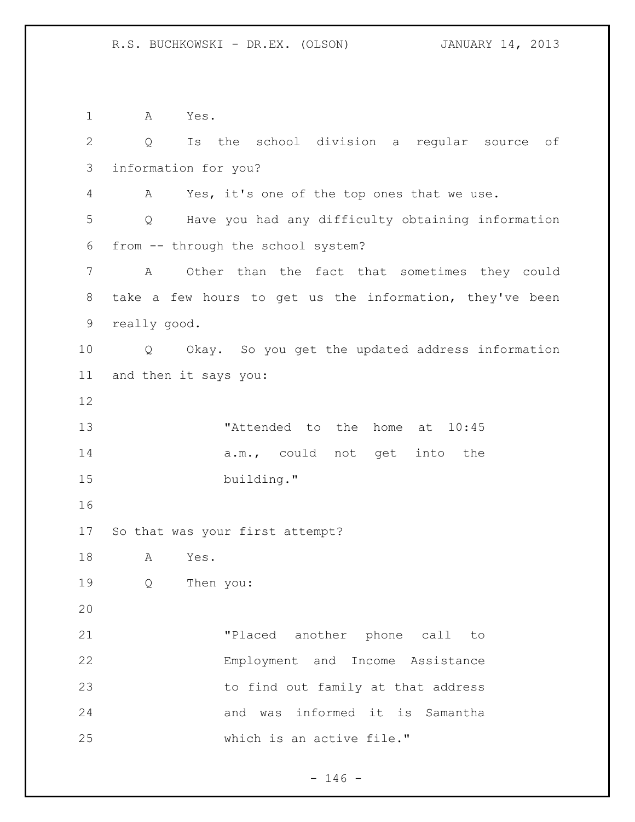A Yes. Q Is the school division a regular source of information for you? A Yes, it's one of the top ones that we use. Q Have you had any difficulty obtaining information from -- through the school system? A Other than the fact that sometimes they could take a few hours to get us the information, they've been really good. Q Okay. So you get the updated address information and then it says you: 13 TAttended to the home at  $10:45$ 14 a.m., could not get into the building." So that was your first attempt? A Yes. Q Then you: "Placed another phone call to Employment and Income Assistance to find out family at that address and was informed it is Samantha which is an active file."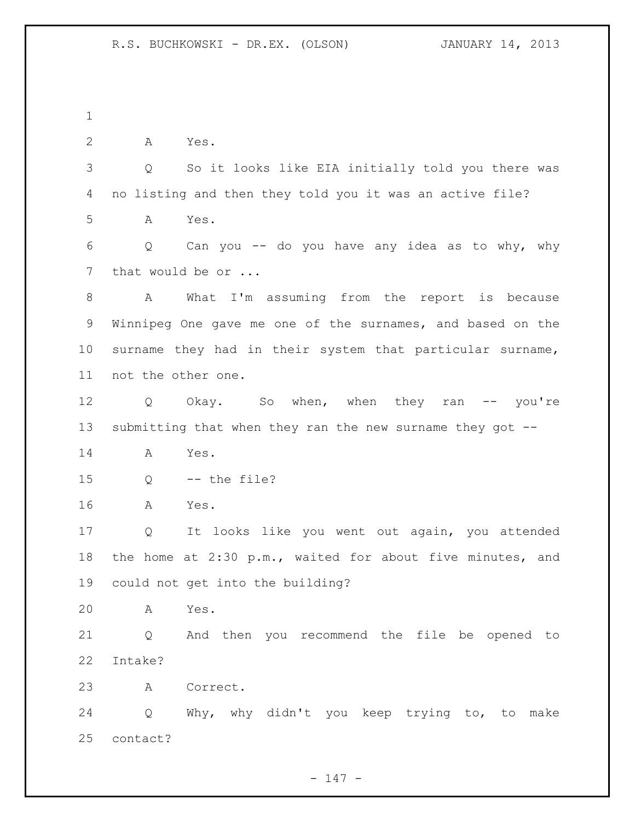A Yes. Q So it looks like EIA initially told you there was no listing and then they told you it was an active file? A Yes. Q Can you -- do you have any idea as to why, why 7 that would be or ... A What I'm assuming from the report is because Winnipeg One gave me one of the surnames, and based on the surname they had in their system that particular surname, not the other one. 12 Q Okay. So when, when they ran -- you're submitting that when they ran the new surname they got -- A Yes. Q -- the file? A Yes. Q It looks like you went out again, you attended the home at 2:30 p.m., waited for about five minutes, and could not get into the building? A Yes. Q And then you recommend the file be opened to Intake? A Correct. Q Why, why didn't you keep trying to, to make contact?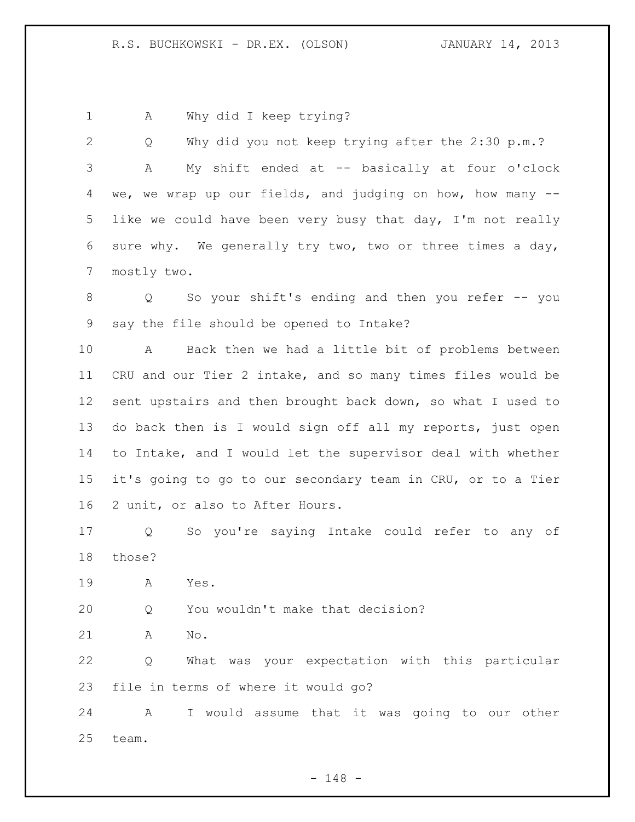1 A Why did I keep trying?

 Q Why did you not keep trying after the 2:30 p.m.? A My shift ended at -- basically at four o'clock we, we wrap up our fields, and judging on how, how many -- like we could have been very busy that day, I'm not really sure why. We generally try two, two or three times a day, mostly two.

 Q So your shift's ending and then you refer -- you say the file should be opened to Intake?

 A Back then we had a little bit of problems between CRU and our Tier 2 intake, and so many times files would be sent upstairs and then brought back down, so what I used to do back then is I would sign off all my reports, just open to Intake, and I would let the supervisor deal with whether it's going to go to our secondary team in CRU, or to a Tier 2 unit, or also to After Hours.

 Q So you're saying Intake could refer to any of those?

A Yes.

Q You wouldn't make that decision?

A No.

 Q What was your expectation with this particular file in terms of where it would go?

 A I would assume that it was going to our other team.

- 148 -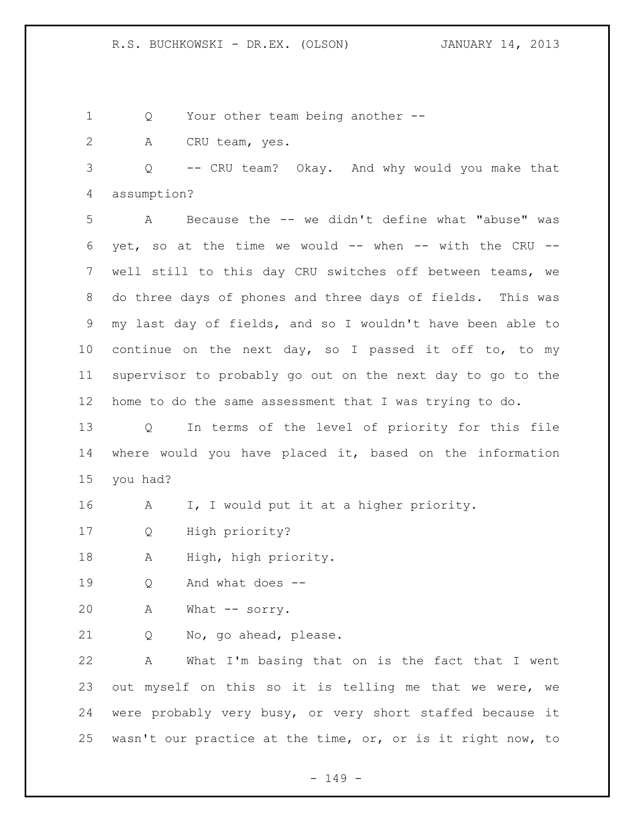1 Q Your other team being another --

A CRU team, yes.

 Q -- CRU team? Okay. And why would you make that assumption?

 A Because the -- we didn't define what "abuse" was 6 yet, so at the time we would  $--$  when  $--$  with the CRU  $--$  well still to this day CRU switches off between teams, we do three days of phones and three days of fields. This was my last day of fields, and so I wouldn't have been able to continue on the next day, so I passed it off to, to my supervisor to probably go out on the next day to go to the home to do the same assessment that I was trying to do.

 Q In terms of the level of priority for this file where would you have placed it, based on the information you had?

- A I, I would put it at a higher priority.
- Q High priority?
- A High, high priority.
- Q And what does --
- A What -- sorry.
- Q No, go ahead, please.

 A What I'm basing that on is the fact that I went out myself on this so it is telling me that we were, we were probably very busy, or very short staffed because it wasn't our practice at the time, or, or is it right now, to

- 149 -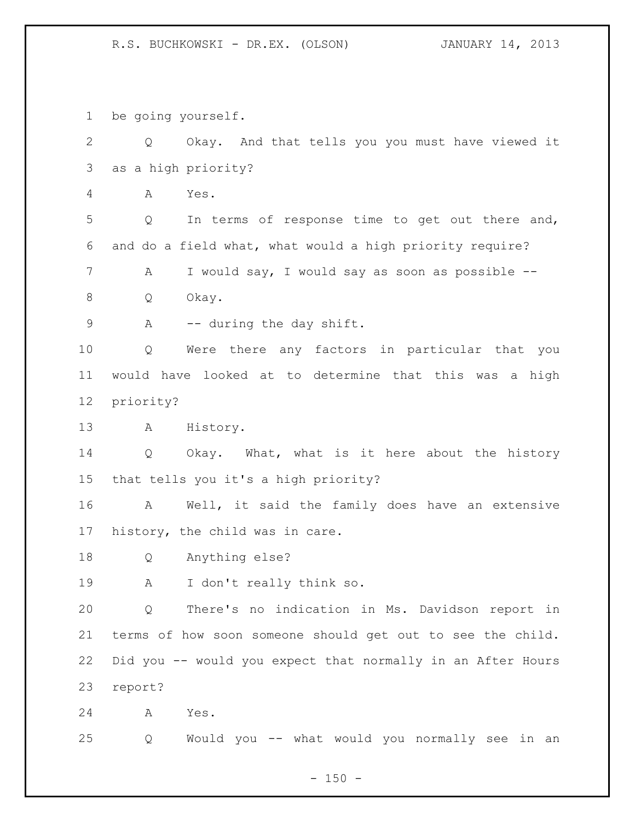be going yourself.

 Q Okay. And that tells you you must have viewed it as a high priority? A Yes. Q In terms of response time to get out there and, and do a field what, what would a high priority require? A I would say, I would say as soon as possible -- Q Okay. 9 A -- during the day shift. Q Were there any factors in particular that you would have looked at to determine that this was a high priority? A History. Q Okay. What, what is it here about the history that tells you it's a high priority? A Well, it said the family does have an extensive history, the child was in care. Q Anything else? A I don't really think so. Q There's no indication in Ms. Davidson report in terms of how soon someone should get out to see the child. Did you -- would you expect that normally in an After Hours report? A Yes. Q Would you -- what would you normally see in an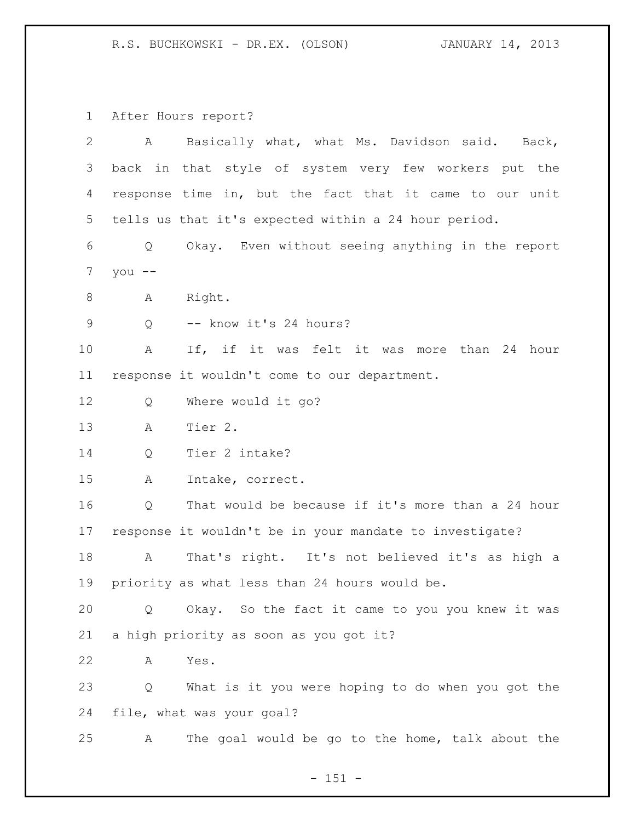After Hours report?

| 2           | Basically what, what Ms. Davidson said. Back,<br>$\mathbf{A}$ |  |  |
|-------------|---------------------------------------------------------------|--|--|
| 3           | back in that style of system very few workers put the         |  |  |
| 4           | response time in, but the fact that it came to our unit       |  |  |
| 5           | tells us that it's expected within a 24 hour period.          |  |  |
| 6           | Okay. Even without seeing anything in the report<br>Q         |  |  |
| 7           | you $--$                                                      |  |  |
| 8           | Right.<br>A                                                   |  |  |
| $\mathsf 9$ | -- know it's 24 hours?<br>Q                                   |  |  |
| 10          | If, if it was felt it was more than 24 hour<br>A              |  |  |
| 11          | response it wouldn't come to our department.                  |  |  |
| 12          | Where would it go?<br>Q                                       |  |  |
| 13          | Tier 2.<br>A                                                  |  |  |
| 14          | Tier 2 intake?<br>Q                                           |  |  |
| 15          | Intake, correct.<br>A                                         |  |  |
| 16          | That would be because if it's more than a 24 hour<br>Q        |  |  |
| 17          | response it wouldn't be in your mandate to investigate?       |  |  |
| 18          | That's right. It's not believed it's as high a<br>A           |  |  |
| 19          | priority as what less than 24 hours would be.                 |  |  |
| 20          | Okay. So the fact it came to you you knew it was<br>Q         |  |  |
| 21          | a high priority as soon as you got it?                        |  |  |
| 22          | Yes.<br>A                                                     |  |  |
| 23          | What is it you were hoping to do when you got the<br>Q        |  |  |
| 24          | file, what was your goal?                                     |  |  |
| 25          | The goal would be go to the home, talk about the<br>A         |  |  |

- 151 -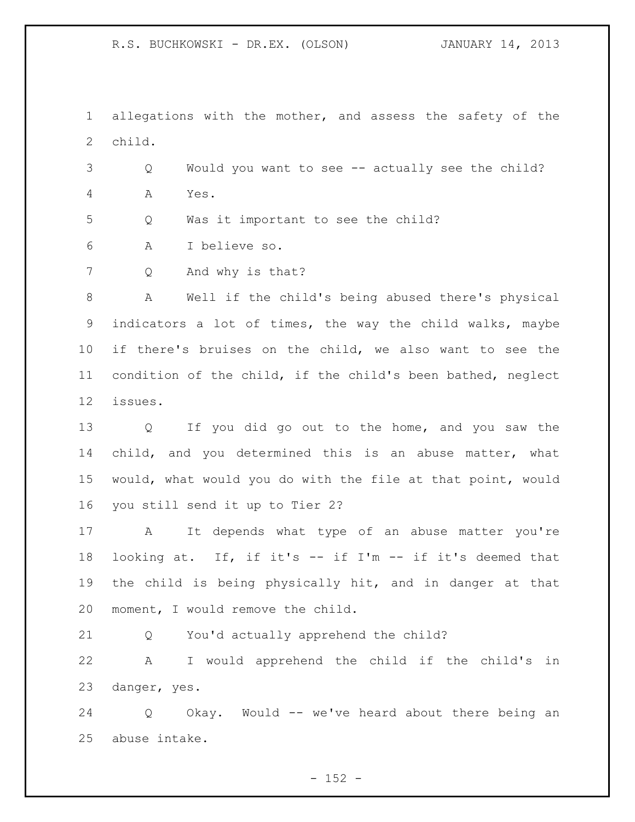allegations with the mother, and assess the safety of the child.

 Q Would you want to see -- actually see the child? A Yes.

Q Was it important to see the child?

A I believe so.

Q And why is that?

 A Well if the child's being abused there's physical indicators a lot of times, the way the child walks, maybe if there's bruises on the child, we also want to see the condition of the child, if the child's been bathed, neglect issues.

 Q If you did go out to the home, and you saw the child, and you determined this is an abuse matter, what would, what would you do with the file at that point, would you still send it up to Tier 2?

 A It depends what type of an abuse matter you're looking at. If, if it's -- if I'm -- if it's deemed that the child is being physically hit, and in danger at that moment, I would remove the child.

Q You'd actually apprehend the child?

 A I would apprehend the child if the child's in danger, yes.

 Q Okay. Would -- we've heard about there being an abuse intake.

 $- 152 -$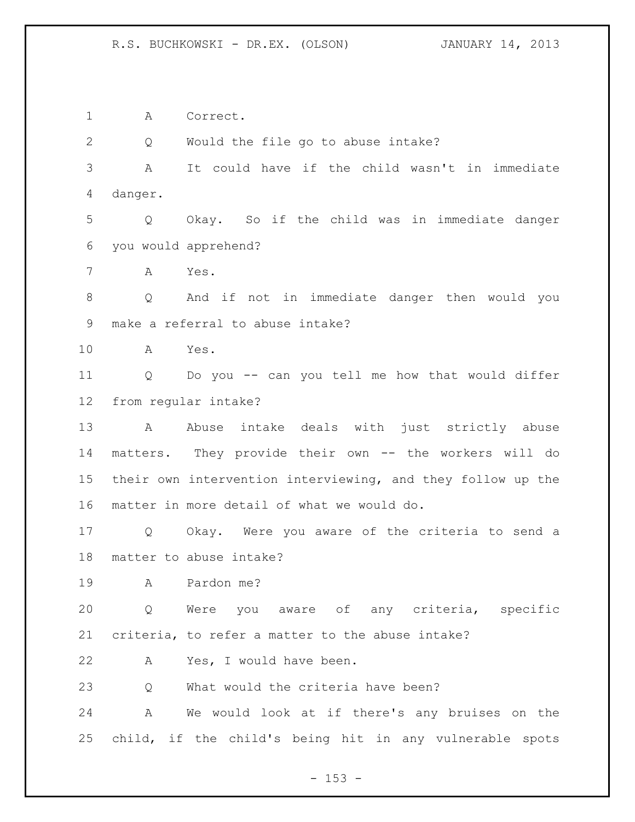A Correct.

Q Would the file go to abuse intake?

 A It could have if the child wasn't in immediate danger.

 Q Okay. So if the child was in immediate danger you would apprehend?

A Yes.

 Q And if not in immediate danger then would you make a referral to abuse intake?

A Yes.

 Q Do you -- can you tell me how that would differ from regular intake?

13 A Abuse intake deals with just strictly abuse matters. They provide their own -- the workers will do their own intervention interviewing, and they follow up the matter in more detail of what we would do.

 Q Okay. Were you aware of the criteria to send a matter to abuse intake?

A Pardon me?

 Q Were you aware of any criteria, specific criteria, to refer a matter to the abuse intake?

A Yes, I would have been.

Q What would the criteria have been?

 A We would look at if there's any bruises on the child, if the child's being hit in any vulnerable spots

 $- 153 -$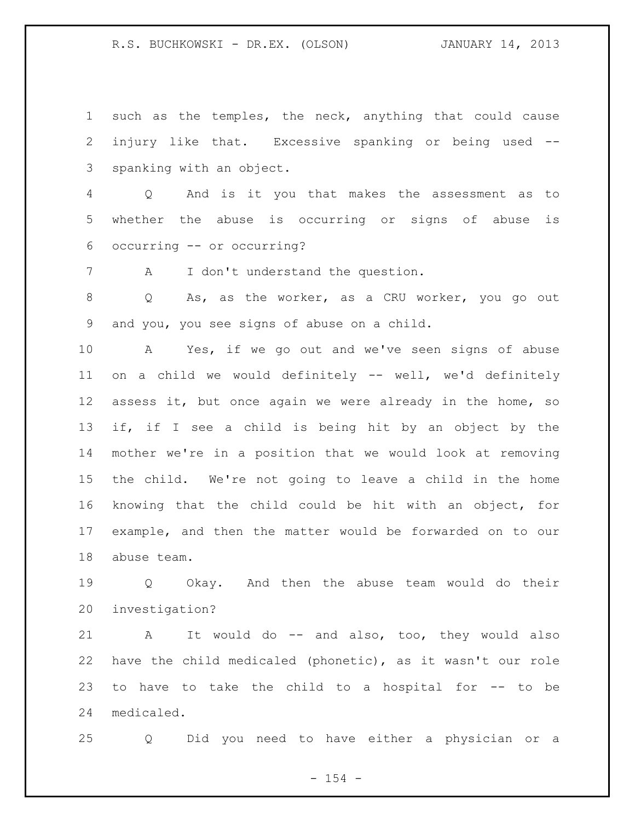such as the temples, the neck, anything that could cause injury like that. Excessive spanking or being used -- spanking with an object.

 Q And is it you that makes the assessment as to whether the abuse is occurring or signs of abuse is occurring -- or occurring?

A I don't understand the question.

 Q As, as the worker, as a CRU worker, you go out and you, you see signs of abuse on a child.

 A Yes, if we go out and we've seen signs of abuse on a child we would definitely -- well, we'd definitely assess it, but once again we were already in the home, so if, if I see a child is being hit by an object by the mother we're in a position that we would look at removing the child. We're not going to leave a child in the home knowing that the child could be hit with an object, for example, and then the matter would be forwarded on to our abuse team.

 Q Okay. And then the abuse team would do their investigation?

21 A It would do -- and also, too, they would also have the child medicaled (phonetic), as it wasn't our role to have to take the child to a hospital for -- to be medicaled.

Q Did you need to have either a physician or a

 $- 154 -$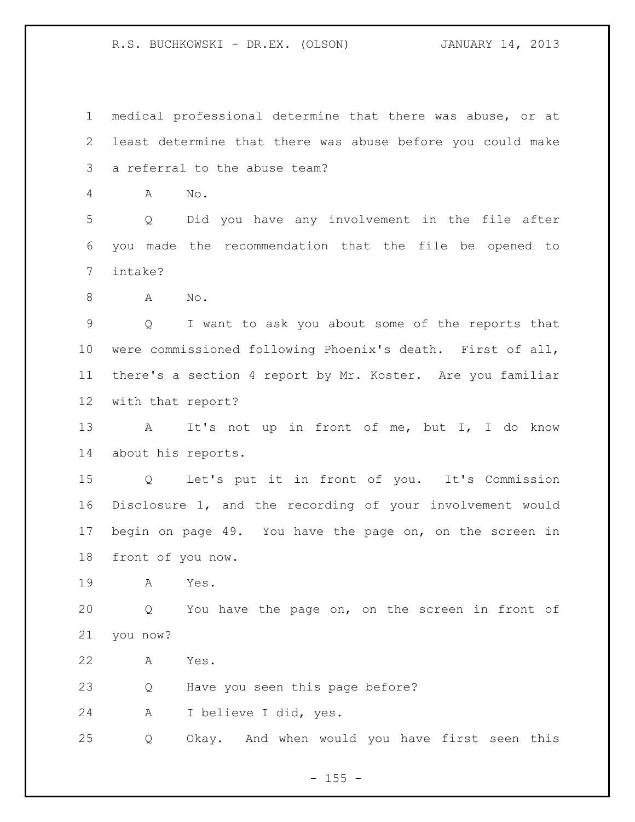medical professional determine that there was abuse, or at least determine that there was abuse before you could make a referral to the abuse team? A No. Q Did you have any involvement in the file after you made the recommendation that the file be opened to intake? A No. Q I want to ask you about some of the reports that were commissioned following Phoenix's death. First of all, there's a section 4 report by Mr. Koster. Are you familiar with that report? 13 A It's not up in front of me, but I, I do know about his reports. Q Let's put it in front of you. It's Commission Disclosure 1, and the recording of your involvement would begin on page 49. You have the page on, on the screen in front of you now. A Yes. Q You have the page on, on the screen in front of you now? A Yes. Q Have you seen this page before? A I believe I did, yes. Q Okay. And when would you have first seen this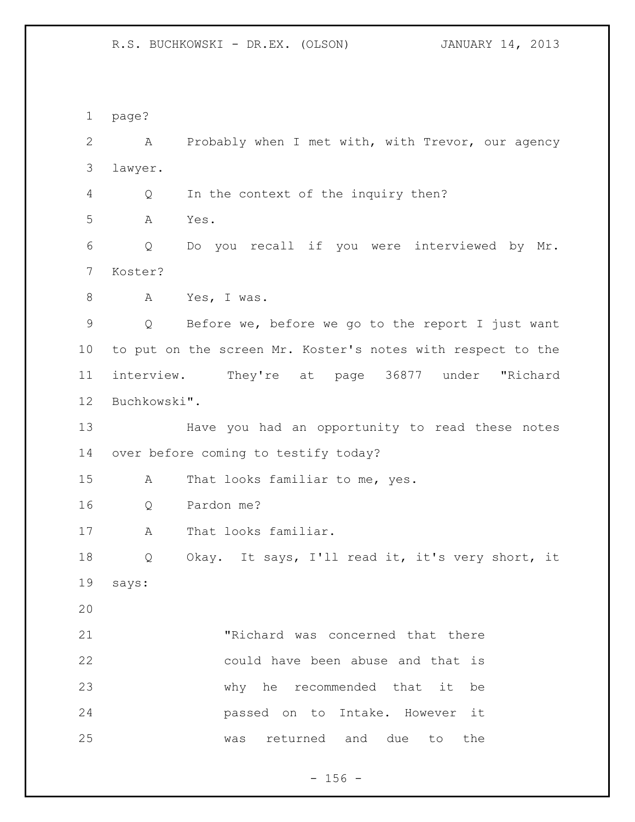page?

 A Probably when I met with, with Trevor, our agency lawyer. Q In the context of the inquiry then? A Yes. Q Do you recall if you were interviewed by Mr. Koster? A Yes, I was. Q Before we, before we go to the report I just want to put on the screen Mr. Koster's notes with respect to the

 interview. They're at page 36877 under "Richard Buchkowski".

 Have you had an opportunity to read these notes over before coming to testify today?

A That looks familiar to me, yes.

Q Pardon me?

17 A That looks familiar.

 Q Okay. It says, I'll read it, it's very short, it says:

 "Richard was concerned that there could have been abuse and that is why he recommended that it be passed on to Intake. However it was returned and due to the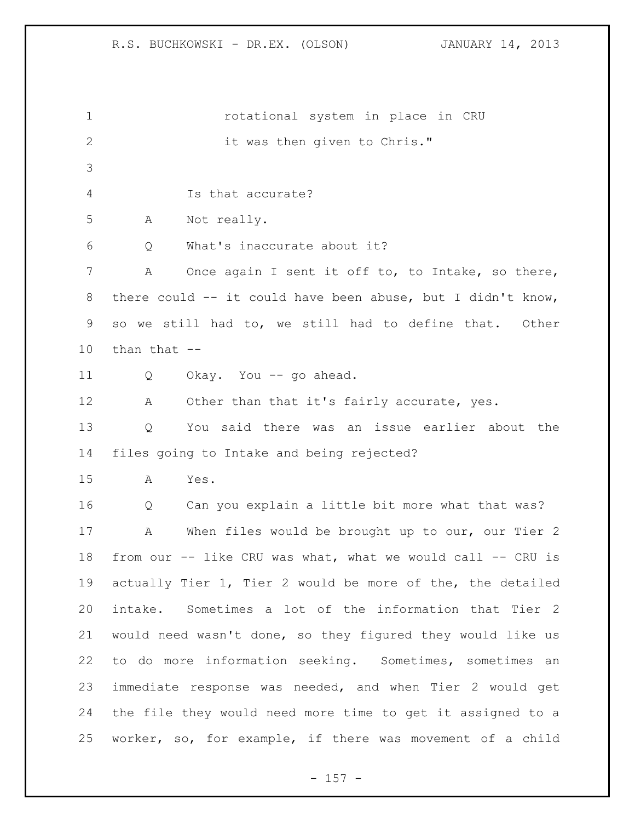rotational system in place in CRU 2 it was then given to Chris." Is that accurate? A Not really. Q What's inaccurate about it? A Once again I sent it off to, to Intake, so there, there could -- it could have been abuse, but I didn't know, so we still had to, we still had to define that. Other than that -- Q Okay. You -- go ahead. 12 A Other than that it's fairly accurate, yes. Q You said there was an issue earlier about the files going to Intake and being rejected? A Yes. Q Can you explain a little bit more what that was? A When files would be brought up to our, our Tier 2 from our -- like CRU was what, what we would call -- CRU is actually Tier 1, Tier 2 would be more of the, the detailed intake. Sometimes a lot of the information that Tier 2 would need wasn't done, so they figured they would like us to do more information seeking. Sometimes, sometimes an immediate response was needed, and when Tier 2 would get the file they would need more time to get it assigned to a worker, so, for example, if there was movement of a child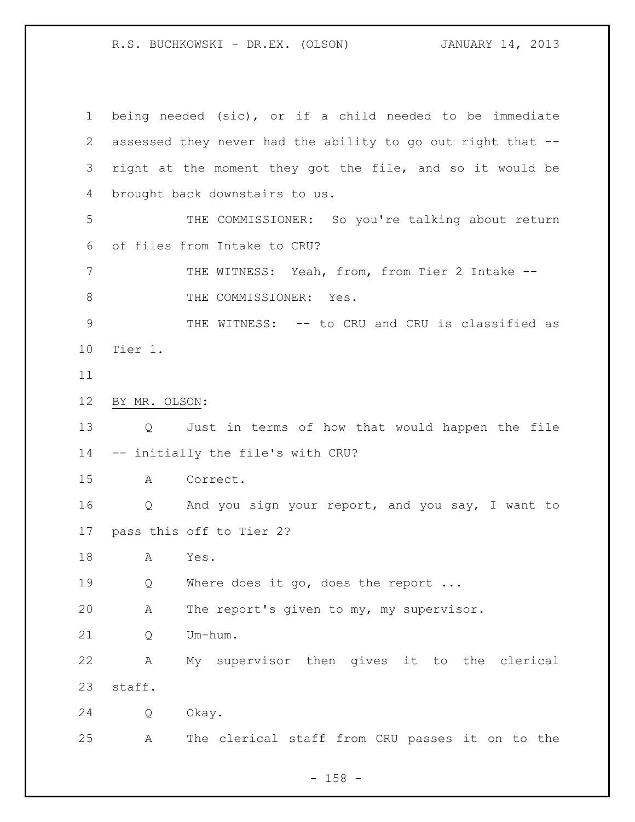being needed (sic), or if a child needed to be immediate assessed they never had the ability to go out right that -- right at the moment they got the file, and so it would be brought back downstairs to us. THE COMMISSIONER: So you're talking about return of files from Intake to CRU? THE WITNESS: Yeah, from, from Tier 2 Intake -- 8 THE COMMISSIONER: Yes. 9 THE WITNESS: -- to CRU and CRU is classified as Tier 1. BY MR. OLSON: Q Just in terms of how that would happen the file -- initially the file's with CRU? A Correct. Q And you sign your report, and you say, I want to pass this off to Tier 2? A Yes. 19 Q Where does it go, does the report ... A The report's given to my, my supervisor. Q Um-hum. A My supervisor then gives it to the clerical staff. Q Okay. A The clerical staff from CRU passes it on to the

- 158 -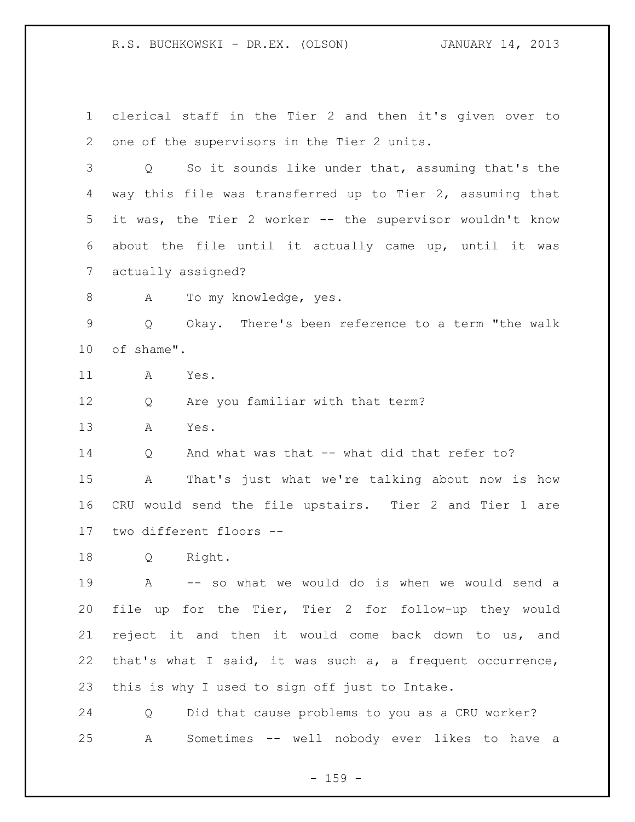clerical staff in the Tier 2 and then it's given over to one of the supervisors in the Tier 2 units.

 Q So it sounds like under that, assuming that's the way this file was transferred up to Tier 2, assuming that it was, the Tier 2 worker -- the supervisor wouldn't know about the file until it actually came up, until it was actually assigned?

8 A To my knowledge, yes.

 Q Okay. There's been reference to a term "the walk of shame".

A Yes.

Q Are you familiar with that term?

A Yes.

14 O And what was that -- what did that refer to?

 A That's just what we're talking about now is how CRU would send the file upstairs. Tier 2 and Tier 1 are two different floors --

Q Right.

 A -- so what we would do is when we would send a file up for the Tier, Tier 2 for follow-up they would reject it and then it would come back down to us, and that's what I said, it was such a, a frequent occurrence, this is why I used to sign off just to Intake.

 Q Did that cause problems to you as a CRU worker? A Sometimes -- well nobody ever likes to have a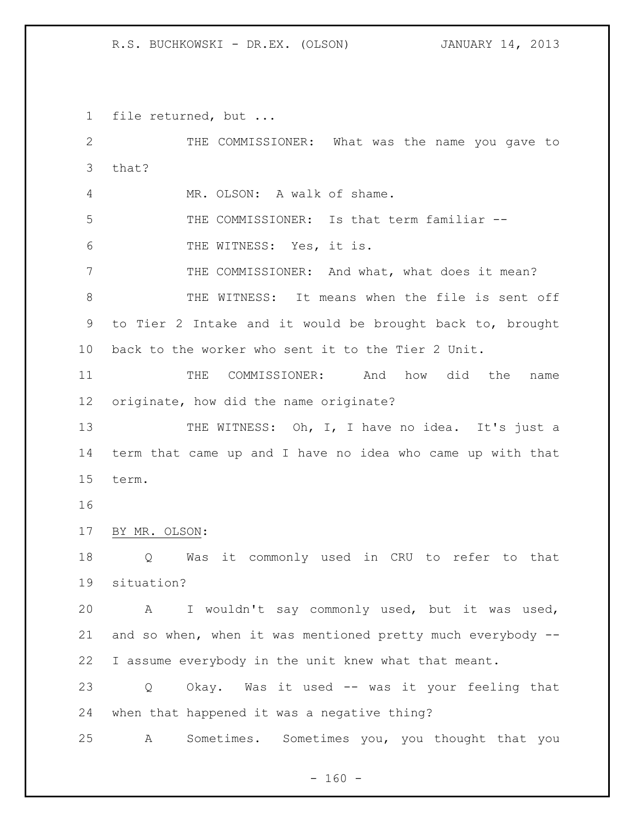file returned, but ...

 THE COMMISSIONER: What was the name you gave to that? MR. OLSON: A walk of shame. THE COMMISSIONER: Is that term familiar -- THE WITNESS: Yes, it is. THE COMMISSIONER: And what, what does it mean? 8 THE WITNESS: It means when the file is sent off to Tier 2 Intake and it would be brought back to, brought back to the worker who sent it to the Tier 2 Unit. THE COMMISSIONER: And how did the name originate, how did the name originate? 13 THE WITNESS: Oh, I, I have no idea. It's just a term that came up and I have no idea who came up with that term. BY MR. OLSON: Q Was it commonly used in CRU to refer to that situation? A I wouldn't say commonly used, but it was used, and so when, when it was mentioned pretty much everybody -- I assume everybody in the unit knew what that meant. Q Okay. Was it used -- was it your feeling that when that happened it was a negative thing? A Sometimes. Sometimes you, you thought that you

 $- 160 -$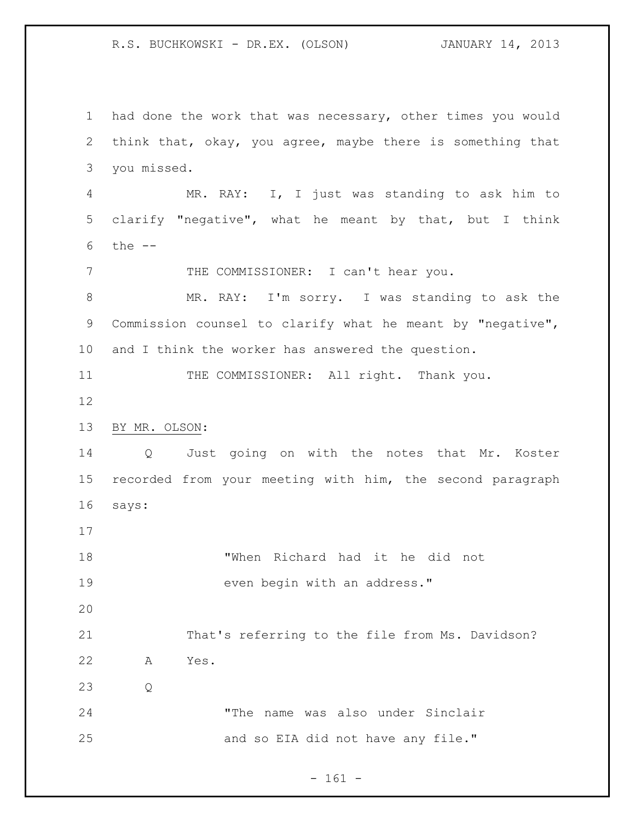had done the work that was necessary, other times you would think that, okay, you agree, maybe there is something that you missed. MR. RAY: I, I just was standing to ask him to clarify "negative", what he meant by that, but I think the -- 7 THE COMMISSIONER: I can't hear you. MR. RAY: I'm sorry. I was standing to ask the Commission counsel to clarify what he meant by "negative", and I think the worker has answered the question. 11 THE COMMISSIONER: All right. Thank you. BY MR. OLSON: Q Just going on with the notes that Mr. Koster recorded from your meeting with him, the second paragraph says: "When Richard had it he did not 19 even begin with an address." That's referring to the file from Ms. Davidson? A Yes. Q "The name was also under Sinclair 25 and so EIA did not have any file."

- 161 -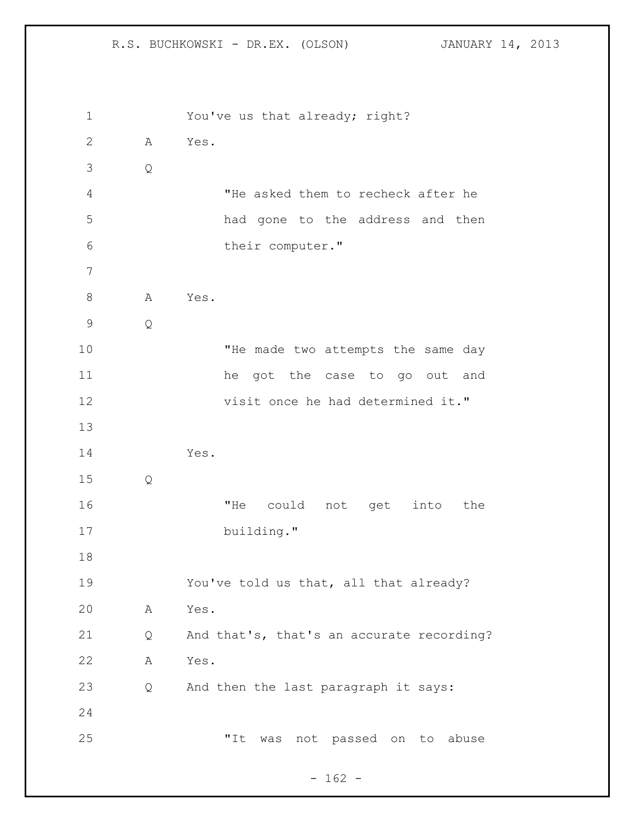You've us that already; right? A Yes. Q "He asked them to recheck after he had gone to the address and then their computer." 8 A Yes. Q 10 THe made two attempts the same day he got the case to go out and 12 visit once he had determined it." Yes. Q "He could not get into the 17 building." You've told us that, all that already? A Yes. Q And that's, that's an accurate recording? A Yes. Q And then the last paragraph it says: "It was not passed on to abuse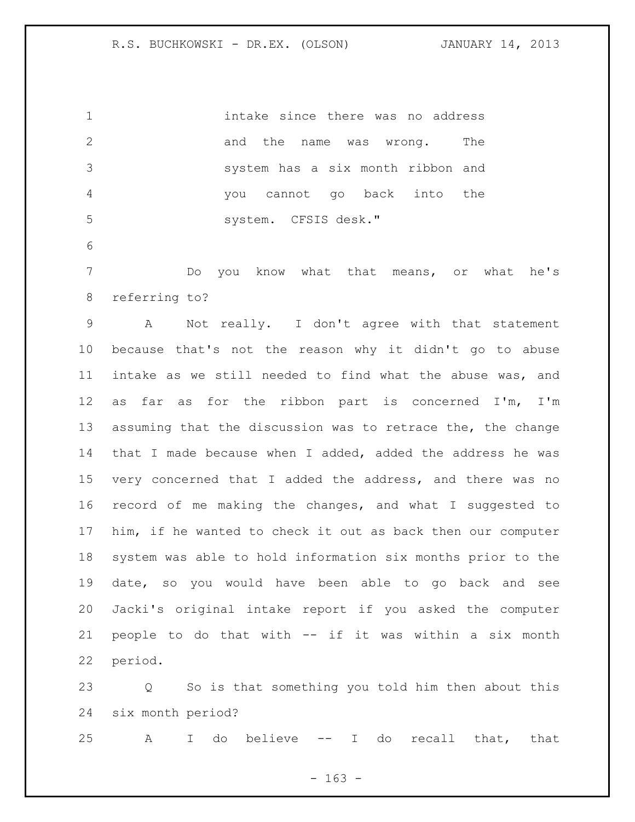intake since there was no address 2 and the name was wrong. The system has a six month ribbon and you cannot go back into the system. CFSIS desk." Do you know what that means, or what he's referring to? A Not really. I don't agree with that statement because that's not the reason why it didn't go to abuse intake as we still needed to find what the abuse was, and as far as for the ribbon part is concerned I'm, I'm assuming that the discussion was to retrace the, the change that I made because when I added, added the address he was very concerned that I added the address, and there was no record of me making the changes, and what I suggested to him, if he wanted to check it out as back then our computer system was able to hold information six months prior to the date, so you would have been able to go back and see Jacki's original intake report if you asked the computer people to do that with -- if it was within a six month period. Q So is that something you told him then about this six month period?

A I do believe -- I do recall that, that

- 163 -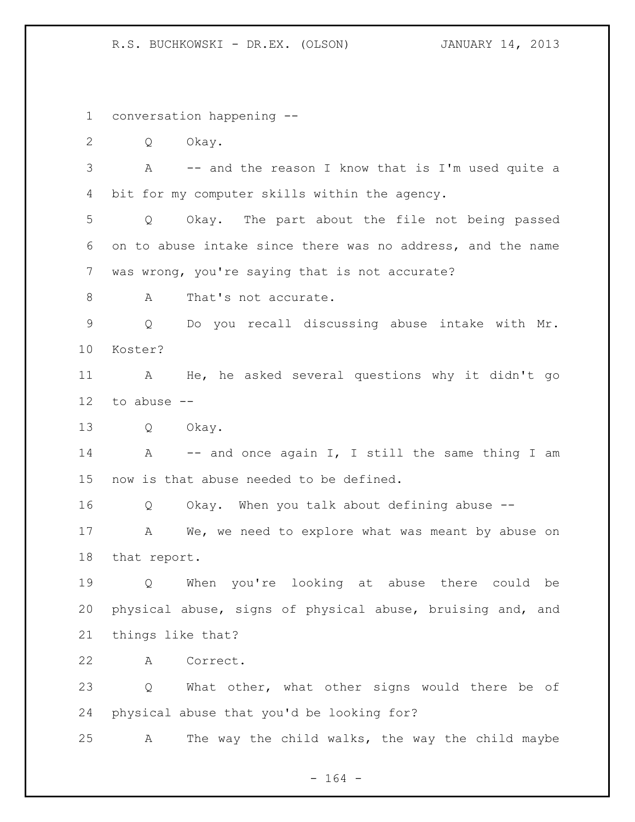conversation happening --

Q Okay.

 A -- and the reason I know that is I'm used quite a bit for my computer skills within the agency.

 Q Okay. The part about the file not being passed on to abuse intake since there was no address, and the name was wrong, you're saying that is not accurate?

8 A That's not accurate.

 Q Do you recall discussing abuse intake with Mr. Koster?

 A He, he asked several questions why it didn't go to abuse --

Q Okay.

14 A -- and once again I, I still the same thing I am now is that abuse needed to be defined.

Q Okay. When you talk about defining abuse --

17 A We, we need to explore what was meant by abuse on that report.

 Q When you're looking at abuse there could be physical abuse, signs of physical abuse, bruising and, and things like that?

A Correct.

 Q What other, what other signs would there be of physical abuse that you'd be looking for?

A The way the child walks, the way the child maybe

- 164 -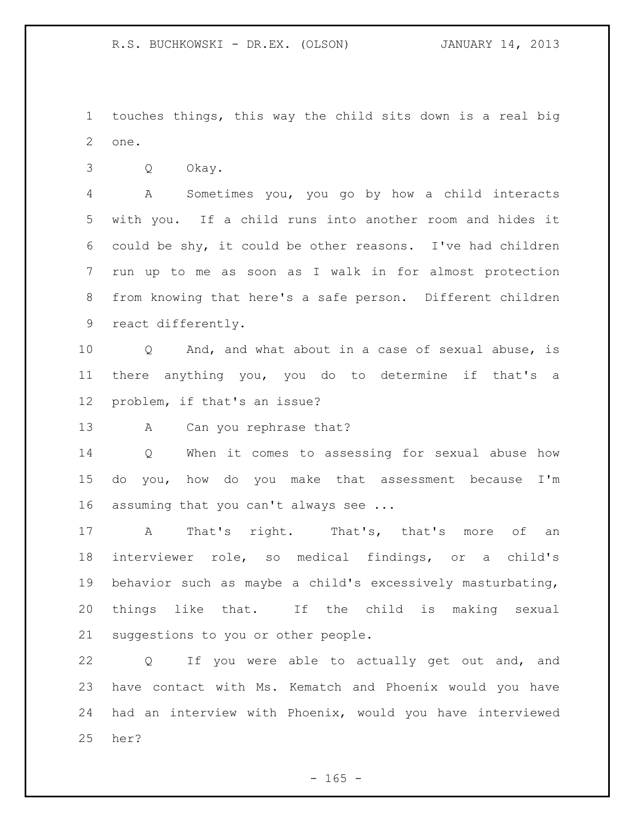touches things, this way the child sits down is a real big one.

Q Okay.

 A Sometimes you, you go by how a child interacts with you. If a child runs into another room and hides it could be shy, it could be other reasons. I've had children run up to me as soon as I walk in for almost protection from knowing that here's a safe person. Different children react differently.

 Q And, and what about in a case of sexual abuse, is there anything you, you do to determine if that's a problem, if that's an issue?

13 A Can you rephrase that?

 Q When it comes to assessing for sexual abuse how do you, how do you make that assessment because I'm assuming that you can't always see ...

17 A That's right. That's, that's more of an interviewer role, so medical findings, or a child's behavior such as maybe a child's excessively masturbating, things like that. If the child is making sexual suggestions to you or other people.

 Q If you were able to actually get out and, and have contact with Ms. Kematch and Phoenix would you have had an interview with Phoenix, would you have interviewed her?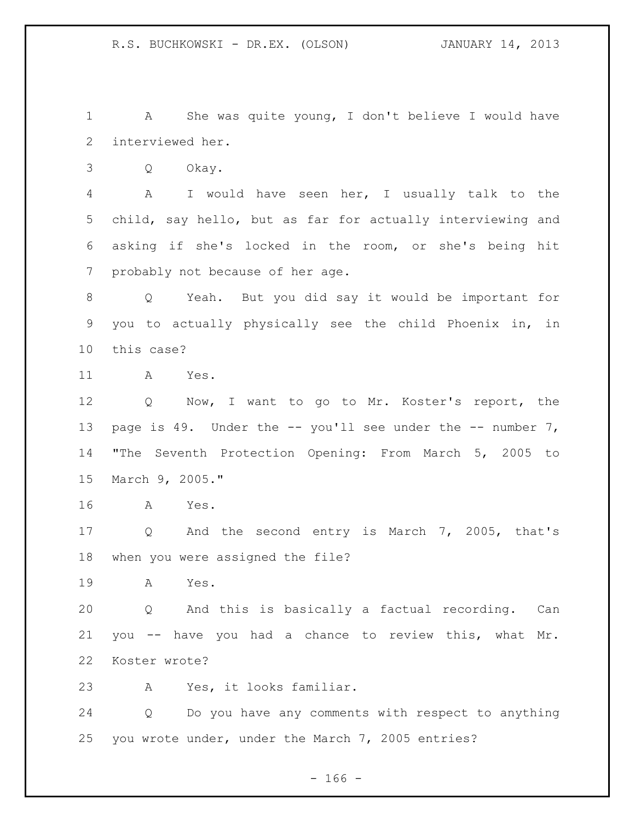A She was quite young, I don't believe I would have interviewed her.

Q Okay.

 A I would have seen her, I usually talk to the child, say hello, but as far for actually interviewing and asking if she's locked in the room, or she's being hit probably not because of her age.

 Q Yeah. But you did say it would be important for you to actually physically see the child Phoenix in, in this case?

A Yes.

 Q Now, I want to go to Mr. Koster's report, the 13 page is 49. Under the -- you'll see under the -- number 7, "The Seventh Protection Opening: From March 5, 2005 to March 9, 2005."

A Yes.

 Q And the second entry is March 7, 2005, that's when you were assigned the file?

A Yes.

 Q And this is basically a factual recording. Can you -- have you had a chance to review this, what Mr. Koster wrote?

A Yes, it looks familiar.

 Q Do you have any comments with respect to anything you wrote under, under the March 7, 2005 entries?

- 166 -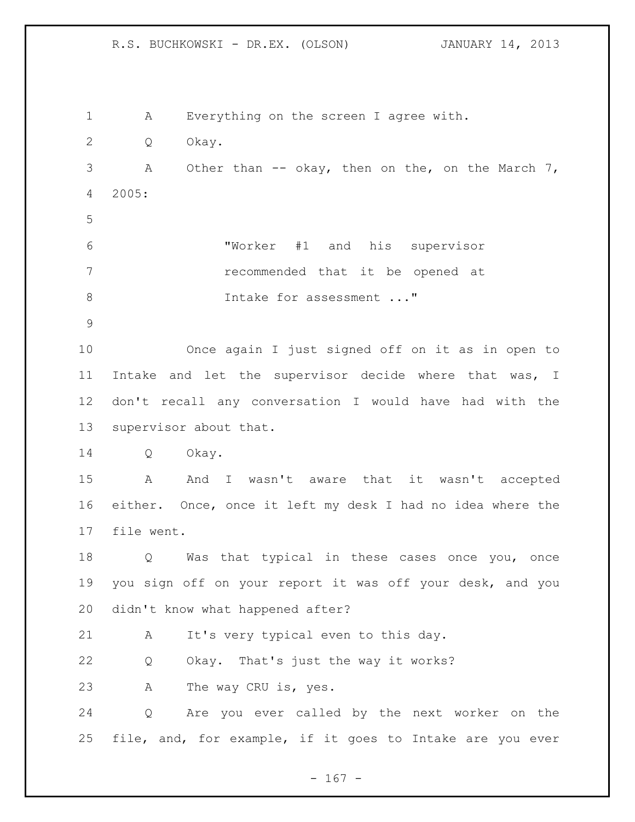R.S. BUCHKOWSKI - DR.EX. (OLSON) JANUARY 14, 2013 A Everything on the screen I agree with. Q Okay. 3 A Other than -- okay, then on the, on the March 7, 2005: "Worker #1 and his supervisor recommended that it be opened at 8 Intake for assessment ..." Once again I just signed off on it as in open to Intake and let the supervisor decide where that was, I don't recall any conversation I would have had with the supervisor about that. Q Okay. A And I wasn't aware that it wasn't accepted either. Once, once it left my desk I had no idea where the file went. Q Was that typical in these cases once you, once you sign off on your report it was off your desk, and you didn't know what happened after? A It's very typical even to this day. Q Okay. That's just the way it works? A The way CRU is, yes. Q Are you ever called by the next worker on the

- 167 -

file, and, for example, if it goes to Intake are you ever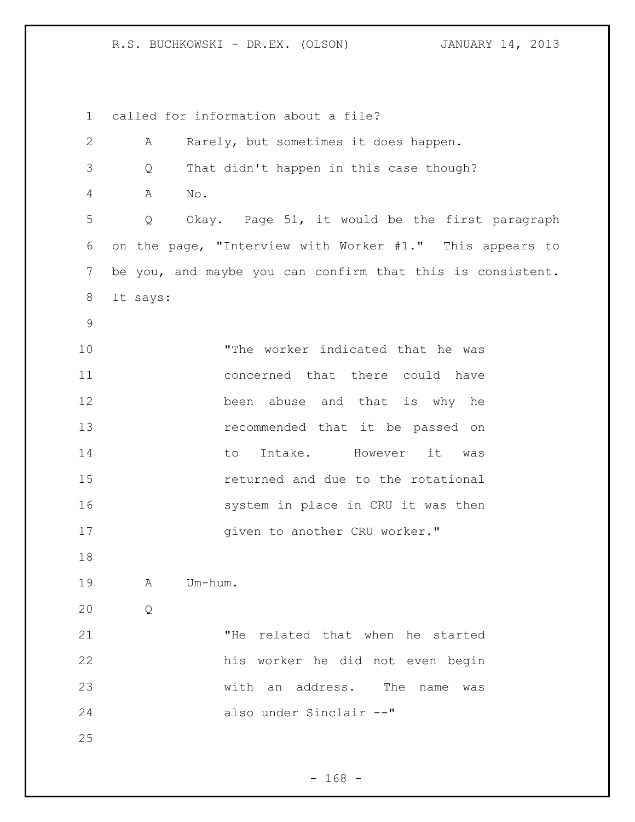called for information about a file? A Rarely, but sometimes it does happen. Q That didn't happen in this case though? A No. Q Okay. Page 51, it would be the first paragraph on the page, "Interview with Worker #1." This appears to be you, and maybe you can confirm that this is consistent. It says: "The worker indicated that he was concerned that there could have been abuse and that is why he recommended that it be passed on 14 to Intake. However it was returned and due to the rotational 16 system in place in CRU it was then 17 given to another CRU worker." A Um-hum. Q "He related that when he started his worker he did not even begin with an address. The name was also under Sinclair --"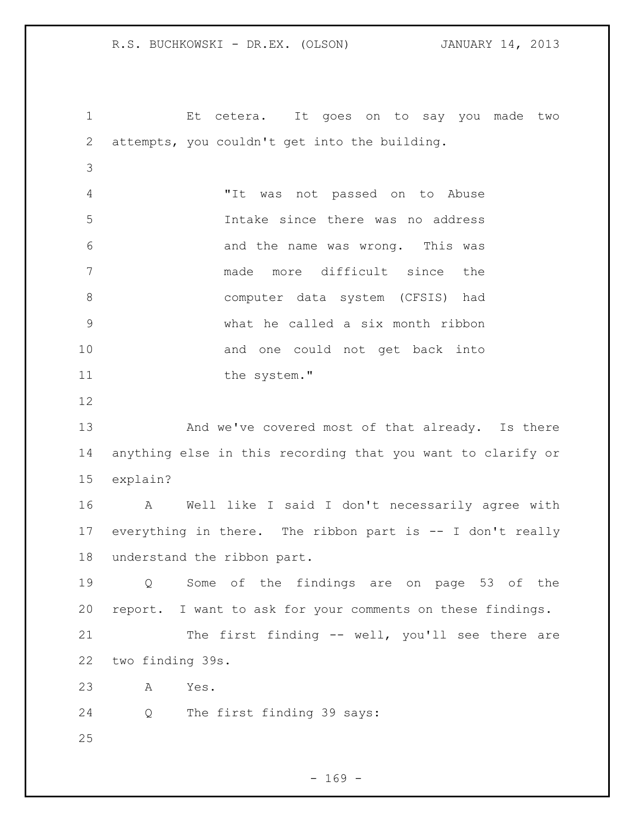Et cetera. It goes on to say you made two attempts, you couldn't get into the building. "It was not passed on to Abuse Intake since there was no address and the name was wrong. This was made more difficult since the computer data system (CFSIS) had what he called a six month ribbon 10 and one could not get back into 11 the system." 13 And we've covered most of that already. Is there anything else in this recording that you want to clarify or explain? A Well like I said I don't necessarily agree with everything in there. The ribbon part is -- I don't really understand the ribbon part. Q Some of the findings are on page 53 of the report. I want to ask for your comments on these findings. The first finding -- well, you'll see there are two finding 39s. A Yes. Q The first finding 39 says: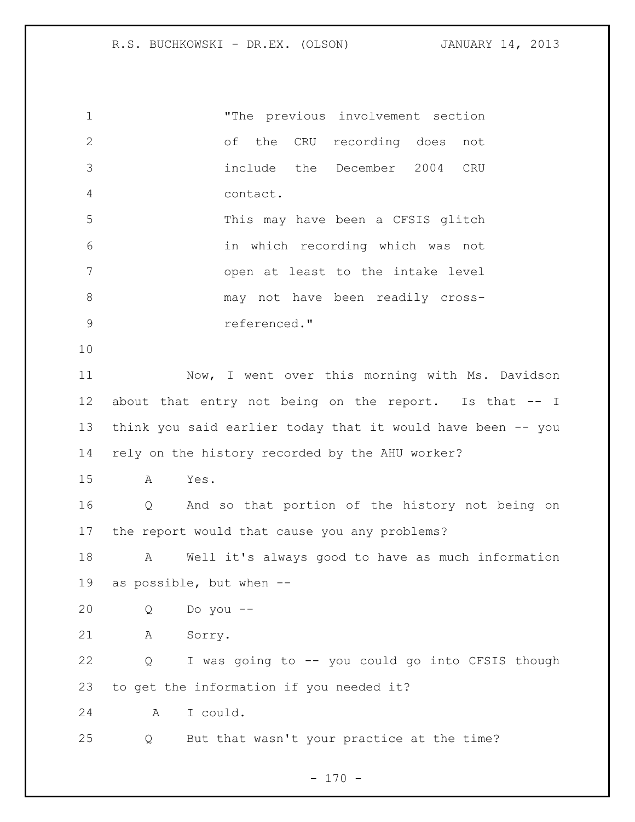| $\mathbf 1$    |                                                        | "The previous involvement section                           |  |
|----------------|--------------------------------------------------------|-------------------------------------------------------------|--|
| $\mathbf{2}$   |                                                        | of the CRU recording does<br>not                            |  |
| 3              |                                                        | include the December 2004 CRU                               |  |
| $\overline{4}$ |                                                        | contact.                                                    |  |
| 5              |                                                        | This may have been a CFSIS glitch                           |  |
| 6              |                                                        | in which recording which was not                            |  |
| 7              |                                                        | open at least to the intake level                           |  |
| $8\,$          |                                                        | may not have been readily cross-                            |  |
| $\mathsf 9$    |                                                        | referenced."                                                |  |
| 10             |                                                        |                                                             |  |
| 11             |                                                        | Now, I went over this morning with Ms. Davidson             |  |
| 12             | about that entry not being on the report. Is that -- I |                                                             |  |
| 13             |                                                        | think you said earlier today that it would have been -- you |  |
| 14             | rely on the history recorded by the AHU worker?        |                                                             |  |
| 15             | Yes.<br>A                                              |                                                             |  |
| 16             | Q                                                      | And so that portion of the history not being on             |  |
| 17             | the report would that cause you any problems?          |                                                             |  |
| 18             | A                                                      | Well it's always good to have as much information           |  |
| 19             | as possible, but when --                               |                                                             |  |
| 20             | Q                                                      | Do you --                                                   |  |
| 21             | Sorry.<br>А                                            |                                                             |  |
| 22             | Q                                                      | I was going to -- you could go into CFSIS though            |  |
| 23             | to get the information if you needed it?               |                                                             |  |
| 24             | A                                                      | I could.                                                    |  |
| 25             | Q                                                      | But that wasn't your practice at the time?                  |  |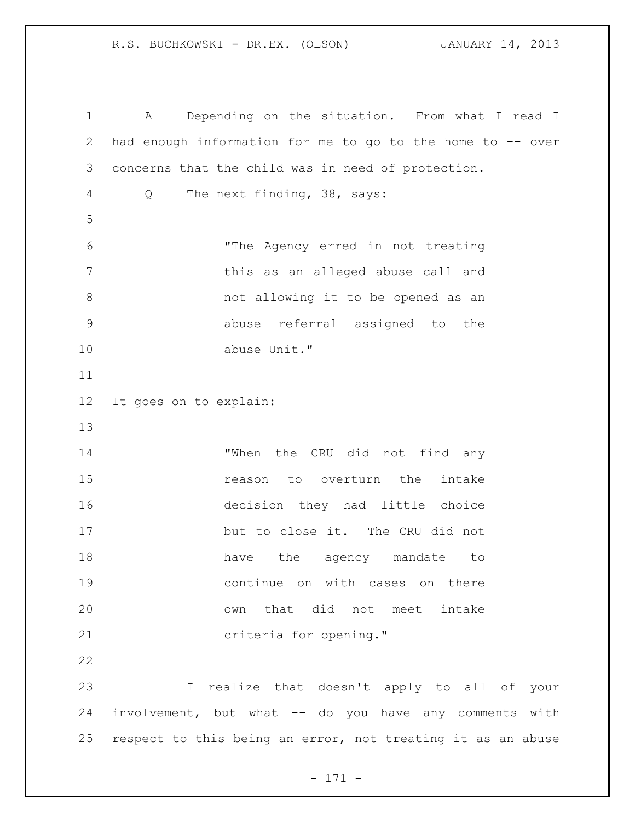A Depending on the situation. From what I read I had enough information for me to go to the home to -- over concerns that the child was in need of protection. Q The next finding, 38, says: "The Agency erred in not treating this as an alleged abuse call and not allowing it to be opened as an abuse referral assigned to the abuse Unit." It goes on to explain: 14 "When the CRU did not find any **15** reason to overturn the intake decision they had little choice but to close it. The CRU did not 18 have the agency mandate to continue on with cases on there own that did not meet intake criteria for opening." I realize that doesn't apply to all of your involvement, but what -- do you have any comments with respect to this being an error, not treating it as an abuse

- 171 -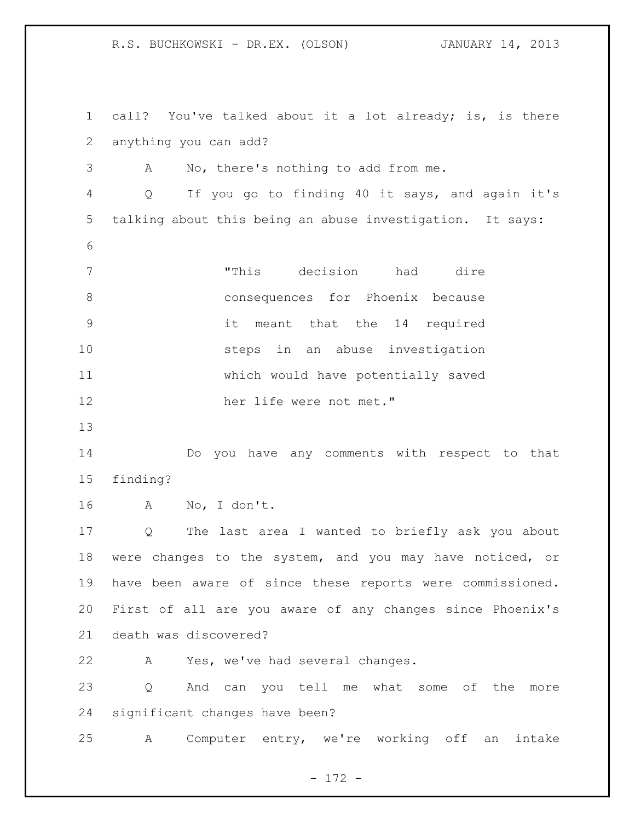call? You've talked about it a lot already; is, is there anything you can add? A No, there's nothing to add from me. Q If you go to finding 40 it says, and again it's talking about this being an abuse investigation. It says: "This decision had dire consequences for Phoenix because it meant that the 14 required steps in an abuse investigation which would have potentially saved her life were not met." Do you have any comments with respect to that finding? A No, I don't. Q The last area I wanted to briefly ask you about were changes to the system, and you may have noticed, or have been aware of since these reports were commissioned. First of all are you aware of any changes since Phoenix's death was discovered? A Yes, we've had several changes. Q And can you tell me what some of the more significant changes have been? A Computer entry, we're working off an intake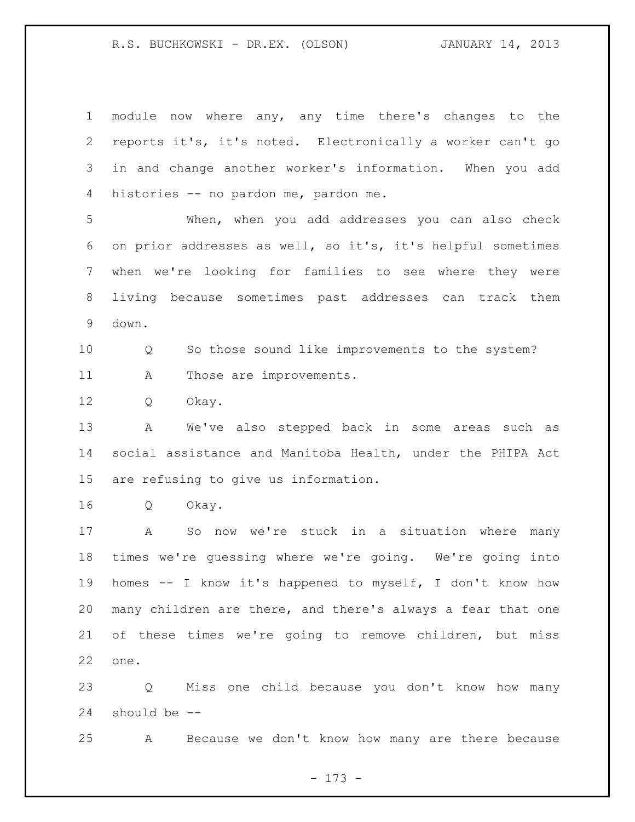module now where any, any time there's changes to the reports it's, it's noted. Electronically a worker can't go in and change another worker's information. When you add histories -- no pardon me, pardon me. When, when you add addresses you can also check on prior addresses as well, so it's, it's helpful sometimes when we're looking for families to see where they were living because sometimes past addresses can track them down. Q So those sound like improvements to the system? 11 A Those are improvements. Q Okay. A We've also stepped back in some areas such as social assistance and Manitoba Health, under the PHIPA Act are refusing to give us information. Q Okay. A So now we're stuck in a situation where many times we're guessing where we're going. We're going into homes -- I know it's happened to myself, I don't know how many children are there, and there's always a fear that one of these times we're going to remove children, but miss one. Q Miss one child because you don't know how many should be --

A Because we don't know how many are there because

- 173 -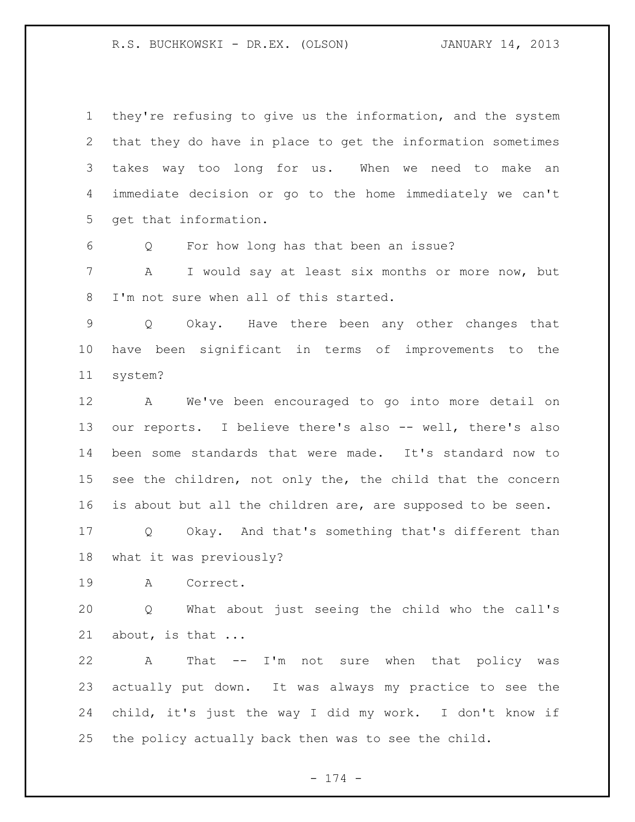they're refusing to give us the information, and the system that they do have in place to get the information sometimes takes way too long for us. When we need to make an immediate decision or go to the home immediately we can't get that information.

Q For how long has that been an issue?

 A I would say at least six months or more now, but I'm not sure when all of this started.

 Q Okay. Have there been any other changes that have been significant in terms of improvements to the system?

 A We've been encouraged to go into more detail on our reports. I believe there's also -- well, there's also been some standards that were made. It's standard now to 15 see the children, not only the, the child that the concern is about but all the children are, are supposed to be seen.

 Q Okay. And that's something that's different than what it was previously?

A Correct.

 Q What about just seeing the child who the call's about, is that ...

 A That -- I'm not sure when that policy was actually put down. It was always my practice to see the child, it's just the way I did my work. I don't know if the policy actually back then was to see the child.

- 174 -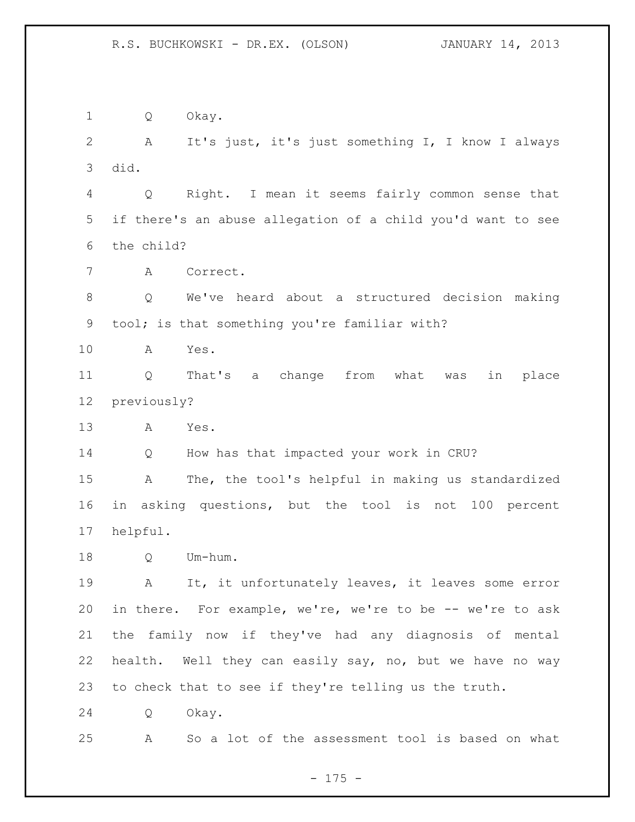Q Okay. A It's just, it's just something I, I know I always did. Q Right. I mean it seems fairly common sense that if there's an abuse allegation of a child you'd want to see the child? A Correct. Q We've heard about a structured decision making tool; is that something you're familiar with? A Yes. Q That's a change from what was in place previously? A Yes. Q How has that impacted your work in CRU? A The, the tool's helpful in making us standardized in asking questions, but the tool is not 100 percent helpful. Q Um-hum. A It, it unfortunately leaves, it leaves some error in there. For example, we're, we're to be -- we're to ask the family now if they've had any diagnosis of mental health. Well they can easily say, no, but we have no way to check that to see if they're telling us the truth. Q Okay. A So a lot of the assessment tool is based on what

- 175 -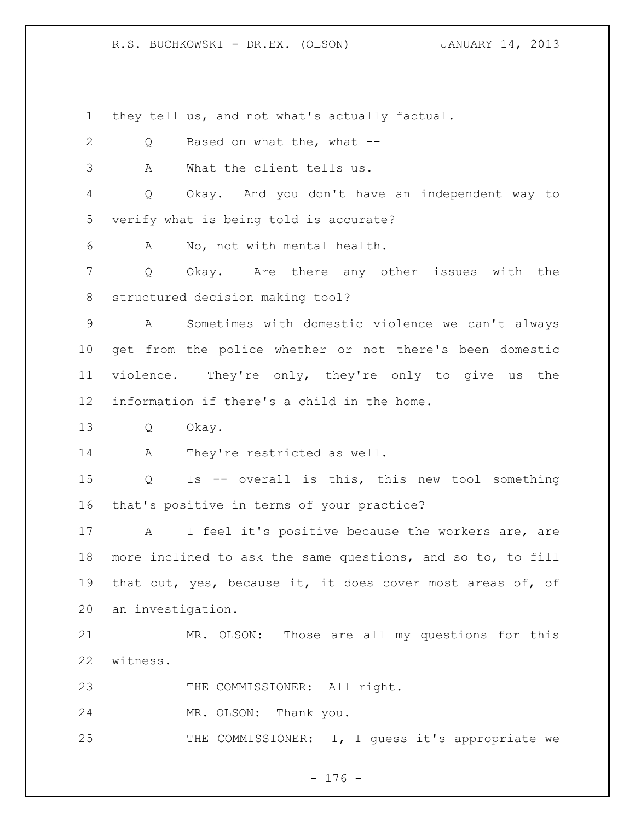they tell us, and not what's actually factual.

2 Q Based on what the, what -- A What the client tells us. Q Okay. And you don't have an independent way to verify what is being told is accurate? A No, not with mental health. Q Okay. Are there any other issues with the structured decision making tool? A Sometimes with domestic violence we can't always get from the police whether or not there's been domestic violence. They're only, they're only to give us the information if there's a child in the home. Q Okay. 14 A They're restricted as well. Q Is -- overall is this, this new tool something that's positive in terms of your practice? A I feel it's positive because the workers are, are more inclined to ask the same questions, and so to, to fill that out, yes, because it, it does cover most areas of, of an investigation. MR. OLSON: Those are all my questions for this witness. 23 THE COMMISSIONER: All right. MR. OLSON: Thank you. 25 THE COMMISSIONER: I, I guess it's appropriate we

- 176 -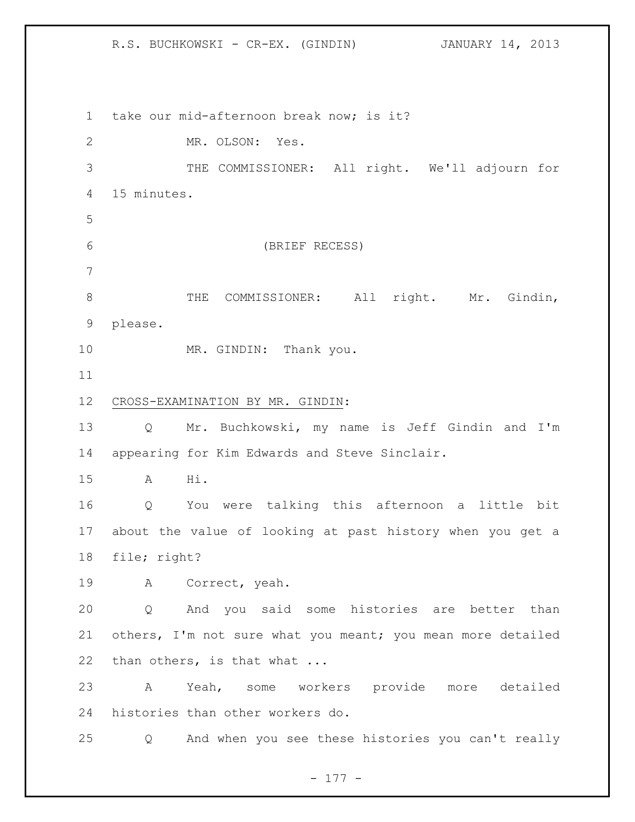take our mid-afternoon break now; is it? MR. OLSON: Yes. THE COMMISSIONER: All right. We'll adjourn for 15 minutes. (BRIEF RECESS) 8 THE COMMISSIONER: All right. Mr. Gindin, please. 10 MR. GINDIN: Thank you. CROSS-EXAMINATION BY MR. GINDIN: Q Mr. Buchkowski, my name is Jeff Gindin and I'm appearing for Kim Edwards and Steve Sinclair. A Hi. Q You were talking this afternoon a little bit about the value of looking at past history when you get a file; right? A Correct, yeah. Q And you said some histories are better than 21 others, I'm not sure what you meant; you mean more detailed 22 than others, is that what ... A Yeah, some workers provide more detailed histories than other workers do. Q And when you see these histories you can't really

R.S. BUCHKOWSKI - CR-EX. (GINDIN) JANUARY 14, 2013

- 177 -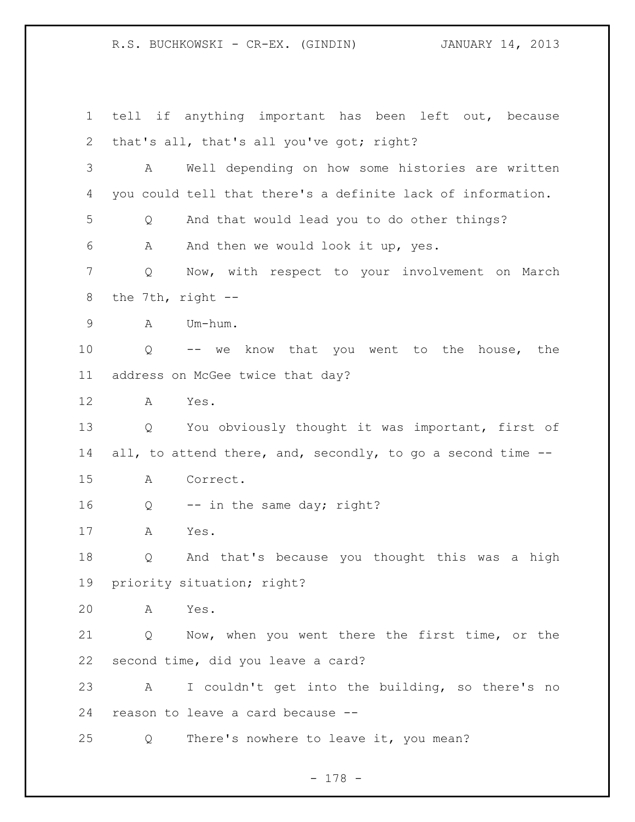R.S. BUCHKOWSKI - CR-EX. (GINDIN) JANUARY 14, 2013 tell if anything important has been left out, because that's all, that's all you've got; right? A Well depending on how some histories are written you could tell that there's a definite lack of information. Q And that would lead you to do other things? A And then we would look it up, yes. Q Now, with respect to your involvement on March the 7th, right -- A Um-hum. Q -- we know that you went to the house, the address on McGee twice that day? A Yes. Q You obviously thought it was important, first of 14 all, to attend there, and, secondly, to go a second time -- A Correct. 16 Q -- in the same day; right? A Yes. Q And that's because you thought this was a high priority situation; right? A Yes. Q Now, when you went there the first time, or the second time, did you leave a card? A I couldn't get into the building, so there's no

Q There's nowhere to leave it, you mean?

reason to leave a card because --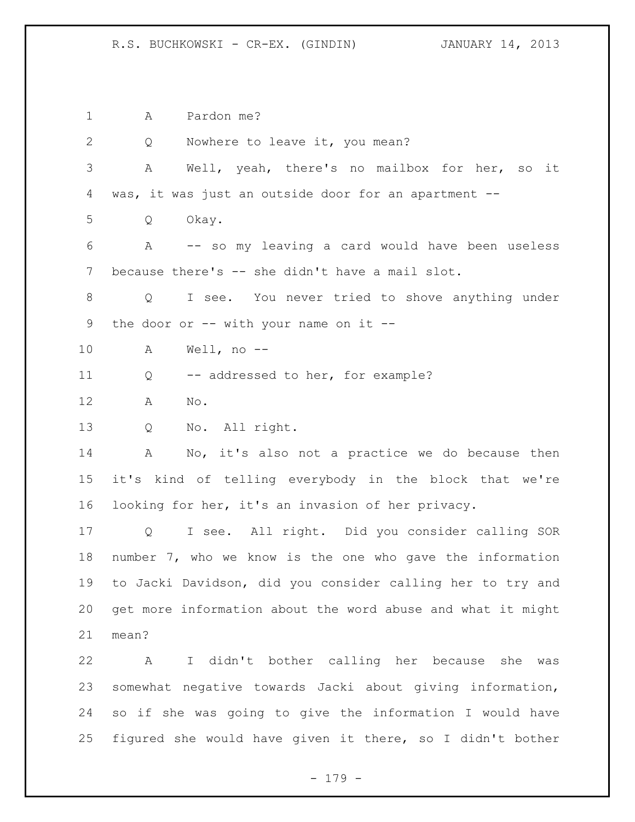R.S. BUCHKOWSKI - CR-EX. (GINDIN) JANUARY 14, 2013

 A Pardon me? 2 Q Nowhere to leave it, you mean? A Well, yeah, there's no mailbox for her, so it was, it was just an outside door for an apartment -- Q Okay. A -- so my leaving a card would have been useless because there's -- she didn't have a mail slot. Q I see. You never tried to shove anything under 9 the door or -- with your name on it -- A Well, no -- 11 Q -- addressed to her, for example? A No. Q No. All right. A No, it's also not a practice we do because then it's kind of telling everybody in the block that we're looking for her, it's an invasion of her privacy. Q I see. All right. Did you consider calling SOR number 7, who we know is the one who gave the information to Jacki Davidson, did you consider calling her to try and get more information about the word abuse and what it might mean? A I didn't bother calling her because she was somewhat negative towards Jacki about giving information, so if she was going to give the information I would have figured she would have given it there, so I didn't bother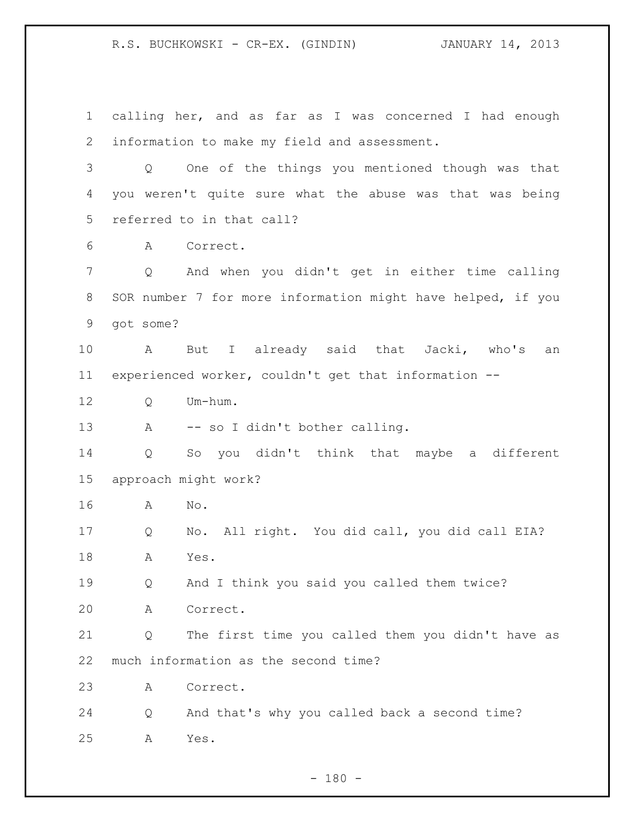R.S. BUCHKOWSKI - CR-EX. (GINDIN) JANUARY 14, 2013

 calling her, and as far as I was concerned I had enough information to make my field and assessment. Q One of the things you mentioned though was that you weren't quite sure what the abuse was that was being referred to in that call? A Correct. Q And when you didn't get in either time calling SOR number 7 for more information might have helped, if you got some? A But I already said that Jacki, who's an experienced worker, couldn't get that information -- Q Um-hum. A -- so I didn't bother calling. Q So you didn't think that maybe a different approach might work? A No. Q No. All right. You did call, you did call EIA? A Yes. Q And I think you said you called them twice? A Correct. Q The first time you called them you didn't have as much information as the second time? A Correct. Q And that's why you called back a second time? A Yes.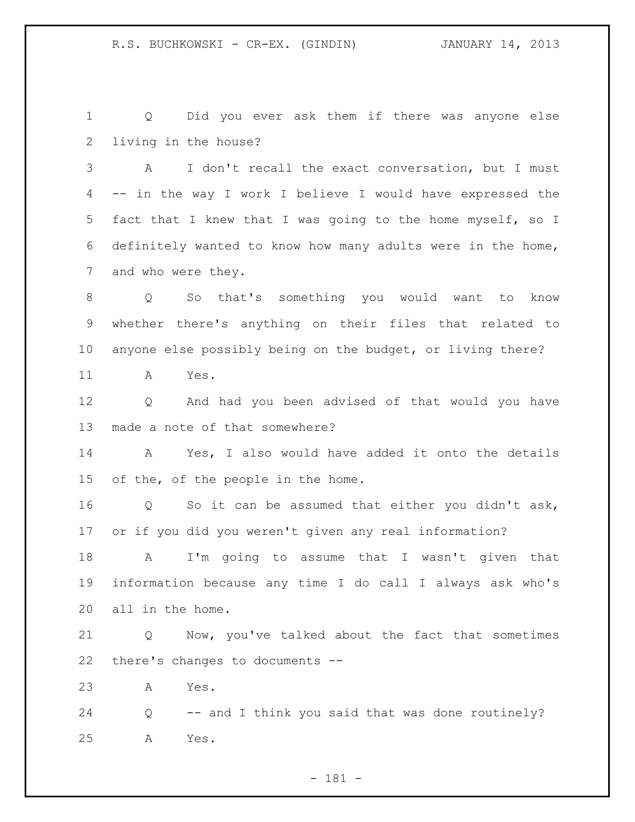Q Did you ever ask them if there was anyone else living in the house?

 A I don't recall the exact conversation, but I must -- in the way I work I believe I would have expressed the fact that I knew that I was going to the home myself, so I definitely wanted to know how many adults were in the home, and who were they.

 Q So that's something you would want to know whether there's anything on their files that related to anyone else possibly being on the budget, or living there?

A Yes.

 Q And had you been advised of that would you have made a note of that somewhere?

 A Yes, I also would have added it onto the details of the, of the people in the home.

 Q So it can be assumed that either you didn't ask, or if you did you weren't given any real information?

 A I'm going to assume that I wasn't given that information because any time I do call I always ask who's all in the home.

 Q Now, you've talked about the fact that sometimes there's changes to documents --

A Yes.

 Q -- and I think you said that was done routinely? A Yes.

- 181 -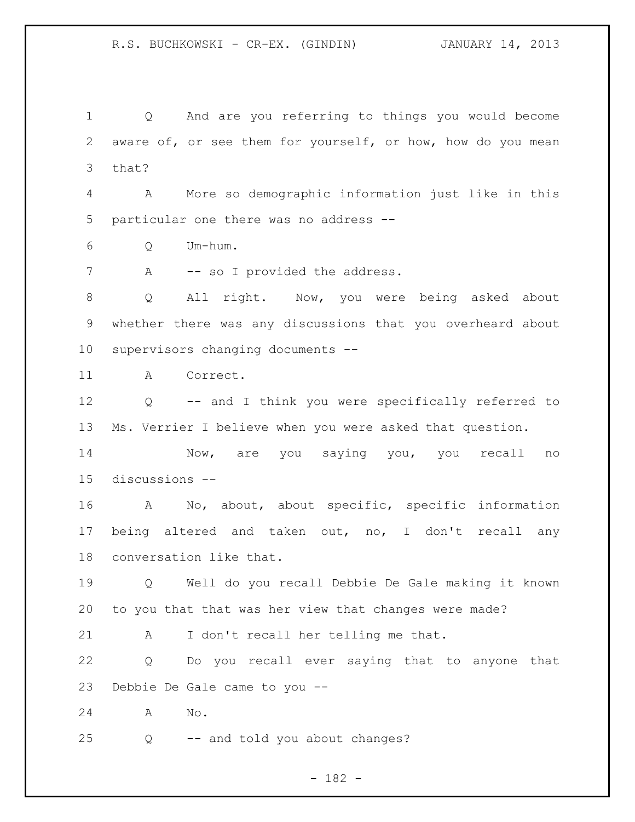Q And are you referring to things you would become aware of, or see them for yourself, or how, how do you mean that?

 A More so demographic information just like in this particular one there was no address --

Q Um-hum.

7 A -- so I provided the address.

 Q All right. Now, you were being asked about whether there was any discussions that you overheard about supervisors changing documents --

A Correct.

 Q -- and I think you were specifically referred to Ms. Verrier I believe when you were asked that question.

 Now, are you saying you, you recall no discussions --

 A No, about, about specific, specific information being altered and taken out, no, I don't recall any conversation like that.

 Q Well do you recall Debbie De Gale making it known to you that that was her view that changes were made?

A I don't recall her telling me that.

 Q Do you recall ever saying that to anyone that Debbie De Gale came to you --

A No.

Q -- and told you about changes?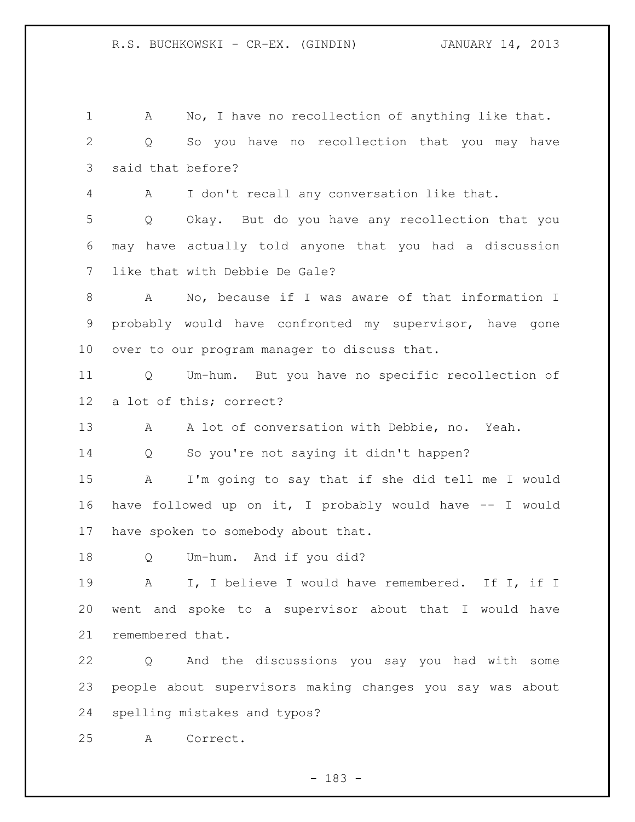A No, I have no recollection of anything like that. Q So you have no recollection that you may have said that before? A I don't recall any conversation like that. Q Okay. But do you have any recollection that you may have actually told anyone that you had a discussion like that with Debbie De Gale? A No, because if I was aware of that information I probably would have confronted my supervisor, have gone over to our program manager to discuss that. Q Um-hum. But you have no specific recollection of a lot of this; correct? 13 A A lot of conversation with Debbie, no. Yeah. Q So you're not saying it didn't happen? A I'm going to say that if she did tell me I would have followed up on it, I probably would have -- I would have spoken to somebody about that. Q Um-hum. And if you did? A I, I believe I would have remembered. If I, if I went and spoke to a supervisor about that I would have remembered that. Q And the discussions you say you had with some people about supervisors making changes you say was about spelling mistakes and typos? A Correct.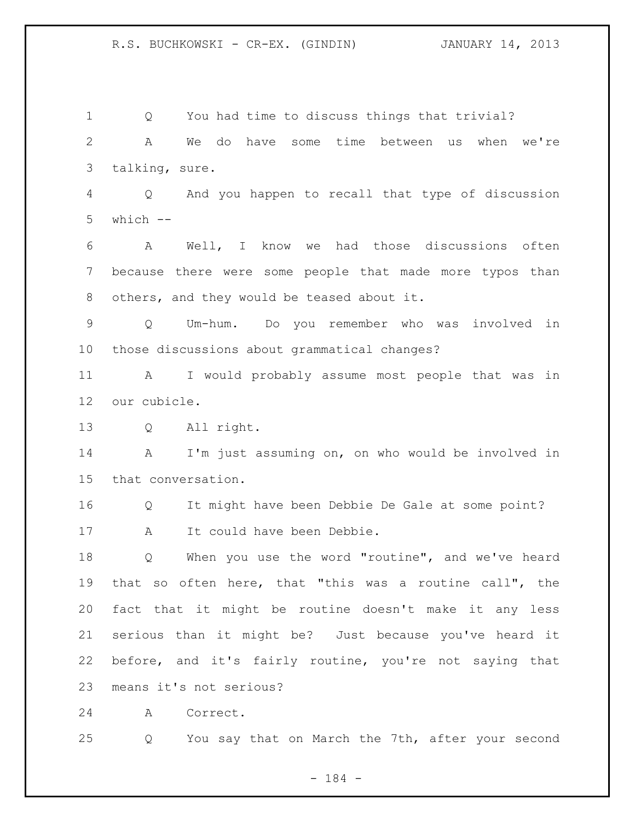R.S. BUCHKOWSKI - CR-EX. (GINDIN) JANUARY 14, 2013

 Q You had time to discuss things that trivial? A We do have some time between us when we're talking, sure. Q And you happen to recall that type of discussion which -- A Well, I know we had those discussions often because there were some people that made more typos than others, and they would be teased about it. Q Um-hum. Do you remember who was involved in those discussions about grammatical changes? A I would probably assume most people that was in our cubicle. Q All right. A I'm just assuming on, on who would be involved in that conversation. Q It might have been Debbie De Gale at some point? 17 A It could have been Debbie. Q When you use the word "routine", and we've heard that so often here, that "this was a routine call", the fact that it might be routine doesn't make it any less serious than it might be? Just because you've heard it before, and it's fairly routine, you're not saying that means it's not serious? A Correct. Q You say that on March the 7th, after your second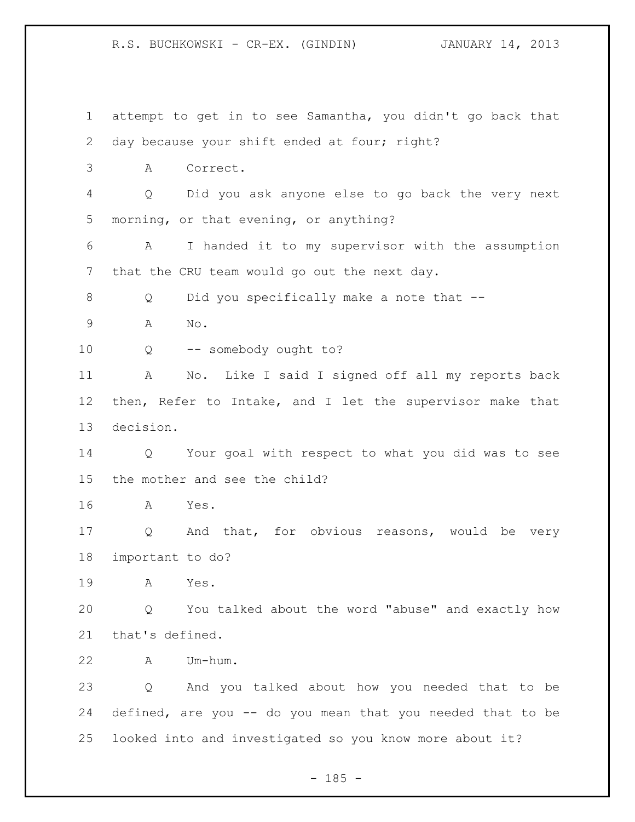R.S. BUCHKOWSKI - CR-EX. (GINDIN) JANUARY 14, 2013

 attempt to get in to see Samantha, you didn't go back that day because your shift ended at four; right? A Correct. Q Did you ask anyone else to go back the very next morning, or that evening, or anything? A I handed it to my supervisor with the assumption that the CRU team would go out the next day. 8 Q Did you specifically make a note that -- A No. Q -- somebody ought to? A No. Like I said I signed off all my reports back then, Refer to Intake, and I let the supervisor make that decision. Q Your goal with respect to what you did was to see the mother and see the child? A Yes. Q And that, for obvious reasons, would be very important to do? A Yes. Q You talked about the word "abuse" and exactly how that's defined. A Um-hum. Q And you talked about how you needed that to be defined, are you -- do you mean that you needed that to be looked into and investigated so you know more about it?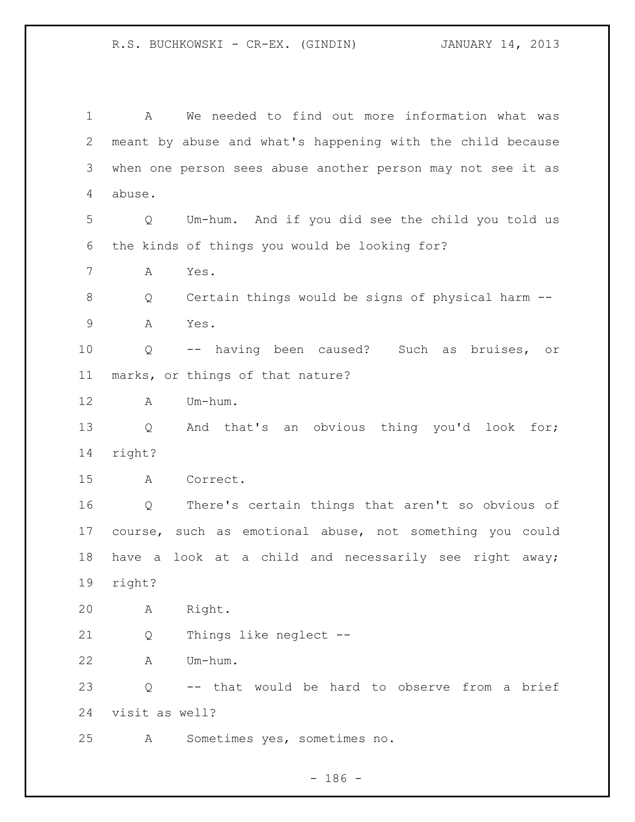A We needed to find out more information what was meant by abuse and what's happening with the child because when one person sees abuse another person may not see it as abuse. Q Um-hum. And if you did see the child you told us the kinds of things you would be looking for? A Yes. Q Certain things would be signs of physical harm -- A Yes. Q -- having been caused? Such as bruises, or marks, or things of that nature? A Um-hum. Q And that's an obvious thing you'd look for; right? A Correct. Q There's certain things that aren't so obvious of course, such as emotional abuse, not something you could have a look at a child and necessarily see right away; right? A Right. Q Things like neglect -- A Um-hum. Q -- that would be hard to observe from a brief visit as well? A Sometimes yes, sometimes no.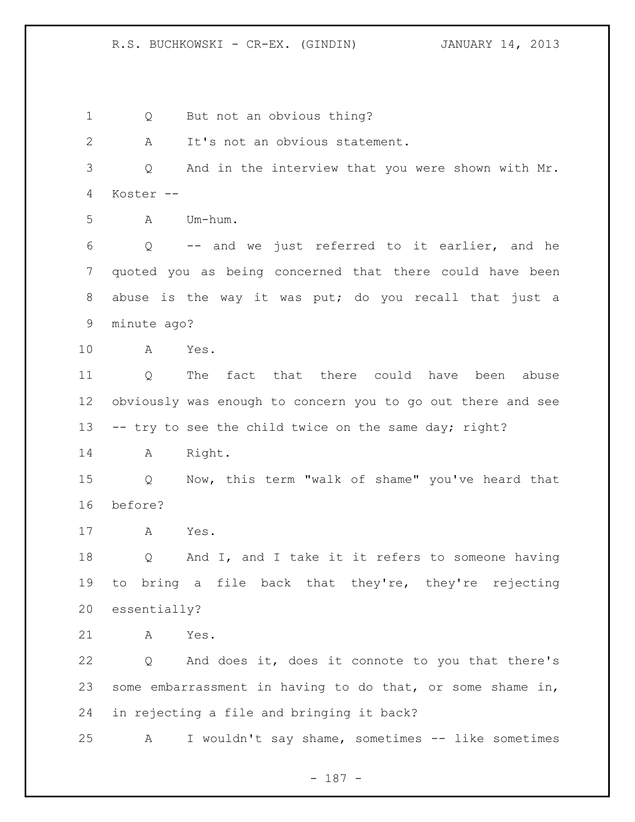R.S. BUCHKOWSKI - CR-EX. (GINDIN) JANUARY 14, 2013

 Q But not an obvious thing? A It's not an obvious statement. Q And in the interview that you were shown with Mr. Koster -- A Um-hum. Q -- and we just referred to it earlier, and he quoted you as being concerned that there could have been abuse is the way it was put; do you recall that just a minute ago? A Yes. Q The fact that there could have been abuse obviously was enough to concern you to go out there and see 13 -- try to see the child twice on the same day; right? A Right. Q Now, this term "walk of shame" you've heard that before? A Yes. Q And I, and I take it it refers to someone having to bring a file back that they're, they're rejecting essentially? A Yes. Q And does it, does it connote to you that there's some embarrassment in having to do that, or some shame in, in rejecting a file and bringing it back? A I wouldn't say shame, sometimes -- like sometimes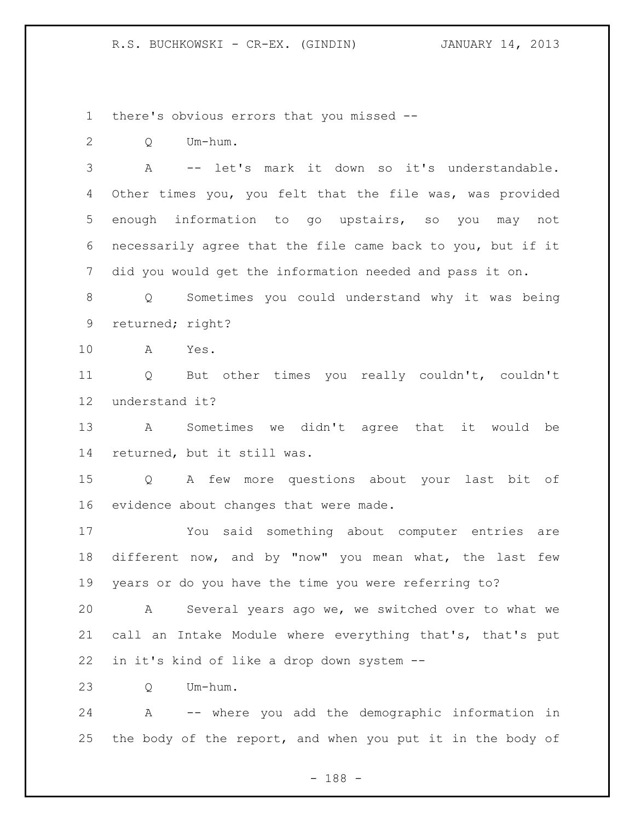there's obvious errors that you missed --

Q Um-hum.

 A -- let's mark it down so it's understandable. Other times you, you felt that the file was, was provided enough information to go upstairs, so you may not necessarily agree that the file came back to you, but if it did you would get the information needed and pass it on.

 Q Sometimes you could understand why it was being returned; right?

A Yes.

 Q But other times you really couldn't, couldn't understand it?

 A Sometimes we didn't agree that it would be returned, but it still was.

 Q A few more questions about your last bit of evidence about changes that were made.

 You said something about computer entries are different now, and by "now" you mean what, the last few years or do you have the time you were referring to?

 A Several years ago we, we switched over to what we call an Intake Module where everything that's, that's put in it's kind of like a drop down system --

Q Um-hum.

 A -- where you add the demographic information in 25 the body of the report, and when you put it in the body of

- 188 -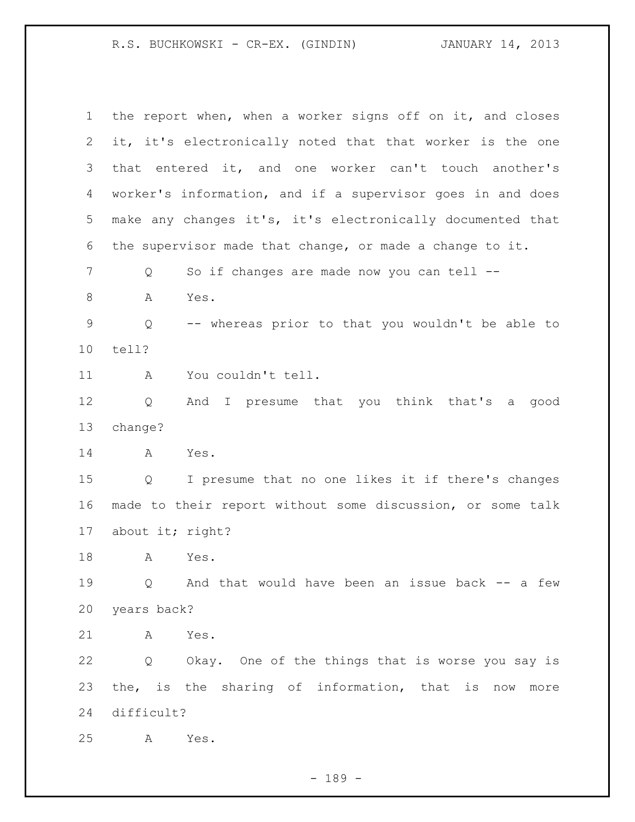R.S. BUCHKOWSKI - CR-EX. (GINDIN) JANUARY 14, 2013

 the report when, when a worker signs off on it, and closes it, it's electronically noted that that worker is the one that entered it, and one worker can't touch another's worker's information, and if a supervisor goes in and does make any changes it's, it's electronically documented that the supervisor made that change, or made a change to it. 7 Q So if changes are made now you can tell -- A Yes. Q -- whereas prior to that you wouldn't be able to tell? A You couldn't tell. Q And I presume that you think that's a good change? A Yes. Q I presume that no one likes it if there's changes made to their report without some discussion, or some talk about it; right? A Yes. Q And that would have been an issue back -- a few years back? A Yes. Q Okay. One of the things that is worse you say is the, is the sharing of information, that is now more difficult? A Yes.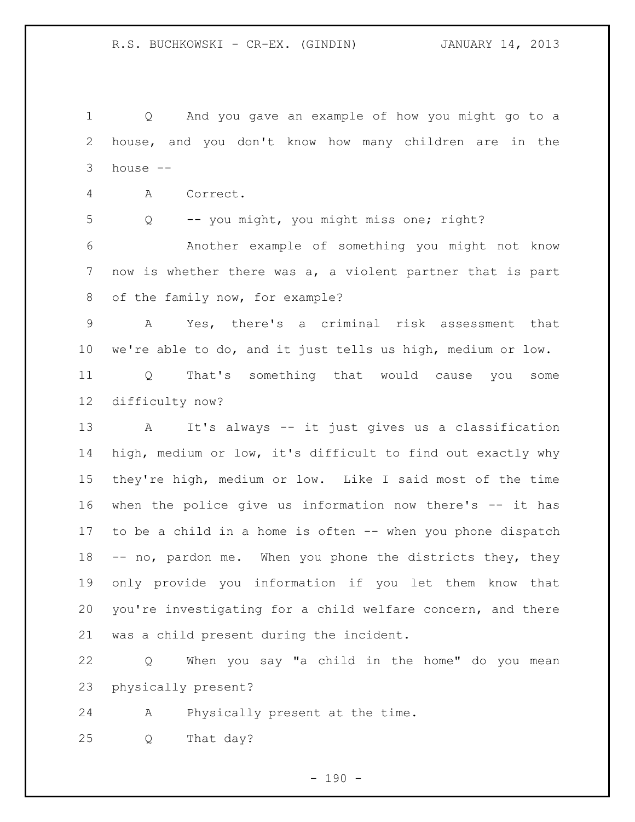Q And you gave an example of how you might go to a house, and you don't know how many children are in the house --

A Correct.

Q -- you might, you might miss one; right?

 Another example of something you might not know now is whether there was a, a violent partner that is part of the family now, for example?

 A Yes, there's a criminal risk assessment that we're able to do, and it just tells us high, medium or low. Q That's something that would cause you some

difficulty now?

 A It's always -- it just gives us a classification high, medium or low, it's difficult to find out exactly why they're high, medium or low. Like I said most of the time when the police give us information now there's -- it has to be a child in a home is often -- when you phone dispatch -- no, pardon me. When you phone the districts they, they only provide you information if you let them know that you're investigating for a child welfare concern, and there was a child present during the incident.

 Q When you say "a child in the home" do you mean physically present?

A Physically present at the time.

Q That day?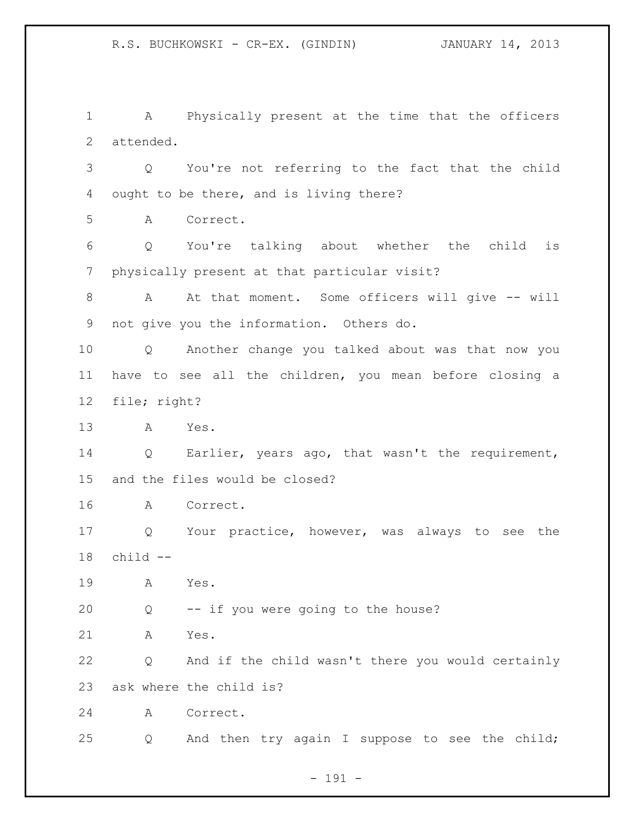A Physically present at the time that the officers attended.

 Q You're not referring to the fact that the child ought to be there, and is living there?

A Correct.

 Q You're talking about whether the child is physically present at that particular visit?

 A At that moment. Some officers will give -- will not give you the information. Others do.

 Q Another change you talked about was that now you have to see all the children, you mean before closing a file; right?

A Yes.

 Q Earlier, years ago, that wasn't the requirement, and the files would be closed?

A Correct.

 Q Your practice, however, was always to see the child --

A Yes.

Q -- if you were going to the house?

A Yes.

 Q And if the child wasn't there you would certainly ask where the child is?

A Correct.

Q And then try again I suppose to see the child;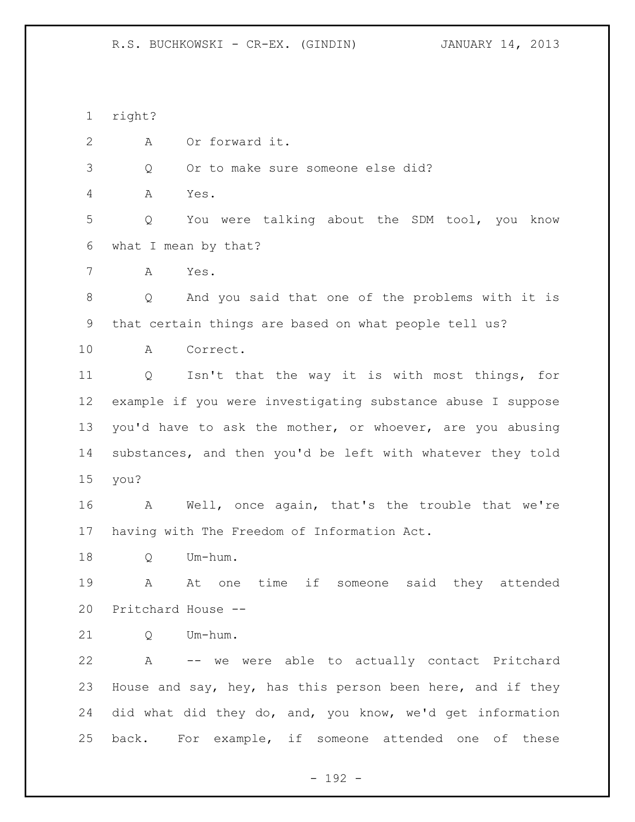R.S. BUCHKOWSKI - CR-EX. (GINDIN) JANUARY 14, 2013

 right? A Or forward it. Q Or to make sure someone else did? A Yes. Q You were talking about the SDM tool, you know what I mean by that? A Yes. Q And you said that one of the problems with it is that certain things are based on what people tell us? A Correct. Q Isn't that the way it is with most things, for example if you were investigating substance abuse I suppose you'd have to ask the mother, or whoever, are you abusing substances, and then you'd be left with whatever they told you? A Well, once again, that's the trouble that we're having with The Freedom of Information Act. Q Um-hum. A At one time if someone said they attended Pritchard House -- 21 O Um-hum. A -- we were able to actually contact Pritchard House and say, hey, has this person been here, and if they did what did they do, and, you know, we'd get information back. For example, if someone attended one of these

- 192 -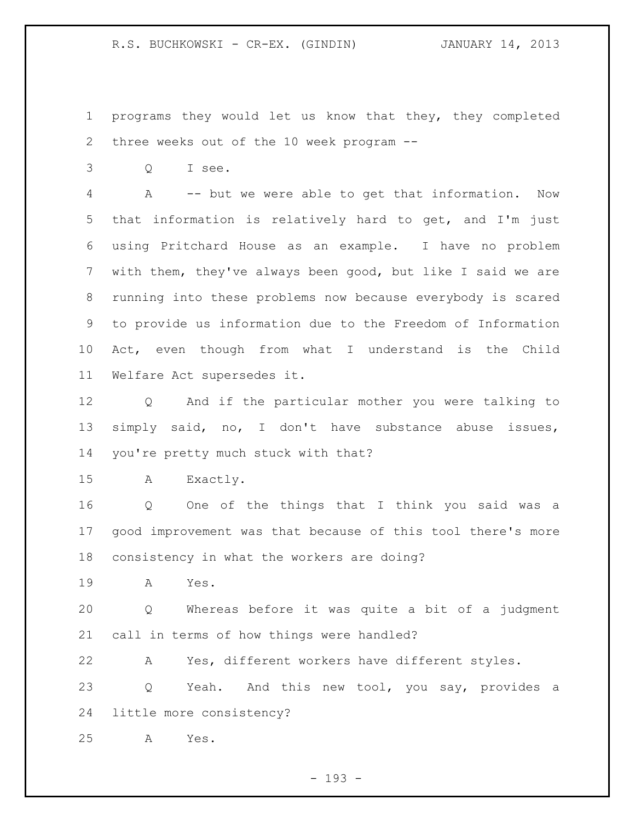programs they would let us know that they, they completed three weeks out of the 10 week program --

Q I see.

 A -- but we were able to get that information. Now that information is relatively hard to get, and I'm just using Pritchard House as an example. I have no problem with them, they've always been good, but like I said we are running into these problems now because everybody is scared to provide us information due to the Freedom of Information Act, even though from what I understand is the Child Welfare Act supersedes it.

 Q And if the particular mother you were talking to simply said, no, I don't have substance abuse issues, you're pretty much stuck with that?

A Exactly.

 Q One of the things that I think you said was a good improvement was that because of this tool there's more consistency in what the workers are doing?

A Yes.

 Q Whereas before it was quite a bit of a judgment call in terms of how things were handled?

A Yes, different workers have different styles.

23 Q Yeah. And this new tool, you say, provides a little more consistency?

A Yes.

- 193 -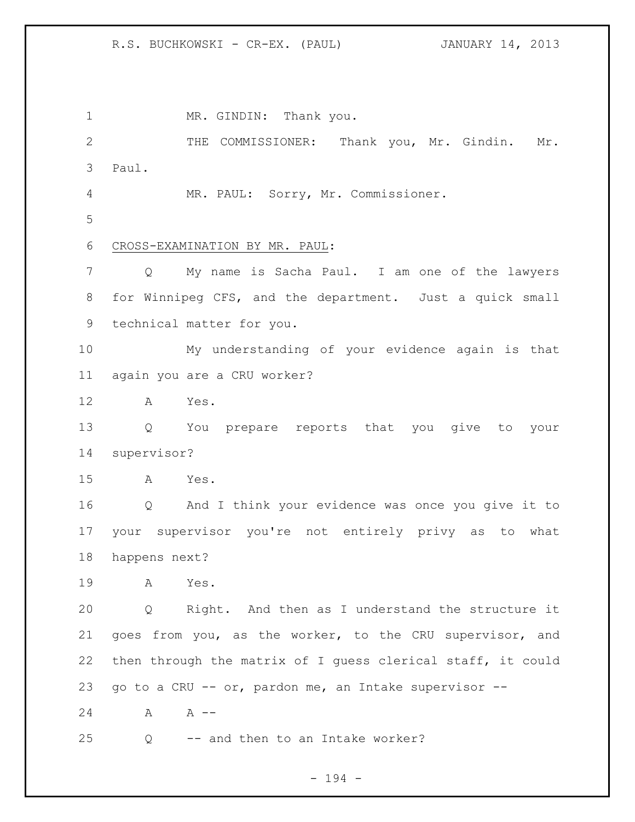R.S. BUCHKOWSKI - CR-EX. (PAUL) JANUARY 14, 2013

1 MR. GINDIN: Thank you. THE COMMISSIONER: Thank you, Mr. Gindin. Mr. Paul. MR. PAUL: Sorry, Mr. Commissioner. CROSS-EXAMINATION BY MR. PAUL: Q My name is Sacha Paul. I am one of the lawyers for Winnipeg CFS, and the department. Just a quick small technical matter for you. My understanding of your evidence again is that again you are a CRU worker? A Yes. Q You prepare reports that you give to your supervisor? A Yes. Q And I think your evidence was once you give it to your supervisor you're not entirely privy as to what happens next? A Yes. Q Right. And then as I understand the structure it goes from you, as the worker, to the CRU supervisor, and then through the matrix of I guess clerical staff, it could go to a CRU -- or, pardon me, an Intake supervisor -- 24 A A --Q -- and then to an Intake worker?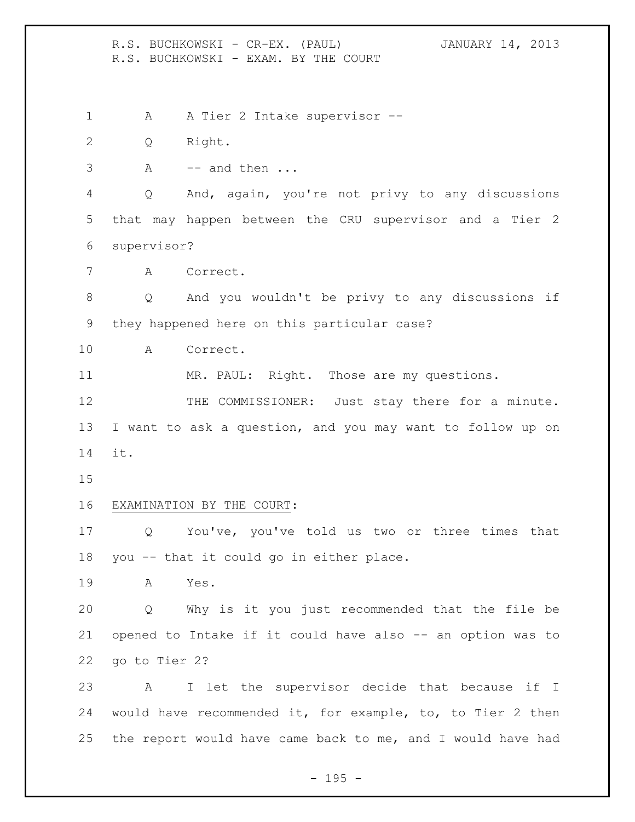R.S. BUCHKOWSKI - CR-EX. (PAUL) JANUARY 14, 2013 R.S. BUCHKOWSKI - EXAM. BY THE COURT 1 A A Tier 2 Intake supervisor -- Q Right. A -- and then ... Q And, again, you're not privy to any discussions that may happen between the CRU supervisor and a Tier 2 supervisor? A Correct. Q And you wouldn't be privy to any discussions if they happened here on this particular case? A Correct. MR. PAUL: Right. Those are my questions. 12 THE COMMISSIONER: Just stay there for a minute. I want to ask a question, and you may want to follow up on it. EXAMINATION BY THE COURT: Q You've, you've told us two or three times that you -- that it could go in either place. A Yes. Q Why is it you just recommended that the file be opened to Intake if it could have also -- an option was to go to Tier 2? A I let the supervisor decide that because if I would have recommended it, for example, to, to Tier 2 then the report would have came back to me, and I would have had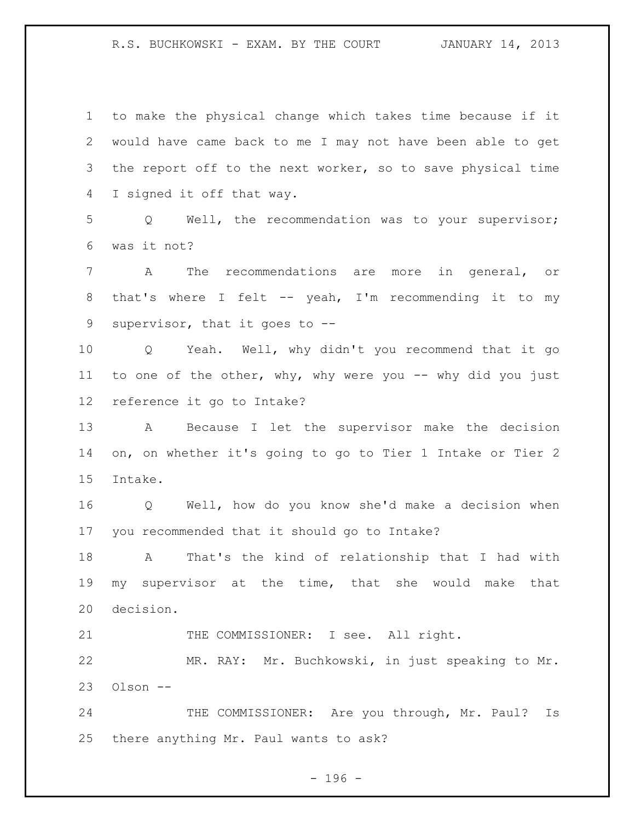R.S. BUCHKOWSKI - EXAM. BY THE COURT JANUARY 14, 2013

 to make the physical change which takes time because if it would have came back to me I may not have been able to get the report off to the next worker, so to save physical time I signed it off that way. Q Well, the recommendation was to your supervisor; was it not? A The recommendations are more in general, or 8 that's where I felt -- yeah, I'm recommending it to my supervisor, that it goes to -- Q Yeah. Well, why didn't you recommend that it go to one of the other, why, why were you -- why did you just reference it go to Intake? A Because I let the supervisor make the decision on, on whether it's going to go to Tier 1 Intake or Tier 2 Intake. Q Well, how do you know she'd make a decision when you recommended that it should go to Intake? A That's the kind of relationship that I had with my supervisor at the time, that she would make that decision. 21 THE COMMISSIONER: I see. All right. MR. RAY: Mr. Buchkowski, in just speaking to Mr. Olson -- 24 THE COMMISSIONER: Are you through, Mr. Paul? Is there anything Mr. Paul wants to ask?

 $- 196 -$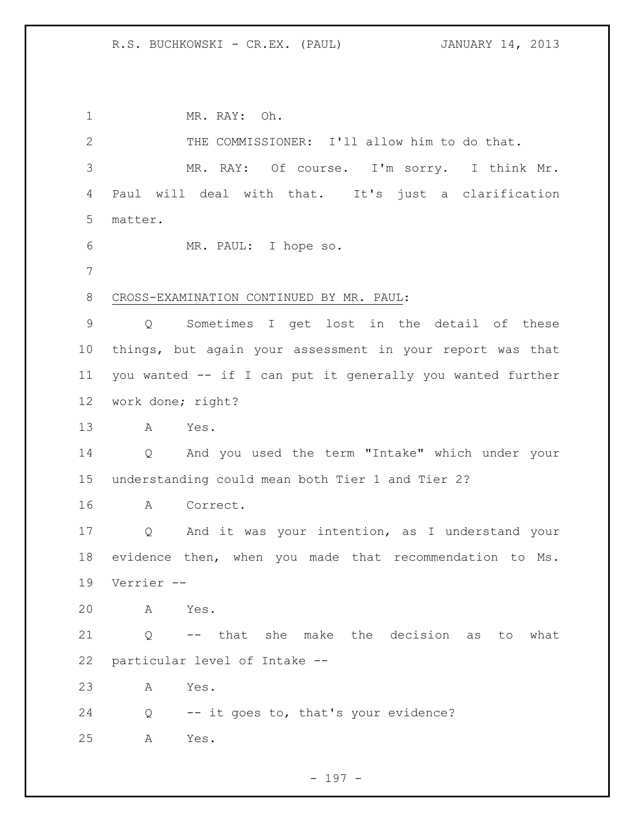## R.S. BUCHKOWSKI - CR.EX. (PAUL) JANUARY 14, 2013

 MR. RAY: Oh. THE COMMISSIONER: I'll allow him to do that. MR. RAY: Of course. I'm sorry. I think Mr. Paul will deal with that. It's just a clarification matter. MR. PAUL: I hope so. CROSS-EXAMINATION CONTINUED BY MR. PAUL: Q Sometimes I get lost in the detail of these things, but again your assessment in your report was that you wanted -- if I can put it generally you wanted further work done; right? A Yes. Q And you used the term "Intake" which under your understanding could mean both Tier 1 and Tier 2? A Correct. Q And it was your intention, as I understand your evidence then, when you made that recommendation to Ms. Verrier -- A Yes. Q -- that she make the decision as to what particular level of Intake -- A Yes. Q -- it goes to, that's your evidence? A Yes.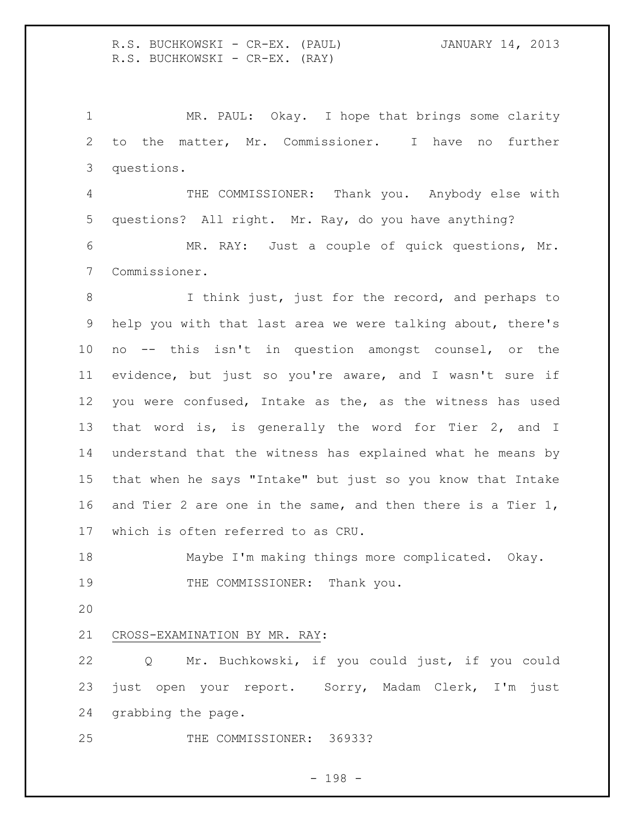R.S. BUCHKOWSKI - CR-EX. (PAUL) JANUARY 14, 2013 R.S. BUCHKOWSKI - CR-EX. (RAY)

1 MR. PAUL: Okay. I hope that brings some clarity to the matter, Mr. Commissioner. I have no further questions.

 THE COMMISSIONER: Thank you. Anybody else with questions? All right. Mr. Ray, do you have anything?

 MR. RAY: Just a couple of quick questions, Mr. Commissioner.

8 I think just, just for the record, and perhaps to help you with that last area we were talking about, there's no -- this isn't in question amongst counsel, or the evidence, but just so you're aware, and I wasn't sure if you were confused, Intake as the, as the witness has used that word is, is generally the word for Tier 2, and I understand that the witness has explained what he means by that when he says "Intake" but just so you know that Intake and Tier 2 are one in the same, and then there is a Tier 1, which is often referred to as CRU.

 Maybe I'm making things more complicated. Okay. 19 THE COMMISSIONER: Thank you.

## CROSS-EXAMINATION BY MR. RAY:

 Q Mr. Buchkowski, if you could just, if you could just open your report. Sorry, Madam Clerk, I'm just grabbing the page.

THE COMMISSIONER: 36933?

- 198 -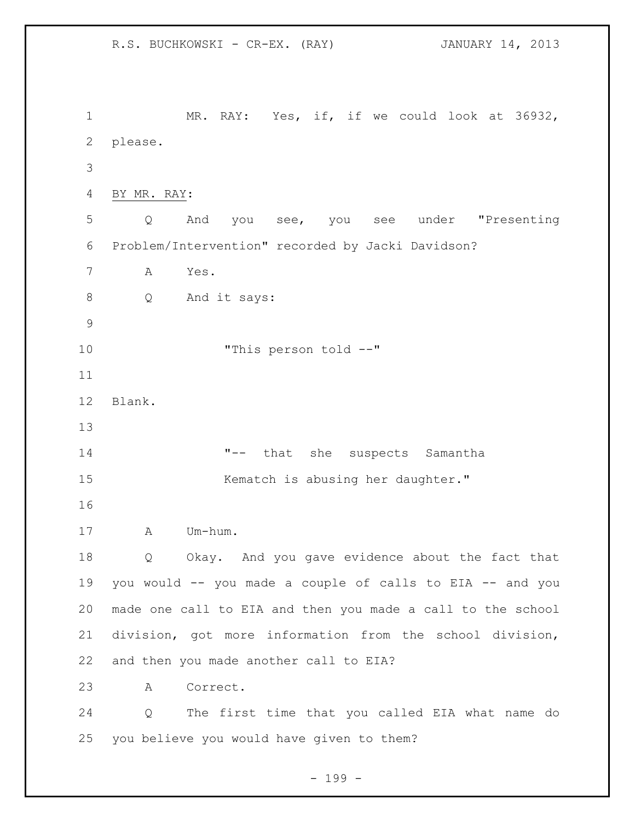R.S. BUCHKOWSKI - CR-EX. (RAY) JANUARY 14, 2013 MR. RAY: Yes, if, if we could look at 36932, please. BY MR. RAY: Q And you see, you see under "Presenting Problem/Intervention" recorded by Jacki Davidson? A Yes. Q And it says: "This person told --" Blank. "-- that she suspects Samantha 15 Kematch is abusing her daughter." A Um-hum. Q Okay. And you gave evidence about the fact that you would -- you made a couple of calls to EIA -- and you made one call to EIA and then you made a call to the school division, got more information from the school division, and then you made another call to EIA? A Correct. Q The first time that you called EIA what name do you believe you would have given to them?

 $- 199 -$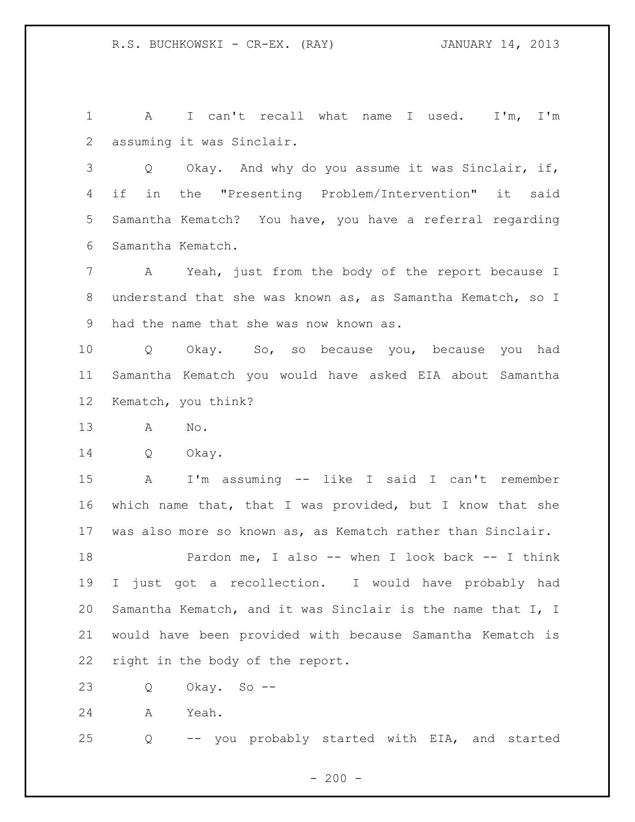A I can't recall what name I used. I'm, I'm assuming it was Sinclair.

 Q Okay. And why do you assume it was Sinclair, if, if in the "Presenting Problem/Intervention" it said Samantha Kematch? You have, you have a referral regarding Samantha Kematch.

 A Yeah, just from the body of the report because I understand that she was known as, as Samantha Kematch, so I had the name that she was now known as.

 Q Okay. So, so because you, because you had Samantha Kematch you would have asked EIA about Samantha Kematch, you think?

A No.

Q Okay.

 A I'm assuming -- like I said I can't remember which name that, that I was provided, but I know that she was also more so known as, as Kematch rather than Sinclair.

 Pardon me, I also -- when I look back -- I think I just got a recollection. I would have probably had Samantha Kematch, and it was Sinclair is the name that I, I would have been provided with because Samantha Kematch is right in the body of the report.

Q Okay. So --

A Yeah.

Q -- you probably started with EIA, and started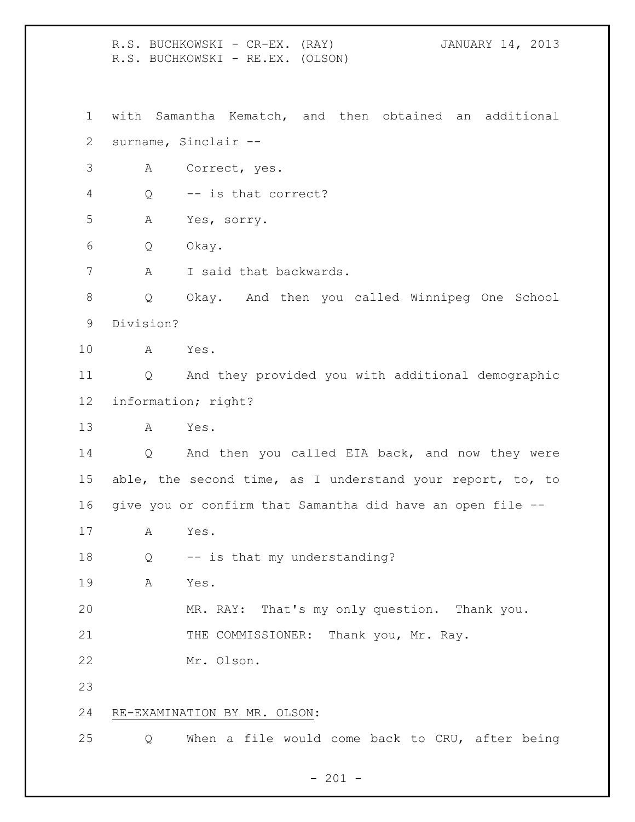R.S. BUCHKOWSKI - CR-EX. (RAY) JANUARY 14, 2013 R.S. BUCHKOWSKI - RE.EX. (OLSON) with Samantha Kematch, and then obtained an additional surname, Sinclair -- A Correct, yes. Q -- is that correct? A Yes, sorry. Q Okay. A I said that backwards. Q Okay. And then you called Winnipeg One School Division? A Yes. Q And they provided you with additional demographic information; right? A Yes. Q And then you called EIA back, and now they were 15 able, the second time, as I understand your report, to, to give you or confirm that Samantha did have an open file -- A Yes. Q -- is that my understanding? A Yes. MR. RAY: That's my only question. Thank you. 21 THE COMMISSIONER: Thank you, Mr. Ray. Mr. Olson. RE-EXAMINATION BY MR. OLSON: Q When a file would come back to CRU, after being

 $- 201 -$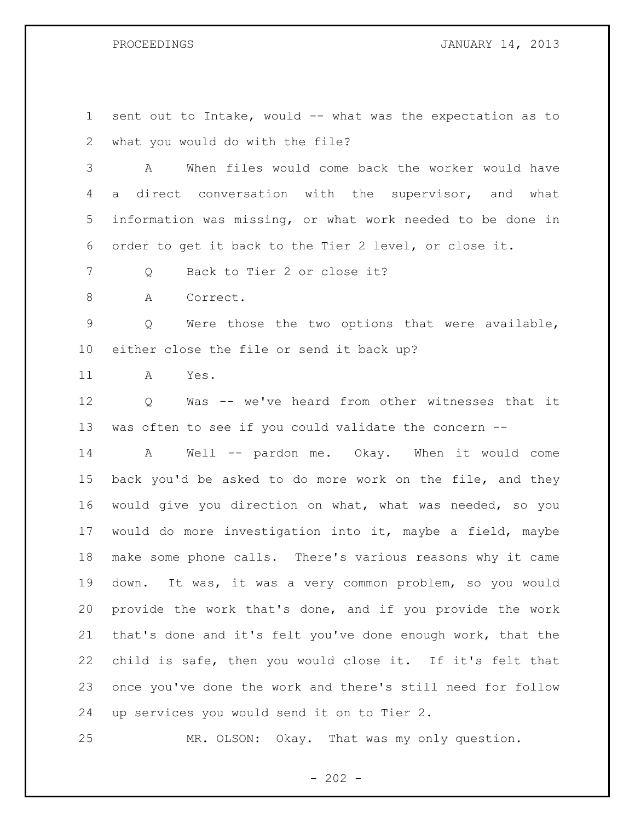PROCEEDINGS **JANUARY 14, 2013** 

 sent out to Intake, would -- what was the expectation as to what you would do with the file? A When files would come back the worker would have a direct conversation with the supervisor, and what information was missing, or what work needed to be done in order to get it back to the Tier 2 level, or close it. 7 0 Back to Tier 2 or close it? 8 A Correct. Q Were those the two options that were available,

either close the file or send it back up?

A Yes.

 Q Was -- we've heard from other witnesses that it was often to see if you could validate the concern --

 A Well -- pardon me. Okay. When it would come back you'd be asked to do more work on the file, and they would give you direction on what, what was needed, so you would do more investigation into it, maybe a field, maybe make some phone calls. There's various reasons why it came down. It was, it was a very common problem, so you would provide the work that's done, and if you provide the work that's done and it's felt you've done enough work, that the child is safe, then you would close it. If it's felt that once you've done the work and there's still need for follow up services you would send it on to Tier 2.

MR. OLSON: Okay. That was my only question.

 $- 202 -$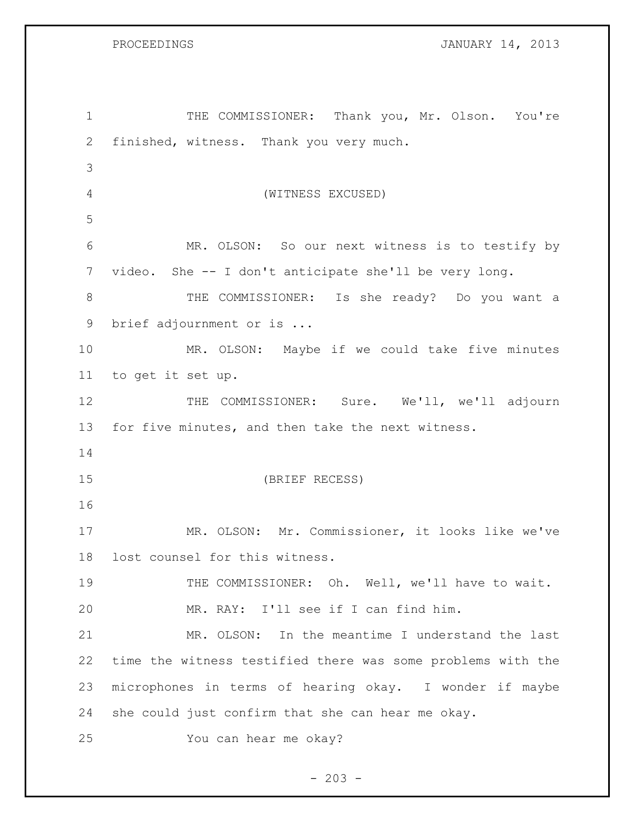PROCEEDINGS **DROCEEDINGS JANUARY 14, 2013** 

| $\mathbf 1$ | THE COMMISSIONER: Thank you, Mr. Olson. You're              |
|-------------|-------------------------------------------------------------|
| 2           | finished, witness. Thank you very much.                     |
| 3           |                                                             |
| 4           | (WITNESS EXCUSED)                                           |
| 5           |                                                             |
| 6           | MR. OLSON: So our next witness is to testify by             |
| 7           | video. She -- I don't anticipate she'll be very long.       |
| 8           | THE COMMISSIONER: Is she ready? Do you want a               |
| 9           | brief adjournment or is                                     |
| 10          | MR. OLSON: Maybe if we could take five minutes              |
| 11          | to get it set up.                                           |
| 12          | COMMISSIONER: Sure. We'll, we'll adjourn<br>THE             |
| 13          | for five minutes, and then take the next witness.           |
| 14          |                                                             |
| 15          | (BRIEF RECESS)                                              |
| 16          |                                                             |
| 17          | MR. OLSON: Mr. Commissioner, it looks like we've            |
| 18          | lost counsel for this witness.                              |
| 19          | THE COMMISSIONER: Oh. Well, we'll have to wait.             |
| 20          | MR. RAY: I'll see if I can find him.                        |
| 21          | MR. OLSON: In the meantime I understand the last            |
| 22          | time the witness testified there was some problems with the |
| 23          | microphones in terms of hearing okay. I wonder if maybe     |
| 24          | she could just confirm that she can hear me okay.           |
| 25          | You can hear me okay?                                       |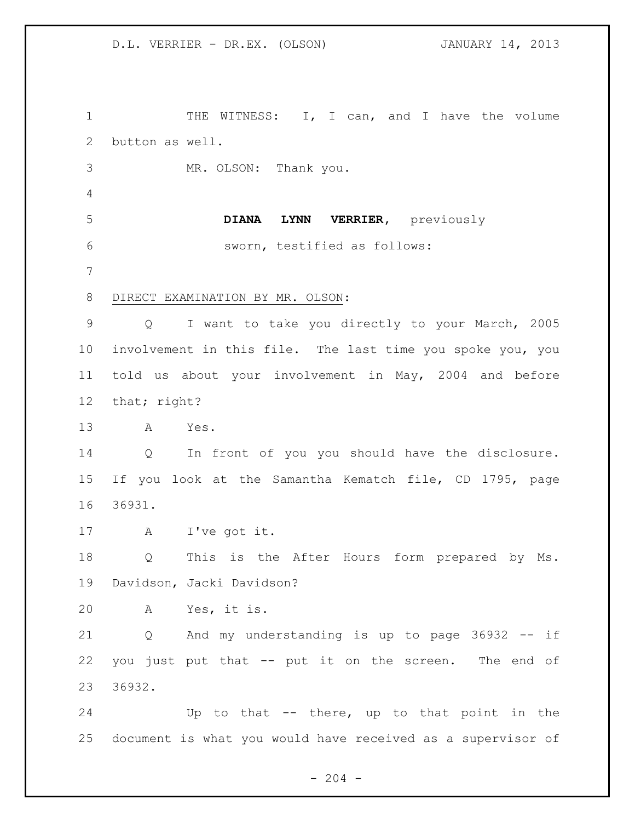1 THE WITNESS: I, I can, and I have the volume button as well. MR. OLSON: Thank you. **DIANA LYNN VERRIER,** previously sworn, testified as follows: DIRECT EXAMINATION BY MR. OLSON: Q I want to take you directly to your March, 2005 involvement in this file. The last time you spoke you, you told us about your involvement in May, 2004 and before that; right? A Yes. Q In front of you you should have the disclosure. If you look at the Samantha Kematch file, CD 1795, page 36931. A I've got it. Q This is the After Hours form prepared by Ms. Davidson, Jacki Davidson? A Yes, it is. Q And my understanding is up to page 36932 -- if you just put that -- put it on the screen. The end of 36932. Up to that -- there, up to that point in the document is what you would have received as a supervisor of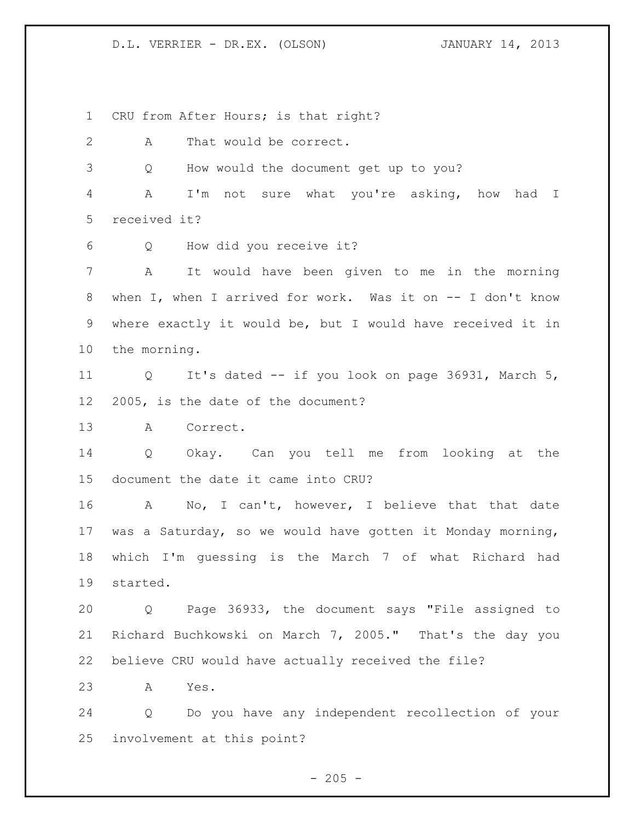D.L. VERRIER - DR.EX. (OLSON) JANUARY 14, 2013

CRU from After Hours; is that right?

A That would be correct.

Q How would the document get up to you?

 A I'm not sure what you're asking, how had I received it?

Q How did you receive it?

 A It would have been given to me in the morning when I, when I arrived for work. Was it on -- I don't know where exactly it would be, but I would have received it in the morning.

 Q It's dated -- if you look on page 36931, March 5, 2005, is the date of the document?

A Correct.

 Q Okay. Can you tell me from looking at the document the date it came into CRU?

16 A No, I can't, however, I believe that that date was a Saturday, so we would have gotten it Monday morning, which I'm guessing is the March 7 of what Richard had started.

 Q Page 36933, the document says "File assigned to Richard Buchkowski on March 7, 2005." That's the day you believe CRU would have actually received the file?

A Yes.

 Q Do you have any independent recollection of your involvement at this point?

 $- 205 -$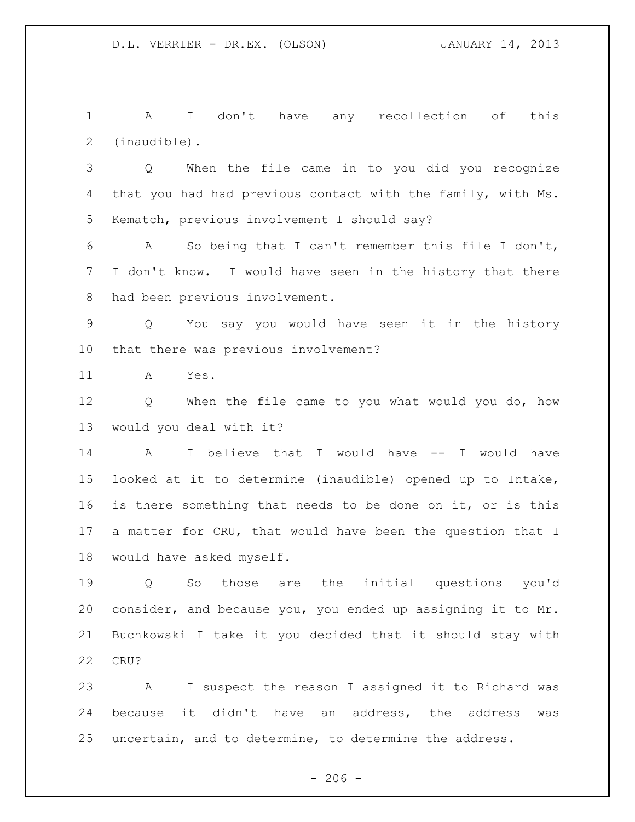A I don't have any recollection of this (inaudible).

 Q When the file came in to you did you recognize that you had had previous contact with the family, with Ms. Kematch, previous involvement I should say?

 A So being that I can't remember this file I don't, I don't know. I would have seen in the history that there had been previous involvement.

 Q You say you would have seen it in the history that there was previous involvement?

A Yes.

 Q When the file came to you what would you do, how would you deal with it?

 A I believe that I would have -- I would have looked at it to determine (inaudible) opened up to Intake, is there something that needs to be done on it, or is this a matter for CRU, that would have been the question that I would have asked myself.

 Q So those are the initial questions you'd consider, and because you, you ended up assigning it to Mr. Buchkowski I take it you decided that it should stay with CRU?

 A I suspect the reason I assigned it to Richard was because it didn't have an address, the address was uncertain, and to determine, to determine the address.

 $-206 -$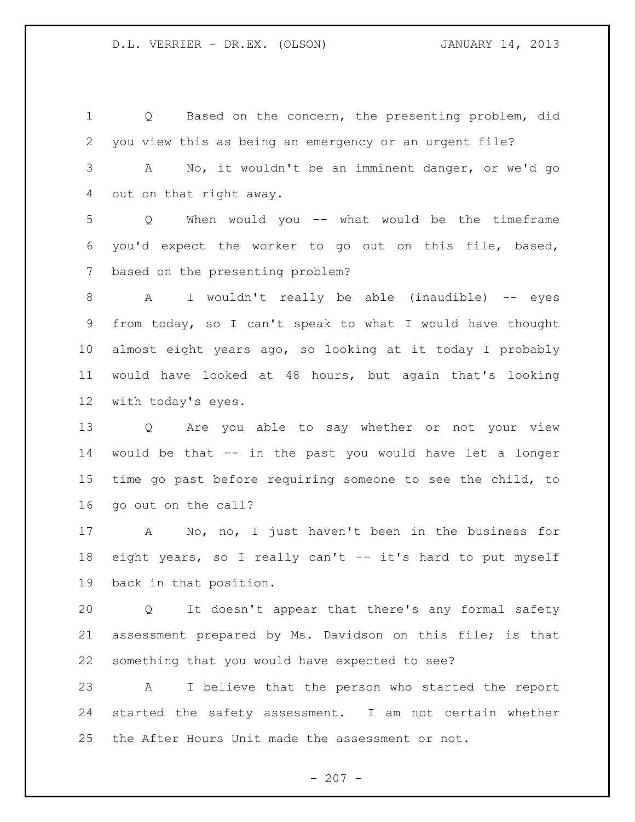Q Based on the concern, the presenting problem, did you view this as being an emergency or an urgent file? A No, it wouldn't be an imminent danger, or we'd go out on that right away. Q When would you -- what would be the timeframe you'd expect the worker to go out on this file, based, based on the presenting problem? A I wouldn't really be able (inaudible) -- eyes from today, so I can't speak to what I would have thought almost eight years ago, so looking at it today I probably would have looked at 48 hours, but again that's looking with today's eyes. Q Are you able to say whether or not your view would be that -- in the past you would have let a longer time go past before requiring someone to see the child, to go out on the call? A No, no, I just haven't been in the business for 18 eight years, so I really can't -- it's hard to put myself back in that position. Q It doesn't appear that there's any formal safety assessment prepared by Ms. Davidson on this file; is that something that you would have expected to see? A I believe that the person who started the report started the safety assessment. I am not certain whether

the After Hours Unit made the assessment or not.

 $-207 -$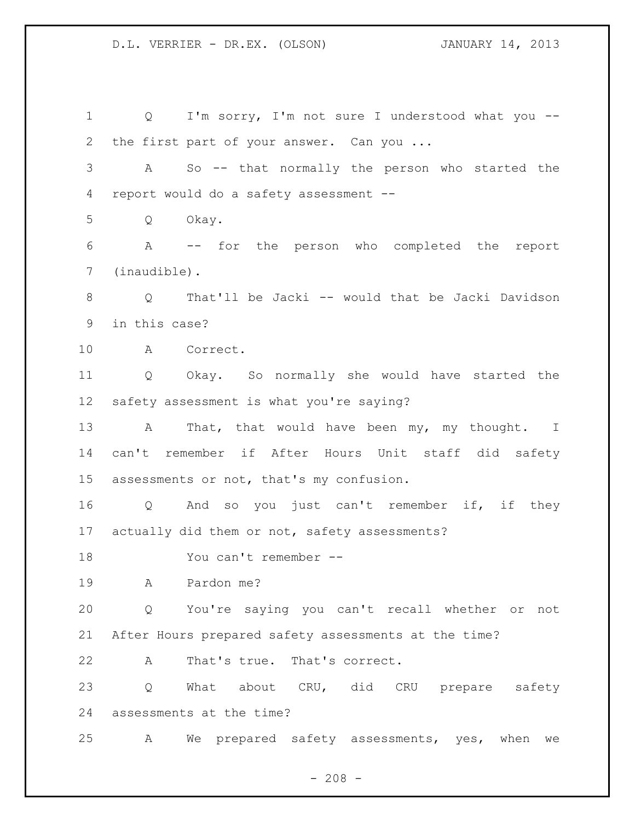1 Q I'm sorry, I'm not sure I understood what you --2 the first part of your answer. Can you ... A So -- that normally the person who started the report would do a safety assessment -- Q Okay. A -- for the person who completed the report (inaudible). Q That'll be Jacki -- would that be Jacki Davidson in this case? A Correct. Q Okay. So normally she would have started the safety assessment is what you're saying? 13 A That, that would have been my, my thought. I can't remember if After Hours Unit staff did safety assessments or not, that's my confusion. Q And so you just can't remember if, if they actually did them or not, safety assessments? You can't remember -- A Pardon me? Q You're saying you can't recall whether or not After Hours prepared safety assessments at the time? A That's true. That's correct. 23 Q What about CRU, did CRU prepare safety assessments at the time? A We prepared safety assessments, yes, when we

 $- 208 -$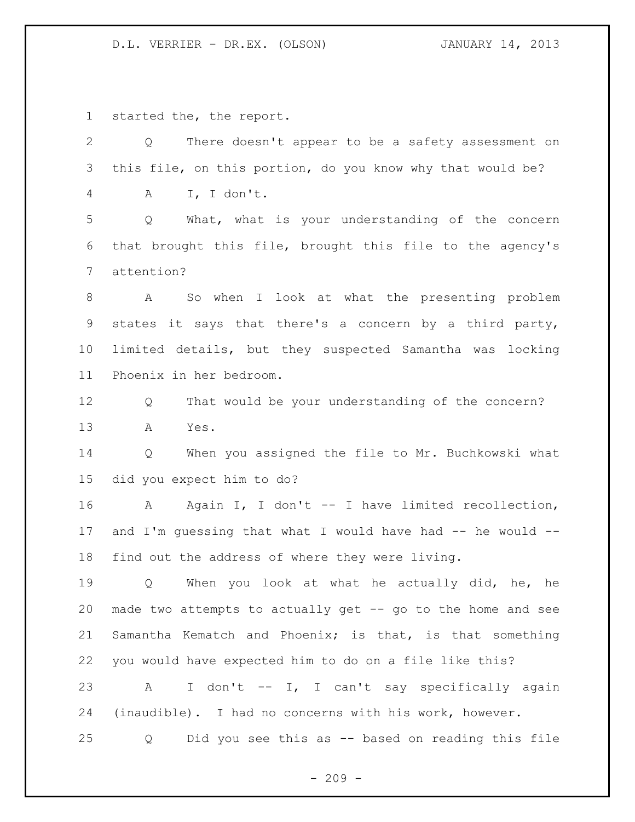## D.L. VERRIER - DR.EX. (OLSON) JANUARY 14, 2013

started the, the report.

| $\mathbf{2}$ | There doesn't appear to be a safety assessment on<br>Q        |
|--------------|---------------------------------------------------------------|
| 3            | this file, on this portion, do you know why that would be?    |
| 4            | I, I don't.<br>A                                              |
| 5            | What, what is your understanding of the concern<br>Q          |
| 6            | that brought this file, brought this file to the agency's     |
| 7            | attention?                                                    |
| 8            | So when I look at what the presenting problem<br>$\mathbf{A}$ |
| $\mathsf 9$  | states it says that there's a concern by a third party,       |
| 10           | limited details, but they suspected Samantha was locking      |
| 11           | Phoenix in her bedroom.                                       |
| 12           | That would be your understanding of the concern?<br>Q         |
| 13           | Yes.<br>Α                                                     |
| 14           | When you assigned the file to Mr. Buchkowski what<br>Q        |
| 15           | did you expect him to do?                                     |
| 16           | A Again I, I don't -- I have limited recollection,            |
| 17           | and I'm quessing that what I would have had -- he would --    |
| 18           | find out the address of where they were living.               |
| 19           | When you look at what he actually did, he, he<br>Q            |
| 20           | made two attempts to actually get -- go to the home and see   |
| 21           | Samantha Kematch and Phoenix; is that, is that something      |
| 22           | you would have expected him to do on a file like this?        |
| 23           | I don't -- I, I can't say specifically again<br>A             |
| 24           | (inaudible). I had no concerns with his work, however.        |
| 25           | Did you see this as -- based on reading this file<br>Q        |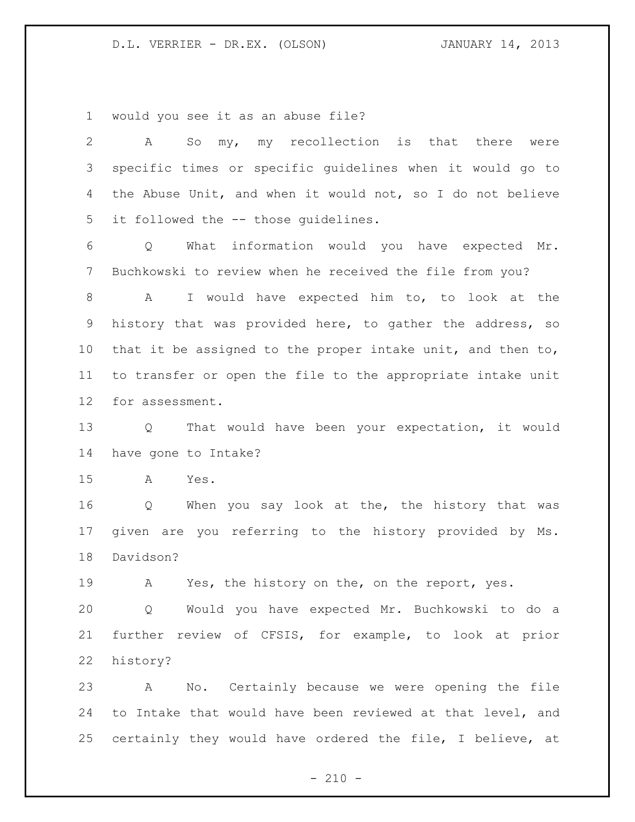would you see it as an abuse file?

| 2               | my, my recollection is that there<br>A<br>So<br>were        |
|-----------------|-------------------------------------------------------------|
| 3               | specific times or specific guidelines when it would go to   |
| 4               | the Abuse Unit, and when it would not, so I do not believe  |
| 5               | it followed the -- those quidelines.                        |
| 6               | What information would you have expected Mr.<br>Q           |
| 7               | Buchkowski to review when he received the file from you?    |
| 8               | I would have expected him to, to look at the<br>A           |
| 9               | history that was provided here, to gather the address, so   |
| 10 <sub>o</sub> | that it be assigned to the proper intake unit, and then to, |
| 11              | to transfer or open the file to the appropriate intake unit |
| 12              | for assessment.                                             |
| 13              | That would have been your expectation, it would<br>$\circ$  |
| 14              | have gone to Intake?                                        |
| 15              | $\mathbb A$<br>Yes.                                         |
| 16              | When you say look at the, the history that was<br>Q         |
| 17              | given are you referring to the history provided by<br>Ms.   |
| 18              | Davidson?                                                   |
| 19              | Yes, the history on the, on the report, yes.<br>А           |
| 20              | Q Would you have expected Mr. Buchkowski to do a            |
| 21              | further review of CFSIS, for example, to look at prior      |
| 22              | history?                                                    |
| 23              | No. Certainly because we were opening the file<br>A         |
| 24              | to Intake that would have been reviewed at that level, and  |
| 25              | certainly they would have ordered the file, I believe, at   |

- 210 -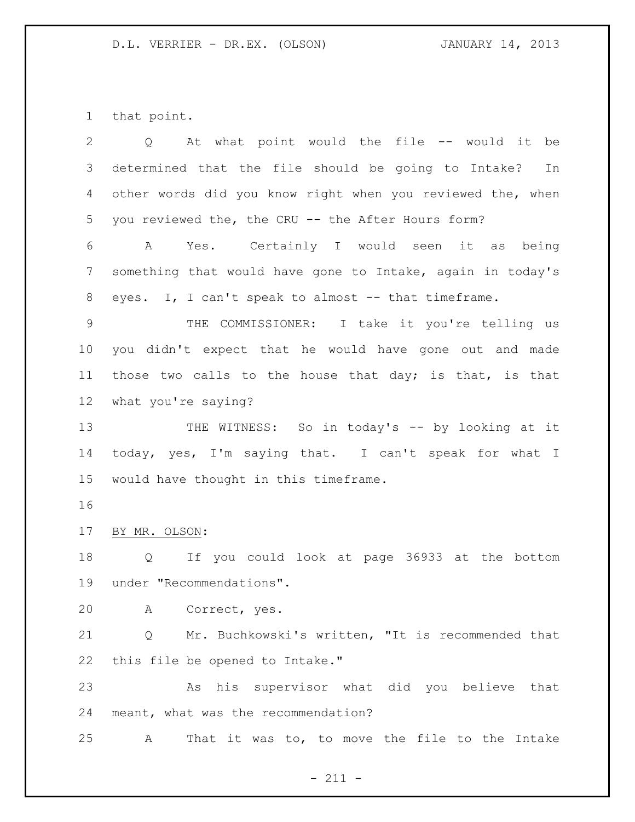that point.

| 2               | At what point would the file -- would it be<br>$Q \qquad \qquad$ |
|-----------------|------------------------------------------------------------------|
| 3               | determined that the file should be going to Intake?<br>In        |
| 4               | other words did you know right when you reviewed the, when       |
| 5               | you reviewed the, the CRU -- the After Hours form?               |
| 6               | Yes. Certainly I would seen it as being<br>A                     |
| $7\phantom{.0}$ | something that would have gone to Intake, again in today's       |
| 8               | eyes. I, I can't speak to almost -- that timeframe.              |
| 9               | THE COMMISSIONER: I take it you're telling us                    |
| 10              | you didn't expect that he would have gone out and made           |
| 11              | those two calls to the house that day; is that, is that          |
| 12              | what you're saying?                                              |
| 13              | THE WITNESS: So in today's -- by looking at it                   |
| 14              | today, yes, I'm saying that. I can't speak for what I            |
| 15              | would have thought in this timeframe.                            |
| 16              |                                                                  |
| 17              | BY MR. OLSON:                                                    |
| 18              | Q If you could look at page 36933 at the bottom                  |
| 19              | under "Recommendations".                                         |
| 20              | A Correct, yes.                                                  |
| 21              | Mr. Buchkowski's written, "It is recommended that<br>Q           |
| 22              | this file be opened to Intake."                                  |
| 23              | As his supervisor what did you believe that                      |
| 24              | meant, what was the recommendation?                              |
| 25              | That it was to, to move the file to the Intake<br>A              |

- 211 -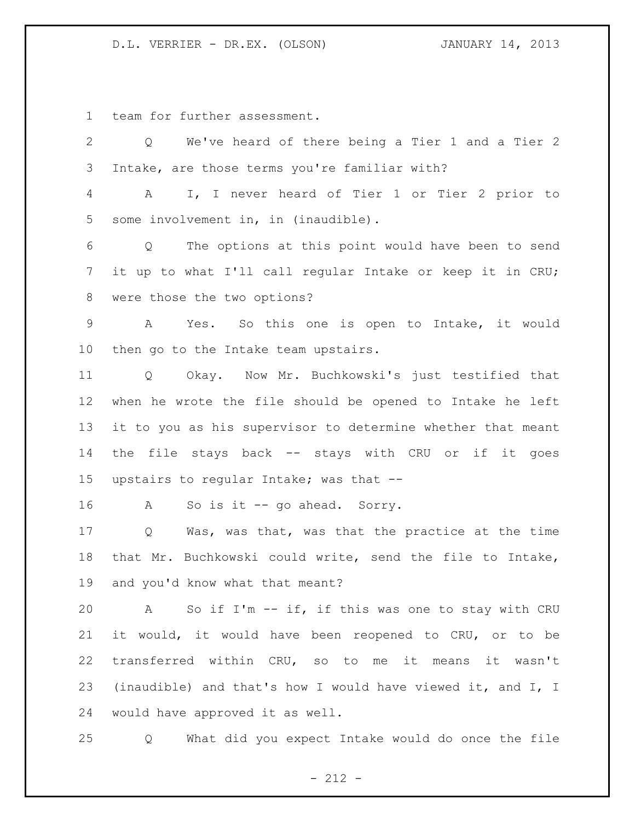D.L. VERRIER - DR.EX. (OLSON) JANUARY 14, 2013

team for further assessment.

| $\mathbf{2}$   | We've heard of there being a Tier 1 and a Tier 2<br>$Q \qquad \qquad$  |
|----------------|------------------------------------------------------------------------|
| 3              | Intake, are those terms you're familiar with?                          |
| $\overline{4}$ | I, I never heard of Tier 1 or Tier 2 prior to<br>$A \quad \alpha$      |
| 5              | some involvement in, in (inaudible).                                   |
| 6              | The options at this point would have been to send<br>$Q \qquad \qquad$ |
| 7              | it up to what I'll call regular Intake or keep it in CRU;              |
| 8              | were those the two options?                                            |
| 9              | Yes. So this one is open to Intake, it would<br>A                      |
| 10             | then go to the Intake team upstairs.                                   |
| 11             | Q Okay. Now Mr. Buchkowski's just testified that                       |
| 12             | when he wrote the file should be opened to Intake he left              |
| 13             | it to you as his supervisor to determine whether that meant            |
| 14             | the file stays back -- stays with CRU or if it goes                    |
| 15             | upstairs to regular Intake; was that --                                |
| 16             | So is it -- go ahead. Sorry.<br>A                                      |
| 17             | Was, was that, was that the practice at the time<br>Q                  |
| 18             | that Mr. Buchkowski could write, send the file to Intake,              |
| 19             | and you'd know what that meant?                                        |
| 20             | A So if I'm -- if, if this was one to stay with CRU                    |
| 21             | it would, it would have been reopened to CRU, or to be                 |
| 22             | transferred within CRU, so to me it means it wasn't                    |
| 23             | (inaudible) and that's how I would have viewed it, and I, I            |
| 24             | would have approved it as well.                                        |
| 25             | What did you expect Intake would do once the file<br>Q                 |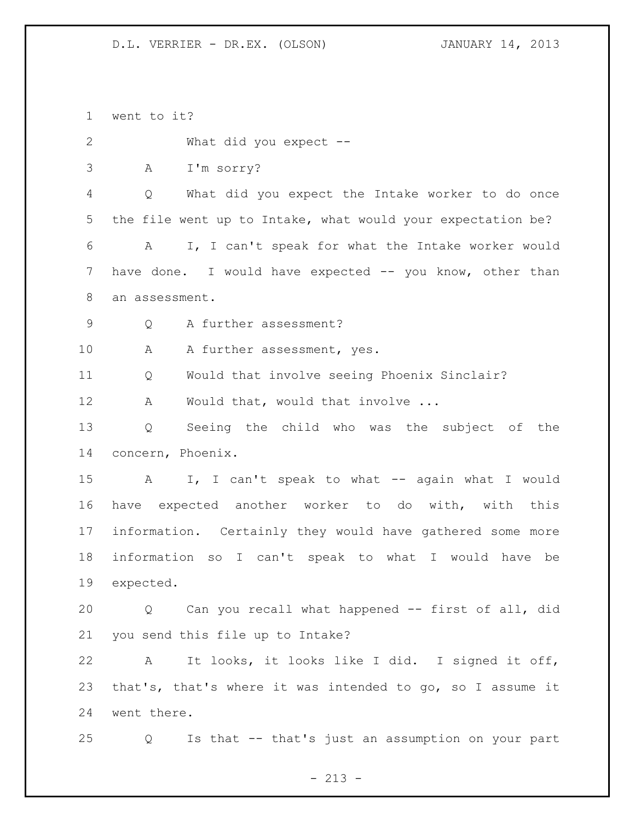went to it? What did you expect -- A I'm sorry? Q What did you expect the Intake worker to do once the file went up to Intake, what would your expectation be? A I, I can't speak for what the Intake worker would have done. I would have expected -- you know, other than an assessment. Q A further assessment? 10 A A further assessment, yes. Q Would that involve seeing Phoenix Sinclair? 12 A Would that, would that involve ... Q Seeing the child who was the subject of the concern, Phoenix. A I, I can't speak to what -- again what I would have expected another worker to do with, with this information. Certainly they would have gathered some more information so I can't speak to what I would have be expected. Q Can you recall what happened -- first of all, did you send this file up to Intake? A It looks, it looks like I did. I signed it off, that's, that's where it was intended to go, so I assume it went there. Q Is that -- that's just an assumption on your part

 $- 213 -$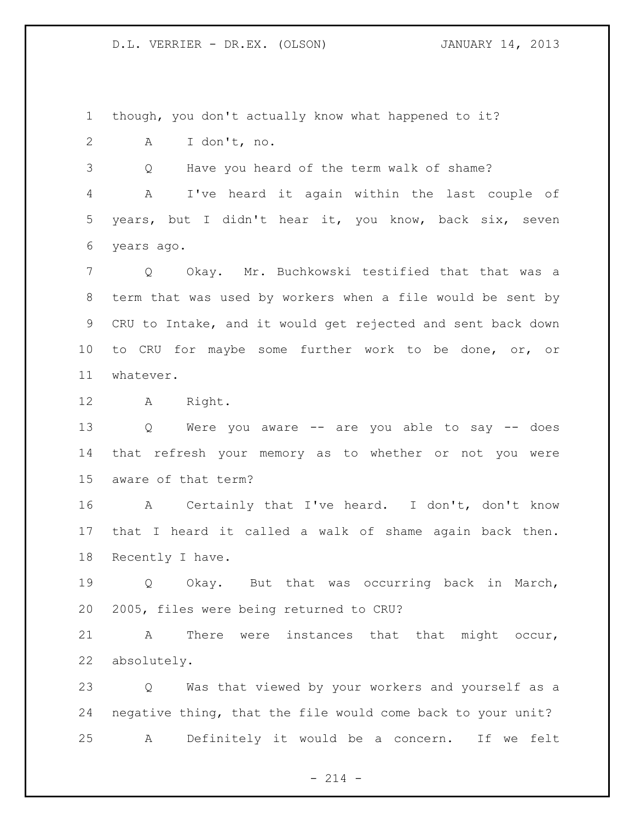though, you don't actually know what happened to it?

A I don't, no.

Q Have you heard of the term walk of shame?

 A I've heard it again within the last couple of years, but I didn't hear it, you know, back six, seven years ago.

 Q Okay. Mr. Buchkowski testified that that was a term that was used by workers when a file would be sent by CRU to Intake, and it would get rejected and sent back down to CRU for maybe some further work to be done, or, or whatever.

A Right.

 Q Were you aware -- are you able to say -- does that refresh your memory as to whether or not you were aware of that term?

 A Certainly that I've heard. I don't, don't know that I heard it called a walk of shame again back then. Recently I have.

 Q Okay. But that was occurring back in March, 2005, files were being returned to CRU?

 A There were instances that that might occur, absolutely.

 Q Was that viewed by your workers and yourself as a negative thing, that the file would come back to your unit? A Definitely it would be a concern. If we felt

 $- 214 -$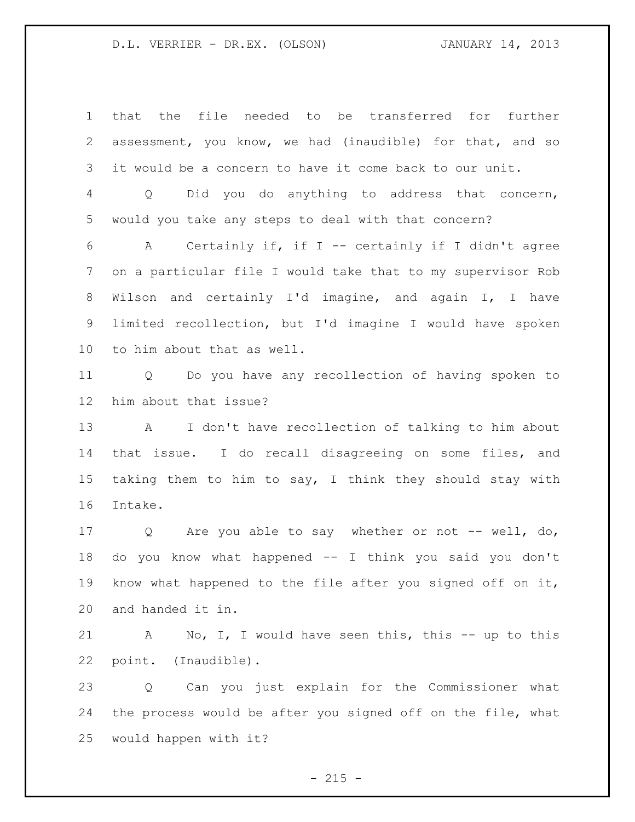that the file needed to be transferred for further assessment, you know, we had (inaudible) for that, and so it would be a concern to have it come back to our unit. Q Did you do anything to address that concern, would you take any steps to deal with that concern? A Certainly if, if I -- certainly if I didn't agree on a particular file I would take that to my supervisor Rob Wilson and certainly I'd imagine, and again I, I have limited recollection, but I'd imagine I would have spoken to him about that as well. Q Do you have any recollection of having spoken to him about that issue? A I don't have recollection of talking to him about that issue. I do recall disagreeing on some files, and taking them to him to say, I think they should stay with Intake. 17 Q Are you able to say whether or not -- well, do, do you know what happened -- I think you said you don't know what happened to the file after you signed off on it, and handed it in. A No, I, I would have seen this, this -- up to this point. (Inaudible).

 Q Can you just explain for the Commissioner what the process would be after you signed off on the file, what would happen with it?

 $- 215 -$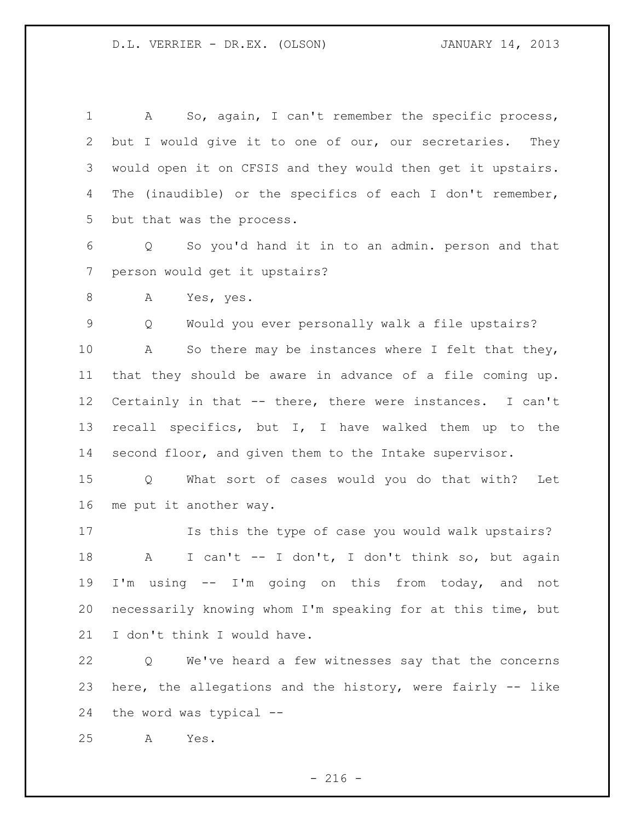A So, again, I can't remember the specific process, but I would give it to one of our, our secretaries. They would open it on CFSIS and they would then get it upstairs. The (inaudible) or the specifics of each I don't remember, but that was the process.

 Q So you'd hand it in to an admin. person and that person would get it upstairs?

A Yes, yes.

Q Would you ever personally walk a file upstairs?

10 A So there may be instances where I felt that they, that they should be aware in advance of a file coming up. Certainly in that -- there, there were instances. I can't recall specifics, but I, I have walked them up to the second floor, and given them to the Intake supervisor.

 Q What sort of cases would you do that with? Let me put it another way.

 Is this the type of case you would walk upstairs? A I can't -- I don't, I don't think so, but again I'm using -- I'm going on this from today, and not necessarily knowing whom I'm speaking for at this time, but 21 I don't think I would have.

 Q We've heard a few witnesses say that the concerns here, the allegations and the history, were fairly -- like the word was typical --

A Yes.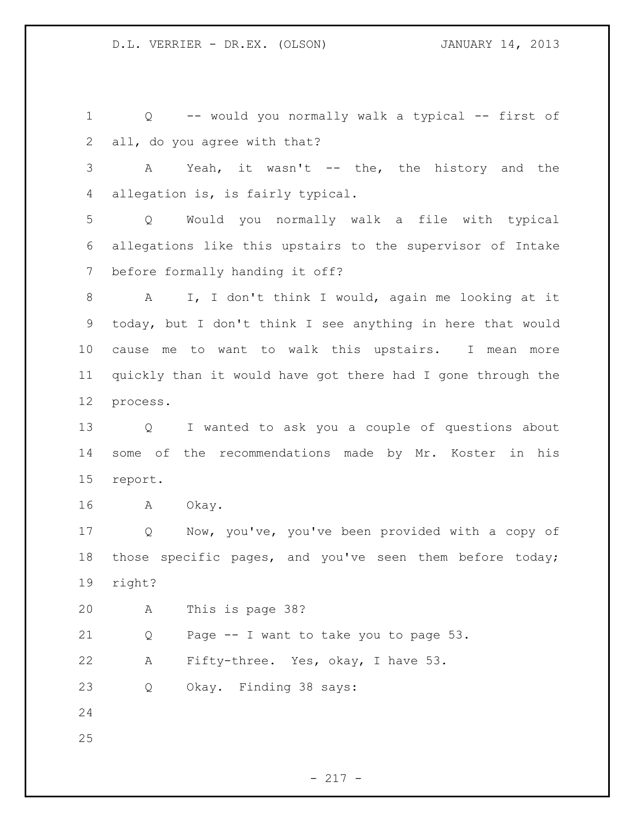Q -- would you normally walk a typical -- first of all, do you agree with that? A Yeah, it wasn't -- the, the history and the allegation is, is fairly typical. Q Would you normally walk a file with typical allegations like this upstairs to the supervisor of Intake before formally handing it off? A I, I don't think I would, again me looking at it today, but I don't think I see anything in here that would cause me to want to walk this upstairs. I mean more quickly than it would have got there had I gone through the process. Q I wanted to ask you a couple of questions about some of the recommendations made by Mr. Koster in his report. A Okay. Q Now, you've, you've been provided with a copy of those specific pages, and you've seen them before today; right? A This is page 38? Q Page -- I want to take you to page 53. A Fifty-three. Yes, okay, I have 53. Q Okay. Finding 38 says: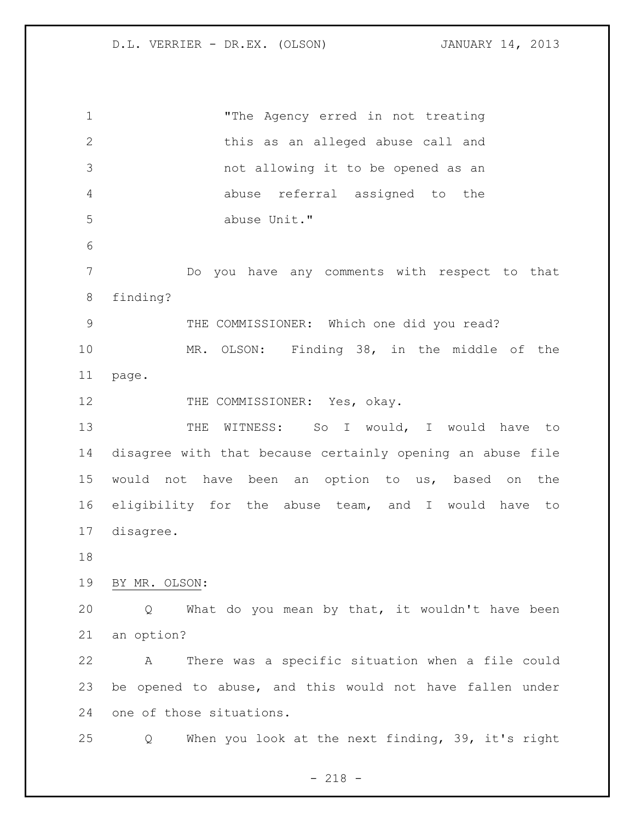"The Agency erred in not treating this as an alleged abuse call and not allowing it to be opened as an abuse referral assigned to the abuse Unit." Do you have any comments with respect to that finding? THE COMMISSIONER: Which one did you read? MR. OLSON: Finding 38, in the middle of the page. 12 THE COMMISSIONER: Yes, okay. 13 THE WITNESS: So I would, I would have to disagree with that because certainly opening an abuse file would not have been an option to us, based on the eligibility for the abuse team, and I would have to disagree. BY MR. OLSON: Q What do you mean by that, it wouldn't have been an option? A There was a specific situation when a file could be opened to abuse, and this would not have fallen under one of those situations. Q When you look at the next finding, 39, it's right

- 218 -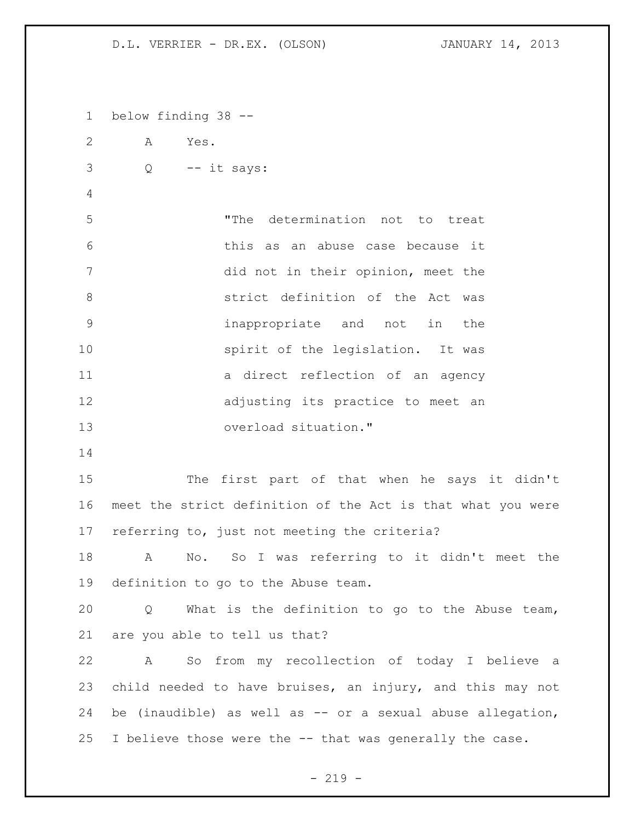below finding 38 -- A Yes. Q -- it says: "The determination not to treat this as an abuse case because it did not in their opinion, meet the strict definition of the Act was inappropriate and not in the 10 spirit of the legislation. It was 11 a direct reflection of an agency adjusting its practice to meet an overload situation." The first part of that when he says it didn't meet the strict definition of the Act is that what you were referring to, just not meeting the criteria? A No. So I was referring to it didn't meet the definition to go to the Abuse team. Q What is the definition to go to the Abuse team, are you able to tell us that? A So from my recollection of today I believe a child needed to have bruises, an injury, and this may not be (inaudible) as well as -- or a sexual abuse allegation, I believe those were the -- that was generally the case.

 $-219 -$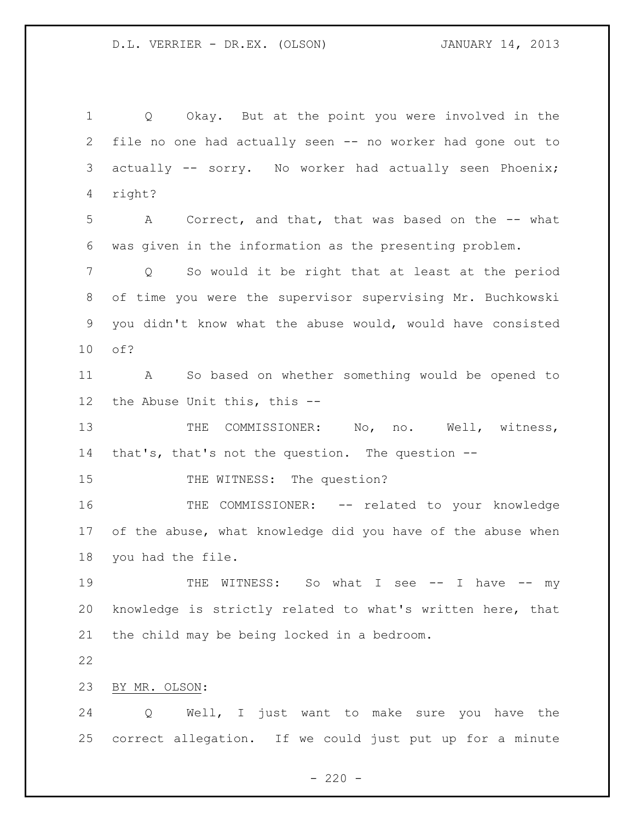Q Okay. But at the point you were involved in the file no one had actually seen -- no worker had gone out to actually -- sorry. No worker had actually seen Phoenix; right? A Correct, and that, that was based on the -- what was given in the information as the presenting problem. Q So would it be right that at least at the period of time you were the supervisor supervising Mr. Buchkowski you didn't know what the abuse would, would have consisted of? A So based on whether something would be opened to the Abuse Unit this, this -- 13 THE COMMISSIONER: No, no. Well, witness, that's, that's not the question. The question -- 15 THE WITNESS: The question? THE COMMISSIONER: -- related to your knowledge of the abuse, what knowledge did you have of the abuse when you had the file. 19 THE WITNESS: So what I see -- I have -- my knowledge is strictly related to what's written here, that the child may be being locked in a bedroom. BY MR. OLSON: Q Well, I just want to make sure you have the correct allegation. If we could just put up for a minute

 $- 220 -$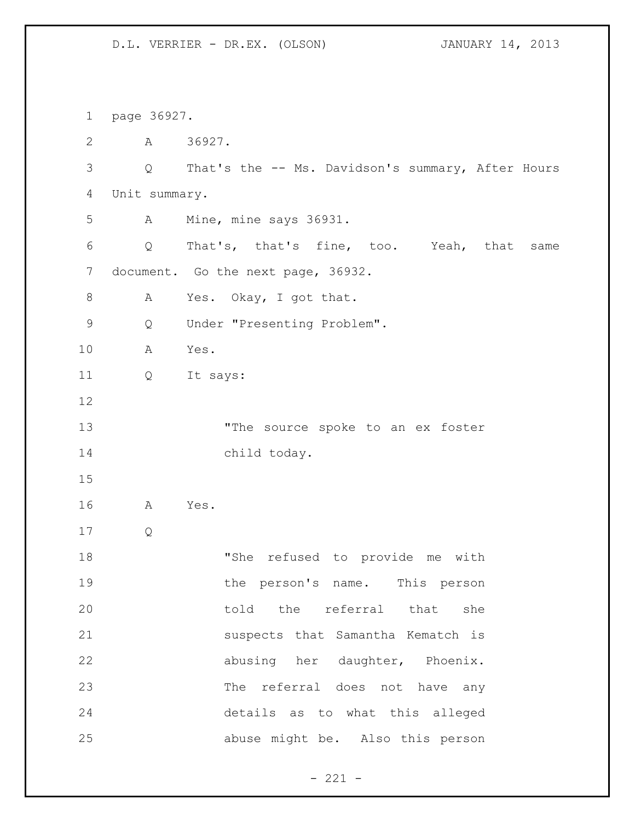page 36927. A 36927. Q That's the -- Ms. Davidson's summary, After Hours Unit summary. A Mine, mine says 36931. Q That's, that's fine, too. Yeah, that same 7 document. Go the next page, 36932. 8 A Yes. Okay, I got that. Q Under "Presenting Problem". A Yes. Q It says: 13 The source spoke to an ex foster child today. A Yes. Q "She refused to provide me with 19 the person's name. This person 20 told the referral that she suspects that Samantha Kematch is abusing her daughter, Phoenix. The referral does not have any details as to what this alleged abuse might be. Also this person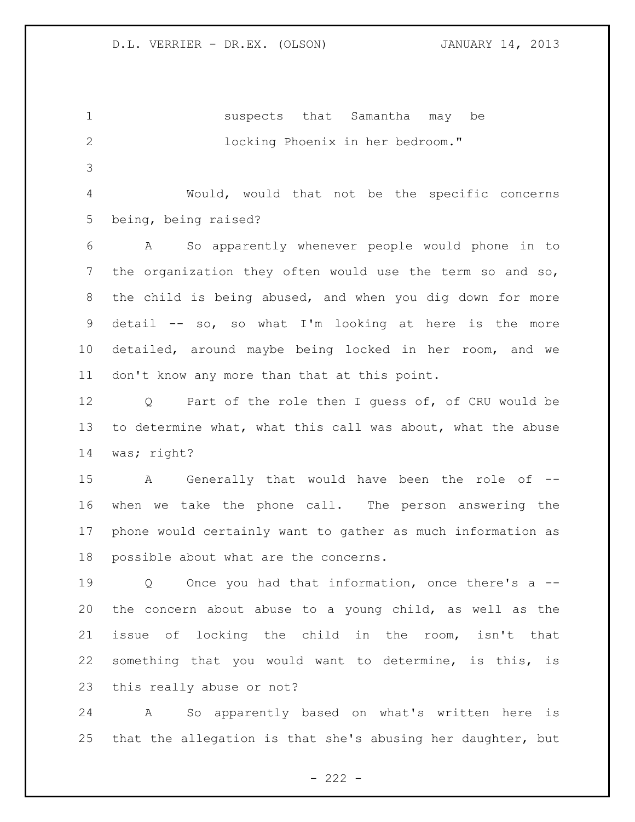suspects that Samantha may be locking Phoenix in her bedroom." Would, would that not be the specific concerns

being, being raised?

 A So apparently whenever people would phone in to the organization they often would use the term so and so, the child is being abused, and when you dig down for more detail -- so, so what I'm looking at here is the more detailed, around maybe being locked in her room, and we don't know any more than that at this point.

 Q Part of the role then I guess of, of CRU would be to determine what, what this call was about, what the abuse was; right?

 A Generally that would have been the role of -- when we take the phone call. The person answering the phone would certainly want to gather as much information as possible about what are the concerns.

 Q Once you had that information, once there's a -- the concern about abuse to a young child, as well as the issue of locking the child in the room, isn't that something that you would want to determine, is this, is this really abuse or not?

 A So apparently based on what's written here is that the allegation is that she's abusing her daughter, but

 $- 222 -$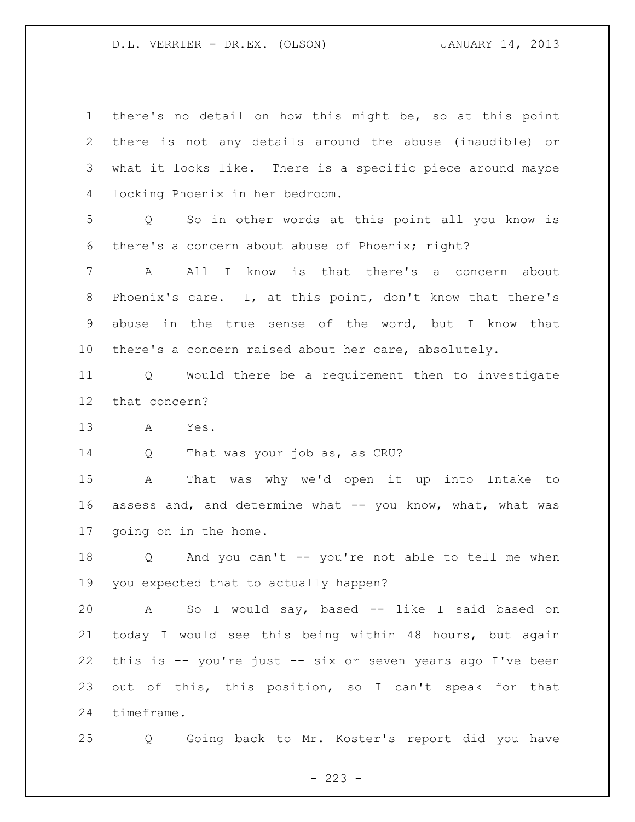| $\mathbf{1}$    | there's no detail on how this might be, so at this point             |
|-----------------|----------------------------------------------------------------------|
| $\mathbf{2}$    | there is not any details around the abuse (inaudible) or             |
| 3               | what it looks like. There is a specific piece around maybe           |
| 4               | locking Phoenix in her bedroom.                                      |
| 5               | So in other words at this point all you know is<br>$Q \qquad \qquad$ |
| 6               | there's a concern about abuse of Phoenix; right?                     |
| 7               | All I know is that there's a concern about<br>A                      |
| 8               | Phoenix's care. I, at this point, don't know that there's            |
| 9               | abuse in the true sense of the word, but I know that                 |
| 10              | there's a concern raised about her care, absolutely.                 |
| 11              | Q Would there be a requirement then to investigate                   |
| 12 <sup>°</sup> | that concern?                                                        |
| 13              | A<br>Yes.                                                            |
| 14              | That was your job as, as CRU?<br>Q                                   |
|                 |                                                                      |
| 15              | That was why we'd open it up into Intake to<br>A                     |
| 16              | assess and, and determine what -- you know, what, what was           |
| 17              | going on in the home.                                                |
| 18              | Q And you can't -- you're not able to tell me when                   |
|                 | 19 you expected that to actually happen?                             |
| 20              | So I would say, based -- like I said based on<br>A                   |
| 21              | today I would see this being within 48 hours, but again              |
| 22              | this is -- you're just -- six or seven years ago I've been           |
| 23              | out of this, this position, so I can't speak for that                |
| 24              | timeframe.                                                           |

 $- 223 -$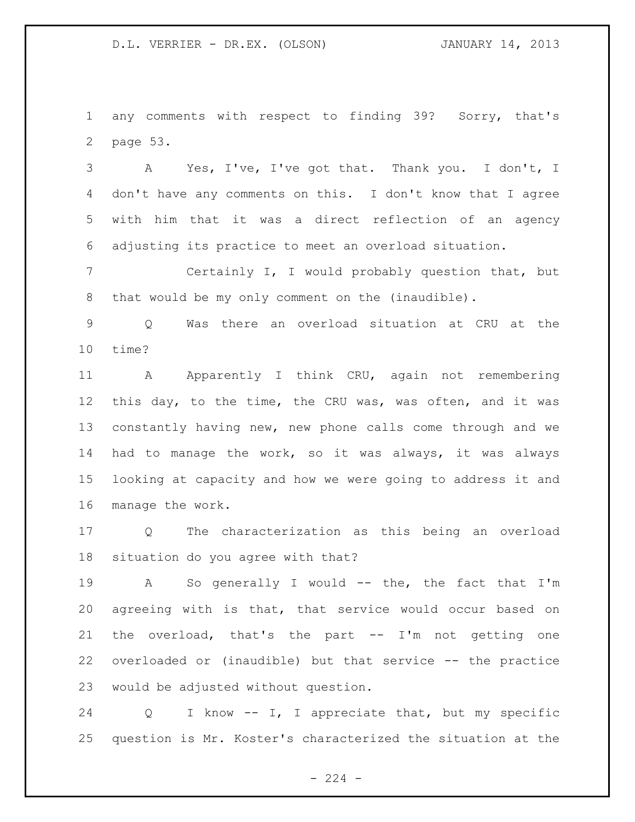any comments with respect to finding 39? Sorry, that's page 53.

 A Yes, I've, I've got that. Thank you. I don't, I don't have any comments on this. I don't know that I agree with him that it was a direct reflection of an agency adjusting its practice to meet an overload situation.

 Certainly I, I would probably question that, but that would be my only comment on the (inaudible).

 Q Was there an overload situation at CRU at the time?

11 A Apparently I think CRU, again not remembering this day, to the time, the CRU was, was often, and it was constantly having new, new phone calls come through and we had to manage the work, so it was always, it was always looking at capacity and how we were going to address it and manage the work.

 Q The characterization as this being an overload situation do you agree with that?

 A So generally I would -- the, the fact that I'm agreeing with is that, that service would occur based on the overload, that's the part -- I'm not getting one overloaded or (inaudible) but that service -- the practice would be adjusted without question.

 Q I know -- I, I appreciate that, but my specific question is Mr. Koster's characterized the situation at the

 $- 224 -$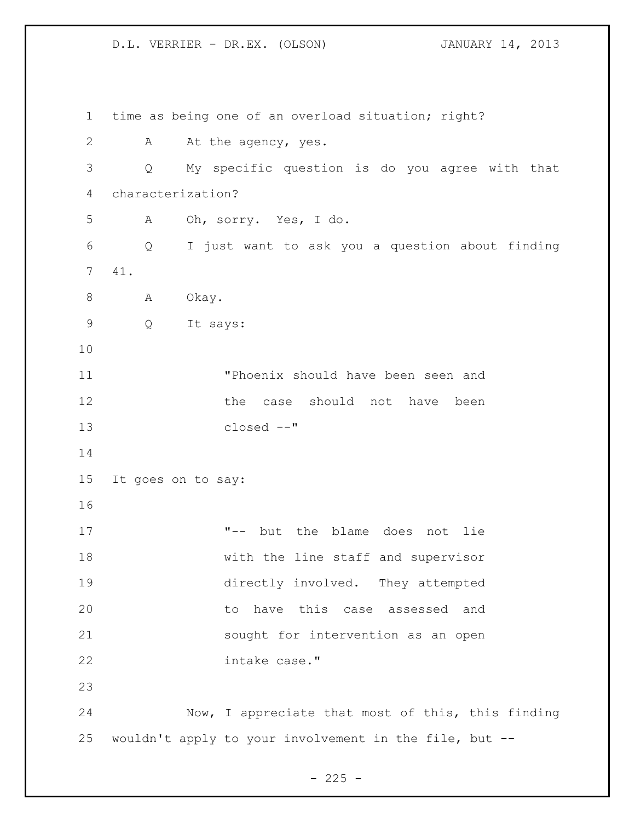time as being one of an overload situation; right? 2 A At the agency, yes. Q My specific question is do you agree with that characterization? A Oh, sorry. Yes, I do. Q I just want to ask you a question about finding 41. 8 A Okay. Q It says: "Phoenix should have been seen and 12 the case should not have been closed --" It goes on to say: "-- but the blame does not lie with the line staff and supervisor directly involved. They attempted to have this case assessed and sought for intervention as an open intake case." Now, I appreciate that most of this, this finding wouldn't apply to your involvement in the file, but --

 $- 225 -$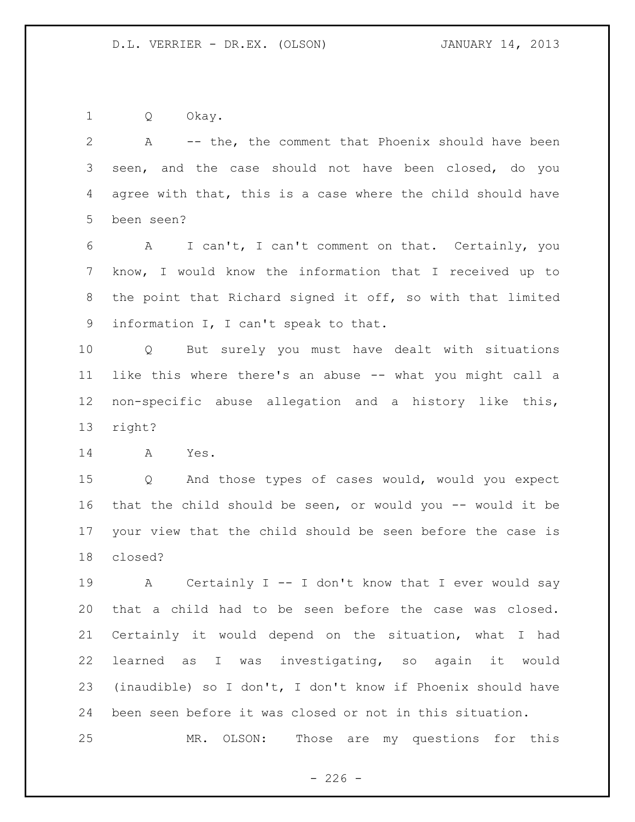Q Okay.

 A -- the, the comment that Phoenix should have been seen, and the case should not have been closed, do you agree with that, this is a case where the child should have been seen?

 A I can't, I can't comment on that. Certainly, you know, I would know the information that I received up to the point that Richard signed it off, so with that limited information I, I can't speak to that.

 Q But surely you must have dealt with situations like this where there's an abuse -- what you might call a non-specific abuse allegation and a history like this, right?

A Yes.

 Q And those types of cases would, would you expect that the child should be seen, or would you -- would it be your view that the child should be seen before the case is closed?

 A Certainly I -- I don't know that I ever would say that a child had to be seen before the case was closed. Certainly it would depend on the situation, what I had learned as I was investigating, so again it would (inaudible) so I don't, I don't know if Phoenix should have been seen before it was closed or not in this situation.

MR. OLSON: Those are my questions for this

 $-226 -$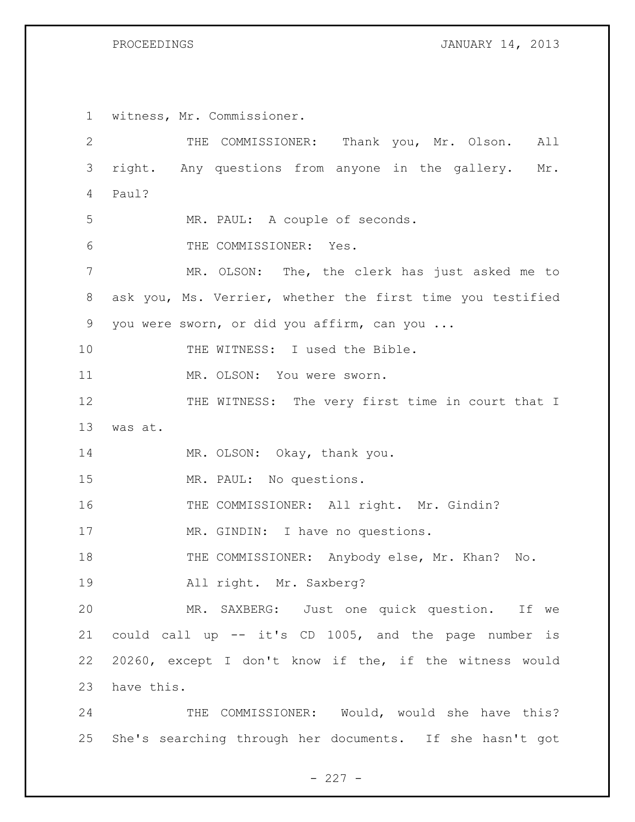PROCEEDINGS **JANUARY 14, 2013** 

 witness, Mr. Commissioner. THE COMMISSIONER: Thank you, Mr. Olson. All right. Any questions from anyone in the gallery. Mr. Paul? MR. PAUL: A couple of seconds. THE COMMISSIONER: Yes. MR. OLSON: The, the clerk has just asked me to ask you, Ms. Verrier, whether the first time you testified you were sworn, or did you affirm, can you ... 10 THE WITNESS: I used the Bible. MR. OLSON: You were sworn. 12 THE WITNESS: The very first time in court that I was at. 14 MR. OLSON: Okay, thank you. MR. PAUL: No questions. THE COMMISSIONER: All right. Mr. Gindin? 17 MR. GINDIN: I have no questions. 18 THE COMMISSIONER: Anybody else, Mr. Khan? No. All right. Mr. Saxberg? MR. SAXBERG: Just one quick question. If we could call up -- it's CD 1005, and the page number is 20260, except I don't know if the, if the witness would have this. 24 THE COMMISSIONER: Would, would she have this?

She's searching through her documents. If she hasn't got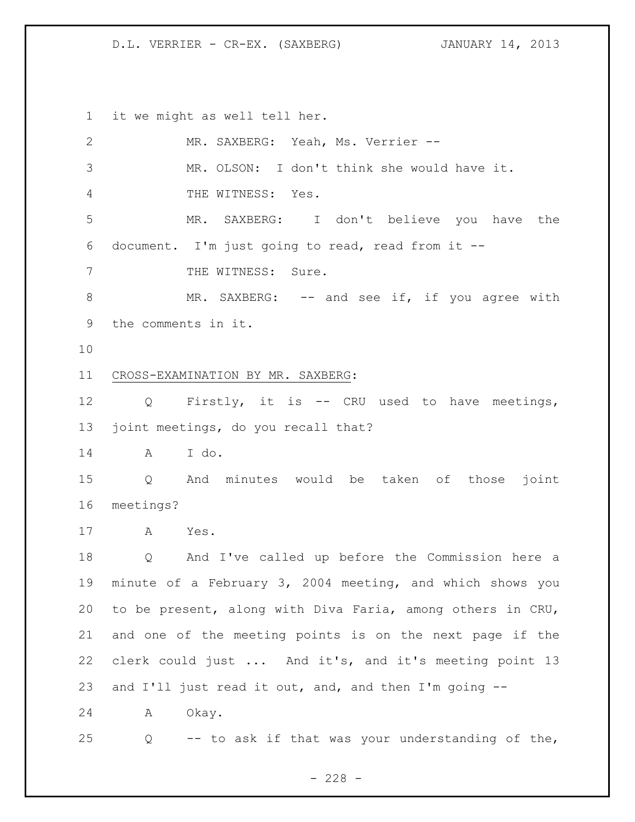D.L. VERRIER - CR-EX. (SAXBERG) JANUARY 14, 2013

it we might as well tell her.

| $\mathbf{2}$  | MR. SAXBERG: Yeah, Ms. Verrier --                          |
|---------------|------------------------------------------------------------|
| $\mathcal{S}$ | MR. OLSON: I don't think she would have it.                |
| 4             | THE WITNESS: Yes.                                          |
| 5             | MR. SAXBERG: I don't believe you have the                  |
| 6             | document. I'm just going to read, read from it --          |
| 7             | THE WITNESS: Sure.                                         |
| $8\,$         | MR. SAXBERG: $--$ and see if, if you agree with            |
| 9             | the comments in it.                                        |
| 10            |                                                            |
| 11            | CROSS-EXAMINATION BY MR. SAXBERG:                          |
| 12            | Q Firstly, it is -- CRU used to have meetings,             |
| 13            | joint meetings, do you recall that?                        |
| 14            | A I do.                                                    |
| 15            | And minutes would be taken of those<br>Q<br>joint          |
| 16            | meetings?                                                  |
| 17            | A Yes.                                                     |
| 18            | Q And I've called up before the Commission here a          |
| 19            | minute of a February 3, 2004 meeting, and which shows you  |
| 20            | to be present, along with Diva Faria, among others in CRU, |
| 21            | and one of the meeting points is on the next page if the   |
| 22            | clerk could just  And it's, and it's meeting point 13      |
| 23            | and I'll just read it out, and, and then I'm going --      |
| 24            | Okay.<br>Α                                                 |
| 25            | -- to ask if that was your understanding of the,<br>Q      |

- 228 -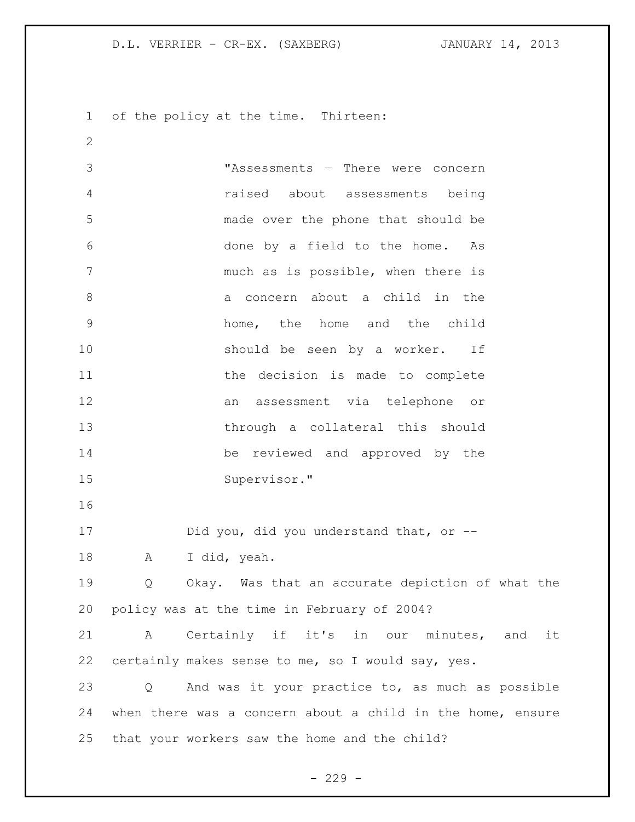D.L. VERRIER - CR-EX. (SAXBERG) JANUARY 14, 2013

of the policy at the time. Thirteen:

 "Assessments — There were concern raised about assessments being made over the phone that should be done by a field to the home. As much as is possible, when there is 8 a concern about a child in the home, the home and the child should be seen by a worker. If 11 the decision is made to complete an assessment via telephone or through a collateral this should be reviewed and approved by the Supervisor." Did you, did you understand that, or -- A I did, yeah. Q Okay. Was that an accurate depiction of what the policy was at the time in February of 2004? A Certainly if it's in our minutes, and it certainly makes sense to me, so I would say, yes. Q And was it your practice to, as much as possible when there was a concern about a child in the home, ensure that your workers saw the home and the child?